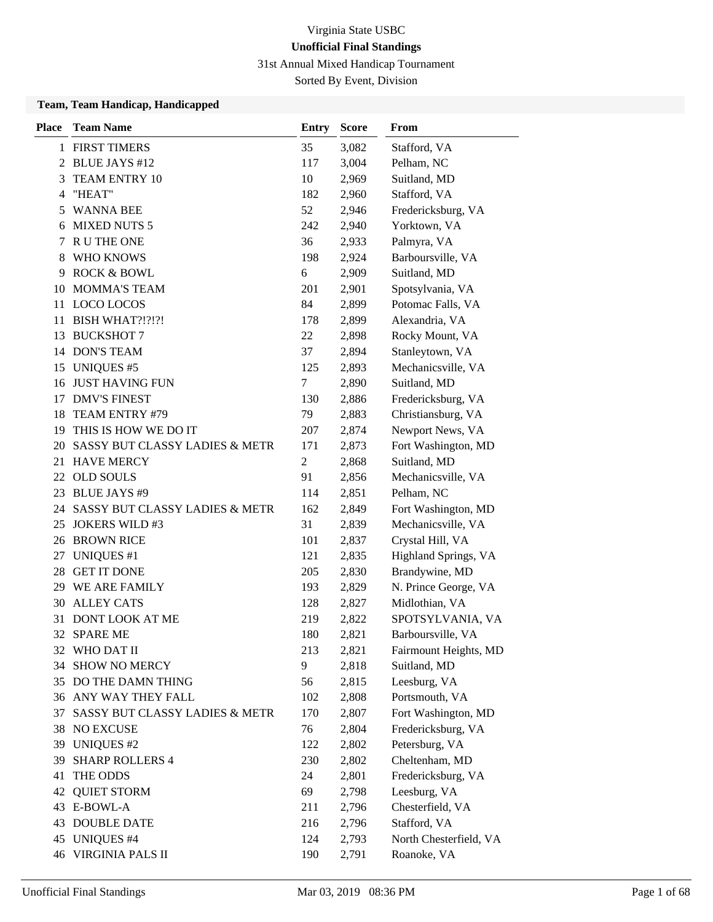31st Annual Mixed Handicap Tournament

Sorted By Event, Division

| <b>Place</b> | <b>Team Name</b>                  | <b>Entry</b>   | <b>Score</b> | From                   |
|--------------|-----------------------------------|----------------|--------------|------------------------|
|              | 1 FIRST TIMERS                    | 35             | 3,082        | Stafford, VA           |
|              | 2 BLUE JAYS #12                   | 117            | 3,004        | Pelham, NC             |
| 3            | TEAM ENTRY 10                     | 10             | 2,969        | Suitland, MD           |
| 4            | "HEAT"                            | 182            | 2,960        | Stafford, VA           |
| 5            | <b>WANNA BEE</b>                  | 52             | 2,946        | Fredericksburg, VA     |
| 6            | <b>MIXED NUTS 5</b>               | 242            | 2,940        | Yorktown, VA           |
| 7            | R U THE ONE                       | 36             | 2,933        | Palmyra, VA            |
| 8            | WHO KNOWS                         | 198            | 2,924        | Barboursville, VA      |
| 9            | <b>ROCK &amp; BOWL</b>            | 6              | 2,909        | Suitland, MD           |
| 10           | <b>MOMMA'S TEAM</b>               | 201            | 2,901        | Spotsylvania, VA       |
| 11           | LOCO LOCOS                        | 84             | 2,899        | Potomac Falls, VA      |
| 11           | BISH WHAT?!?!?!                   | 178            | 2,899        | Alexandria, VA         |
| 13           | <b>BUCKSHOT 7</b>                 | 22             | 2,898        | Rocky Mount, VA        |
|              | 14 DON'S TEAM                     | 37             | 2,894        | Stanleytown, VA        |
| 15           | <b>UNIQUES #5</b>                 | 125            | 2,893        | Mechanicsville, VA     |
| 16           | <b>JUST HAVING FUN</b>            | 7              | 2,890        | Suitland, MD           |
| 17           | <b>DMV'S FINEST</b>               | 130            | 2,886        | Fredericksburg, VA     |
| 18           | TEAM ENTRY #79                    | 79             | 2,883        | Christiansburg, VA     |
| 19           | THIS IS HOW WE DO IT              | 207            | 2,874        | Newport News, VA       |
| 20           | SASSY BUT CLASSY LADIES & METR    | 171            | 2,873        | Fort Washington, MD    |
|              | 21 HAVE MERCY                     | $\overline{c}$ | 2,868        | Suitland, MD           |
| 22           | <b>OLD SOULS</b>                  | 91             | 2,856        | Mechanicsville, VA     |
| 23           | <b>BLUE JAYS #9</b>               | 114            | 2,851        | Pelham, NC             |
|              | 24 SASSY BUT CLASSY LADIES & METR | 162            | 2,849        | Fort Washington, MD    |
| 25           | <b>JOKERS WILD #3</b>             | 31             | 2,839        | Mechanicsville, VA     |
| 26           | <b>BROWN RICE</b>                 | 101            | 2,837        | Crystal Hill, VA       |
| 27           | <b>UNIQUES</b> #1                 | 121            | 2,835        | Highland Springs, VA   |
| 28           | <b>GET IT DONE</b>                | 205            | 2,830        | Brandywine, MD         |
|              | 29 WE ARE FAMILY                  | 193            | 2,829        | N. Prince George, VA   |
| 30           | <b>ALLEY CATS</b>                 | 128            | 2,827        | Midlothian, VA         |
| 31           | DONT LOOK AT ME                   | 219            | 2,822        | SPOTSYLVANIA, VA       |
| 32           | <b>SPARE ME</b>                   | 180            | 2,821        | Barboursville, VA      |
|              | 32 WHO DAT II                     | 213            | 2,821        | Fairmount Heights, MD  |
|              | 34 SHOW NO MERCY                  | 9              | 2,818        | Suitland, MD           |
|              | 35 DO THE DAMN THING              | 56             | 2,815        | Leesburg, VA           |
|              | 36 ANY WAY THEY FALL              | 102            | 2,808        | Portsmouth, VA         |
| 37           | SASSY BUT CLASSY LADIES & METR    | 170            | 2,807        | Fort Washington, MD    |
| 38           | NO EXCUSE                         | 76             | 2,804        | Fredericksburg, VA     |
| 39           | <b>UNIQUES #2</b>                 | 122            | 2,802        | Petersburg, VA         |
| 39           | <b>SHARP ROLLERS 4</b>            | 230            | 2,802        | Cheltenham, MD         |
| 41           | THE ODDS                          | 24             | 2,801        | Fredericksburg, VA     |
| 42           | <b>QUIET STORM</b>                | 69             | 2,798        | Leesburg, VA           |
|              | 43 E-BOWL-A                       | 211            | 2,796        | Chesterfield, VA       |
|              | <b>43 DOUBLE DATE</b>             | 216            | 2,796        | Stafford, VA           |
| 45           | <b>UNIQUES #4</b>                 | 124            | 2,793        | North Chesterfield, VA |
| 46           | VIRGINIA PALS II                  | 190            | 2,791        | Roanoke, VA            |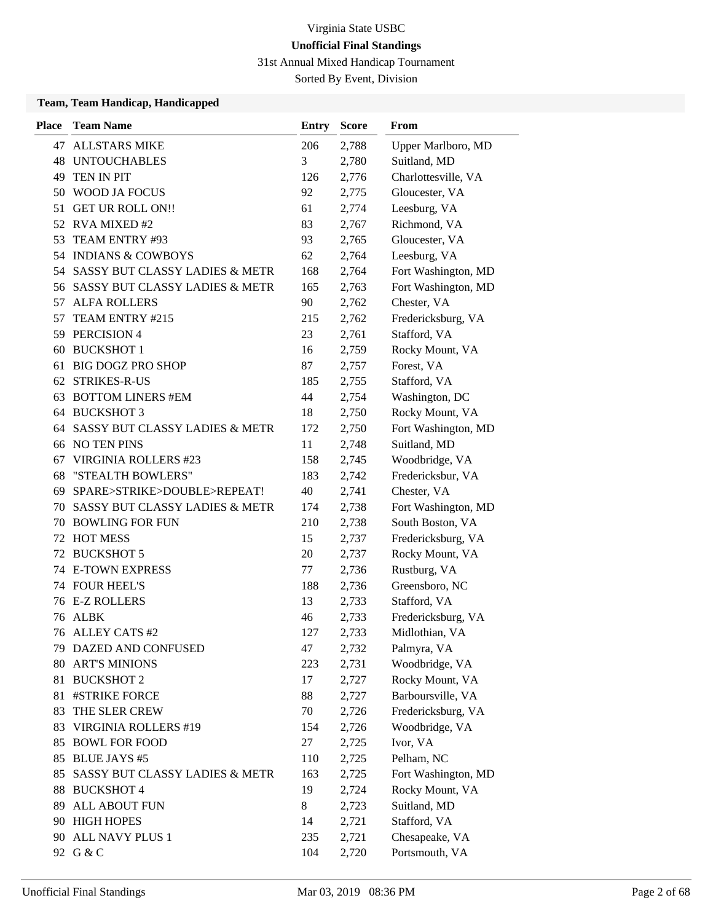31st Annual Mixed Handicap Tournament

Sorted By Event, Division

| <b>Place</b> | <b>Team Name</b>                          | <b>Entry</b> | <b>Score</b> | From                |
|--------------|-------------------------------------------|--------------|--------------|---------------------|
| 47           | <b>ALLSTARS MIKE</b>                      | 206          | 2,788        | Upper Marlboro, MD  |
| 48           | <b>UNTOUCHABLES</b>                       | 3            | 2,780        | Suitland, MD        |
| 49           | TEN IN PIT                                | 126          | 2,776        | Charlottesville, VA |
| 50           | WOOD JA FOCUS                             | 92           | 2,775        | Gloucester, VA      |
| 51           | <b>GET UR ROLL ON!!</b>                   | 61           | 2,774        | Leesburg, VA        |
|              | 52 RVA MIXED #2                           | 83           | 2,767        | Richmond, VA        |
| 53           | TEAM ENTRY #93                            | 93           | 2,765        | Gloucester, VA      |
|              | 54 INDIANS & COWBOYS                      | 62           | 2,764        | Leesburg, VA        |
| 54           | SASSY BUT CLASSY LADIES & METR            | 168          | 2,764        | Fort Washington, MD |
| 56           | SASSY BUT CLASSY LADIES & METR            | 165          | 2,763        | Fort Washington, MD |
| 57           | <b>ALFA ROLLERS</b>                       | 90           | 2,762        | Chester, VA         |
| 57           | TEAM ENTRY #215                           | 215          | 2,762        | Fredericksburg, VA  |
| 59           | PERCISION 4                               | 23           | 2,761        | Stafford, VA        |
| 60           | <b>BUCKSHOT 1</b>                         | 16           | 2,759        | Rocky Mount, VA     |
| 61           | <b>BIG DOGZ PRO SHOP</b>                  | 87           | 2,757        | Forest, VA          |
| 62           | <b>STRIKES-R-US</b>                       | 185          | 2,755        | Stafford, VA        |
| 63           | <b>BOTTOM LINERS #EM</b>                  | 44           | 2,754        | Washington, DC      |
| 64           | <b>BUCKSHOT 3</b>                         | 18           | 2,750        | Rocky Mount, VA     |
| 64           | SASSY BUT CLASSY LADIES & METR            | 172          | 2,750        | Fort Washington, MD |
| 66           | <b>NO TEN PINS</b>                        | 11           | 2,748        | Suitland, MD        |
| 67           | <b>VIRGINIA ROLLERS #23</b>               | 158          | 2,745        | Woodbridge, VA      |
| 68           | "STEALTH BOWLERS"                         | 183          | 2,742        | Fredericksbur, VA   |
| 69           | SPARE>STRIKE>DOUBLE>REPEAT!               | 40           | 2,741        | Chester, VA         |
| 70           | SASSY BUT CLASSY LADIES & METR            | 174          | 2,738        | Fort Washington, MD |
| 70           | <b>BOWLING FOR FUN</b>                    | 210          | 2,738        | South Boston, VA    |
| 72           | <b>HOT MESS</b>                           | 15           | 2,737        | Fredericksburg, VA  |
| 72           | <b>BUCKSHOT 5</b>                         | 20           | 2,737        | Rocky Mount, VA     |
|              | <b>74 E-TOWN EXPRESS</b>                  | 77           | 2,736        | Rustburg, VA        |
|              | <b>74 FOUR HEEL'S</b>                     | 188          | 2,736        | Greensboro, NC      |
|              | 76 E-Z ROLLERS                            | 13           | 2,733        | Stafford, VA        |
| 76           | ALBK                                      | 46           | 2,733        | Fredericksburg, VA  |
| 76           | <b>ALLEY CATS #2</b>                      | 127          | 2,733        | Midlothian, VA      |
|              | 79 DAZED AND CONFUSED                     | 47           | 2,732        | Palmyra, VA         |
| 80           | <b>ART'S MINIONS</b>                      | 223          | 2,731        | Woodbridge, VA      |
| 81           | <b>BUCKSHOT 2</b>                         | 17           | 2,727        | Rocky Mount, VA     |
| 81           | #STRIKE FORCE                             | 88           | 2,727        | Barboursville, VA   |
| 83           | THE SLER CREW                             | 70           | 2,726        | Fredericksburg, VA  |
| 83           | VIRGINIA ROLLERS #19                      | 154          | 2,726        | Woodbridge, VA      |
| 85           | <b>BOWL FOR FOOD</b>                      | 27           | 2,725        | Ivor, VA            |
| 85           | <b>BLUE JAYS #5</b>                       | 110          | 2,725        | Pelham, NC          |
| 85           | <b>SASSY BUT CLASSY LADIES &amp; METR</b> | 163          | 2,725        | Fort Washington, MD |
| 88           | <b>BUCKSHOT 4</b>                         | 19           | 2,724        | Rocky Mount, VA     |
| 89           | <b>ALL ABOUT FUN</b>                      | 8            | 2,723        | Suitland, MD        |
|              | 90 HIGH HOPES                             | 14           | 2,721        | Stafford, VA        |
| 90           | ALL NAVY PLUS 1                           | 235          | 2,721        | Chesapeake, VA      |
|              | 92 G & C                                  | 104          | 2,720        | Portsmouth, VA      |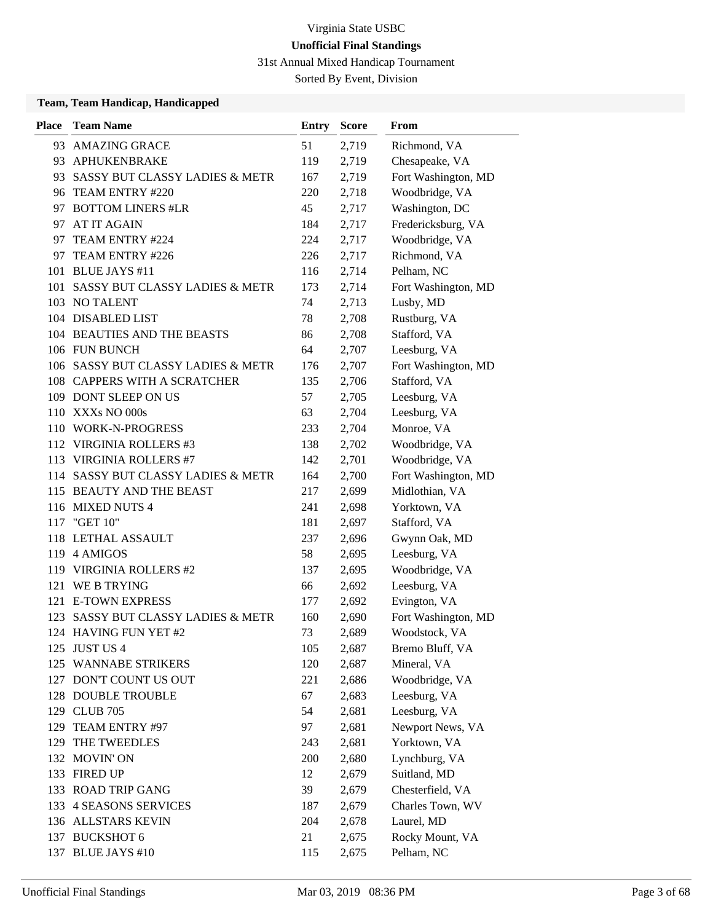31st Annual Mixed Handicap Tournament

Sorted By Event, Division

| <b>Place</b> | <b>Team Name</b>                   | Entry | <b>Score</b> | From                |
|--------------|------------------------------------|-------|--------------|---------------------|
| 93.          | <b>AMAZING GRACE</b>               | 51    | 2,719        | Richmond, VA        |
| 93           | APHUKENBRAKE                       | 119   | 2,719        | Chesapeake, VA      |
| 93           | SASSY BUT CLASSY LADIES & METR     | 167   | 2,719        | Fort Washington, MD |
|              | 96 TEAM ENTRY #220                 | 220   | 2,718        | Woodbridge, VA      |
|              | 97 BOTTOM LINERS #LR               | 45    | 2,717        | Washington, DC      |
| 97           | AT IT AGAIN                        | 184   | 2,717        | Fredericksburg, VA  |
| 97           | TEAM ENTRY #224                    | 224   | 2,717        | Woodbridge, VA      |
|              | 97 TEAM ENTRY #226                 | 226   | 2,717        | Richmond, VA        |
| 101          | <b>BLUE JAYS #11</b>               | 116   | 2,714        | Pelham, NC          |
| 101          | SASSY BUT CLASSY LADIES & METR     | 173   | 2,714        | Fort Washington, MD |
|              | 103 NO TALENT                      | 74    | 2,713        | Lusby, MD           |
|              | 104 DISABLED LIST                  | 78    | 2,708        | Rustburg, VA        |
|              | 104 BEAUTIES AND THE BEASTS        | 86    | 2,708        | Stafford, VA        |
|              | 106 FUN BUNCH                      | 64    | 2,707        | Leesburg, VA        |
|              | 106 SASSY BUT CLASSY LADIES & METR | 176   | 2,707        | Fort Washington, MD |
|              | 108 CAPPERS WITH A SCRATCHER       | 135   | 2,706        | Stafford, VA        |
|              | 109 DONT SLEEP ON US               | 57    | 2,705        | Leesburg, VA        |
|              | 110 XXXs NO 000s                   | 63    | 2,704        | Leesburg, VA        |
|              | 110 WORK-N-PROGRESS                | 233   | 2,704        | Monroe, VA          |
|              | 112 VIRGINIA ROLLERS #3            | 138   | 2,702        | Woodbridge, VA      |
| 113          | <b>VIRGINIA ROLLERS #7</b>         | 142   | 2,701        | Woodbridge, VA      |
| 114          | SASSY BUT CLASSY LADIES & METR     | 164   | 2,700        | Fort Washington, MD |
|              | 115 BEAUTY AND THE BEAST           | 217   | 2,699        | Midlothian, VA      |
|              | 116 MIXED NUTS 4                   | 241   | 2,698        | Yorktown, VA        |
|              | 117 "GET 10"                       | 181   | 2,697        | Stafford, VA        |
|              | 118 LETHAL ASSAULT                 | 237   | 2,696        | Gwynn Oak, MD       |
|              | 119 4 AMIGOS                       | 58    | 2,695        | Leesburg, VA        |
|              | 119 VIRGINIA ROLLERS #2            | 137   | 2,695        | Woodbridge, VA      |
| 121          | WE B TRYING                        | 66    | 2,692        | Leesburg, VA        |
|              | 121 E-TOWN EXPRESS                 | 177   | 2,692        | Evington, VA        |
| 123          | SASSY BUT CLASSY LADIES & METR     | 160   | 2,690        | Fort Washington, MD |
|              | 124 HAVING FUN YET #2              | 73    | 2,689        | Woodstock, VA       |
|              | 125 JUST US 4                      | 105   | 2,687        | Bremo Bluff, VA     |
|              | 125 WANNABE STRIKERS               | 120   | 2,687        | Mineral, VA         |
|              | 127 DON'T COUNT US OUT             | 221   | 2,686        | Woodbridge, VA      |
|              | 128 DOUBLE TROUBLE                 | 67    | 2,683        | Leesburg, VA        |
|              | 129 CLUB 705                       | 54    | 2,681        | Leesburg, VA        |
| 129          | TEAM ENTRY #97                     | 97    | 2,681        | Newport News, VA    |
| 129          | THE TWEEDLES                       | 243   | 2,681        | Yorktown, VA        |
|              | 132 MOVIN' ON                      | 200   | 2,680        | Lynchburg, VA       |
|              | 133 FIRED UP                       | 12    | 2,679        | Suitland, MD        |
|              | 133 ROAD TRIP GANG                 | 39    | 2,679        | Chesterfield, VA    |
| 133          | <b>4 SEASONS SERVICES</b>          | 187   | 2,679        | Charles Town, WV    |
|              | 136 ALLSTARS KEVIN                 | 204   | 2,678        | Laurel, MD          |
|              | 137 BUCKSHOT 6                     | 21    | 2,675        | Rocky Mount, VA     |
|              | 137 BLUE JAYS #10                  | 115   | 2,675        | Pelham, NC          |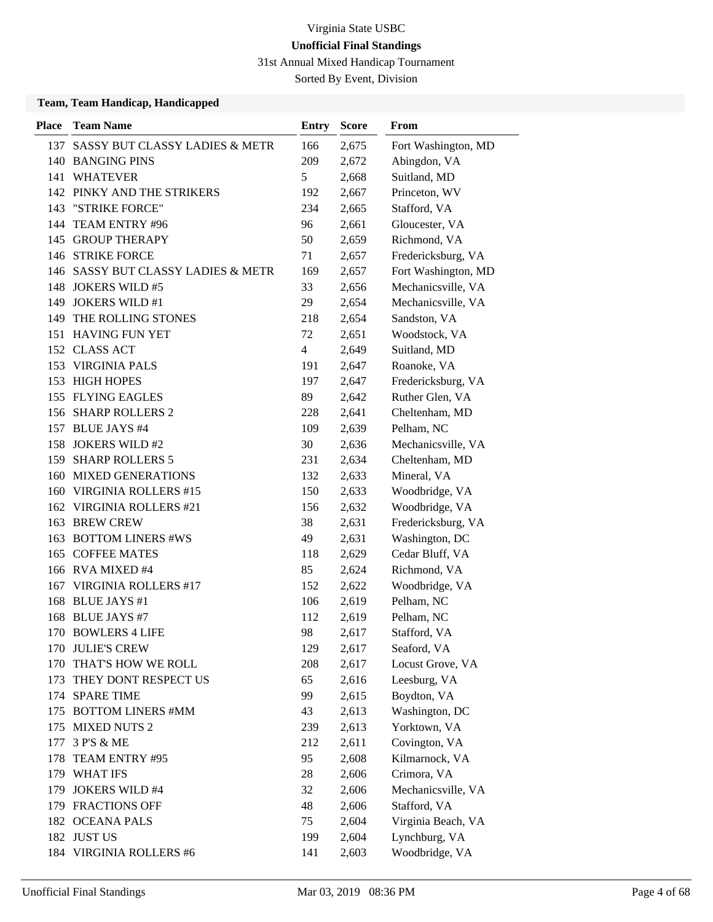31st Annual Mixed Handicap Tournament

Sorted By Event, Division

| <b>Place</b> | <b>Team Name</b>                   | <b>Entry</b>   | <b>Score</b> | From                |
|--------------|------------------------------------|----------------|--------------|---------------------|
| 137          | SASSY BUT CLASSY LADIES & METR     | 166            | 2,675        | Fort Washington, MD |
|              | 140 BANGING PINS                   | 209            | 2,672        | Abingdon, VA        |
| 141          | <b>WHATEVER</b>                    | 5              | 2,668        | Suitland, MD        |
|              | 142 PINKY AND THE STRIKERS         | 192            | 2,667        | Princeton, WV       |
| 143          | "STRIKE FORCE"                     | 234            | 2,665        | Stafford, VA        |
| 144          | TEAM ENTRY #96                     | 96             | 2,661        | Gloucester, VA      |
|              | 145 GROUP THERAPY                  | 50             | 2,659        | Richmond, VA        |
|              | 146 STRIKE FORCE                   | 71             | 2,657        | Fredericksburg, VA  |
|              | 146 SASSY BUT CLASSY LADIES & METR | 169            | 2,657        | Fort Washington, MD |
| 148          | <b>JOKERS WILD #5</b>              | 33             | 2,656        | Mechanicsville, VA  |
| 149          | <b>JOKERS WILD #1</b>              | 29             | 2,654        | Mechanicsville, VA  |
| 149          | THE ROLLING STONES                 | 218            | 2,654        | Sandston, VA        |
|              | 151 HAVING FUN YET                 | 72             | 2,651        | Woodstock, VA       |
| 152          | <b>CLASS ACT</b>                   | $\overline{4}$ | 2,649        | Suitland, MD        |
| 153          | <b>VIRGINIA PALS</b>               | 191            | 2,647        | Roanoke, VA         |
|              | 153 HIGH HOPES                     | 197            | 2,647        | Fredericksburg, VA  |
|              | 155 FLYING EAGLES                  | 89             | 2,642        | Ruther Glen, VA     |
|              | 156 SHARP ROLLERS 2                | 228            | 2,641        | Cheltenham, MD      |
| 157          | <b>BLUE JAYS #4</b>                | 109            | 2,639        | Pelham, NC          |
| 158          | <b>JOKERS WILD #2</b>              | 30             | 2,636        | Mechanicsville, VA  |
| 159          | <b>SHARP ROLLERS 5</b>             | 231            | 2,634        | Cheltenham, MD      |
| 160          | <b>MIXED GENERATIONS</b>           | 132            | 2,633        | Mineral, VA         |
| 160          | <b>VIRGINIA ROLLERS #15</b>        | 150            | 2,633        | Woodbridge, VA      |
| 162          | <b>VIRGINIA ROLLERS #21</b>        | 156            | 2,632        | Woodbridge, VA      |
| 163          | <b>BREW CREW</b>                   | 38             | 2,631        | Fredericksburg, VA  |
| 163          | <b>BOTTOM LINERS #WS</b>           | 49             | 2,631        | Washington, DC      |
| 165          | <b>COFFEE MATES</b>                | 118            | 2,629        | Cedar Bluff, VA     |
|              | 166 RVA MIXED #4                   | 85             | 2,624        | Richmond, VA        |
| 167          | VIRGINIA ROLLERS #17               | 152            | 2,622        | Woodbridge, VA      |
| 168          | <b>BLUE JAYS</b> #1                | 106            | 2,619        | Pelham, NC          |
| 168          | <b>BLUE JAYS #7</b>                | 112            | 2,619        | Pelham, NC          |
| 170          | <b>BOWLERS 4 LIFE</b>              | 98             | 2,617        | Stafford, VA        |
|              | 170 JULIE'S CREW                   | 129            | 2,617        | Seaford, VA         |
| 170          | THAT'S HOW WE ROLL                 | 208            | 2,617        | Locust Grove, VA    |
| 173          | THEY DONT RESPECT US               | 65             | 2,616        | Leesburg, VA        |
|              | 174 SPARE TIME                     | 99             | 2,615        | Boydton, VA         |
|              | 175 BOTTOM LINERS #MM              | 43             | 2,613        | Washington, DC      |
| 175          | <b>MIXED NUTS 2</b>                | 239            | 2,613        | Yorktown, VA        |
| 177          | 3 P'S & ME                         | 212            | 2,611        | Covington, VA       |
| 178          | TEAM ENTRY #95                     | 95             | 2,608        | Kilmarnock, VA      |
|              | 179 WHAT IFS                       | 28             | 2,606        | Crimora, VA         |
| 179          | <b>JOKERS WILD #4</b>              | 32             | 2,606        | Mechanicsville, VA  |
|              | 179 FRACTIONS OFF                  | 48             | 2,606        | Stafford, VA        |
|              | 182 OCEANA PALS                    | 75             | 2,604        | Virginia Beach, VA  |
|              | 182 JUST US                        | 199            | 2,604        | Lynchburg, VA       |
|              | 184 VIRGINIA ROLLERS #6            | 141            | 2,603        | Woodbridge, VA      |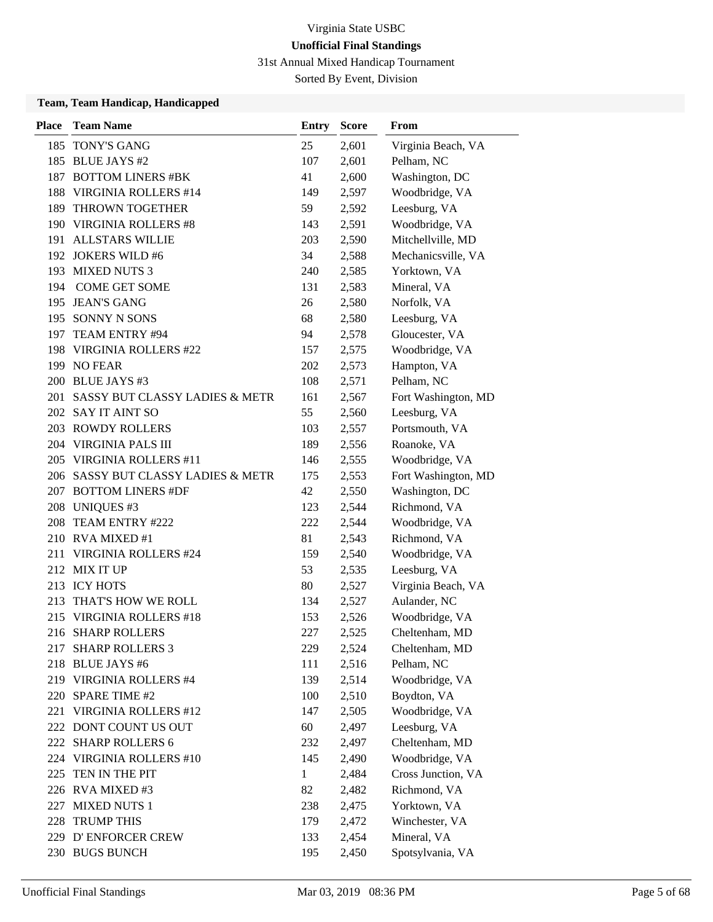31st Annual Mixed Handicap Tournament

Sorted By Event, Division

| <b>Place</b> | <b>Team Name</b>                   | <b>Entry</b> | <b>Score</b> | From                |
|--------------|------------------------------------|--------------|--------------|---------------------|
|              | 185 TONY'S GANG                    | 25           | 2,601        | Virginia Beach, VA  |
|              | 185 BLUE JAYS #2                   | 107          | 2,601        | Pelham, NC          |
|              | 187 BOTTOM LINERS #BK              | 41           | 2,600        | Washington, DC      |
| 188          | <b>VIRGINIA ROLLERS #14</b>        | 149          | 2,597        | Woodbridge, VA      |
| 189          | THROWN TOGETHER                    | 59           | 2,592        | Leesburg, VA        |
| 190          | <b>VIRGINIA ROLLERS #8</b>         | 143          | 2,591        | Woodbridge, VA      |
|              | 191 ALLSTARS WILLIE                | 203          | 2,590        | Mitchellville, MD   |
|              | 192 JOKERS WILD #6                 | 34           | 2,588        | Mechanicsville, VA  |
|              | 193 MIXED NUTS 3                   | 240          | 2,585        | Yorktown, VA        |
| 194          | <b>COME GET SOME</b>               | 131          | 2,583        | Mineral, VA         |
|              | 195 JEAN'S GANG                    | 26           | 2,580        | Norfolk, VA         |
|              | 195 SONNY N SONS                   | 68           | 2,580        | Leesburg, VA        |
|              | 197 TEAM ENTRY #94                 | 94           | 2,578        | Gloucester, VA      |
| 198          | VIRGINIA ROLLERS #22               | 157          | 2,575        | Woodbridge, VA      |
|              | 199 NO FEAR                        | 202          | 2,573        | Hampton, VA         |
|              | 200 BLUE JAYS #3                   | 108          | 2,571        | Pelham, NC          |
|              | 201 SASSY BUT CLASSY LADIES & METR | 161          | 2,567        | Fort Washington, MD |
|              | 202 SAY IT AINT SO                 | 55           | 2,560        | Leesburg, VA        |
|              | 203 ROWDY ROLLERS                  | 103          | 2,557        | Portsmouth, VA      |
|              | 204 VIRGINIA PALS III              | 189          | 2,556        | Roanoke, VA         |
|              | 205 VIRGINIA ROLLERS #11           | 146          | 2,555        | Woodbridge, VA      |
|              | 206 SASSY BUT CLASSY LADIES & METR | 175          | 2,553        | Fort Washington, MD |
|              | 207 BOTTOM LINERS #DF              | 42           | 2,550        | Washington, DC      |
|              | 208 UNIQUES #3                     | 123          | 2,544        | Richmond, VA        |
| 208          | TEAM ENTRY #222                    | 222          | 2,544        | Woodbridge, VA      |
|              | 210 RVA MIXED #1                   | 81           | 2,543        | Richmond, VA        |
| 211          | <b>VIRGINIA ROLLERS #24</b>        | 159          | 2,540        | Woodbridge, VA      |
|              | 212 MIX IT UP                      | 53           | 2,535        | Leesburg, VA        |
|              | 213 ICY HOTS                       | 80           | 2,527        | Virginia Beach, VA  |
| 213          | THAT'S HOW WE ROLL                 | 134          | 2,527        | Aulander, NC        |
|              | 215 VIRGINIA ROLLERS #18           | 153          | 2,526        | Woodbridge, VA      |
|              | 216 SHARP ROLLERS                  | 227          | 2,525        | Cheltenham, MD      |
|              | 217 SHARP ROLLERS 3                | 229          | 2,524        | Cheltenham, MD      |
|              | 218 BLUE JAYS #6                   | 111          | 2,516        | Pelham, NC          |
|              | 219 VIRGINIA ROLLERS #4            | 139          | 2,514        | Woodbridge, VA      |
|              | 220 SPARE TIME #2                  | 100          | 2,510        | Boydton, VA         |
|              | 221 VIRGINIA ROLLERS #12           | 147          | 2,505        | Woodbridge, VA      |
|              | 222 DONT COUNT US OUT              | 60           | 2,497        | Leesburg, VA        |
|              | 222 SHARP ROLLERS 6                | 232          | 2,497        | Cheltenham, MD      |
|              | 224 VIRGINIA ROLLERS #10           | 145          | 2,490        | Woodbridge, VA      |
| 225          | TEN IN THE PIT                     | $\mathbf{1}$ | 2,484        | Cross Junction, VA  |
|              | 226 RVA MIXED #3                   | 82           | 2,482        | Richmond, VA        |
|              | 227 MIXED NUTS 1                   | 238          | 2,475        | Yorktown, VA        |
|              | 228 TRUMP THIS                     | 179          | 2,472        | Winchester, VA      |
|              | 229 D'ENFORCER CREW                | 133          | 2,454        | Mineral, VA         |
|              | 230 BUGS BUNCH                     | 195          | 2,450        | Spotsylvania, VA    |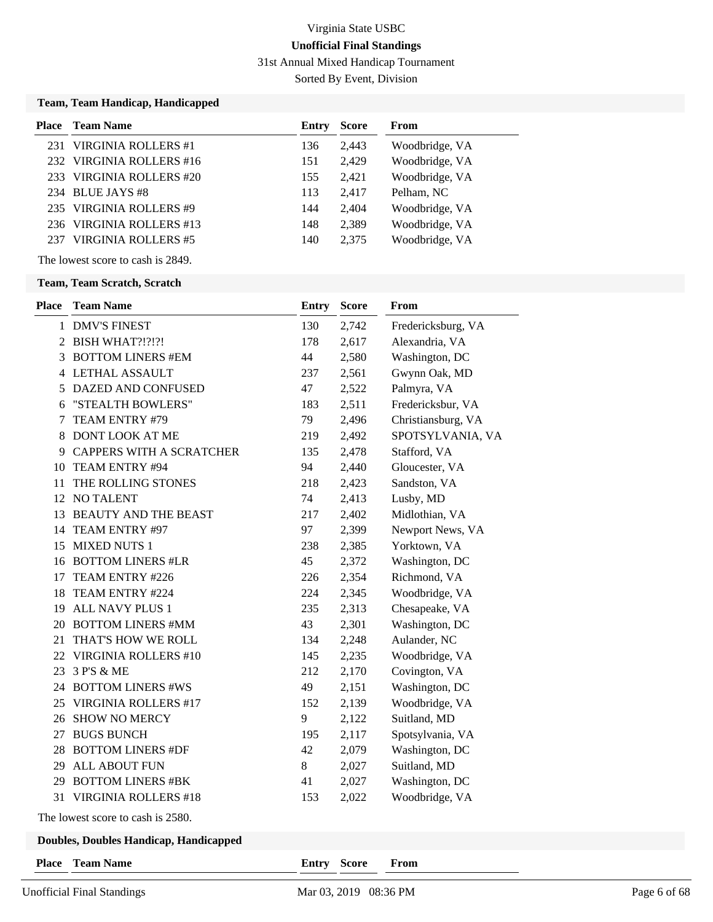31st Annual Mixed Handicap Tournament

Sorted By Event, Division

### **Team, Team Handicap, Handicapped**

| Place | Team Name                | Entry | <b>Score</b> | From           |
|-------|--------------------------|-------|--------------|----------------|
|       | 231 VIRGINIA ROLLERS #1  | 136   | 2.443        | Woodbridge, VA |
|       | 232 VIRGINIA ROLLERS #16 | 151   | 2,429        | Woodbridge, VA |
|       | 233 VIRGINIA ROLLERS #20 | 155   | 2.421        | Woodbridge, VA |
|       | 234 BLUE JAYS #8         | 113   | 2.417        | Pelham, NC     |
|       | 235 VIRGINIA ROLLERS #9  | 144   | 2.404        | Woodbridge, VA |
| 236   | VIRGINIA ROLLERS #13     | 148   | 2,389        | Woodbridge, VA |
|       | VIRGINIA ROLLERS #5      | 140   | 2,375        | Woodbridge, VA |
|       |                          |       |              |                |

The lowest score to cash is 2849.

#### **Team, Team Scratch, Scratch**

| <b>Place</b> | <b>Team Name</b>                | <b>Entry</b> | <b>Score</b> | From               |
|--------------|---------------------------------|--------------|--------------|--------------------|
|              | 1 DMV'S FINEST                  | 130          | 2,742        | Fredericksburg, VA |
|              | 2 BISH WHAT?!?!?!               | 178          | 2,617        | Alexandria, VA     |
| 3            | <b>BOTTOM LINERS #EM</b>        | 44           | 2,580        | Washington, DC     |
|              | <b>4 LETHAL ASSAULT</b>         | 237          | 2,561        | Gwynn Oak, MD      |
| 5            | DAZED AND CONFUSED              | 47           | 2,522        | Palmyra, VA        |
| 6            | "STEALTH BOWLERS"               | 183          | 2,511        | Fredericksbur, VA  |
| 7            | TEAM ENTRY #79                  | 79           | 2,496        | Christiansburg, VA |
| 8            | DONT LOOK AT ME                 | 219          | 2,492        | SPOTSYLVANIA, VA   |
| 9            | <b>CAPPERS WITH A SCRATCHER</b> | 135          | 2,478        | Stafford, VA       |
| 10           | TEAM ENTRY #94                  | 94           | 2,440        | Gloucester, VA     |
| 11           | THE ROLLING STONES              | 218          | 2,423        | Sandston, VA       |
| 12           | <b>NO TALENT</b>                | 74           | 2,413        | Lusby, MD          |
| 13           | <b>BEAUTY AND THE BEAST</b>     | 217          | 2,402        | Midlothian, VA     |
| 14           | TEAM ENTRY #97                  | 97           | 2,399        | Newport News, VA   |
| 15           | <b>MIXED NUTS 1</b>             | 238          | 2,385        | Yorktown, VA       |
| 16           | <b>BOTTOM LINERS #LR</b>        | 45           | 2,372        | Washington, DC     |
| 17           | TEAM ENTRY #226                 | 226          | 2,354        | Richmond, VA       |
| 18           | TEAM ENTRY #224                 | 224          | 2,345        | Woodbridge, VA     |
| 19           | ALL NAVY PLUS 1                 | 235          | 2,313        | Chesapeake, VA     |
|              | 20 BOTTOM LINERS #MM            | 43           | 2,301        | Washington, DC     |
| 21           | THAT'S HOW WE ROLL              | 134          | 2,248        | Aulander, NC       |
| 22           | <b>VIRGINIA ROLLERS #10</b>     | 145          | 2,235        | Woodbridge, VA     |
| 23           | 3 P'S & ME                      | 212          | 2,170        | Covington, VA      |
|              | 24 BOTTOM LINERS #WS            | 49           | 2,151        | Washington, DC     |
| 25           | <b>VIRGINIA ROLLERS #17</b>     | 152          | 2,139        | Woodbridge, VA     |
| 26           | <b>SHOW NO MERCY</b>            | 9            | 2,122        | Suitland, MD       |
| 27           | <b>BUGS BUNCH</b>               | 195          | 2,117        | Spotsylvania, VA   |
| 28           | <b>BOTTOM LINERS #DF</b>        | 42           | 2,079        | Washington, DC     |
| 29           | <b>ALL ABOUT FUN</b>            | $8\,$        | 2,027        | Suitland, MD       |
| 29           | <b>BOTTOM LINERS #BK</b>        | 41           | 2,027        | Washington, DC     |
| 31           | <b>VIRGINIA ROLLERS #18</b>     | 153          | 2,022        | Woodbridge, VA     |
|              |                                 |              |              |                    |

The lowest score to cash is 2580.

### **Doubles, Doubles Handicap, Handicapped**

**Place Team Name Entry Score From**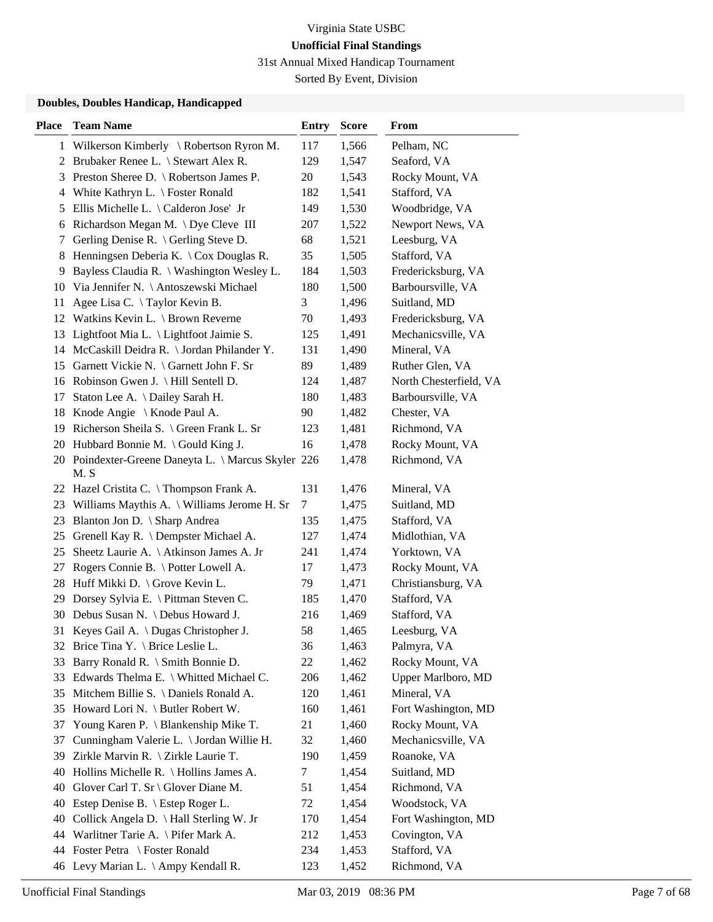31st Annual Mixed Handicap Tournament

Sorted By Event, Division

| 1 Wilkerson Kimberly \ Robertson Ryron M.<br>117<br>1,566<br>Pelham, NC<br>2 Brubaker Renee L. \ Stewart Alex R.<br>129<br>1,547<br>Seaford, VA<br>Preston Sheree D. \ Robertson James P.<br>20<br>Rocky Mount, VA<br>1,543<br>3<br>4 White Kathryn L. \ Foster Ronald<br>182<br>1,541<br>Stafford, VA<br>Ellis Michelle L. $\setminus$ Calderon Jose' Jr<br>149<br>1,530<br>Woodbridge, VA<br>5<br>Richardson Megan M. \Dye Cleve III<br>207<br>1,522<br>Newport News, VA<br>6<br>68<br>Gerling Denise R. $\setminus$ Gerling Steve D.<br>1,521<br>Leesburg, VA<br>7<br>Henningsen Deberia K. \ Cox Douglas R.<br>35<br>Stafford, VA<br>1,505<br>8<br>9<br>Bayless Claudia R. \ Washington Wesley L.<br>184<br>1,503<br>Fredericksburg, VA<br>Via Jennifer N. \ Antoszewski Michael<br>180<br>1,500<br>Barboursville, VA<br>10<br>3<br>Suitland, MD<br>Agee Lisa C. \Taylor Kevin B.<br>1,496<br>11<br>Watkins Kevin L. \ Brown Reverne<br>70<br>1,493<br>Fredericksburg, VA<br>12<br>Mechanicsville, VA<br>Lightfoot Mia L. \ Lightfoot Jaimie S.<br>125<br>1,491<br>13<br>14 McCaskill Deidra R. \ Jordan Philander Y.<br>Mineral, VA<br>131<br>1,490<br>89<br>Garnett Vickie N. \ Garnett John F. Sr<br>1,489<br>Ruther Glen, VA<br>15<br>16 Robinson Gwen J. \ Hill Sentell D.<br>124<br>North Chesterfield, VA<br>1,487<br>17<br>Staton Lee A. \ Dailey Sarah H.<br>180<br>1,483<br>Barboursville, VA<br>Knode Angie \ Knode Paul A.<br>90<br>1,482<br>Chester, VA<br>18<br>Richmond, VA<br>Richerson Sheila S. \ Green Frank L. Sr<br>123<br>1,481<br>19<br>20 Hubbard Bonnie M. \ Gould King J.<br>16<br>Rocky Mount, VA<br>1,478<br>20 Poindexter-Greene Daneyta L. \ Marcus Skyler 226<br>Richmond, VA<br>1,478<br>M.S<br>22 Hazel Cristita C. \Thompson Frank A.<br>131<br>1,476<br>Mineral, VA<br>Suitland, MD<br>Williams Maythis A. \ Williams Jerome H. Sr<br>7<br>1,475<br>23<br>Blanton Jon D. \ Sharp Andrea<br>135<br>Stafford, VA<br>23<br>1,475<br>Grenell Kay R. \ Dempster Michael A.<br>127<br>1,474<br>Midlothian, VA<br>25<br>25<br>Sheetz Laurie A. \ Atkinson James A. Jr<br>241<br>Yorktown, VA<br>1,474<br>17<br>Rogers Connie B. \ Potter Lowell A.<br>1,473<br>Rocky Mount, VA<br>27<br>28 Huff Mikki D. \ Grove Kevin L.<br>79<br>Christiansburg, VA<br>1,471<br>Stafford, VA<br>Dorsey Sylvia E. \ Pittman Steven C.<br>185<br>29<br>1,470<br>30 Debus Susan N. \ Debus Howard J.<br>Stafford, VA<br>216<br>1,469<br>31 Keyes Gail A. \ Dugas Christopher J.<br>58<br>Leesburg, VA<br>1,465<br>32 Brice Tina Y. \ Brice Leslie L.<br>36<br>1,463<br>Palmyra, VA<br>Barry Ronald R. \ Smith Bonnie D.<br>Rocky Mount, VA<br>22<br>1,462<br>33<br>Edwards Thelma E. \ Whitted Michael C.<br>206<br>Upper Marlboro, MD<br>1,462<br>33<br>Mitchem Billie S. \ Daniels Ronald A.<br>120<br>1,461<br>Mineral, VA<br>35<br>35 Howard Lori N. \ Butler Robert W.<br>160<br>1,461<br>Fort Washington, MD<br>Young Karen P. \ Blankenship Mike T.<br>21<br>1,460<br>Rocky Mount, VA<br>37<br>Cunningham Valerie L. \ Jordan Willie H.<br>Mechanicsville, VA<br>32<br>1,460<br>37<br>Zirkle Marvin R. \ Zirkle Laurie T.<br>190<br>1,459<br>Roanoke, VA<br>39<br>Hollins Michelle R. \ Hollins James A.<br>Suitland, MD<br>7<br>1,454<br>40<br>Glover Carl T. Sr \ Glover Diane M.<br>Richmond, VA<br>40<br>51<br>1,454<br>Estep Denise B. \ Estep Roger L.<br>Woodstock, VA<br>72<br>1,454<br>40<br>Collick Angela D. \ Hall Sterling W. Jr<br>170<br>1,454<br>Fort Washington, MD<br>40<br>44 Warlitner Tarie A. \ Pifer Mark A.<br>Covington, VA<br>212<br>1,453<br>44 Foster Petra \ Foster Ronald<br>234<br>1,453<br>Stafford, VA | <b>Place</b> | <b>Team Name</b>                    | Entry | <b>Score</b> | From         |
|---------------------------------------------------------------------------------------------------------------------------------------------------------------------------------------------------------------------------------------------------------------------------------------------------------------------------------------------------------------------------------------------------------------------------------------------------------------------------------------------------------------------------------------------------------------------------------------------------------------------------------------------------------------------------------------------------------------------------------------------------------------------------------------------------------------------------------------------------------------------------------------------------------------------------------------------------------------------------------------------------------------------------------------------------------------------------------------------------------------------------------------------------------------------------------------------------------------------------------------------------------------------------------------------------------------------------------------------------------------------------------------------------------------------------------------------------------------------------------------------------------------------------------------------------------------------------------------------------------------------------------------------------------------------------------------------------------------------------------------------------------------------------------------------------------------------------------------------------------------------------------------------------------------------------------------------------------------------------------------------------------------------------------------------------------------------------------------------------------------------------------------------------------------------------------------------------------------------------------------------------------------------------------------------------------------------------------------------------------------------------------------------------------------------------------------------------------------------------------------------------------------------------------------------------------------------------------------------------------------------------------------------------------------------------------------------------------------------------------------------------------------------------------------------------------------------------------------------------------------------------------------------------------------------------------------------------------------------------------------------------------------------------------------------------------------------------------------------------------------------------------------------------------------------------------------------------------------------------------------------------------------------------------------------------------------------------------------------------------------------------------------------------------------------------------------------------------------------------------------------------------------------------------------------------------------------------------------------------------------------------------------------------------------|--------------|-------------------------------------|-------|--------------|--------------|
|                                                                                                                                                                                                                                                                                                                                                                                                                                                                                                                                                                                                                                                                                                                                                                                                                                                                                                                                                                                                                                                                                                                                                                                                                                                                                                                                                                                                                                                                                                                                                                                                                                                                                                                                                                                                                                                                                                                                                                                                                                                                                                                                                                                                                                                                                                                                                                                                                                                                                                                                                                                                                                                                                                                                                                                                                                                                                                                                                                                                                                                                                                                                                                                                                                                                                                                                                                                                                                                                                                                                                                                                                                                               |              |                                     |       |              |              |
|                                                                                                                                                                                                                                                                                                                                                                                                                                                                                                                                                                                                                                                                                                                                                                                                                                                                                                                                                                                                                                                                                                                                                                                                                                                                                                                                                                                                                                                                                                                                                                                                                                                                                                                                                                                                                                                                                                                                                                                                                                                                                                                                                                                                                                                                                                                                                                                                                                                                                                                                                                                                                                                                                                                                                                                                                                                                                                                                                                                                                                                                                                                                                                                                                                                                                                                                                                                                                                                                                                                                                                                                                                                               |              |                                     |       |              |              |
|                                                                                                                                                                                                                                                                                                                                                                                                                                                                                                                                                                                                                                                                                                                                                                                                                                                                                                                                                                                                                                                                                                                                                                                                                                                                                                                                                                                                                                                                                                                                                                                                                                                                                                                                                                                                                                                                                                                                                                                                                                                                                                                                                                                                                                                                                                                                                                                                                                                                                                                                                                                                                                                                                                                                                                                                                                                                                                                                                                                                                                                                                                                                                                                                                                                                                                                                                                                                                                                                                                                                                                                                                                                               |              |                                     |       |              |              |
|                                                                                                                                                                                                                                                                                                                                                                                                                                                                                                                                                                                                                                                                                                                                                                                                                                                                                                                                                                                                                                                                                                                                                                                                                                                                                                                                                                                                                                                                                                                                                                                                                                                                                                                                                                                                                                                                                                                                                                                                                                                                                                                                                                                                                                                                                                                                                                                                                                                                                                                                                                                                                                                                                                                                                                                                                                                                                                                                                                                                                                                                                                                                                                                                                                                                                                                                                                                                                                                                                                                                                                                                                                                               |              |                                     |       |              |              |
|                                                                                                                                                                                                                                                                                                                                                                                                                                                                                                                                                                                                                                                                                                                                                                                                                                                                                                                                                                                                                                                                                                                                                                                                                                                                                                                                                                                                                                                                                                                                                                                                                                                                                                                                                                                                                                                                                                                                                                                                                                                                                                                                                                                                                                                                                                                                                                                                                                                                                                                                                                                                                                                                                                                                                                                                                                                                                                                                                                                                                                                                                                                                                                                                                                                                                                                                                                                                                                                                                                                                                                                                                                                               |              |                                     |       |              |              |
|                                                                                                                                                                                                                                                                                                                                                                                                                                                                                                                                                                                                                                                                                                                                                                                                                                                                                                                                                                                                                                                                                                                                                                                                                                                                                                                                                                                                                                                                                                                                                                                                                                                                                                                                                                                                                                                                                                                                                                                                                                                                                                                                                                                                                                                                                                                                                                                                                                                                                                                                                                                                                                                                                                                                                                                                                                                                                                                                                                                                                                                                                                                                                                                                                                                                                                                                                                                                                                                                                                                                                                                                                                                               |              |                                     |       |              |              |
|                                                                                                                                                                                                                                                                                                                                                                                                                                                                                                                                                                                                                                                                                                                                                                                                                                                                                                                                                                                                                                                                                                                                                                                                                                                                                                                                                                                                                                                                                                                                                                                                                                                                                                                                                                                                                                                                                                                                                                                                                                                                                                                                                                                                                                                                                                                                                                                                                                                                                                                                                                                                                                                                                                                                                                                                                                                                                                                                                                                                                                                                                                                                                                                                                                                                                                                                                                                                                                                                                                                                                                                                                                                               |              |                                     |       |              |              |
|                                                                                                                                                                                                                                                                                                                                                                                                                                                                                                                                                                                                                                                                                                                                                                                                                                                                                                                                                                                                                                                                                                                                                                                                                                                                                                                                                                                                                                                                                                                                                                                                                                                                                                                                                                                                                                                                                                                                                                                                                                                                                                                                                                                                                                                                                                                                                                                                                                                                                                                                                                                                                                                                                                                                                                                                                                                                                                                                                                                                                                                                                                                                                                                                                                                                                                                                                                                                                                                                                                                                                                                                                                                               |              |                                     |       |              |              |
|                                                                                                                                                                                                                                                                                                                                                                                                                                                                                                                                                                                                                                                                                                                                                                                                                                                                                                                                                                                                                                                                                                                                                                                                                                                                                                                                                                                                                                                                                                                                                                                                                                                                                                                                                                                                                                                                                                                                                                                                                                                                                                                                                                                                                                                                                                                                                                                                                                                                                                                                                                                                                                                                                                                                                                                                                                                                                                                                                                                                                                                                                                                                                                                                                                                                                                                                                                                                                                                                                                                                                                                                                                                               |              |                                     |       |              |              |
|                                                                                                                                                                                                                                                                                                                                                                                                                                                                                                                                                                                                                                                                                                                                                                                                                                                                                                                                                                                                                                                                                                                                                                                                                                                                                                                                                                                                                                                                                                                                                                                                                                                                                                                                                                                                                                                                                                                                                                                                                                                                                                                                                                                                                                                                                                                                                                                                                                                                                                                                                                                                                                                                                                                                                                                                                                                                                                                                                                                                                                                                                                                                                                                                                                                                                                                                                                                                                                                                                                                                                                                                                                                               |              |                                     |       |              |              |
|                                                                                                                                                                                                                                                                                                                                                                                                                                                                                                                                                                                                                                                                                                                                                                                                                                                                                                                                                                                                                                                                                                                                                                                                                                                                                                                                                                                                                                                                                                                                                                                                                                                                                                                                                                                                                                                                                                                                                                                                                                                                                                                                                                                                                                                                                                                                                                                                                                                                                                                                                                                                                                                                                                                                                                                                                                                                                                                                                                                                                                                                                                                                                                                                                                                                                                                                                                                                                                                                                                                                                                                                                                                               |              |                                     |       |              |              |
|                                                                                                                                                                                                                                                                                                                                                                                                                                                                                                                                                                                                                                                                                                                                                                                                                                                                                                                                                                                                                                                                                                                                                                                                                                                                                                                                                                                                                                                                                                                                                                                                                                                                                                                                                                                                                                                                                                                                                                                                                                                                                                                                                                                                                                                                                                                                                                                                                                                                                                                                                                                                                                                                                                                                                                                                                                                                                                                                                                                                                                                                                                                                                                                                                                                                                                                                                                                                                                                                                                                                                                                                                                                               |              |                                     |       |              |              |
|                                                                                                                                                                                                                                                                                                                                                                                                                                                                                                                                                                                                                                                                                                                                                                                                                                                                                                                                                                                                                                                                                                                                                                                                                                                                                                                                                                                                                                                                                                                                                                                                                                                                                                                                                                                                                                                                                                                                                                                                                                                                                                                                                                                                                                                                                                                                                                                                                                                                                                                                                                                                                                                                                                                                                                                                                                                                                                                                                                                                                                                                                                                                                                                                                                                                                                                                                                                                                                                                                                                                                                                                                                                               |              |                                     |       |              |              |
|                                                                                                                                                                                                                                                                                                                                                                                                                                                                                                                                                                                                                                                                                                                                                                                                                                                                                                                                                                                                                                                                                                                                                                                                                                                                                                                                                                                                                                                                                                                                                                                                                                                                                                                                                                                                                                                                                                                                                                                                                                                                                                                                                                                                                                                                                                                                                                                                                                                                                                                                                                                                                                                                                                                                                                                                                                                                                                                                                                                                                                                                                                                                                                                                                                                                                                                                                                                                                                                                                                                                                                                                                                                               |              |                                     |       |              |              |
|                                                                                                                                                                                                                                                                                                                                                                                                                                                                                                                                                                                                                                                                                                                                                                                                                                                                                                                                                                                                                                                                                                                                                                                                                                                                                                                                                                                                                                                                                                                                                                                                                                                                                                                                                                                                                                                                                                                                                                                                                                                                                                                                                                                                                                                                                                                                                                                                                                                                                                                                                                                                                                                                                                                                                                                                                                                                                                                                                                                                                                                                                                                                                                                                                                                                                                                                                                                                                                                                                                                                                                                                                                                               |              |                                     |       |              |              |
|                                                                                                                                                                                                                                                                                                                                                                                                                                                                                                                                                                                                                                                                                                                                                                                                                                                                                                                                                                                                                                                                                                                                                                                                                                                                                                                                                                                                                                                                                                                                                                                                                                                                                                                                                                                                                                                                                                                                                                                                                                                                                                                                                                                                                                                                                                                                                                                                                                                                                                                                                                                                                                                                                                                                                                                                                                                                                                                                                                                                                                                                                                                                                                                                                                                                                                                                                                                                                                                                                                                                                                                                                                                               |              |                                     |       |              |              |
|                                                                                                                                                                                                                                                                                                                                                                                                                                                                                                                                                                                                                                                                                                                                                                                                                                                                                                                                                                                                                                                                                                                                                                                                                                                                                                                                                                                                                                                                                                                                                                                                                                                                                                                                                                                                                                                                                                                                                                                                                                                                                                                                                                                                                                                                                                                                                                                                                                                                                                                                                                                                                                                                                                                                                                                                                                                                                                                                                                                                                                                                                                                                                                                                                                                                                                                                                                                                                                                                                                                                                                                                                                                               |              |                                     |       |              |              |
|                                                                                                                                                                                                                                                                                                                                                                                                                                                                                                                                                                                                                                                                                                                                                                                                                                                                                                                                                                                                                                                                                                                                                                                                                                                                                                                                                                                                                                                                                                                                                                                                                                                                                                                                                                                                                                                                                                                                                                                                                                                                                                                                                                                                                                                                                                                                                                                                                                                                                                                                                                                                                                                                                                                                                                                                                                                                                                                                                                                                                                                                                                                                                                                                                                                                                                                                                                                                                                                                                                                                                                                                                                                               |              |                                     |       |              |              |
|                                                                                                                                                                                                                                                                                                                                                                                                                                                                                                                                                                                                                                                                                                                                                                                                                                                                                                                                                                                                                                                                                                                                                                                                                                                                                                                                                                                                                                                                                                                                                                                                                                                                                                                                                                                                                                                                                                                                                                                                                                                                                                                                                                                                                                                                                                                                                                                                                                                                                                                                                                                                                                                                                                                                                                                                                                                                                                                                                                                                                                                                                                                                                                                                                                                                                                                                                                                                                                                                                                                                                                                                                                                               |              |                                     |       |              |              |
|                                                                                                                                                                                                                                                                                                                                                                                                                                                                                                                                                                                                                                                                                                                                                                                                                                                                                                                                                                                                                                                                                                                                                                                                                                                                                                                                                                                                                                                                                                                                                                                                                                                                                                                                                                                                                                                                                                                                                                                                                                                                                                                                                                                                                                                                                                                                                                                                                                                                                                                                                                                                                                                                                                                                                                                                                                                                                                                                                                                                                                                                                                                                                                                                                                                                                                                                                                                                                                                                                                                                                                                                                                                               |              |                                     |       |              |              |
|                                                                                                                                                                                                                                                                                                                                                                                                                                                                                                                                                                                                                                                                                                                                                                                                                                                                                                                                                                                                                                                                                                                                                                                                                                                                                                                                                                                                                                                                                                                                                                                                                                                                                                                                                                                                                                                                                                                                                                                                                                                                                                                                                                                                                                                                                                                                                                                                                                                                                                                                                                                                                                                                                                                                                                                                                                                                                                                                                                                                                                                                                                                                                                                                                                                                                                                                                                                                                                                                                                                                                                                                                                                               |              |                                     |       |              |              |
|                                                                                                                                                                                                                                                                                                                                                                                                                                                                                                                                                                                                                                                                                                                                                                                                                                                                                                                                                                                                                                                                                                                                                                                                                                                                                                                                                                                                                                                                                                                                                                                                                                                                                                                                                                                                                                                                                                                                                                                                                                                                                                                                                                                                                                                                                                                                                                                                                                                                                                                                                                                                                                                                                                                                                                                                                                                                                                                                                                                                                                                                                                                                                                                                                                                                                                                                                                                                                                                                                                                                                                                                                                                               |              |                                     |       |              |              |
|                                                                                                                                                                                                                                                                                                                                                                                                                                                                                                                                                                                                                                                                                                                                                                                                                                                                                                                                                                                                                                                                                                                                                                                                                                                                                                                                                                                                                                                                                                                                                                                                                                                                                                                                                                                                                                                                                                                                                                                                                                                                                                                                                                                                                                                                                                                                                                                                                                                                                                                                                                                                                                                                                                                                                                                                                                                                                                                                                                                                                                                                                                                                                                                                                                                                                                                                                                                                                                                                                                                                                                                                                                                               |              |                                     |       |              |              |
|                                                                                                                                                                                                                                                                                                                                                                                                                                                                                                                                                                                                                                                                                                                                                                                                                                                                                                                                                                                                                                                                                                                                                                                                                                                                                                                                                                                                                                                                                                                                                                                                                                                                                                                                                                                                                                                                                                                                                                                                                                                                                                                                                                                                                                                                                                                                                                                                                                                                                                                                                                                                                                                                                                                                                                                                                                                                                                                                                                                                                                                                                                                                                                                                                                                                                                                                                                                                                                                                                                                                                                                                                                                               |              |                                     |       |              |              |
|                                                                                                                                                                                                                                                                                                                                                                                                                                                                                                                                                                                                                                                                                                                                                                                                                                                                                                                                                                                                                                                                                                                                                                                                                                                                                                                                                                                                                                                                                                                                                                                                                                                                                                                                                                                                                                                                                                                                                                                                                                                                                                                                                                                                                                                                                                                                                                                                                                                                                                                                                                                                                                                                                                                                                                                                                                                                                                                                                                                                                                                                                                                                                                                                                                                                                                                                                                                                                                                                                                                                                                                                                                                               |              |                                     |       |              |              |
|                                                                                                                                                                                                                                                                                                                                                                                                                                                                                                                                                                                                                                                                                                                                                                                                                                                                                                                                                                                                                                                                                                                                                                                                                                                                                                                                                                                                                                                                                                                                                                                                                                                                                                                                                                                                                                                                                                                                                                                                                                                                                                                                                                                                                                                                                                                                                                                                                                                                                                                                                                                                                                                                                                                                                                                                                                                                                                                                                                                                                                                                                                                                                                                                                                                                                                                                                                                                                                                                                                                                                                                                                                                               |              |                                     |       |              |              |
|                                                                                                                                                                                                                                                                                                                                                                                                                                                                                                                                                                                                                                                                                                                                                                                                                                                                                                                                                                                                                                                                                                                                                                                                                                                                                                                                                                                                                                                                                                                                                                                                                                                                                                                                                                                                                                                                                                                                                                                                                                                                                                                                                                                                                                                                                                                                                                                                                                                                                                                                                                                                                                                                                                                                                                                                                                                                                                                                                                                                                                                                                                                                                                                                                                                                                                                                                                                                                                                                                                                                                                                                                                                               |              |                                     |       |              |              |
|                                                                                                                                                                                                                                                                                                                                                                                                                                                                                                                                                                                                                                                                                                                                                                                                                                                                                                                                                                                                                                                                                                                                                                                                                                                                                                                                                                                                                                                                                                                                                                                                                                                                                                                                                                                                                                                                                                                                                                                                                                                                                                                                                                                                                                                                                                                                                                                                                                                                                                                                                                                                                                                                                                                                                                                                                                                                                                                                                                                                                                                                                                                                                                                                                                                                                                                                                                                                                                                                                                                                                                                                                                                               |              |                                     |       |              |              |
|                                                                                                                                                                                                                                                                                                                                                                                                                                                                                                                                                                                                                                                                                                                                                                                                                                                                                                                                                                                                                                                                                                                                                                                                                                                                                                                                                                                                                                                                                                                                                                                                                                                                                                                                                                                                                                                                                                                                                                                                                                                                                                                                                                                                                                                                                                                                                                                                                                                                                                                                                                                                                                                                                                                                                                                                                                                                                                                                                                                                                                                                                                                                                                                                                                                                                                                                                                                                                                                                                                                                                                                                                                                               |              |                                     |       |              |              |
|                                                                                                                                                                                                                                                                                                                                                                                                                                                                                                                                                                                                                                                                                                                                                                                                                                                                                                                                                                                                                                                                                                                                                                                                                                                                                                                                                                                                                                                                                                                                                                                                                                                                                                                                                                                                                                                                                                                                                                                                                                                                                                                                                                                                                                                                                                                                                                                                                                                                                                                                                                                                                                                                                                                                                                                                                                                                                                                                                                                                                                                                                                                                                                                                                                                                                                                                                                                                                                                                                                                                                                                                                                                               |              |                                     |       |              |              |
|                                                                                                                                                                                                                                                                                                                                                                                                                                                                                                                                                                                                                                                                                                                                                                                                                                                                                                                                                                                                                                                                                                                                                                                                                                                                                                                                                                                                                                                                                                                                                                                                                                                                                                                                                                                                                                                                                                                                                                                                                                                                                                                                                                                                                                                                                                                                                                                                                                                                                                                                                                                                                                                                                                                                                                                                                                                                                                                                                                                                                                                                                                                                                                                                                                                                                                                                                                                                                                                                                                                                                                                                                                                               |              |                                     |       |              |              |
|                                                                                                                                                                                                                                                                                                                                                                                                                                                                                                                                                                                                                                                                                                                                                                                                                                                                                                                                                                                                                                                                                                                                                                                                                                                                                                                                                                                                                                                                                                                                                                                                                                                                                                                                                                                                                                                                                                                                                                                                                                                                                                                                                                                                                                                                                                                                                                                                                                                                                                                                                                                                                                                                                                                                                                                                                                                                                                                                                                                                                                                                                                                                                                                                                                                                                                                                                                                                                                                                                                                                                                                                                                                               |              |                                     |       |              |              |
|                                                                                                                                                                                                                                                                                                                                                                                                                                                                                                                                                                                                                                                                                                                                                                                                                                                                                                                                                                                                                                                                                                                                                                                                                                                                                                                                                                                                                                                                                                                                                                                                                                                                                                                                                                                                                                                                                                                                                                                                                                                                                                                                                                                                                                                                                                                                                                                                                                                                                                                                                                                                                                                                                                                                                                                                                                                                                                                                                                                                                                                                                                                                                                                                                                                                                                                                                                                                                                                                                                                                                                                                                                                               |              |                                     |       |              |              |
|                                                                                                                                                                                                                                                                                                                                                                                                                                                                                                                                                                                                                                                                                                                                                                                                                                                                                                                                                                                                                                                                                                                                                                                                                                                                                                                                                                                                                                                                                                                                                                                                                                                                                                                                                                                                                                                                                                                                                                                                                                                                                                                                                                                                                                                                                                                                                                                                                                                                                                                                                                                                                                                                                                                                                                                                                                                                                                                                                                                                                                                                                                                                                                                                                                                                                                                                                                                                                                                                                                                                                                                                                                                               |              |                                     |       |              |              |
|                                                                                                                                                                                                                                                                                                                                                                                                                                                                                                                                                                                                                                                                                                                                                                                                                                                                                                                                                                                                                                                                                                                                                                                                                                                                                                                                                                                                                                                                                                                                                                                                                                                                                                                                                                                                                                                                                                                                                                                                                                                                                                                                                                                                                                                                                                                                                                                                                                                                                                                                                                                                                                                                                                                                                                                                                                                                                                                                                                                                                                                                                                                                                                                                                                                                                                                                                                                                                                                                                                                                                                                                                                                               |              |                                     |       |              |              |
|                                                                                                                                                                                                                                                                                                                                                                                                                                                                                                                                                                                                                                                                                                                                                                                                                                                                                                                                                                                                                                                                                                                                                                                                                                                                                                                                                                                                                                                                                                                                                                                                                                                                                                                                                                                                                                                                                                                                                                                                                                                                                                                                                                                                                                                                                                                                                                                                                                                                                                                                                                                                                                                                                                                                                                                                                                                                                                                                                                                                                                                                                                                                                                                                                                                                                                                                                                                                                                                                                                                                                                                                                                                               |              |                                     |       |              |              |
|                                                                                                                                                                                                                                                                                                                                                                                                                                                                                                                                                                                                                                                                                                                                                                                                                                                                                                                                                                                                                                                                                                                                                                                                                                                                                                                                                                                                                                                                                                                                                                                                                                                                                                                                                                                                                                                                                                                                                                                                                                                                                                                                                                                                                                                                                                                                                                                                                                                                                                                                                                                                                                                                                                                                                                                                                                                                                                                                                                                                                                                                                                                                                                                                                                                                                                                                                                                                                                                                                                                                                                                                                                                               |              |                                     |       |              |              |
|                                                                                                                                                                                                                                                                                                                                                                                                                                                                                                                                                                                                                                                                                                                                                                                                                                                                                                                                                                                                                                                                                                                                                                                                                                                                                                                                                                                                                                                                                                                                                                                                                                                                                                                                                                                                                                                                                                                                                                                                                                                                                                                                                                                                                                                                                                                                                                                                                                                                                                                                                                                                                                                                                                                                                                                                                                                                                                                                                                                                                                                                                                                                                                                                                                                                                                                                                                                                                                                                                                                                                                                                                                                               |              |                                     |       |              |              |
|                                                                                                                                                                                                                                                                                                                                                                                                                                                                                                                                                                                                                                                                                                                                                                                                                                                                                                                                                                                                                                                                                                                                                                                                                                                                                                                                                                                                                                                                                                                                                                                                                                                                                                                                                                                                                                                                                                                                                                                                                                                                                                                                                                                                                                                                                                                                                                                                                                                                                                                                                                                                                                                                                                                                                                                                                                                                                                                                                                                                                                                                                                                                                                                                                                                                                                                                                                                                                                                                                                                                                                                                                                                               |              |                                     |       |              |              |
|                                                                                                                                                                                                                                                                                                                                                                                                                                                                                                                                                                                                                                                                                                                                                                                                                                                                                                                                                                                                                                                                                                                                                                                                                                                                                                                                                                                                                                                                                                                                                                                                                                                                                                                                                                                                                                                                                                                                                                                                                                                                                                                                                                                                                                                                                                                                                                                                                                                                                                                                                                                                                                                                                                                                                                                                                                                                                                                                                                                                                                                                                                                                                                                                                                                                                                                                                                                                                                                                                                                                                                                                                                                               |              |                                     |       |              |              |
|                                                                                                                                                                                                                                                                                                                                                                                                                                                                                                                                                                                                                                                                                                                                                                                                                                                                                                                                                                                                                                                                                                                                                                                                                                                                                                                                                                                                                                                                                                                                                                                                                                                                                                                                                                                                                                                                                                                                                                                                                                                                                                                                                                                                                                                                                                                                                                                                                                                                                                                                                                                                                                                                                                                                                                                                                                                                                                                                                                                                                                                                                                                                                                                                                                                                                                                                                                                                                                                                                                                                                                                                                                                               |              |                                     |       |              |              |
|                                                                                                                                                                                                                                                                                                                                                                                                                                                                                                                                                                                                                                                                                                                                                                                                                                                                                                                                                                                                                                                                                                                                                                                                                                                                                                                                                                                                                                                                                                                                                                                                                                                                                                                                                                                                                                                                                                                                                                                                                                                                                                                                                                                                                                                                                                                                                                                                                                                                                                                                                                                                                                                                                                                                                                                                                                                                                                                                                                                                                                                                                                                                                                                                                                                                                                                                                                                                                                                                                                                                                                                                                                                               |              |                                     |       |              |              |
|                                                                                                                                                                                                                                                                                                                                                                                                                                                                                                                                                                                                                                                                                                                                                                                                                                                                                                                                                                                                                                                                                                                                                                                                                                                                                                                                                                                                                                                                                                                                                                                                                                                                                                                                                                                                                                                                                                                                                                                                                                                                                                                                                                                                                                                                                                                                                                                                                                                                                                                                                                                                                                                                                                                                                                                                                                                                                                                                                                                                                                                                                                                                                                                                                                                                                                                                                                                                                                                                                                                                                                                                                                                               |              |                                     |       |              |              |
|                                                                                                                                                                                                                                                                                                                                                                                                                                                                                                                                                                                                                                                                                                                                                                                                                                                                                                                                                                                                                                                                                                                                                                                                                                                                                                                                                                                                                                                                                                                                                                                                                                                                                                                                                                                                                                                                                                                                                                                                                                                                                                                                                                                                                                                                                                                                                                                                                                                                                                                                                                                                                                                                                                                                                                                                                                                                                                                                                                                                                                                                                                                                                                                                                                                                                                                                                                                                                                                                                                                                                                                                                                                               |              |                                     |       |              |              |
|                                                                                                                                                                                                                                                                                                                                                                                                                                                                                                                                                                                                                                                                                                                                                                                                                                                                                                                                                                                                                                                                                                                                                                                                                                                                                                                                                                                                                                                                                                                                                                                                                                                                                                                                                                                                                                                                                                                                                                                                                                                                                                                                                                                                                                                                                                                                                                                                                                                                                                                                                                                                                                                                                                                                                                                                                                                                                                                                                                                                                                                                                                                                                                                                                                                                                                                                                                                                                                                                                                                                                                                                                                                               |              |                                     |       |              |              |
|                                                                                                                                                                                                                                                                                                                                                                                                                                                                                                                                                                                                                                                                                                                                                                                                                                                                                                                                                                                                                                                                                                                                                                                                                                                                                                                                                                                                                                                                                                                                                                                                                                                                                                                                                                                                                                                                                                                                                                                                                                                                                                                                                                                                                                                                                                                                                                                                                                                                                                                                                                                                                                                                                                                                                                                                                                                                                                                                                                                                                                                                                                                                                                                                                                                                                                                                                                                                                                                                                                                                                                                                                                                               |              |                                     |       |              |              |
|                                                                                                                                                                                                                                                                                                                                                                                                                                                                                                                                                                                                                                                                                                                                                                                                                                                                                                                                                                                                                                                                                                                                                                                                                                                                                                                                                                                                                                                                                                                                                                                                                                                                                                                                                                                                                                                                                                                                                                                                                                                                                                                                                                                                                                                                                                                                                                                                                                                                                                                                                                                                                                                                                                                                                                                                                                                                                                                                                                                                                                                                                                                                                                                                                                                                                                                                                                                                                                                                                                                                                                                                                                                               |              | 46 Levy Marian L. \ Ampy Kendall R. | 123   | 1,452        | Richmond, VA |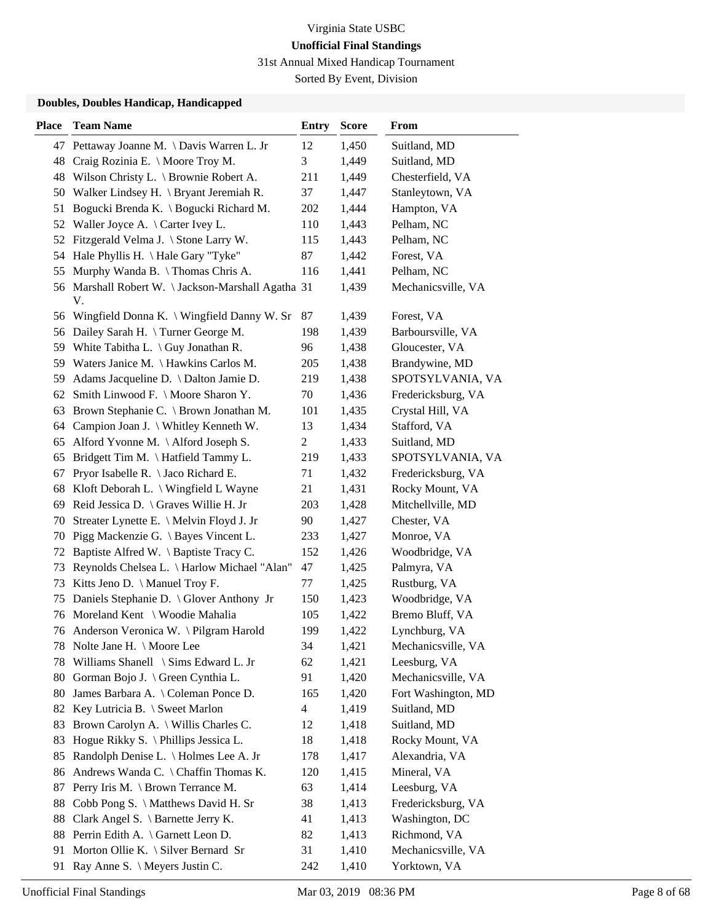31st Annual Mixed Handicap Tournament

Sorted By Event, Division

| <b>Place</b> | <b>Team Name</b>                                  | <b>Entry</b>   | <b>Score</b> | From                |
|--------------|---------------------------------------------------|----------------|--------------|---------------------|
|              | 47 Pettaway Joanne M. \ Davis Warren L. Jr        | 12             | 1,450        | Suitland, MD        |
| 48           | Craig Rozinia E. \ Moore Troy M.                  | 3              | 1,449        | Suitland, MD        |
|              | 48 Wilson Christy L. \ Brownie Robert A.          | 211            | 1,449        | Chesterfield, VA    |
| 50           | Walker Lindsey H. \ Bryant Jeremiah R.            | 37             | 1,447        | Stanleytown, VA     |
| 51           | Bogucki Brenda K. \ Bogucki Richard M.            | 202            | 1,444        | Hampton, VA         |
|              | 52 Waller Joyce A. \ Carter Ivey L.               | 110            | 1,443        | Pelham, NC          |
|              | 52 Fitzgerald Velma J. \ Stone Larry W.           | 115            | 1,443        | Pelham, NC          |
|              | 54 Hale Phyllis H. \ Hale Gary "Tyke"             | 87             | 1,442        | Forest, VA          |
| 55           | Murphy Wanda B. \ Thomas Chris A.                 | 116            | 1,441        | Pelham, NC          |
|              | 56 Marshall Robert W. \Jackson-Marshall Agatha 31 |                | 1,439        | Mechanicsville, VA  |
|              | V.                                                |                |              |                     |
| 56           | Wingfield Donna K. \ Wingfield Danny W. Sr        | 87             | 1,439        | Forest, VA          |
| 56           | Dailey Sarah H. \ Turner George M.                | 198            | 1,439        | Barboursville, VA   |
| 59           | White Tabitha L. $\langle$ Guy Jonathan R.        | 96             | 1,438        | Gloucester, VA      |
|              | 59 Waters Janice M. \Hawkins Carlos M.            | 205            | 1,438        | Brandywine, MD      |
|              | 59 Adams Jacqueline D. \ Dalton Jamie D.          | 219            | 1,438        | SPOTSYLVANIA, VA    |
|              | 62 Smith Linwood F. \ Moore Sharon Y.             | 70             | 1,436        | Fredericksburg, VA  |
| 63           | Brown Stephanie C. \ Brown Jonathan M.            | 101            | 1,435        | Crystal Hill, VA    |
| 64           | Campion Joan J. \ Whitley Kenneth W.              | 13             | 1,434        | Stafford, VA        |
| 65           | Alford Yvonne M. \Alford Joseph S.                | $\overline{c}$ | 1,433        | Suitland, MD        |
| 65           | Bridgett Tim M. \Hatfield Tammy L.                | 219            | 1,433        | SPOTSYLVANIA, VA    |
| 67           | Pryor Isabelle R. \ Jaco Richard E.               | 71             | 1,432        | Fredericksburg, VA  |
| 68           | Kloft Deborah L. \ Wingfield L Wayne              | 21             | 1,431        | Rocky Mount, VA     |
| 69           | Reid Jessica D. \ Graves Willie H. Jr             | 203            | 1,428        | Mitchellville, MD   |
| 70           | Streater Lynette E. \ Melvin Floyd J. Jr          | 90             | 1,427        | Chester, VA         |
| 70           | Pigg Mackenzie G. \ Bayes Vincent L.              | 233            | 1,427        | Monroe, VA          |
| 72           | Baptiste Alfred W. \ Baptiste Tracy C.            | 152            | 1,426        | Woodbridge, VA      |
| 73           | Reynolds Chelsea L. \ Harlow Michael "Alan"       | 47             | 1,425        | Palmyra, VA         |
| 73           | Kitts Jeno D. \ Manuel Troy F.                    | 77             | 1,425        | Rustburg, VA        |
| 75           | Daniels Stephanie D. \ Glover Anthony Jr          | 150            | 1,423        | Woodbridge, VA      |
|              | 76 Moreland Kent \ Woodie Mahalia                 | 105            | 1,422        | Bremo Bluff, VA     |
|              | 76 Anderson Veronica W. \Pilgram Harold           | 199            | 1,422        | Lynchburg, VA       |
|              | 78 Nolte Jane H. \ Moore Lee                      | 34             | 1,421        | Mechanicsville, VA  |
| 78           | Williams Shanell \ Sims Edward L. Jr              | 62             | 1,421        | Leesburg, VA        |
| 80           | Gorman Bojo J. \ Green Cynthia L.                 | 91             | 1,420        | Mechanicsville, VA  |
| 80           | James Barbara A. \ Coleman Ponce D.               | 165            | 1,420        | Fort Washington, MD |
|              | 82 Key Lutricia B. \ Sweet Marlon                 | 4              | 1,419        | Suitland, MD        |
| 83           | Brown Carolyn A. \ Willis Charles C.              | 12             | 1,418        | Suitland, MD        |
| 83           | Hogue Rikky S. \ Phillips Jessica L.              | 18             | 1,418        | Rocky Mount, VA     |
| 85           | Randolph Denise L. \ Holmes Lee A. Jr             | 178            | 1,417        | Alexandria, VA      |
| 86           | Andrews Wanda C. \ Chaffin Thomas K.              | 120            | 1,415        | Mineral, VA         |
| 87           | Perry Iris M. \ Brown Terrance M.                 | 63             | 1,414        | Leesburg, VA        |
| 88           | Cobb Pong S. \ Matthews David H. Sr               | 38             | 1,413        | Fredericksburg, VA  |
| 88           | Clark Angel S. \ Barnette Jerry K.                | 41             | 1,413        | Washington, DC      |
| 88           | Perrin Edith A. \ Garnett Leon D.                 | 82             | 1,413        | Richmond, VA        |
| 91           | Morton Ollie K. \ Silver Bernard Sr               | 31             | 1,410        | Mechanicsville, VA  |
| 91           | Ray Anne S. \ Meyers Justin C.                    | 242            | 1,410        | Yorktown, VA        |
|              |                                                   |                |              |                     |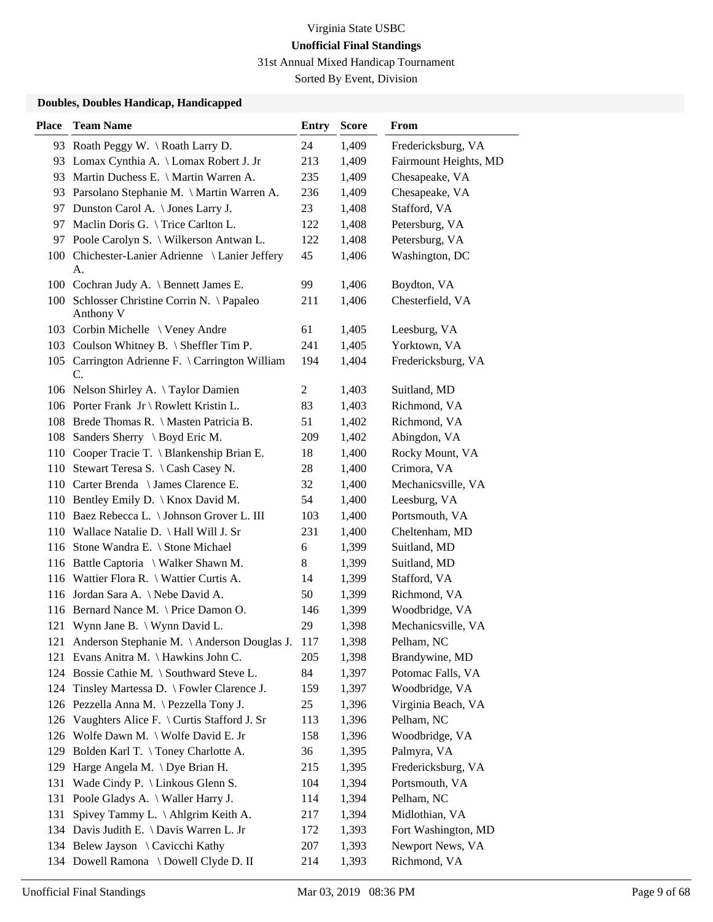31st Annual Mixed Handicap Tournament

Sorted By Event, Division

| <b>Place</b> | <b>Team Name</b>                                         | Entry          | <b>Score</b> | From                  |
|--------------|----------------------------------------------------------|----------------|--------------|-----------------------|
|              | 93 Roath Peggy W. \Roath Larry D.                        | 24             | 1,409        | Fredericksburg, VA    |
|              | 93 Lomax Cynthia A. \ Lomax Robert J. Jr                 | 213            | 1,409        | Fairmount Heights, MD |
|              | 93 Martin Duchess E. \ Martin Warren A.                  | 235            | 1,409        | Chesapeake, VA        |
|              | 93 Parsolano Stephanie M. \ Martin Warren A.             | 236            | 1,409        | Chesapeake, VA        |
|              | 97 Dunston Carol A. \ Jones Larry J.                     | 23             | 1,408        | Stafford, VA          |
|              | 97 Maclin Doris G. \Trice Carlton L.                     | 122            | 1,408        | Petersburg, VA        |
|              | 97 Poole Carolyn S. \ Wilkerson Antwan L.                | 122            | 1,408        | Petersburg, VA        |
|              | 100 Chichester-Lanier Adrienne \ Lanier Jeffery<br>A.    | 45             | 1,406        | Washington, DC        |
|              | 100 Cochran Judy A. \ Bennett James E.                   | 99             | 1,406        | Boydton, VA           |
|              | 100 Schlosser Christine Corrin N. \ Papaleo<br>Anthony V | 211            | 1,406        | Chesterfield, VA      |
|              | 103 Corbin Michelle \ Veney Andre                        | 61             | 1,405        | Leesburg, VA          |
|              | 103 Coulson Whitney B. \ Sheffler Tim P.                 | 241            | 1,405        | Yorktown, VA          |
|              | 105 Carrington Adrienne F. \ Carrington William<br>C.    | 194            | 1,404        | Fredericksburg, VA    |
|              | 106 Nelson Shirley A. \Taylor Damien                     | $\overline{2}$ | 1,403        | Suitland, MD          |
|              | 106 Porter Frank Jr \ Rowlett Kristin L.                 | 83             | 1,403        | Richmond, VA          |
|              | 108 Brede Thomas R. \ Masten Patricia B.                 | 51             | 1,402        | Richmond, VA          |
|              | 108 Sanders Sherry \ Boyd Eric M.                        | 209            | 1,402        | Abingdon, VA          |
|              | 110 Cooper Tracie T. \ Blankenship Brian E.              | 18             | 1,400        | Rocky Mount, VA       |
|              | 110 Stewart Teresa S. \ Cash Casey N.                    | 28             | 1,400        | Crimora, VA           |
|              | 110 Carter Brenda \ James Clarence E.                    | 32             | 1,400        | Mechanicsville, VA    |
|              | 110 Bentley Emily D.   Knox David M.                     | 54             | 1,400        | Leesburg, VA          |
|              | 110 Baez Rebecca L. \ Johnson Grover L. III              | 103            | 1,400        | Portsmouth, VA        |
|              | 110 Wallace Natalie D. \ Hall Will J. Sr                 | 231            | 1,400        | Cheltenham, MD        |
|              | 116 Stone Wandra E. \ Stone Michael                      | 6              | 1,399        | Suitland, MD          |
|              | 116 Battle Captoria \ Walker Shawn M.                    | 8              | 1,399        | Suitland, MD          |
|              | 116 Wattier Flora R. \ Wattier Curtis A.                 | 14             | 1,399        | Stafford, VA          |
|              | 116 Jordan Sara A. \ Nebe David A.                       | 50             | 1,399        | Richmond, VA          |
|              | 116 Bernard Nance M. \ Price Damon O.                    | 146            | 1,399        | Woodbridge, VA        |
|              | 121 Wynn Jane B. \ Wynn David L.                         | 29             | 1,398        | Mechanicsville, VA    |
|              | 121 Anderson Stephanie M. \ Anderson Douglas J.          | 117            | 1,398        | Pelham, NC            |
|              | 121 Evans Anitra M. \ Hawkins John C.                    | 205            | 1,398        | Brandywine, MD        |
|              | 124 Bossie Cathie M. \ Southward Steve L.                | 84             | 1,397        | Potomac Falls, VA     |
| 124          | Tinsley Martessa D. \ Fowler Clarence J.                 | 159            | 1,397        | Woodbridge, VA        |
| 126          | Pezzella Anna M. \ Pezzella Tony J.                      | 25             | 1,396        | Virginia Beach, VA    |
| 126          | Vaughters Alice F. \ Curtis Stafford J. Sr               | 113            | 1,396        | Pelham, NC            |
| 126          | Wolfe Dawn M. \ Wolfe David E. Jr                        | 158            | 1,396        | Woodbridge, VA        |
| 129          | Bolden Karl T. \Toney Charlotte A.                       | 36             | 1,395        | Palmyra, VA           |
| 129          | Harge Angela M. \Dye Brian H.                            | 215            | 1,395        | Fredericksburg, VA    |
| 131          | Wade Cindy P. $\langle$ Linkous Glenn S.                 | 104            | 1,394        | Portsmouth, VA        |
| 131          | Poole Gladys A. \ Waller Harry J.                        | 114            | 1,394        | Pelham, NC            |
| 131          | Spivey Tammy L. \Ahlgrim Keith A.                        | 217            | 1,394        | Midlothian, VA        |
| 134          | Davis Judith E. \ Davis Warren L. Jr                     | 172            | 1,393        | Fort Washington, MD   |
|              | 134 Belew Jayson \ Cavicchi Kathy                        | 207            | 1,393        | Newport News, VA      |
|              | 134 Dowell Ramona \ Dowell Clyde D. II                   | 214            | 1,393        | Richmond, VA          |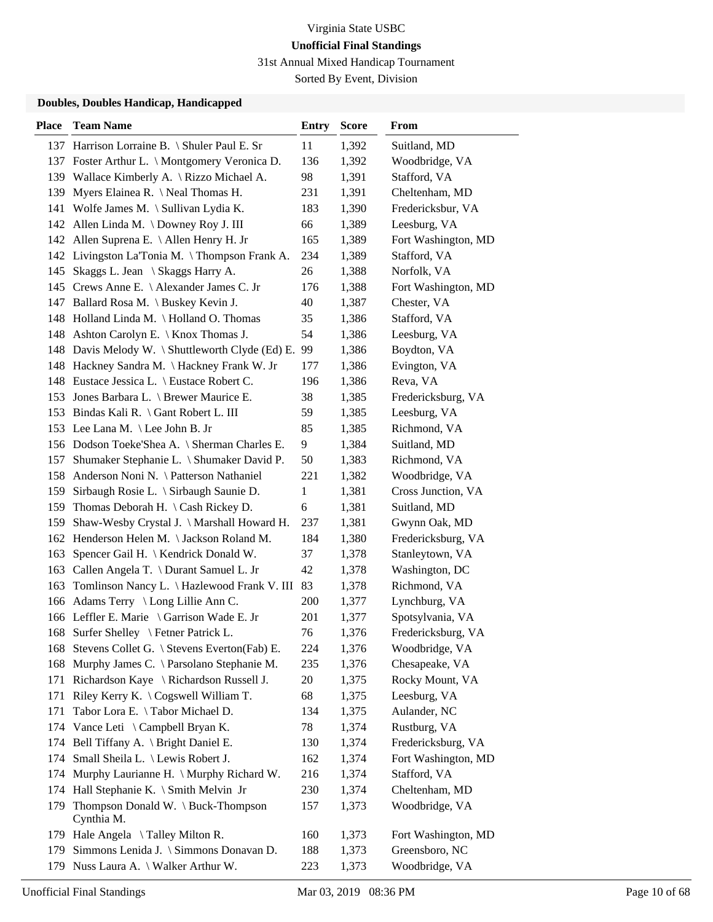31st Annual Mixed Handicap Tournament

Sorted By Event, Division

| <b>Place</b> | <b>Team Name</b>                                    | <b>Entry</b> | <b>Score</b> | From                |
|--------------|-----------------------------------------------------|--------------|--------------|---------------------|
|              | 137 Harrison Lorraine B. \ Shuler Paul E. Sr        | 11           | 1,392        | Suitland, MD        |
|              | 137 Foster Arthur L. \ Montgomery Veronica D.       | 136          | 1,392        | Woodbridge, VA      |
| 139          | Wallace Kimberly A. \ Rizzo Michael A.              | 98           | 1,391        | Stafford, VA        |
| 139          | Myers Elainea R. \ Neal Thomas H.                   | 231          | 1,391        | Cheltenham, MD      |
| 141          | Wolfe James M. $\setminus$ Sullivan Lydia K.        | 183          | 1,390        | Fredericksbur, VA   |
| 142          | Allen Linda M. \ Downey Roy J. III                  | 66           | 1,389        | Leesburg, VA        |
|              | 142 Allen Suprena E. \ Allen Henry H. Jr            | 165          | 1,389        | Fort Washington, MD |
|              | 142 Livingston La'Tonia M. \Thompson Frank A.       | 234          | 1,389        | Stafford, VA        |
| 145          | Skaggs L. Jean \ Skaggs Harry A.                    | 26           | 1,388        | Norfolk, VA         |
|              | 145 Crews Anne E. \ Alexander James C. Jr           | 176          | 1,388        | Fort Washington, MD |
|              | 147 Ballard Rosa M. \ Buskey Kevin J.               | 40           | 1,387        | Chester, VA         |
|              | 148 Holland Linda M. \Holland O. Thomas             | 35           | 1,386        | Stafford, VA        |
|              | 148 Ashton Carolyn E. \ Knox Thomas J.              | 54           | 1,386        | Leesburg, VA        |
|              | 148 Davis Melody W. \ Shuttleworth Clyde (Ed) E. 99 |              | 1,386        | Boydton, VA         |
|              | 148 Hackney Sandra M. \ Hackney Frank W. Jr         | 177          | 1,386        | Evington, VA        |
|              | 148 Eustace Jessica L. \ Eustace Robert C.          | 196          | 1,386        | Reva, VA            |
|              | 153 Jones Barbara L. \ Brewer Maurice E.            | 38           | 1,385        | Fredericksburg, VA  |
|              | 153 Bindas Kali R. \ Gant Robert L. III             | 59           | 1,385        | Leesburg, VA        |
|              | 153 Lee Lana M. \ Lee John B. Jr                    | 85           | 1,385        | Richmond, VA        |
|              | 156 Dodson Toeke'Shea A. \ Sherman Charles E.       | 9            | 1,384        | Suitland, MD        |
| 157          | Shumaker Stephanie L. \ Shumaker David P.           | 50           | 1,383        | Richmond, VA        |
| 158          | Anderson Noni N. \ Patterson Nathaniel              | 221          | 1,382        | Woodbridge, VA      |
| 159          | Sirbaugh Rosie L. \ Sirbaugh Saunie D.              | 1            | 1,381        | Cross Junction, VA  |
|              | 159 Thomas Deborah H. \ Cash Rickey D.              | 6            | 1,381        | Suitland, MD        |
| 159          | Shaw-Wesby Crystal J. \ Marshall Howard H.          | 237          | 1,381        | Gwynn Oak, MD       |
| 162          | Henderson Helen M. \Jackson Roland M.               | 184          | 1,380        | Fredericksburg, VA  |
| 163          | Spencer Gail H.   Kendrick Donald W.                | 37           | 1,378        | Stanleytown, VA     |
|              | 163 Callen Angela T. \ Durant Samuel L. Jr          | 42           | 1,378        | Washington, DC      |
| 163          | Tomlinson Nancy L. \ Hazlewood Frank V. III         | 83           | 1,378        | Richmond, VA        |
|              | 166 Adams Terry \ Long Lillie Ann C.                | 200          | 1,377        | Lynchburg, VA       |
|              | 166 Leffler E. Marie \ Garrison Wade E. Jr          | 201          | 1,377        | Spotsylvania, VA    |
|              | 168 Surfer Shelley \ Fetner Patrick L.              | 76           | 1,376        | Fredericksburg, VA  |
|              | 168 Stevens Collet G. \ Stevens Everton(Fab) E.     | 224          | 1,376        | Woodbridge, VA      |
| 168          | Murphy James C. \ Parsolano Stephanie M.            | 235          | 1,376        | Chesapeake, VA      |
| 171          | Richardson Kaye \ Richardson Russell J.             | 20           | 1,375        | Rocky Mount, VA     |
| 171          | Riley Kerry K. \ Cogswell William T.                | 68           | 1,375        | Leesburg, VA        |
| 171          | Tabor Lora E. \Tabor Michael D.                     | 134          | 1,375        | Aulander, NC        |
| 174          | Vance Leti $\setminus$ Campbell Bryan K.            | 78           | 1,374        | Rustburg, VA        |
|              | 174 Bell Tiffany A. \ Bright Daniel E.              | 130          | 1,374        | Fredericksburg, VA  |
| 174          | Small Sheila L. \ Lewis Robert J.                   | 162          | 1,374        | Fort Washington, MD |
| 174          | Murphy Laurianne H. \ Murphy Richard W.             | 216          | 1,374        | Stafford, VA        |
| 174          | Hall Stephanie K. \ Smith Melvin Jr                 | 230          | 1,374        | Cheltenham, MD      |
| 179          | Thompson Donald W. \ Buck-Thompson                  | 157          | 1,373        | Woodbridge, VA      |
|              | Cynthia M.                                          |              |              |                     |
|              | 179 Hale Angela \Talley Milton R.                   | 160          | 1,373        | Fort Washington, MD |
| 179          | Simmons Lenida J. \ Simmons Donavan D.              | 188          | 1,373        | Greensboro, NC      |
|              | 179 Nuss Laura A. \ Walker Arthur W.                | 223          | 1,373        | Woodbridge, VA      |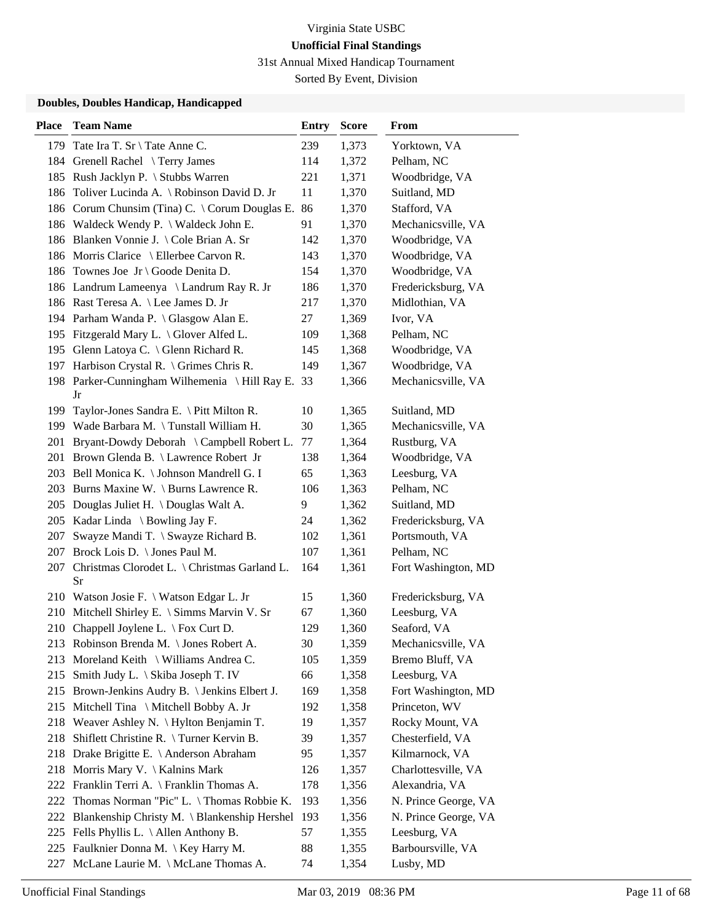31st Annual Mixed Handicap Tournament

Sorted By Event, Division

| <b>Place</b> | <b>Team Name</b>                                   | <b>Entry</b> | <b>Score</b> | From                 |
|--------------|----------------------------------------------------|--------------|--------------|----------------------|
|              | 179 Tate Ira T. Sr \ Tate Anne C.                  | 239          | 1,373        | Yorktown, VA         |
|              | 184 Grenell Rachel \Terry James                    | 114          | 1,372        | Pelham, NC           |
|              | 185 Rush Jacklyn P. \ Stubbs Warren                | 221          | 1,371        | Woodbridge, VA       |
| 186          | Toliver Lucinda A. \ Robinson David D. Jr          | 11           | 1,370        | Suitland, MD         |
|              | 186 Corum Chunsim (Tina) C. \ Corum Douglas E.     | 86           | 1,370        | Stafford, VA         |
|              | 186 Waldeck Wendy P. \ Waldeck John E.             | 91           | 1,370        | Mechanicsville, VA   |
|              | 186 Blanken Vonnie J. \ Cole Brian A. Sr           | 142          | 1,370        | Woodbridge, VA       |
|              | 186 Morris Clarice \ Ellerbee Carvon R.            | 143          | 1,370        | Woodbridge, VA       |
|              | 186 Townes Joe Jr \ Goode Denita D.                | 154          | 1,370        | Woodbridge, VA       |
|              | 186 Landrum Lameenya \ Landrum Ray R. Jr           | 186          | 1,370        | Fredericksburg, VA   |
|              | 186 Rast Teresa A. \ Lee James D. Jr               | 217          | 1,370        | Midlothian, VA       |
|              | 194 Parham Wanda P. \ Glasgow Alan E.              | 27           | 1,369        | Ivor, VA             |
|              | 195 Fitzgerald Mary L. \ Glover Alfed L.           | 109          | 1,368        | Pelham, NC           |
|              | 195 Glenn Latoya C. \ Glenn Richard R.             | 145          | 1,368        | Woodbridge, VA       |
|              | 197 Harbison Crystal R. \ Grimes Chris R.          | 149          | 1,367        | Woodbridge, VA       |
|              | 198 Parker-Cunningham Wilhemenia \Hill Ray E. 33   |              | 1,366        | Mechanicsville, VA   |
|              | Jr                                                 |              |              |                      |
|              | 199 Taylor-Jones Sandra E. \ Pitt Milton R.        | 10           | 1,365        | Suitland, MD         |
|              | 199 Wade Barbara M. \Tunstall William H.           | 30           | 1,365        | Mechanicsville, VA   |
| 201          | Bryant-Dowdy Deborah \ Campbell Robert L.          | 77           | 1,364        | Rustburg, VA         |
|              | 201 Brown Glenda B. \ Lawrence Robert Jr           | 138          | 1,364        | Woodbridge, VA       |
|              | 203 Bell Monica K. \ Johnson Mandrell G. I         | 65           | 1,363        | Leesburg, VA         |
|              | 203 Burns Maxine W. \ Burns Lawrence R.            | 106          | 1,363        | Pelham, NC           |
|              | 205 Douglas Juliet H. \Douglas Walt A.             | 9            | 1,362        | Suitland, MD         |
|              | 205 Kadar Linda \ Bowling Jay F.                   | 24           | 1,362        | Fredericksburg, VA   |
| 207          | Swayze Mandi T. \ Swayze Richard B.                | 102          | 1,361        | Portsmouth, VA       |
| 207          | Brock Lois D. \ Jones Paul M.                      | 107          | 1,361        | Pelham, NC           |
| 207          | Christmas Clorodet L. \ Christmas Garland L.<br>Sr | 164          | 1,361        | Fort Washington, MD  |
|              | 210 Watson Josie F. \ Watson Edgar L. Jr           | 15           | 1,360        | Fredericksburg, VA   |
| 210          | Mitchell Shirley E. \ Simms Marvin V. Sr           | 67           | 1,360        | Leesburg, VA         |
|              | 210 Chappell Joylene L. \ Fox Curt D.              | 129          | 1,360        | Seaford, VA          |
|              | 213 Robinson Brenda M. \ Jones Robert A.           | 30           | 1,359        | Mechanicsville, VA   |
| 213          | Moreland Keith \ Williams Andrea C.                | 105          | 1,359        | Bremo Bluff, VA      |
| 215          | Smith Judy L. \ Skiba Joseph T. IV                 | 66           | 1,358        | Leesburg, VA         |
|              | 215 Brown-Jenkins Audry B. \ Jenkins Elbert J.     | 169          | 1,358        | Fort Washington, MD  |
| 215          | Mitchell Tina \ Mitchell Bobby A. Jr               | 192          | 1,358        | Princeton, WV        |
|              | 218 Weaver Ashley N. \ Hylton Benjamin T.          | 19           | 1,357        | Rocky Mount, VA      |
| 218          | Shiflett Christine R. \Turner Kervin B.            | 39           | 1,357        | Chesterfield, VA     |
|              | 218 Drake Brigitte E. \ Anderson Abraham           | 95           | 1,357        | Kilmarnock, VA       |
| 218          | Morris Mary V. $\setminus$ Kalnins Mark            | 126          | 1,357        | Charlottesville, VA  |
| 222          | Franklin Terri A. \ Franklin Thomas A.             | 178          | 1,356        | Alexandria, VA       |
| 222          | Thomas Norman "Pic" L. \Thomas Robbie K.           | 193          | 1,356        | N. Prince George, VA |
| 222          | Blankenship Christy M. \ Blankenship Hershel       | 193          | 1,356        | N. Prince George, VA |
| 225          | Fells Phyllis L. $\Lambda$ llen Anthony B.         | 57           | 1,355        | Leesburg, VA         |
|              | 225 Faulknier Donna M. \ Key Harry M.              | 88           | 1,355        | Barboursville, VA    |
| 227          | McLane Laurie M. \ McLane Thomas A.                | 74           | 1,354        | Lusby, MD            |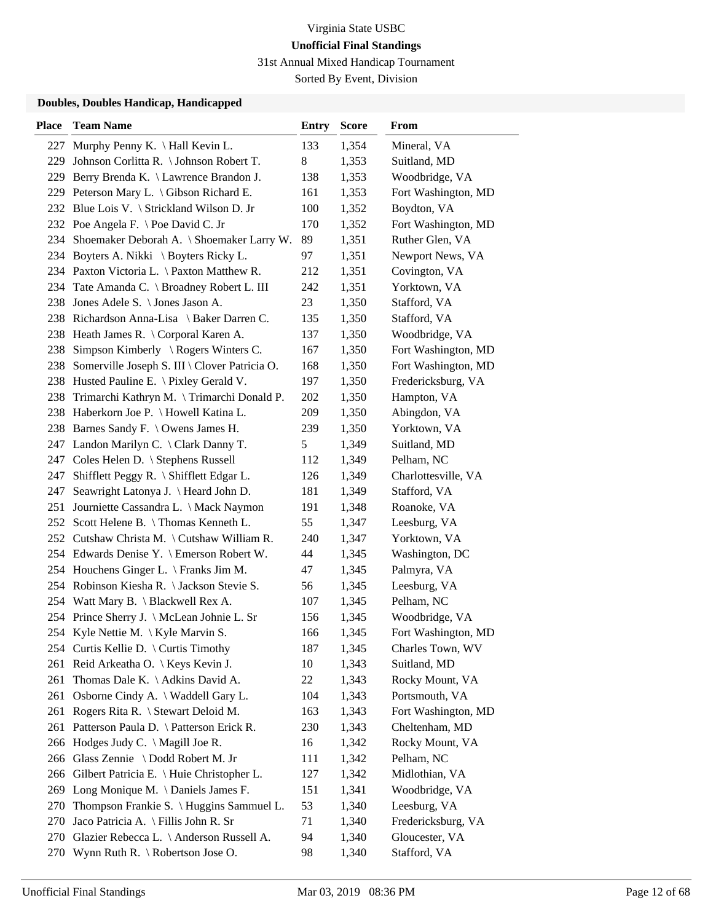31st Annual Mixed Handicap Tournament

Sorted By Event, Division

| <b>Place</b> | <b>Team Name</b>                                  | <b>Entry</b> | <b>Score</b> | From                |
|--------------|---------------------------------------------------|--------------|--------------|---------------------|
| 227          | Murphy Penny K. $\hat{H}$ Hall Kevin L.           | 133          | 1,354        | Mineral, VA         |
| 229          | Johnson Corlitta R. \ Johnson Robert T.           | 8            | 1,353        | Suitland, MD        |
|              | 229 Berry Brenda K. \ Lawrence Brandon J.         | 138          | 1,353        | Woodbridge, VA      |
|              | 229 Peterson Mary L. \ Gibson Richard E.          | 161          | 1,353        | Fort Washington, MD |
|              | 232 Blue Lois V. \ Strickland Wilson D. Jr        | 100          | 1,352        | Boydton, VA         |
|              | 232 Poe Angela F. \ Poe David C. Jr               | 170          | 1,352        | Fort Washington, MD |
| 234          | Shoemaker Deborah A. \ Shoemaker Larry W.         | 89           | 1,351        | Ruther Glen, VA     |
|              | 234 Boyters A. Nikki \ Boyters Ricky L.           | 97           | 1,351        | Newport News, VA    |
|              | 234 Paxton Victoria L. \ Paxton Matthew R.        | 212          | 1,351        | Covington, VA       |
| 234          | Tate Amanda C. \ Broadney Robert L. III           | 242          | 1,351        | Yorktown, VA        |
| 238          | Jones Adele S. \ Jones Jason A.                   | 23           | 1,350        | Stafford, VA        |
|              | 238 Richardson Anna-Lisa \ Baker Darren C.        | 135          | 1,350        | Stafford, VA        |
|              | 238 Heath James R. \ Corporal Karen A.            | 137          | 1,350        | Woodbridge, VA      |
| 238          | Simpson Kimberly $\setminus$ Rogers Winters C.    | 167          | 1,350        | Fort Washington, MD |
| 238          | Somerville Joseph S. III \ Clover Patricia O.     | 168          | 1,350        | Fort Washington, MD |
|              | 238 Husted Pauline E. \ Pixley Gerald V.          | 197          | 1,350        | Fredericksburg, VA  |
| 238          | Trimarchi Kathryn M. \Trimarchi Donald P.         | 202          | 1,350        | Hampton, VA         |
|              | 238 Haberkorn Joe P. \ Howell Katina L.           | 209          | 1,350        | Abingdon, VA        |
|              | 238 Barnes Sandy F. \ Owens James H.              | 239          | 1,350        | Yorktown, VA        |
|              | 247 Landon Marilyn C. \ Clark Danny T.            | 5            | 1,349        | Suitland, MD        |
|              | 247 Coles Helen D. \ Stephens Russell             | 112          | 1,349        | Pelham, NC          |
| 247          | Shifflett Peggy R. \ Shifflett Edgar L.           | 126          | 1,349        | Charlottesville, VA |
| 247          | Seawright Latonya J. \ Heard John D.              | 181          | 1,349        | Stafford, VA        |
| 251          | Journiette Cassandra L. \ Mack Naymon             | 191          | 1,348        | Roanoke, VA         |
| 252          | Scott Helene B. \Thomas Kenneth L.                | 55           | 1,347        | Leesburg, VA        |
| 252          | Cutshaw Christa M. $\setminus$ Cutshaw William R. | 240          | 1,347        | Yorktown, VA        |
|              | 254 Edwards Denise Y. \ Emerson Robert W.         | 44           | 1,345        | Washington, DC      |
|              | 254 Houchens Ginger L. \ Franks Jim M.            | 47           | 1,345        | Palmyra, VA         |
|              | 254 Robinson Kiesha R. \ Jackson Stevie S.        | 56           | 1,345        | Leesburg, VA        |
|              | 254 Watt Mary B. \ Blackwell Rex A.               | 107          | 1,345        | Pelham, NC          |
|              | 254 Prince Sherry J. \ McLean Johnie L. Sr        | 156          | 1,345        | Woodbridge, VA      |
|              | 254 Kyle Nettie M. \ Kyle Marvin S.               | 166          | 1,345        | Fort Washington, MD |
|              | 254 Curtis Kellie D. \ Curtis Timothy             | 187          | 1,345        | Charles Town, WV    |
|              | 261 Reid Arkeatha O.   Keys Kevin J.              | 10           | 1,343        | Suitland, MD        |
| 261          | Thomas Dale K. \ Adkins David A.                  | 22           | 1,343        | Rocky Mount, VA     |
|              | 261 Osborne Cindy A. \ Waddell Gary L.            | 104          | 1,343        | Portsmouth, VA      |
| 261          | Rogers Rita R. \ Stewart Deloid M.                | 163          | 1,343        | Fort Washington, MD |
| 261          | Patterson Paula D. \ Patterson Erick R.           | 230          | 1,343        | Cheltenham, MD      |
| 266          | Hodges Judy C. $\setminus$ Magill Joe R.          | 16           | 1,342        | Rocky Mount, VA     |
| 266          | Glass Zennie \ Dodd Robert M. Jr                  | 111          | 1,342        | Pelham, NC          |
| 266          | Gilbert Patricia E. \ Huie Christopher L.         | 127          | 1,342        | Midlothian, VA      |
|              | 269 Long Monique M. \Daniels James F.             | 151          | 1,341        | Woodbridge, VA      |
| 270          | Thompson Frankie S. \ Huggins Sammuel L.          | 53           | 1,340        | Leesburg, VA        |
| 270          | Jaco Patricia A. \ Fillis John R. Sr              | 71           | 1,340        | Fredericksburg, VA  |
| 270          | Glazier Rebecca L. \ Anderson Russell A.          | 94           | 1,340        | Gloucester, VA      |
| 270          | Wynn Ruth R. $\backslash$ Robertson Jose O.       | 98           | 1,340        | Stafford, VA        |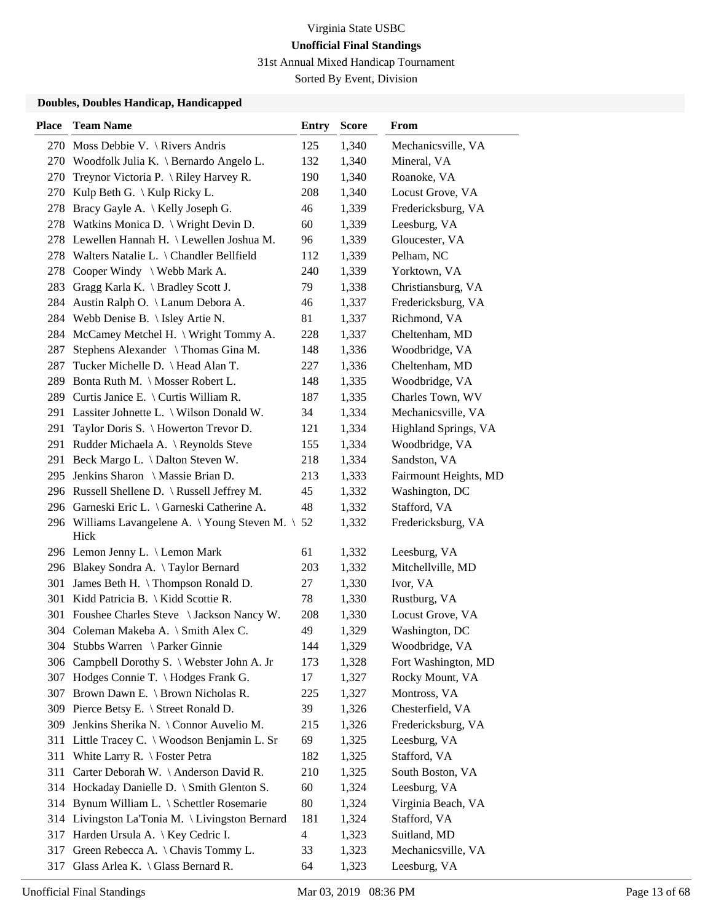31st Annual Mixed Handicap Tournament

Sorted By Event, Division

| <b>Place</b> | <b>Team Name</b>                                  | <b>Entry</b>   | <b>Score</b> | From                  |
|--------------|---------------------------------------------------|----------------|--------------|-----------------------|
|              | 270 Moss Debbie V. \ Rivers Andris                | 125            | 1,340        | Mechanicsville, VA    |
| 270          | Woodfolk Julia K. $\setminus$ Bernardo Angelo L.  | 132            | 1,340        | Mineral, VA           |
|              | 270 Treynor Victoria P. \Riley Harvey R.          | 190            | 1,340        | Roanoke, VA           |
| 270          | Kulp Beth G. $\setminus$ Kulp Ricky L.            | 208            | 1,340        | Locust Grove, VA      |
| 278          | Bracy Gayle A. \ Kelly Joseph G.                  | 46             | 1,339        | Fredericksburg, VA    |
| 278          | Watkins Monica D. \ Wright Devin D.               | 60             | 1,339        | Leesburg, VA          |
|              | 278 Lewellen Hannah H. \ Lewellen Joshua M.       | 96             | 1,339        | Gloucester, VA        |
|              | 278 Walters Natalie L. \ Chandler Bellfield       | 112            | 1,339        | Pelham, NC            |
| 278          | Cooper Windy \ Webb Mark A.                       | 240            | 1,339        | Yorktown, VA          |
| 283          | Gragg Karla K. \ Bradley Scott J.                 | 79             | 1,338        | Christiansburg, VA    |
| 284          | Austin Ralph O. \ Lanum Debora A.                 | 46             | 1,337        | Fredericksburg, VA    |
| 284          | Webb Denise B. \ Isley Artie N.                   | 81             | 1,337        | Richmond, VA          |
| 284          | McCamey Metchel H. \ Wright Tommy A.              | 228            | 1,337        | Cheltenham, MD        |
| 287          | Stephens Alexander \Thomas Gina M.                | 148            | 1,336        | Woodbridge, VA        |
| 287          | Tucker Michelle D. \ Head Alan T.                 | 227            | 1,336        | Cheltenham, MD        |
| 289          | Bonta Ruth M. \ Mosser Robert L.                  | 148            | 1,335        | Woodbridge, VA        |
|              | 289 Curtis Janice E. \ Curtis William R.          | 187            | 1,335        | Charles Town, WV      |
|              | 291 Lassiter Johnette L. \ Wilson Donald W.       | 34             | 1,334        | Mechanicsville, VA    |
| 291          | Taylor Doris S. \ Howerton Trevor D.              | 121            | 1,334        | Highland Springs, VA  |
|              | 291 Rudder Michaela A. \ Reynolds Steve           | 155            | 1,334        | Woodbridge, VA        |
| 291          | Beck Margo L. \ Dalton Steven W.                  | 218            | 1,334        | Sandston, VA          |
| 295          | Jenkins Sharon \ Massie Brian D.                  | 213            | 1,333        | Fairmount Heights, MD |
|              | 296 Russell Shellene D. \ Russell Jeffrey M.      | 45             | 1,332        | Washington, DC        |
|              | 296 Garneski Eric L. \ Garneski Catherine A.      | 48             | 1,332        | Stafford, VA          |
|              | 296 Williams Lavangelene A. \Young Steven M. \ 52 |                | 1,332        | Fredericksburg, VA    |
|              | Hick                                              |                |              |                       |
|              | 296 Lemon Jenny L. \ Lemon Mark                   | 61             | 1,332        | Leesburg, VA          |
|              | 296 Blakey Sondra A. \Taylor Bernard              | 203            | 1,332        | Mitchellville, MD     |
| 301          | James Beth H. \Thompson Ronald D.                 | 27             | 1,330        | Ivor, VA              |
| 301          | Kidd Patricia B. \ Kidd Scottie R.                | 78             | 1,330        | Rustburg, VA          |
|              | 301 Foushee Charles Steve \ Jackson Nancy W.      | 208            | 1,330        | Locust Grove, VA      |
|              | 304 Coleman Makeba A. \ Smith Alex C.             | 49             | 1,329        | Washington, DC        |
|              | 304 Stubbs Warren \ Parker Ginnie                 | 144            | 1,329        | Woodbridge, VA        |
|              | 306 Campbell Dorothy S. \ Webster John A. Jr      | 173            | 1,328        | Fort Washington, MD   |
|              | 307 Hodges Connie T. \ Hodges Frank G.            | 17             | 1,327        | Rocky Mount, VA       |
|              | 307 Brown Dawn E. \ Brown Nicholas R.             | 225            | 1,327        | Montross, VA          |
|              | 309 Pierce Betsy E. \ Street Ronald D.            | 39             | 1,326        | Chesterfield, VA      |
| 309          | Jenkins Sherika N. \ Connor Auvelio M.            | 215            | 1,326        | Fredericksburg, VA    |
|              | 311 Little Tracey C. \ Woodson Benjamin L. Sr     | 69             | 1,325        | Leesburg, VA          |
| 311          | White Larry R. $\setminus$ Foster Petra           | 182            | 1,325        | Stafford, VA          |
| 311          | Carter Deborah W. \ Anderson David R.             | 210            | 1,325        | South Boston, VA      |
|              | 314 Hockaday Danielle D. \ Smith Glenton S.       | 60             | 1,324        | Leesburg, VA          |
|              | 314 Bynum William L. \ Schettler Rosemarie        | 80             | 1,324        | Virginia Beach, VA    |
|              | 314 Livingston La'Tonia M. \ Livingston Bernard   | 181            | 1,324        | Stafford, VA          |
|              | 317 Harden Ursula A. \ Key Cedric I.              | $\overline{4}$ | 1,323        | Suitland, MD          |
|              | 317 Green Rebecca A. \Chavis Tommy L.             | 33             | 1,323        | Mechanicsville, VA    |
| 317          | Glass Arlea K. $\setminus$ Glass Bernard R.       | 64             | 1,323        | Leesburg, VA          |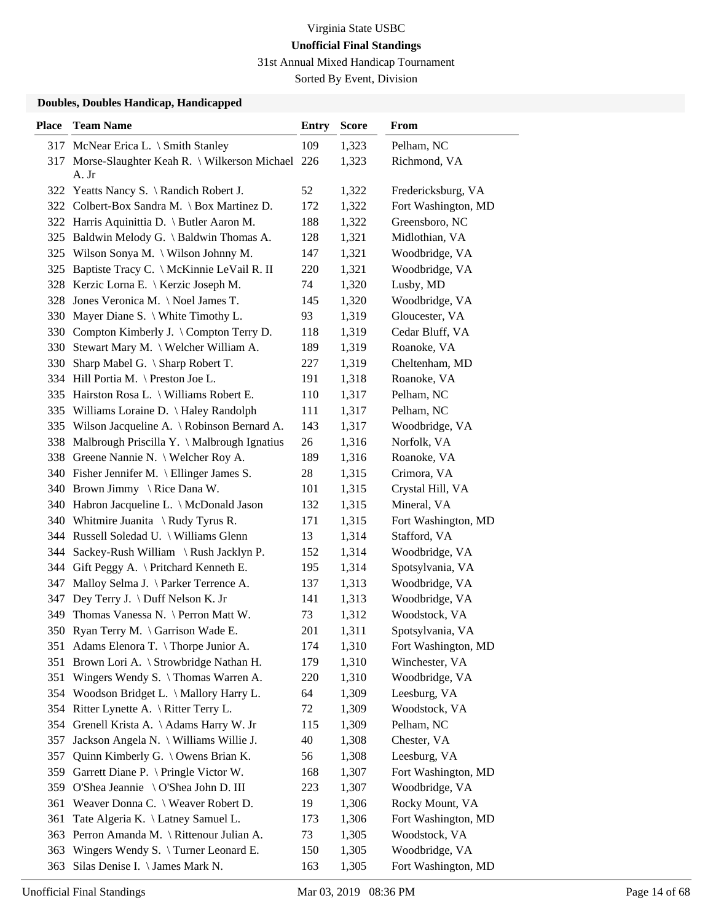31st Annual Mixed Handicap Tournament

Sorted By Event, Division

| <b>Place</b> | <b>Team Name</b>                                | <b>Entry</b> | <b>Score</b> | From                |
|--------------|-------------------------------------------------|--------------|--------------|---------------------|
| 317          | McNear Erica L. \ Smith Stanley                 | 109          | 1,323        | Pelham, NC          |
| 317          | Morse-Slaughter Keah R.   Wilkerson Michael 226 |              | 1,323        | Richmond, VA        |
|              | A. Jr                                           |              |              |                     |
|              | 322 Yeatts Nancy S. \ Randich Robert J.         | 52           | 1,322        | Fredericksburg, VA  |
|              | 322 Colbert-Box Sandra M. \ Box Martinez D.     | 172          | 1,322        | Fort Washington, MD |
|              | 322 Harris Aquinittia D. \ Butler Aaron M.      | 188          | 1,322        | Greensboro, NC      |
| 325          | Baldwin Melody G. \ Baldwin Thomas A.           | 128          | 1,321        | Midlothian, VA      |
| 325          | Wilson Sonya M. \ Wilson Johnny M.              | 147          | 1,321        | Woodbridge, VA      |
| 325          | Baptiste Tracy C. \ McKinnie LeVail R. II       | 220          | 1,321        | Woodbridge, VA      |
|              | 328 Kerzic Lorna E. \ Kerzic Joseph M.          | 74           | 1,320        | Lusby, MD           |
| 328          | Jones Veronica M. \Noel James T.                | 145          | 1,320        | Woodbridge, VA      |
| 330          | Mayer Diane S. \ White Timothy L.               | 93           | 1,319        | Gloucester, VA      |
|              | 330 Compton Kimberly J. \ Compton Terry D.      | 118          | 1,319        | Cedar Bluff, VA     |
| 330          | Stewart Mary M. \ Welcher William A.            | 189          | 1,319        | Roanoke, VA         |
| 330          | Sharp Mabel G. $\setminus$ Sharp Robert T.      | 227          | 1,319        | Cheltenham, MD      |
|              | 334 Hill Portia M. \ Preston Joe L.             | 191          | 1,318        | Roanoke, VA         |
|              | 335 Hairston Rosa L. \ Williams Robert E.       | 110          | 1,317        | Pelham, NC          |
|              | 335 Williams Loraine D. \ Haley Randolph        | 111          | 1,317        | Pelham, NC          |
|              | 335 Wilson Jacqueline A. \ Robinson Bernard A.  | 143          | 1,317        | Woodbridge, VA      |
| 338          | Malbrough Priscilla Y. \ Malbrough Ignatius     | 26           | 1,316        | Norfolk, VA         |
| 338          | Greene Nannie N. \ Welcher Roy A.               | 189          | 1,316        | Roanoke, VA         |
|              | 340 Fisher Jennifer M. \ Ellinger James S.      | 28           | 1,315        | Crimora, VA         |
|              | 340 Brown Jimmy \ Rice Dana W.                  | 101          | 1,315        | Crystal Hill, VA    |
|              | 340 Habron Jacqueline L. \ McDonald Jason       | 132          | 1,315        | Mineral, VA         |
|              | 340 Whitmire Juanita \ Rudy Tyrus R.            | 171          | 1,315        | Fort Washington, MD |
|              | 344 Russell Soledad U. \ Williams Glenn         | 13           | 1,314        | Stafford, VA        |
| 344          | Sackey-Rush William \ Rush Jacklyn P.           | 152          | 1,314        | Woodbridge, VA      |
| 344          | Gift Peggy A. \ Pritchard Kenneth E.            | 195          | 1,314        | Spotsylvania, VA    |
| 347          | Malloy Selma J. \ Parker Terrence A.            | 137          | 1,313        | Woodbridge, VA      |
| 347          | Dey Terry J. \ Duff Nelson K. Jr                | 141          | 1,313        | Woodbridge, VA      |
| 349          | Thomas Vanessa N. \ Perron Matt W.              | 73           | 1,312        | Woodstock, VA       |
|              | 350 Ryan Terry M. \ Garrison Wade E.            | 201          | 1,311        | Spotsylvania, VA    |
|              | 351 Adams Elenora T. \Thorpe Junior A.          | 174          | 1,310        | Fort Washington, MD |
| 351          | Brown Lori A. \ Strowbridge Nathan H.           | 179          | 1,310        | Winchester, VA      |
| 351          | Wingers Wendy S. $\{$ Thomas Warren A.          | 220          | 1,310        | Woodbridge, VA      |
| 354          | Woodson Bridget L. \ Mallory Harry L.           | 64           | 1,309        | Leesburg, VA        |
| 354          | Ritter Lynette A. \ Ritter Terry L.             | 72           | 1,309        | Woodstock, VA       |
| 354          | Grenell Krista A. \Adams Harry W. Jr            | 115          | 1,309        | Pelham, NC          |
| 357          | Jackson Angela N. \ Williams Willie J.          | 40           | 1,308        | Chester, VA         |
| 357          | Quinn Kimberly G. \ Owens Brian K.              | 56           | 1,308        | Leesburg, VA        |
| 359          | Garrett Diane P. \ Pringle Victor W.            | 168          | 1,307        | Fort Washington, MD |
| 359          | O'Shea Jeannie \ O'Shea John D. III             | 223          | 1,307        | Woodbridge, VA      |
| 361          | Weaver Donna C. \ Weaver Robert D.              | 19           | 1,306        | Rocky Mount, VA     |
| 361          | Tate Algeria K. \ Latney Samuel L.              | 173          | 1,306        | Fort Washington, MD |
| 363          | Perron Amanda M. \ Rittenour Julian A.          | 73           | 1,305        | Woodstock, VA       |
| 363          | Wingers Wendy S. $\{$ Turner Leonard E.         | 150          | 1,305        | Woodbridge, VA      |
| 363          | Silas Denise I. \ James Mark N.                 | 163          | 1,305        | Fort Washington, MD |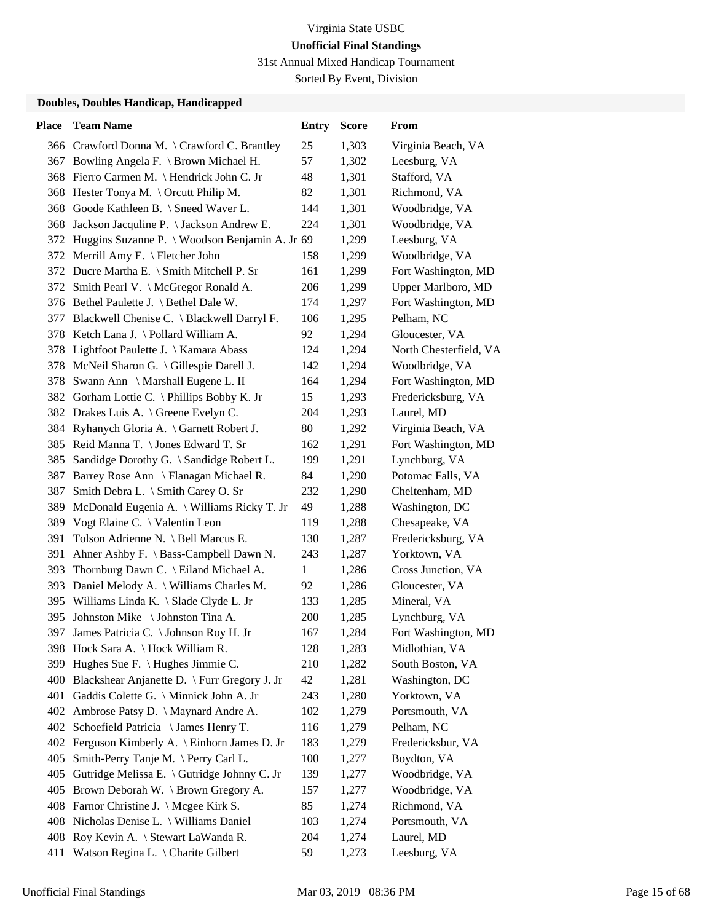31st Annual Mixed Handicap Tournament

Sorted By Event, Division

| <b>Place</b> | <b>Team Name</b>                                   | <b>Entry</b> | <b>Score</b> | From                   |
|--------------|----------------------------------------------------|--------------|--------------|------------------------|
|              | 366 Crawford Donna M. \ Crawford C. Brantley       | 25           | 1,303        | Virginia Beach, VA     |
| 367          | Bowling Angela F. \ Brown Michael H.               | 57           | 1,302        | Leesburg, VA           |
|              | 368 Fierro Carmen M. \ Hendrick John C. Jr         | 48           | 1,301        | Stafford, VA           |
| 368          | Hester Tonya M. \ Orcutt Philip M.                 | 82           | 1,301        | Richmond, VA           |
|              | 368 Goode Kathleen B. \ Sneed Waver L.             | 144          | 1,301        | Woodbridge, VA         |
| 368          | Jackson Jacquline P. \ Jackson Andrew E.           | 224          | 1,301        | Woodbridge, VA         |
|              | 372 Huggins Suzanne P. \ Woodson Benjamin A. Jr 69 |              | 1,299        | Leesburg, VA           |
|              | 372 Merrill Amy E. \ Fletcher John                 | 158          | 1,299        | Woodbridge, VA         |
|              | 372 Ducre Martha E. \ Smith Mitchell P. Sr         | 161          | 1,299        | Fort Washington, MD    |
|              | 372 Smith Pearl V. \ McGregor Ronald A.            | 206          | 1,299        | Upper Marlboro, MD     |
|              | 376 Bethel Paulette J. \ Bethel Dale W.            | 174          | 1,297        | Fort Washington, MD    |
| 377          | Blackwell Chenise C. \ Blackwell Darryl F.         | 106          | 1,295        | Pelham, NC             |
| 378          | Ketch Lana J. \ Pollard William A.                 | 92           | 1,294        | Gloucester, VA         |
| 378          | Lightfoot Paulette J. \ Kamara Abass               | 124          | 1,294        | North Chesterfield, VA |
|              | 378 McNeil Sharon G. \ Gillespie Darell J.         | 142          | 1,294        | Woodbridge, VA         |
| 378          | Swann Ann \ Marshall Eugene L. II                  | 164          | 1,294        | Fort Washington, MD    |
|              | 382 Gorham Lottie C. \ Phillips Bobby K. Jr        | 15           | 1,293        | Fredericksburg, VA     |
|              | 382 Drakes Luis A. \ Greene Evelyn C.              | 204          | 1,293        | Laurel, MD             |
|              | 384 Ryhanych Gloria A. \ Garnett Robert J.         | 80           | 1,292        | Virginia Beach, VA     |
| 385          | Reid Manna T. \ Jones Edward T. Sr                 | 162          | 1,291        | Fort Washington, MD    |
| 385          | Sandidge Dorothy G. \ Sandidge Robert L.           | 199          | 1,291        | Lynchburg, VA          |
| 387          | Barrey Rose Ann \ Flanagan Michael R.              | 84           | 1,290        | Potomac Falls, VA      |
| 387          | Smith Debra L. \ Smith Carey O. Sr                 | 232          | 1,290        | Cheltenham, MD         |
| 389          | McDonald Eugenia A. \ Williams Ricky T. Jr         | 49           | 1,288        | Washington, DC         |
| 389          | Vogt Elaine C. \ Valentin Leon                     | 119          | 1,288        | Chesapeake, VA         |
| 391          | Tolson Adrienne N. \ Bell Marcus E.                | 130          | 1,287        | Fredericksburg, VA     |
| 391          | Ahner Ashby F. \ Bass-Campbell Dawn N.             | 243          | 1,287        | Yorktown, VA           |
| 393          | Thornburg Dawn C. \ Eiland Michael A.              | $\mathbf{1}$ | 1,286        | Cross Junction, VA     |
| 393          | Daniel Melody A. \ Williams Charles M.             | 92           | 1,286        | Gloucester, VA         |
| 395          | Williams Linda K. \ Slade Clyde L. Jr              | 133          | 1,285        | Mineral, VA            |
| 395          | Johnston Mike \ Johnston Tina A.                   | 200          | 1,285        | Lynchburg, VA          |
| 397          | James Patricia C. \ Johnson Roy H. Jr              | 167          | 1,284        | Fort Washington, MD    |
|              | 398 Hock Sara A. \ Hock William R.                 | 128          | 1,283        | Midlothian, VA         |
| 399          | Hughes Sue F. \ Hughes Jimmie C.                   | 210          | 1,282        | South Boston, VA       |
| 400          | Blackshear Anjanette D. \ Furr Gregory J. Jr       | 42           | 1,281        | Washington, DC         |
| 401          | Gaddis Colette G. \ Minnick John A. Jr             | 243          | 1,280        | Yorktown, VA           |
| 402          | Ambrose Patsy D. \ Maynard Andre A.                | 102          | 1,279        | Portsmouth, VA         |
| 402          | Schoefield Patricia \ James Henry T.               | 116          | 1,279        | Pelham, NC             |
|              | 402 Ferguson Kimberly A. \ Einhorn James D. Jr     | 183          | 1,279        | Fredericksbur, VA      |
| 405          | Smith-Perry Tanje M. \Perry Carl L.                | 100          | 1,277        | Boydton, VA            |
| 405          | Gutridge Melissa E. \ Gutridge Johnny C. Jr        | 139          | 1,277        | Woodbridge, VA         |
| 405          | Brown Deborah W. \ Brown Gregory A.                | 157          | 1,277        | Woodbridge, VA         |
|              | 408 Farnor Christine J. \ Mcgee Kirk S.            | 85           | 1,274        | Richmond, VA           |
| 408          | Nicholas Denise L. \ Williams Daniel               | 103          | 1,274        | Portsmouth, VA         |
| 408          | Roy Kevin A. \ Stewart LaWanda R.                  | 204          | 1,274        | Laurel, MD             |
| 411          | Watson Regina L. \ Charite Gilbert                 | 59           | 1,273        | Leesburg, VA           |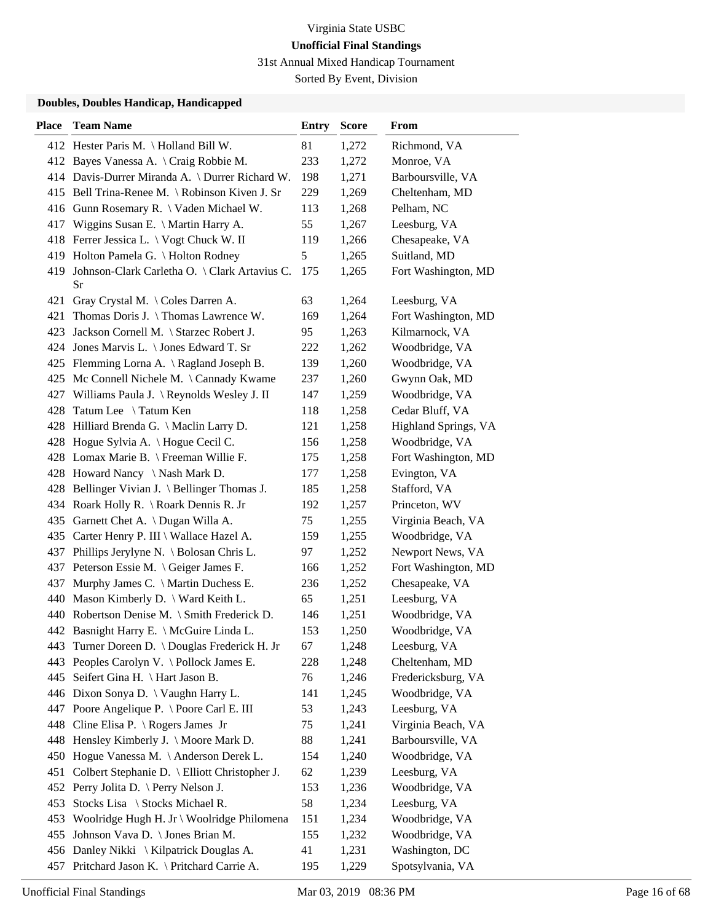31st Annual Mixed Handicap Tournament

Sorted By Event, Division

| 412 Hester Paris M. \Holland Bill W.<br>81<br>1,272<br>Richmond, VA<br>233<br>1,272<br>412 Bayes Vanessa A. \ Craig Robbie M.<br>Monroe, VA<br>1,271<br>Barboursville, VA<br>414 Davis-Durrer Miranda A. \ Durrer Richard W.<br>198<br>Bell Trina-Renee M. \Robinson Kiven J. Sr<br>229<br>1,269<br>Cheltenham, MD<br>415<br>Gunn Rosemary R. \ Vaden Michael W.<br>113<br>1,268<br>Pelham, NC<br>416 |  |
|-------------------------------------------------------------------------------------------------------------------------------------------------------------------------------------------------------------------------------------------------------------------------------------------------------------------------------------------------------------------------------------------------------|--|
|                                                                                                                                                                                                                                                                                                                                                                                                       |  |
|                                                                                                                                                                                                                                                                                                                                                                                                       |  |
|                                                                                                                                                                                                                                                                                                                                                                                                       |  |
|                                                                                                                                                                                                                                                                                                                                                                                                       |  |
|                                                                                                                                                                                                                                                                                                                                                                                                       |  |
| 55<br>Wiggins Susan E. \ Martin Harry A.<br>1,267<br>Leesburg, VA<br>417                                                                                                                                                                                                                                                                                                                              |  |
| 418 Ferrer Jessica L. \ Vogt Chuck W. II<br>119<br>1,266<br>Chesapeake, VA                                                                                                                                                                                                                                                                                                                            |  |
| 5<br>Holton Pamela G. \ Holton Rodney<br>1,265<br>Suitland, MD<br>419                                                                                                                                                                                                                                                                                                                                 |  |
| Johnson-Clark Carletha O. \ Clark Artavius C.<br>175<br>1,265<br>Fort Washington, MD<br>419<br>Sr                                                                                                                                                                                                                                                                                                     |  |
| Gray Crystal M. \ Coles Darren A.<br>1,264<br>Leesburg, VA<br>421<br>63                                                                                                                                                                                                                                                                                                                               |  |
| Thomas Doris J. \Thomas Lawrence W.<br>169<br>1,264<br>Fort Washington, MD<br>421                                                                                                                                                                                                                                                                                                                     |  |
| 95<br>Kilmarnock, VA<br>Jackson Cornell M. \ Starzec Robert J.<br>1,263<br>423                                                                                                                                                                                                                                                                                                                        |  |
| Woodbridge, VA<br>424 Jones Marvis L. \ Jones Edward T. Sr<br>222<br>1,262                                                                                                                                                                                                                                                                                                                            |  |
| 425 Flemming Lorna A. \ Ragland Joseph B.<br>139<br>1,260<br>Woodbridge, VA                                                                                                                                                                                                                                                                                                                           |  |
| Gwynn Oak, MD<br>Mc Connell Nichele M. $\setminus$ Cannady Kwame<br>237<br>1,260<br>425                                                                                                                                                                                                                                                                                                               |  |
| Woodbridge, VA<br>427 Williams Paula J. \Reynolds Wesley J. II<br>147<br>1,259                                                                                                                                                                                                                                                                                                                        |  |
| Cedar Bluff, VA<br>Tatum Lee \ Tatum Ken<br>118<br>1,258<br>428                                                                                                                                                                                                                                                                                                                                       |  |
| 121<br>Highland Springs, VA<br>428 Hilliard Brenda G. \ Maclin Larry D.<br>1,258                                                                                                                                                                                                                                                                                                                      |  |
| 156<br>Woodbridge, VA<br>428 Hogue Sylvia A. \ Hogue Cecil C.<br>1,258                                                                                                                                                                                                                                                                                                                                |  |
| 428 Lomax Marie B. \ Freeman Willie F.<br>1,258<br>175<br>Fort Washington, MD                                                                                                                                                                                                                                                                                                                         |  |
| Evington, VA<br>428 Howard Nancy \Nash Mark D.<br>177<br>1,258                                                                                                                                                                                                                                                                                                                                        |  |
| 428 Bellinger Vivian J. \ Bellinger Thomas J.<br>185<br>1,258<br>Stafford, VA                                                                                                                                                                                                                                                                                                                         |  |
| 434 Roark Holly R. \ Roark Dennis R. Jr<br>192<br>1,257<br>Princeton, WV                                                                                                                                                                                                                                                                                                                              |  |
| Garnett Chet A. \ Dugan Willa A.<br>75<br>1,255<br>Virginia Beach, VA<br>435                                                                                                                                                                                                                                                                                                                          |  |
| 1,255<br>Woodbridge, VA<br>Carter Henry P. III \ Wallace Hazel A.<br>159<br>435                                                                                                                                                                                                                                                                                                                       |  |
| Phillips Jerylyne N. \ Bolosan Chris L.<br>Newport News, VA<br>97<br>1,252<br>437                                                                                                                                                                                                                                                                                                                     |  |
| Peterson Essie M. \ Geiger James F.<br>166<br>1,252<br>Fort Washington, MD<br>437                                                                                                                                                                                                                                                                                                                     |  |
| Chesapeake, VA<br>Murphy James C. \ Martin Duchess E.<br>236<br>1,252<br>437                                                                                                                                                                                                                                                                                                                          |  |
| 440<br>Mason Kimberly D. \ Ward Keith L.<br>65<br>1,251<br>Leesburg, VA                                                                                                                                                                                                                                                                                                                               |  |
| 440 Robertson Denise M. \ Smith Frederick D.<br>Woodbridge, VA<br>146<br>1,251                                                                                                                                                                                                                                                                                                                        |  |
| 442 Basnight Harry E. \ McGuire Linda L.<br>Woodbridge, VA<br>153<br>1,250                                                                                                                                                                                                                                                                                                                            |  |
| 443 Turner Doreen D. \Douglas Frederick H. Jr<br>1,248<br>Leesburg, VA<br>67                                                                                                                                                                                                                                                                                                                          |  |
| 443 Peoples Carolyn V. \ Pollock James E.<br>1,248<br>Cheltenham, MD<br>228                                                                                                                                                                                                                                                                                                                           |  |
| Seifert Gina H. \ Hart Jason B.<br>Fredericksburg, VA<br>76<br>1,246<br>445                                                                                                                                                                                                                                                                                                                           |  |
| 446 Dixon Sonya D. \ Vaughn Harry L.<br>Woodbridge, VA<br>141<br>1,245                                                                                                                                                                                                                                                                                                                                |  |
| 447 Poore Angelique P. \ Poore Carl E. III<br>Leesburg, VA<br>53<br>1,243                                                                                                                                                                                                                                                                                                                             |  |
| Virginia Beach, VA<br>Cline Elisa P. $\setminus$ Rogers James Jr<br>1,241<br>448<br>75                                                                                                                                                                                                                                                                                                                |  |
| Hensley Kimberly J. \ Moore Mark D.<br>88<br>1,241<br>Barboursville, VA<br>448                                                                                                                                                                                                                                                                                                                        |  |
| Woodbridge, VA<br>Hogue Vanessa M. \Anderson Derek L.<br>154<br>1,240<br>450                                                                                                                                                                                                                                                                                                                          |  |
| Colbert Stephanie D. \ Elliott Christopher J.<br>62<br>Leesburg, VA<br>451<br>1,239                                                                                                                                                                                                                                                                                                                   |  |
| 452 Perry Jolita D. \ Perry Nelson J.<br>Woodbridge, VA<br>153<br>1,236                                                                                                                                                                                                                                                                                                                               |  |
| Stocks Lisa \ Stocks Michael R.<br>58<br>Leesburg, VA<br>453<br>1,234                                                                                                                                                                                                                                                                                                                                 |  |
| Woodbridge, VA<br>Woolridge Hugh H. Jr \ Woolridge Philomena<br>151<br>1,234<br>453                                                                                                                                                                                                                                                                                                                   |  |
| Johnson Vava D. \ Jones Brian M.<br>155<br>Woodbridge, VA<br>1,232<br>455                                                                                                                                                                                                                                                                                                                             |  |
| 456 Danley Nikki \ Kilpatrick Douglas A.<br>Washington, DC<br>41<br>1,231                                                                                                                                                                                                                                                                                                                             |  |
| 457 Pritchard Jason K. \ Pritchard Carrie A.<br>Spotsylvania, VA<br>195<br>1,229                                                                                                                                                                                                                                                                                                                      |  |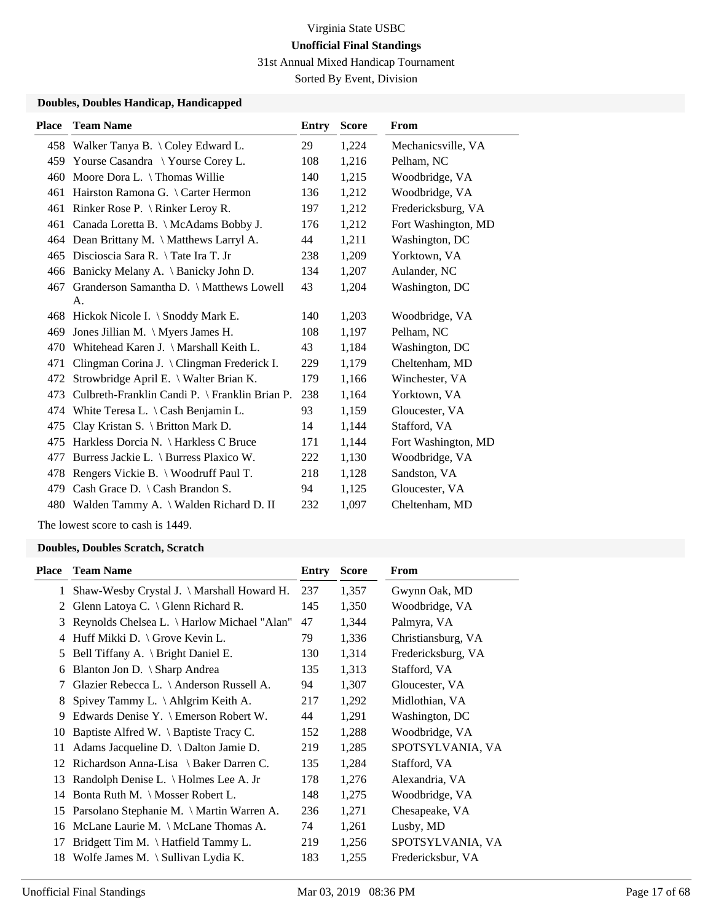31st Annual Mixed Handicap Tournament

Sorted By Event, Division

### **Doubles, Doubles Handicap, Handicapped**

| <b>Place</b> | <b>Team Name</b>                               | Entry | <b>Score</b> | <b>From</b>         |
|--------------|------------------------------------------------|-------|--------------|---------------------|
|              | 458 Walker Tanya B. \Coley Edward L.           | 29    | 1,224        | Mechanicsville, VA  |
| 459          | Yourse Casandra \ Yourse Corey L.              | 108   | 1,216        | Pelham, NC          |
| 460          | Moore Dora L. \ Thomas Willie                  | 140   | 1,215        | Woodbridge, VA      |
| 461          | Hairston Ramona G. \ Carter Hermon             | 136   | 1,212        | Woodbridge, VA      |
| 461          | Rinker Rose P. $\{ Rinter Lerov R. \}$         | 197   | 1,212        | Fredericksburg, VA  |
| 461          | Canada Loretta B. \ McAdams Bobby J.           | 176   | 1,212        | Fort Washington, MD |
|              | 464 Dean Brittany M. \ Matthews Larryl A.      | 44    | 1,211        | Washington, DC      |
|              | 465 Discioscia Sara R. \Tate Ira T. Jr         | 238   | 1,209        | Yorktown, VA        |
| 466          | Banicky Melany A. \ Banicky John D.            | 134   | 1,207        | Aulander, NC        |
|              | 467 Granderson Samantha D. \ Matthews Lowell   | 43    | 1,204        | Washington, DC      |
|              | A.                                             |       |              |                     |
| 468          | Hickok Nicole I. \ Snoddy Mark E.              | 140   | 1,203        | Woodbridge, VA      |
| 469          | Jones Jillian M. $\setminus$ Myers James H.    | 108   | 1,197        | Pelham, NC          |
| 470          | Whitehead Karen J. \ Marshall Keith L.         | 43    | 1,184        | Washington, DC      |
| 471          | Clingman Corina J. \ Clingman Frederick I.     | 229   | 1,179        | Cheltenham, MD      |
| 472          | Strowbridge April E. \ Walter Brian K.         | 179   | 1,166        | Winchester, VA      |
| 473          | Culbreth-Franklin Candi P. \ Franklin Brian P. | 238   | 1,164        | Yorktown, VA        |
| 474          | White Teresa L. $\setminus$ Cash Benjamin L.   | 93    | 1,159        | Gloucester, VA      |
| 475          | Clay Kristan S. \ Britton Mark D.              | 14    | 1,144        | Stafford, VA        |
| 475          | Harkless Dorcia N. \ Harkless C Bruce          | 171   | 1,144        | Fort Washington, MD |
| 477          | Burress Jackie L. \ Burress Plaxico W.         | 222   | 1,130        | Woodbridge, VA      |
| 478          | Rengers Vickie B. \ Woodruff Paul T.           | 218   | 1,128        | Sandston, VA        |
| 479          | Cash Grace D. \ Cash Brandon S.                | 94    | 1,125        | Gloucester, VA      |
| 480          | Walden Tammy A. \ Walden Richard D. II         | 232   | 1,097        | Cheltenham, MD      |
|              |                                                |       |              |                     |

The lowest score to cash is 1449.

#### **Doubles, Doubles Scratch, Scratch**

| Place        | <b>Team Name</b>                                  | Entry | <b>Score</b> | <b>From</b>        |
|--------------|---------------------------------------------------|-------|--------------|--------------------|
| $\mathbf{1}$ | Shaw-Wesby Crystal J. \ Marshall Howard H.        | 237   | 1,357        | Gwynn Oak, MD      |
| 2            | Glenn Latoya C. $\setminus$ Glenn Richard R.      | 145   | 1,350        | Woodbridge, VA     |
| 3            | Reynolds Chelsea L. \ Harlow Michael "Alan"       | 47    | 1,344        | Palmyra, VA        |
| 4            | Huff Mikki D. \ Grove Kevin L.                    | 79    | 1,336        | Christiansburg, VA |
| 5            | Bell Tiffany A. \ Bright Daniel E.                | 130   | 1,314        | Fredericksburg, VA |
| 6            | Blanton Jon D. \ Sharp Andrea                     | 135   | 1,313        | Stafford, VA       |
| 7            | Glazier Rebecca L. \ Anderson Russell A.          | 94    | 1,307        | Gloucester, VA     |
| 8            | Spivey Tammy L. $\Lambda$ hlgrim Keith A.         | 217   | 1,292        | Midlothian, VA     |
| 9            | Edwards Denise Y. $\mathcal{F}$ Emerson Robert W. | 44    | 1,291        | Washington, DC     |
| 10           | Baptiste Alfred W. $\setminus$ Baptiste Tracy C.  | 152   | 1,288        | Woodbridge, VA     |
| 11           | Adams Jacqueline D. \ Dalton Jamie D.             | 219   | 1,285        | SPOTSYLVANIA, VA   |
| 12           | Richardson Anna-Lisa \ Baker Darren C.            | 135   | 1,284        | Stafford, VA       |
| 13           | Randolph Denise L. \ Holmes Lee A. Jr             | 178   | 1,276        | Alexandria, VA     |
| 14           | Bonta Ruth M. \ Mosser Robert L.                  | 148   | 1,275        | Woodbridge, VA     |
| 15           | Parsolano Stephanie M. \ Martin Warren A.         | 236   | 1,271        | Chesapeake, VA     |
| 16           | McLane Laurie M. \ McLane Thomas A.               | 74    | 1,261        | Lusby, MD          |
| 17           | Bridgett Tim M. \ Hatfield Tammy L.               | 219   | 1,256        | SPOTSYLVANIA, VA   |
| 18           | Wolfe James M. $\Lambda$ Sullivan Lydia K.        | 183   | 1,255        | Fredericksbur, VA  |
|              |                                                   |       |              |                    |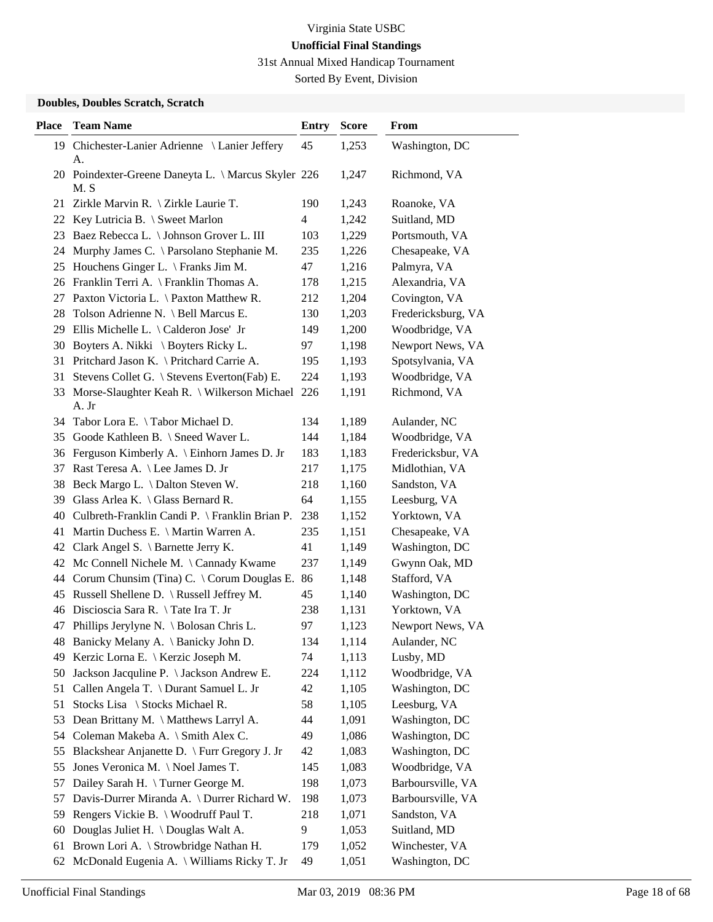31st Annual Mixed Handicap Tournament

Sorted By Event, Division

### **Doubles, Doubles Scratch, Scratch**

| <b>Place</b> | <b>Team Name</b>                                            | <b>Entry</b> | <b>Score</b> | From               |
|--------------|-------------------------------------------------------------|--------------|--------------|--------------------|
|              | 19 Chichester-Lanier Adrienne \ Lanier Jeffery              | 45           | 1,253        | Washington, DC     |
|              | А.                                                          |              |              |                    |
|              | 20 Poindexter-Greene Daneyta L. \ Marcus Skyler 226<br>M. S |              | 1,247        | Richmond, VA       |
|              | 21 Zirkle Marvin R. \ Zirkle Laurie T.                      | 190          | 1,243        | Roanoke, VA        |
|              | 22 Key Lutricia B. \ Sweet Marlon                           | 4            | 1,242        | Suitland, MD       |
| 23           | Baez Rebecca L. \ Johnson Grover L. III                     | 103          | 1,229        | Portsmouth, VA     |
| 24           | Murphy James C. \ Parsolano Stephanie M.                    | 235          | 1,226        | Chesapeake, VA     |
| 25           | Houchens Ginger L. $\Gamma$ Franks Jim M.                   | 47           | 1,216        | Palmyra, VA        |
|              | 26 Franklin Terri A. \ Franklin Thomas A.                   | 178          | 1,215        | Alexandria, VA     |
| 27           | Paxton Victoria L. \ Paxton Matthew R.                      | 212          | 1,204        | Covington, VA      |
| 28           | Tolson Adrienne N. \ Bell Marcus E.                         | 130          | 1,203        | Fredericksburg, VA |
| 29           | Ellis Michelle L. \ Calderon Jose' Jr                       | 149          | 1,200        | Woodbridge, VA     |
| 30           | Boyters A. Nikki \ Boyters Ricky L.                         | 97           | 1,198        | Newport News, VA   |
|              | 31 Pritchard Jason K. \ Pritchard Carrie A.                 | 195          | 1,193        | Spotsylvania, VA   |
| 31           | Stevens Collet G. \ Stevens Everton(Fab) E.                 | 224          | 1,193        | Woodbridge, VA     |
| 33           | Morse-Slaughter Keah R. \ Wilkerson Michael<br>A. Jr        | 226          | 1,191        | Richmond, VA       |
|              | 34 Tabor Lora E. \Tabor Michael D.                          | 134          | 1,189        | Aulander, NC       |
| 35           | Goode Kathleen B. \ Sneed Waver L.                          | 144          | 1,184        | Woodbridge, VA     |
| 36           | Ferguson Kimberly A. \ Einhorn James D. Jr                  | 183          | 1,183        | Fredericksbur, VA  |
| 37           | Rast Teresa A. \ Lee James D. Jr                            | 217          | 1,175        | Midlothian, VA     |
| 38           | Beck Margo L. \ Dalton Steven W.                            | 218          | 1,160        | Sandston, VA       |
| 39           | Glass Arlea K. $\setminus$ Glass Bernard R.                 | 64           | 1,155        | Leesburg, VA       |
|              | 40 Culbreth-Franklin Candi P. \ Franklin Brian P.           | 238          | 1,152        | Yorktown, VA       |
| 41           | Martin Duchess E. \ Martin Warren A.                        | 235          | 1,151        | Chesapeake, VA     |
| 42           | Clark Angel S. \ Barnette Jerry K.                          | 41           | 1,149        | Washington, DC     |
| 42           | Mc Connell Nichele M. \ Cannady Kwame                       | 237          | 1,149        | Gwynn Oak, MD      |
|              | 44 Corum Chunsim (Tina) C. \ Corum Douglas E.               | 86           | 1,148        | Stafford, VA       |
| 45           | Russell Shellene D. \ Russell Jeffrey M.                    | 45           | 1,140        | Washington, DC     |
|              | 46 Discioscia Sara R. \Tate Ira T. Jr                       | 238          | 1,131        | Yorktown, VA       |
|              | 47 Phillips Jerylyne N. \ Bolosan Chris L.                  | 97           | 1,123        | Newport News, VA   |
|              | 48 Banicky Melany A. \ Banicky John D.                      | 134          | 1,114        | Aulander, NC       |
| 49           | Kerzic Lorna E. \ Kerzic Joseph M.                          | 74           | 1,113        | Lusby, MD          |
| 50           | Jackson Jacquline P. \ Jackson Andrew E.                    | 224          | 1,112        | Woodbridge, VA     |
| 51           | Callen Angela T. \ Durant Samuel L. Jr                      | 42           | 1,105        | Washington, DC     |
| 51           | Stocks Lisa \ Stocks Michael R.                             | 58           | 1,105        | Leesburg, VA       |
| 53           | Dean Brittany M. \ Matthews Larryl A.                       | 44           | 1,091        | Washington, DC     |
|              | 54 Coleman Makeba A. \ Smith Alex C.                        | 49           | 1,086        | Washington, DC     |
| 55           | Blackshear Anjanette D. \ Furr Gregory J. Jr                | 42           | 1,083        | Washington, DC     |
| 55           | Jones Veronica M. \Noel James T.                            | 145          | 1,083        | Woodbridge, VA     |
| 57           | Dailey Sarah H. \Turner George M.                           | 198          | 1,073        | Barboursville, VA  |
| 57           | Davis-Durrer Miranda A. \ Durrer Richard W.                 | 198          | 1,073        | Barboursville, VA  |
| 59           | Rengers Vickie B. \ Woodruff Paul T.                        | 218          | 1,071        | Sandston, VA       |
| 60           | Douglas Juliet H. \ Douglas Walt A.                         | 9            | 1,053        | Suitland, MD       |
| 61           | Brown Lori A. \ Strowbridge Nathan H.                       | 179          | 1,052        | Winchester, VA     |
| 62           | McDonald Eugenia A. \ Williams Ricky T. Jr                  | 49           | 1,051        | Washington, DC     |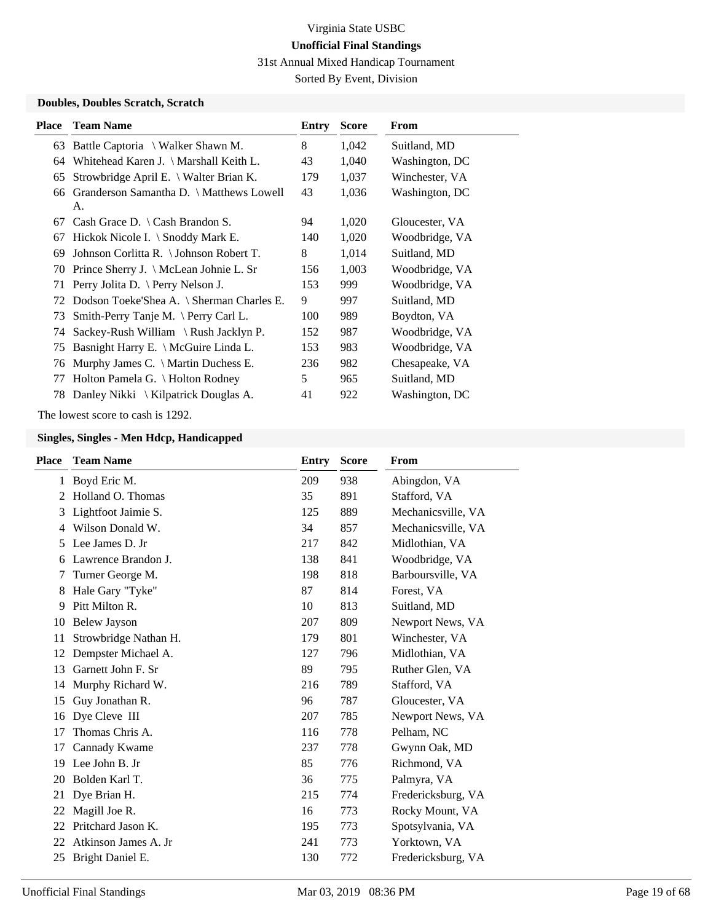31st Annual Mixed Handicap Tournament

Sorted By Event, Division

### **Doubles, Doubles Scratch, Scratch**

| <b>Place</b> | <b>Team Name</b>                               | Entry | <b>Score</b> | From           |
|--------------|------------------------------------------------|-------|--------------|----------------|
|              | 63 Battle Captoria \ Walker Shawn M.           | 8     | 1,042        | Suitland, MD   |
| 64           | Whitehead Karen J. \ Marshall Keith L.         | 43    | 1,040        | Washington, DC |
| 65           | Strowbridge April E. \ Walter Brian K.         | 179   | 1,037        | Winchester, VA |
| 66           | Granderson Samantha D. \ Matthews Lowell<br>A. | 43    | 1,036        | Washington, DC |
| 67           | Cash Grace D. $\setminus$ Cash Brandon S.      | 94    | 1,020        | Gloucester, VA |
| 67           | Hickok Nicole I. $\setminus$ Snoddy Mark E.    | 140   | 1,020        | Woodbridge, VA |
| 69           | Johnson Corlitta R. \ Johnson Robert T.        | 8     | 1,014        | Suitland, MD   |
|              | 70 Prince Sherry J. \ McLean Johnie L. Sr      | 156   | 1,003        | Woodbridge, VA |
| 71           | Perry Jolita D. \ Perry Nelson J.              | 153   | 999          | Woodbridge, VA |
|              | 72 Dodson Toeke'Shea A. \ Sherman Charles E.   | 9     | 997          | Suitland, MD   |
| 73           | Smith-Perry Tanje M. $\Pery$ Carl L.           | 100   | 989          | Boydton, VA    |
|              | 74 Sackey-Rush William \ Rush Jacklyn P.       | 152   | 987          | Woodbridge, VA |
| 75           | Basnight Harry E. \ McGuire Linda L.           | 153   | 983          | Woodbridge, VA |
| 76           | Murphy James C. $\setminus$ Martin Duchess E.  | 236   | 982          | Chesapeake, VA |
| 77           | Holton Pamela G. \ Holton Rodney               | 5     | 965          | Suitland, MD   |
| 78           | Danley Nikki $\setminus$ Kilpatrick Douglas A. | 41    | 922          | Washington, DC |

The lowest score to cash is 1292.

| <b>Place</b> | <b>Team Name</b>      | Entry | <b>Score</b> | From               |
|--------------|-----------------------|-------|--------------|--------------------|
|              | 1 Boyd Eric M.        | 209   | 938          | Abingdon, VA       |
| $2^{\circ}$  | Holland O. Thomas     | 35    | 891          | Stafford, VA       |
| 3            | Lightfoot Jaimie S.   | 125   | 889          | Mechanicsville, VA |
| 4            | Wilson Donald W.      | 34    | 857          | Mechanicsville, VA |
| 5            | Lee James D. Jr       | 217   | 842          | Midlothian, VA     |
| 6            | Lawrence Brandon J.   | 138   | 841          | Woodbridge, VA     |
| 7            | Turner George M.      | 198   | 818          | Barboursville, VA  |
| 8            | Hale Gary "Tyke"      | 87    | 814          | Forest, VA         |
| 9            | Pitt Milton R.        | 10    | 813          | Suitland, MD       |
| 10           | <b>Belew Jayson</b>   | 207   | 809          | Newport News, VA   |
| 11           | Strowbridge Nathan H. | 179   | 801          | Winchester, VA     |
| 12           | Dempster Michael A.   | 127   | 796          | Midlothian, VA     |
| 13           | Garnett John F. Sr    | 89    | 795          | Ruther Glen, VA    |
| 14           | Murphy Richard W.     | 216   | 789          | Stafford, VA       |
| 15           | Guy Jonathan R.       | 96    | 787          | Gloucester, VA     |
| 16           | Dye Cleve III         | 207   | 785          | Newport News, VA   |
| 17           | Thomas Chris A.       | 116   | 778          | Pelham, NC         |
| 17           | Cannady Kwame         | 237   | 778          | Gwynn Oak, MD      |
| 19           | Lee John B. Jr        | 85    | 776          | Richmond, VA       |
| 20           | Bolden Karl T.        | 36    | 775          | Palmyra, VA        |
| 21           | Dye Brian H.          | 215   | 774          | Fredericksburg, VA |
| 22           | Magill Joe R.         | 16    | 773          | Rocky Mount, VA    |
| 22           | Pritchard Jason K.    | 195   | 773          | Spotsylvania, VA   |
| 22           | Atkinson James A. Jr  | 241   | 773          | Yorktown, VA       |
| 25           | Bright Daniel E.      | 130   | 772          | Fredericksburg, VA |
|              |                       |       |              |                    |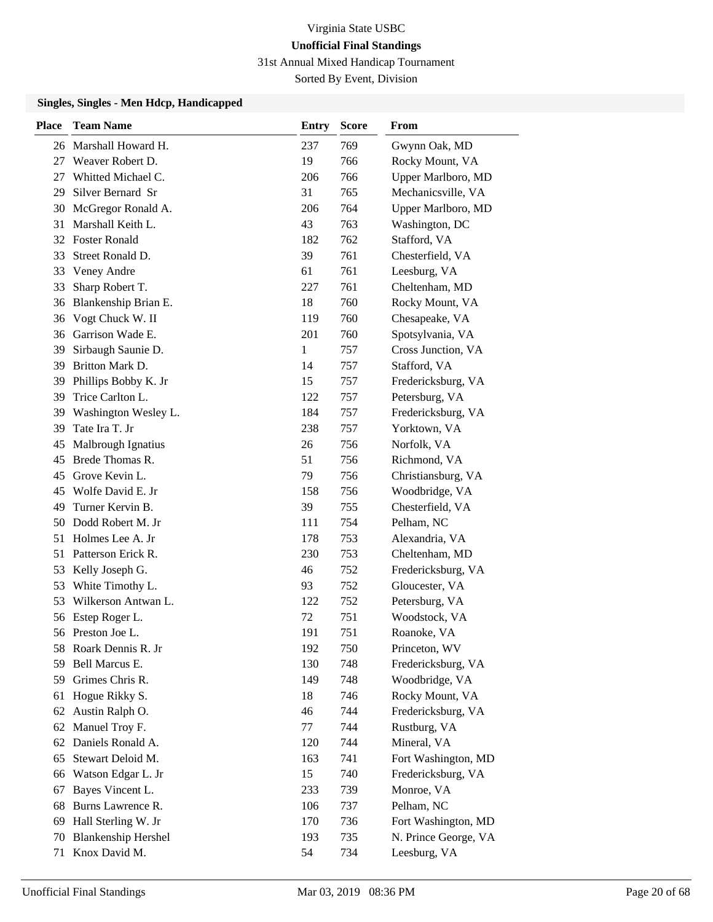31st Annual Mixed Handicap Tournament

Sorted By Event, Division

| <b>Place</b> | <b>Team Name</b>           | <b>Entry</b> | <b>Score</b> | From                 |
|--------------|----------------------------|--------------|--------------|----------------------|
|              | 26 Marshall Howard H.      | 237          | 769          | Gwynn Oak, MD        |
| 27           | Weaver Robert D.           | 19           | 766          | Rocky Mount, VA      |
| 27           | Whitted Michael C.         | 206          | 766          | Upper Marlboro, MD   |
| 29           | Silver Bernard Sr          | 31           | 765          | Mechanicsville, VA   |
| 30           | McGregor Ronald A.         | 206          | 764          | Upper Marlboro, MD   |
| 31           | Marshall Keith L.          | 43           | 763          | Washington, DC       |
|              | 32 Foster Ronald           | 182          | 762          | Stafford, VA         |
| 33           | Street Ronald D.           | 39           | 761          | Chesterfield, VA     |
| 33           | Veney Andre                | 61           | 761          | Leesburg, VA         |
| 33           | Sharp Robert T.            | 227          | 761          | Cheltenham, MD       |
| 36           | Blankenship Brian E.       | 18           | 760          | Rocky Mount, VA      |
| 36           | Vogt Chuck W. II           | 119          | 760          | Chesapeake, VA       |
| 36           | Garrison Wade E.           | 201          | 760          | Spotsylvania, VA     |
| 39           | Sirbaugh Saunie D.         | 1            | 757          | Cross Junction, VA   |
| 39           | Britton Mark D.            | 14           | 757          | Stafford, VA         |
| 39           | Phillips Bobby K. Jr       | 15           | 757          | Fredericksburg, VA   |
| 39           | Trice Carlton L.           | 122          | 757          | Petersburg, VA       |
| 39           | Washington Wesley L.       | 184          | 757          | Fredericksburg, VA   |
| 39           | Tate Ira T. Jr             | 238          | 757          | Yorktown, VA         |
| 45           | Malbrough Ignatius         | 26           | 756          | Norfolk, VA          |
| 45           | Brede Thomas R.            | 51           | 756          | Richmond, VA         |
| 45           | Grove Kevin L.             | 79           | 756          | Christiansburg, VA   |
| 45           | Wolfe David E. Jr          | 158          | 756          | Woodbridge, VA       |
| 49           | Turner Kervin B.           | 39           | 755          | Chesterfield, VA     |
| 50           | Dodd Robert M. Jr          | 111          | 754          | Pelham, NC           |
| 51           | Holmes Lee A. Jr           | 178          | 753          | Alexandria, VA       |
| 51           | Patterson Erick R.         | 230          | 753          | Cheltenham, MD       |
| 53           | Kelly Joseph G.            | 46           | 752          | Fredericksburg, VA   |
| 53           | White Timothy L.           | 93           | 752          | Gloucester, VA       |
| 53           | Wilkerson Antwan L.        | 122          | 752          | Petersburg, VA       |
| 56           | Estep Roger L.             | 72           | 751          | Woodstock, VA        |
|              | 56 Preston Joe L.          | 191          | 751          | Roanoke, VA          |
|              | 58 Roark Dennis R. Jr      | 192          | 750          | Princeton, WV        |
| 59           | Bell Marcus E.             | 130          | 748          | Fredericksburg, VA   |
|              | 59 Grimes Chris R.         | 149          | 748          | Woodbridge, VA       |
| 61           | Hogue Rikky S.             | 18           | 746          | Rocky Mount, VA      |
| 62           | Austin Ralph O.            | 46           | 744          | Fredericksburg, VA   |
| 62           | Manuel Troy F.             | 77           | 744          | Rustburg, VA         |
| 62           | Daniels Ronald A.          | 120          | 744          | Mineral, VA          |
| 65           | Stewart Deloid M.          | 163          | 741          | Fort Washington, MD  |
| 66           | Watson Edgar L. Jr         | 15           | 740          | Fredericksburg, VA   |
| 67           | Bayes Vincent L.           | 233          | 739          | Monroe, VA           |
| 68           | Burns Lawrence R.          | 106          | 737          | Pelham, NC           |
| 69           | Hall Sterling W. Jr        | 170          | 736          | Fort Washington, MD  |
| 70           | <b>Blankenship Hershel</b> | 193          | 735          | N. Prince George, VA |
| 71           | Knox David M.              | 54           | 734          | Leesburg, VA         |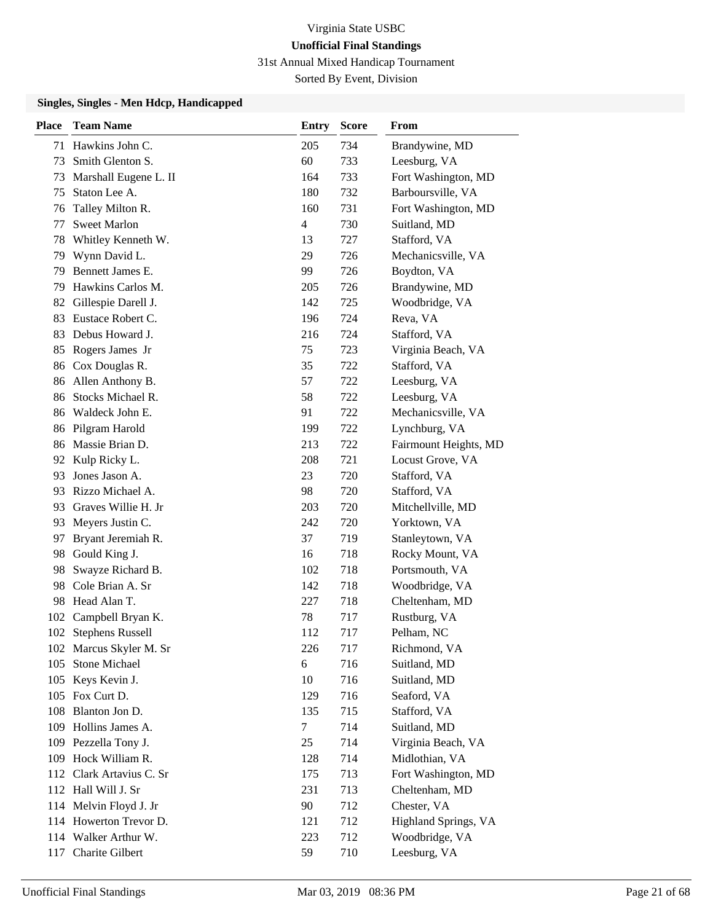31st Annual Mixed Handicap Tournament

Sorted By Event, Division

| <b>Place</b> | <b>Team Name</b>         | Entry          | <b>Score</b> | From                  |
|--------------|--------------------------|----------------|--------------|-----------------------|
| 71           | Hawkins John C.          | 205            | 734          | Brandywine, MD        |
| 73           | Smith Glenton S.         | 60             | 733          | Leesburg, VA          |
| 73           | Marshall Eugene L. II    | 164            | 733          | Fort Washington, MD   |
| 75           | Staton Lee A.            | 180            | 732          | Barboursville, VA     |
| 76           | Talley Milton R.         | 160            | 731          | Fort Washington, MD   |
| 77           | <b>Sweet Marlon</b>      | $\overline{4}$ | 730          | Suitland, MD          |
| 78           | Whitley Kenneth W.       | 13             | 727          | Stafford, VA          |
| 79           | Wynn David L.            | 29             | 726          | Mechanicsville, VA    |
| 79           | Bennett James E.         | 99             | 726          | Boydton, VA           |
| 79           | Hawkins Carlos M.        | 205            | 726          | Brandywine, MD        |
| 82           | Gillespie Darell J.      | 142            | 725          | Woodbridge, VA        |
| 83           | Eustace Robert C.        | 196            | 724          | Reva, VA              |
| 83           | Debus Howard J.          | 216            | 724          | Stafford, VA          |
| 85           | Rogers James Jr          | 75             | 723          | Virginia Beach, VA    |
| 86           | Cox Douglas R.           | 35             | 722          | Stafford, VA          |
|              | 86 Allen Anthony B.      | 57             | 722          | Leesburg, VA          |
| 86           | Stocks Michael R.        | 58             | 722          | Leesburg, VA          |
|              | 86 Waldeck John E.       | 91             | 722          | Mechanicsville, VA    |
| 86           | Pilgram Harold           | 199            | 722          | Lynchburg, VA         |
|              | 86 Massie Brian D.       | 213            | 722          | Fairmount Heights, MD |
|              | 92 Kulp Ricky L.         | 208            | 721          | Locust Grove, VA      |
| 93           | Jones Jason A.           | 23             | 720          | Stafford, VA          |
| 93.          | Rizzo Michael A.         | 98             | 720          | Stafford, VA          |
|              | 93 Graves Willie H. Jr   | 203            | 720          | Mitchellville, MD     |
| 93           | Meyers Justin C.         | 242            | 720          | Yorktown, VA          |
| 97           | Bryant Jeremiah R.       | 37             | 719          | Stanleytown, VA       |
| 98           | Gould King J.            | 16             | 718          | Rocky Mount, VA       |
| 98           | Swayze Richard B.        | 102            | 718          | Portsmouth, VA        |
| 98           | Cole Brian A. Sr         | 142            | 718          | Woodbridge, VA        |
| 98           | Head Alan T.             | 227            | 718          | Cheltenham, MD        |
| 102          | Campbell Bryan K.        | 78             | 717          | Rustburg, VA          |
|              | 102 Stephens Russell     | 112            | 717          | Pelham, NC            |
|              | 102 Marcus Skyler M. Sr  | 226            | 717          | Richmond, VA          |
| 105          | Stone Michael            | 6              | 716          | Suitland, MD          |
|              | 105 Keys Kevin J.        | 10             | 716          | Suitland, MD          |
|              | 105 Fox Curt D.          | 129            | 716          | Seaford, VA           |
|              | 108 Blanton Jon D.       | 135            | 715          | Stafford, VA          |
|              | 109 Hollins James A.     | $\tau$         | 714          | Suitland, MD          |
|              | 109 Pezzella Tony J.     | 25             | 714          | Virginia Beach, VA    |
|              | 109 Hock William R.      | 128            | 714          | Midlothian, VA        |
|              | 112 Clark Artavius C. Sr | 175            | 713          | Fort Washington, MD   |
|              | 112 Hall Will J. Sr      | 231            | 713          | Cheltenham, MD        |
|              | 114 Melvin Floyd J. Jr   | 90             | 712          | Chester, VA           |
|              | 114 Howerton Trevor D.   | 121            | 712          | Highland Springs, VA  |
|              | 114 Walker Arthur W.     | 223            | 712          | Woodbridge, VA        |
|              | 117 Charite Gilbert      | 59             | 710          | Leesburg, VA          |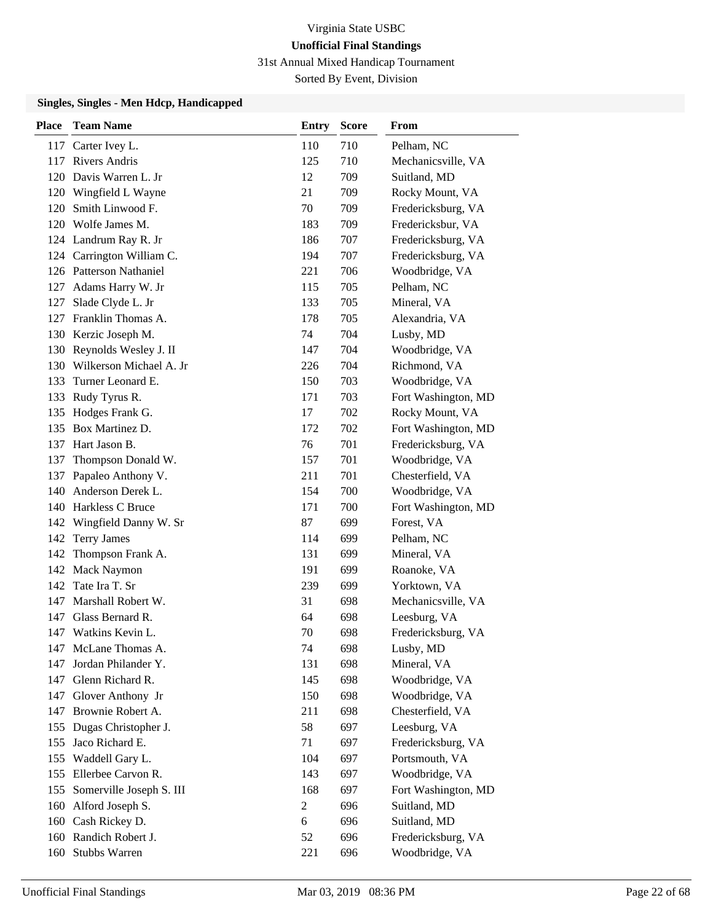31st Annual Mixed Handicap Tournament

Sorted By Event, Division

| <b>Place</b> | <b>Team Name</b>            | <b>Entry</b>   | <b>Score</b> | From                |
|--------------|-----------------------------|----------------|--------------|---------------------|
|              | 117 Carter Ivey L.          | 110            | 710          | Pelham, NC          |
|              | 117 Rivers Andris           | 125            | 710          | Mechanicsville, VA  |
|              | 120 Davis Warren L. Jr      | 12             | 709          | Suitland, MD        |
|              | 120 Wingfield L Wayne       | 21             | 709          | Rocky Mount, VA     |
| 120          | Smith Linwood F.            | 70             | 709          | Fredericksburg, VA  |
|              | 120 Wolfe James M.          | 183            | 709          | Fredericksbur, VA   |
|              | 124 Landrum Ray R. Jr       | 186            | 707          | Fredericksburg, VA  |
|              | 124 Carrington William C.   | 194            | 707          | Fredericksburg, VA  |
|              | 126 Patterson Nathaniel     | 221            | 706          | Woodbridge, VA      |
|              | 127 Adams Harry W. Jr       | 115            | 705          | Pelham, NC          |
| 127          | Slade Clyde L. Jr           | 133            | 705          | Mineral, VA         |
|              | 127 Franklin Thomas A.      | 178            | 705          | Alexandria, VA      |
|              | 130 Kerzic Joseph M.        | 74             | 704          | Lusby, MD           |
|              | 130 Reynolds Wesley J. II   | 147            | 704          | Woodbridge, VA      |
|              | 130 Wilkerson Michael A. Jr | 226            | 704          | Richmond, VA        |
| 133          | Turner Leonard E.           | 150            | 703          | Woodbridge, VA      |
| 133          | Rudy Tyrus R.               | 171            | 703          | Fort Washington, MD |
| 135          | Hodges Frank G.             | 17             | 702          | Rocky Mount, VA     |
|              | 135 Box Martinez D.         | 172            | 702          | Fort Washington, MD |
|              | 137 Hart Jason B.           | 76             | 701          | Fredericksburg, VA  |
| 137          | Thompson Donald W.          | 157            | 701          | Woodbridge, VA      |
| 137          | Papaleo Anthony V.          | 211            | 701          | Chesterfield, VA    |
|              | 140 Anderson Derek L.       | 154            | 700          | Woodbridge, VA      |
|              | 140 Harkless C Bruce        | 171            | 700          | Fort Washington, MD |
| 142          | Wingfield Danny W. Sr       | 87             | 699          | Forest, VA          |
| 142          | <b>Terry James</b>          | 114            | 699          | Pelham, NC          |
|              | 142 Thompson Frank A.       | 131            | 699          | Mineral, VA         |
|              | 142 Mack Naymon             | 191            | 699          | Roanoke, VA         |
| 142          | Tate Ira T. Sr              | 239            | 699          | Yorktown, VA        |
|              | 147 Marshall Robert W.      | 31             | 698          | Mechanicsville, VA  |
|              | 147 Glass Bernard R.        | 64             | 698          | Leesburg, VA        |
| 147          | Watkins Kevin L.            | 70             | 698          | Fredericksburg, VA  |
|              | 147 McLane Thomas A.        | 74             | 698          | Lusby, MD           |
| 147          | Jordan Philander Y.         | 131            | 698          | Mineral, VA         |
|              | 147 Glenn Richard R.        | 145            | 698          | Woodbridge, VA      |
| 147          | Glover Anthony Jr           | 150            | 698          | Woodbridge, VA      |
|              | 147 Brownie Robert A.       | 211            | 698          | Chesterfield, VA    |
| 155          | Dugas Christopher J.        | 58             | 697          | Leesburg, VA        |
| 155          | Jaco Richard E.             | 71             | 697          | Fredericksburg, VA  |
| 155          | Waddell Gary L.             | 104            | 697          | Portsmouth, VA      |
|              | 155 Ellerbee Carvon R.      | 143            | 697          | Woodbridge, VA      |
| 155          | Somerville Joseph S. III    | 168            | 697          | Fort Washington, MD |
|              | 160 Alford Joseph S.        | $\overline{c}$ | 696          | Suitland, MD        |
|              | 160 Cash Rickey D.          | 6              | 696          | Suitland, MD        |
|              | 160 Randich Robert J.       | 52             | 696          | Fredericksburg, VA  |
|              | 160 Stubbs Warren           | 221            | 696          | Woodbridge, VA      |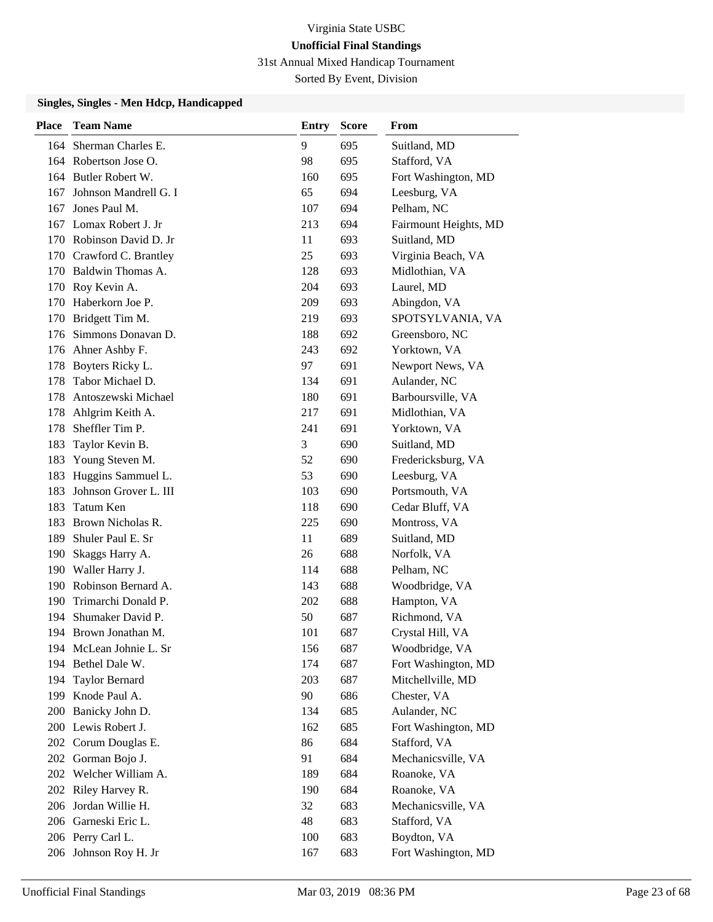31st Annual Mixed Handicap Tournament

Sorted By Event, Division

| <b>Place</b> | <b>Team Name</b>         | Entry | <b>Score</b> | From                  |
|--------------|--------------------------|-------|--------------|-----------------------|
| 164          | Sherman Charles E.       | 9     | 695          | Suitland, MD          |
|              | 164 Robertson Jose O.    | 98    | 695          | Stafford, VA          |
|              | 164 Butler Robert W.     | 160   | 695          | Fort Washington, MD   |
| 167          | Johnson Mandrell G. I    | 65    | 694          | Leesburg, VA          |
| 167          | Jones Paul M.            | 107   | 694          | Pelham, NC            |
|              | 167 Lomax Robert J. Jr   | 213   | 694          | Fairmount Heights, MD |
|              | 170 Robinson David D. Jr | 11    | 693          | Suitland, MD          |
|              | 170 Crawford C. Brantley | 25    | 693          | Virginia Beach, VA    |
|              | 170 Baldwin Thomas A.    | 128   | 693          | Midlothian, VA        |
|              | 170 Roy Kevin A.         | 204   | 693          | Laurel, MD            |
|              | 170 Haberkorn Joe P.     | 209   | 693          | Abingdon, VA          |
|              | 170 Bridgett Tim M.      | 219   | 693          | SPOTSYLVANIA, VA      |
| 176          | Simmons Donavan D.       | 188   | 692          | Greensboro, NC        |
|              | 176 Ahner Ashby F.       | 243   | 692          | Yorktown, VA          |
| 178          | Boyters Ricky L.         | 97    | 691          | Newport News, VA      |
| 178          | Tabor Michael D.         | 134   | 691          | Aulander, NC          |
| 178          | Antoszewski Michael      | 180   | 691          | Barboursville, VA     |
| 178          | Ahlgrim Keith A.         | 217   | 691          | Midlothian, VA        |
| 178          | Sheffler Tim P.          | 241   | 691          | Yorktown, VA          |
| 183          | Taylor Kevin B.          | 3     | 690          | Suitland, MD          |
| 183          | Young Steven M.          | 52    | 690          | Fredericksburg, VA    |
| 183          | Huggins Sammuel L.       | 53    | 690          | Leesburg, VA          |
| 183          | Johnson Grover L. III    | 103   | 690          | Portsmouth, VA        |
| 183          | Tatum Ken                | 118   | 690          | Cedar Bluff, VA       |
| 183          | Brown Nicholas R.        | 225   | 690          | Montross, VA          |
| 189          | Shuler Paul E. Sr        | 11    | 689          | Suitland, MD          |
| 190          | Skaggs Harry A.          | 26    | 688          | Norfolk, VA           |
|              | 190 Waller Harry J.      | 114   | 688          | Pelham, NC            |
|              | 190 Robinson Bernard A.  | 143   | 688          | Woodbridge, VA        |
| 190          | Trimarchi Donald P.      | 202   | 688          | Hampton, VA           |
|              | 194 Shumaker David P.    | 50    | 687          | Richmond, VA          |
|              | 194 Brown Jonathan M.    | 101   | 687          | Crystal Hill, VA      |
|              | 194 McLean Johnie L. Sr  | 156   | 687          | Woodbridge, VA        |
|              | 194 Bethel Dale W.       | 174   | 687          | Fort Washington, MD   |
|              | 194 Taylor Bernard       | 203   | 687          | Mitchellville, MD     |
|              | 199 Knode Paul A.        | 90    | 686          | Chester, VA           |
| 200          | Banicky John D.          | 134   | 685          | Aulander, NC          |
|              | 200 Lewis Robert J.      | 162   | 685          | Fort Washington, MD   |
|              | 202 Corum Douglas E.     | 86    | 684          | Stafford, VA          |
|              | 202 Gorman Bojo J.       | 91    | 684          | Mechanicsville, VA    |
|              | 202 Welcher William A.   | 189   | 684          | Roanoke, VA           |
|              | 202 Riley Harvey R.      | 190   | 684          | Roanoke, VA           |
| 206          | Jordan Willie H.         | 32    | 683          | Mechanicsville, VA    |
|              | 206 Garneski Eric L.     | 48    | 683          | Stafford, VA          |
|              | 206 Perry Carl L.        | 100   | 683          | Boydton, VA           |
|              | 206 Johnson Roy H. Jr    | 167   | 683          | Fort Washington, MD   |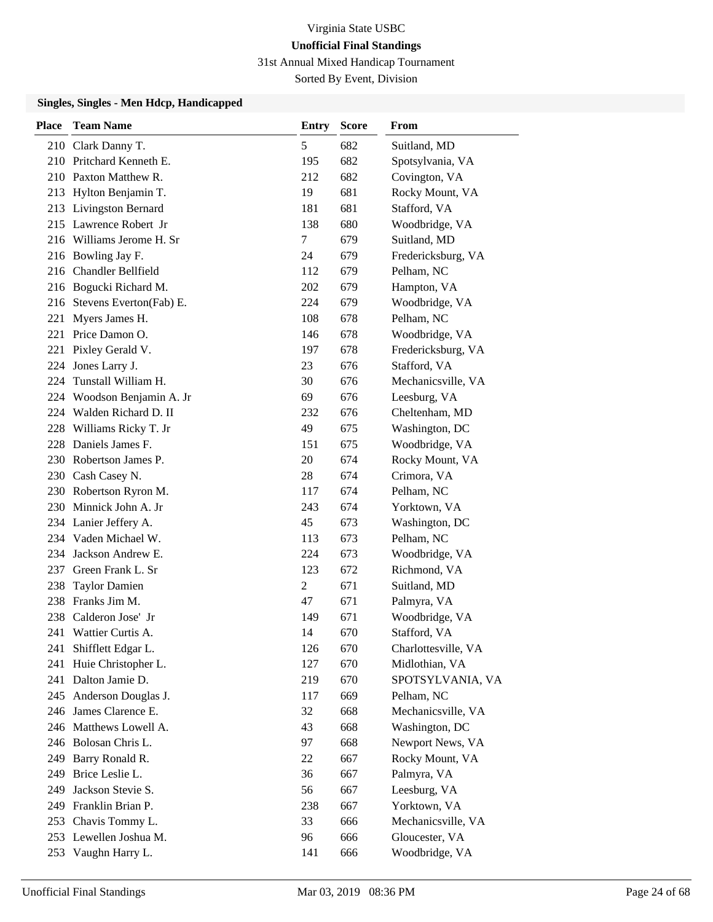31st Annual Mixed Handicap Tournament

Sorted By Event, Division

| <b>Place</b> | <b>Team Name</b>            | <b>Entry</b> | <b>Score</b> | From                |
|--------------|-----------------------------|--------------|--------------|---------------------|
|              | 210 Clark Danny T.          | 5            | 682          | Suitland, MD        |
|              | 210 Pritchard Kenneth E.    | 195          | 682          | Spotsylvania, VA    |
|              | 210 Paxton Matthew R.       | 212          | 682          | Covington, VA       |
|              | 213 Hylton Benjamin T.      | 19           | 681          | Rocky Mount, VA     |
|              | 213 Livingston Bernard      | 181          | 681          | Stafford, VA        |
|              | 215 Lawrence Robert Jr      | 138          | 680          | Woodbridge, VA      |
|              | 216 Williams Jerome H. Sr   | 7            | 679          | Suitland, MD        |
|              | 216 Bowling Jay F.          | 24           | 679          | Fredericksburg, VA  |
|              | 216 Chandler Bellfield      | 112          | 679          | Pelham, NC          |
|              | 216 Bogucki Richard M.      | 202          | 679          | Hampton, VA         |
|              | 216 Stevens Everton(Fab) E. | 224          | 679          | Woodbridge, VA      |
|              | 221 Myers James H.          | 108          | 678          | Pelham, NC          |
|              | 221 Price Damon O.          | 146          | 678          | Woodbridge, VA      |
| 221          | Pixley Gerald V.            | 197          | 678          | Fredericksburg, VA  |
| 224          | Jones Larry J.              | 23           | 676          | Stafford, VA        |
| 224          | Tunstall William H.         | 30           | 676          | Mechanicsville, VA  |
|              | 224 Woodson Benjamin A. Jr  | 69           | 676          | Leesburg, VA        |
|              | 224 Walden Richard D. II    | 232          | 676          | Cheltenham, MD      |
| 228          | Williams Ricky T. Jr        | 49           | 675          | Washington, DC      |
|              | 228 Daniels James F.        | 151          | 675          | Woodbridge, VA      |
|              | 230 Robertson James P.      | 20           | 674          | Rocky Mount, VA     |
|              | 230 Cash Casey N.           | 28           | 674          | Crimora, VA         |
|              | 230 Robertson Ryron M.      | 117          | 674          | Pelham, NC          |
|              | 230 Minnick John A. Jr      | 243          | 674          | Yorktown, VA        |
|              | 234 Lanier Jeffery A.       | 45           | 673          | Washington, DC      |
|              | 234 Vaden Michael W.        | 113          | 673          | Pelham, NC          |
|              | 234 Jackson Andrew E.       | 224          | 673          | Woodbridge, VA      |
| 237          | Green Frank L. Sr           | 123          | 672          | Richmond, VA        |
| 238          | <b>Taylor Damien</b>        | 2            | 671          | Suitland, MD        |
|              | 238 Franks Jim M.           | 47           | 671          | Palmyra, VA         |
|              | 238 Calderon Jose' Jr       | 149          | 671          | Woodbridge, VA      |
| 241          | Wattier Curtis A.           | 14           | 670          | Stafford, VA        |
| 241          | Shifflett Edgar L.          | 126          | 670          | Charlottesville, VA |
| 241          | Huie Christopher L.         | 127          | 670          | Midlothian, VA      |
| 241          | Dalton Jamie D.             | 219          | 670          | SPOTSYLVANIA, VA    |
|              | 245 Anderson Douglas J.     | 117          | 669          | Pelham, NC          |
|              | 246 James Clarence E.       | 32           | 668          | Mechanicsville, VA  |
|              | 246 Matthews Lowell A.      | 43           | 668          | Washington, DC      |
|              | 246 Bolosan Chris L.        | 97           | 668          | Newport News, VA    |
|              | 249 Barry Ronald R.         | 22           | 667          | Rocky Mount, VA     |
|              | 249 Brice Leslie L.         | 36           | 667          | Palmyra, VA         |
| 249          | Jackson Stevie S.           | 56           | 667          | Leesburg, VA        |
|              | 249 Franklin Brian P.       | 238          | 667          | Yorktown, VA        |
| 253          | Chavis Tommy L.             | 33           | 666          | Mechanicsville, VA  |
|              | 253 Lewellen Joshua M.      | 96           | 666          | Gloucester, VA      |
| 253          | Vaughn Harry L.             | 141          | 666          | Woodbridge, VA      |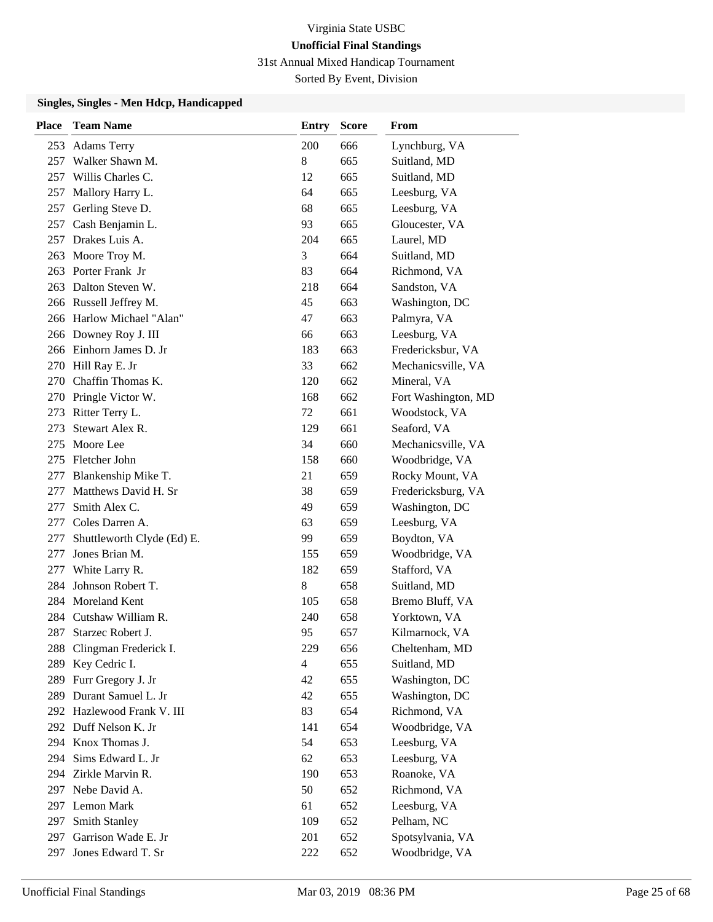31st Annual Mixed Handicap Tournament

Sorted By Event, Division

| <b>Place</b> | <b>Team Name</b>           | <b>Entry</b> | <b>Score</b> | <b>From</b>         |
|--------------|----------------------------|--------------|--------------|---------------------|
| 253          | <b>Adams Terry</b>         | 200          | 666          | Lynchburg, VA       |
| 257          | Walker Shawn M.            | 8            | 665          | Suitland, MD        |
|              | 257 Willis Charles C.      | 12           | 665          | Suitland, MD        |
|              | 257 Mallory Harry L.       | 64           | 665          | Leesburg, VA        |
| 257          | Gerling Steve D.           | 68           | 665          | Leesburg, VA        |
| 257          | Cash Benjamin L.           | 93           | 665          | Gloucester, VA      |
|              | 257 Drakes Luis A.         | 204          | 665          | Laurel, MD          |
|              | 263 Moore Troy M.          | 3            | 664          | Suitland, MD        |
|              | 263 Porter Frank Jr        | 83           | 664          | Richmond, VA        |
|              | 263 Dalton Steven W.       | 218          | 664          | Sandston, VA        |
|              | 266 Russell Jeffrey M.     | 45           | 663          | Washington, DC      |
|              | 266 Harlow Michael "Alan"  | 47           | 663          | Palmyra, VA         |
|              | 266 Downey Roy J. III      | 66           | 663          | Leesburg, VA        |
|              | 266 Einhorn James D. Jr    | 183          | 663          | Fredericksbur, VA   |
|              | 270 Hill Ray E. Jr         | 33           | 662          | Mechanicsville, VA  |
|              | 270 Chaffin Thomas K.      | 120          | 662          | Mineral, VA         |
|              | 270 Pringle Victor W.      | 168          | 662          | Fort Washington, MD |
| 273          | Ritter Terry L.            | 72           | 661          | Woodstock, VA       |
| 273          | Stewart Alex R.            | 129          | 661          | Seaford, VA         |
| 275          | Moore Lee                  | 34           | 660          | Mechanicsville, VA  |
|              | 275 Fletcher John          | 158          | 660          | Woodbridge, VA      |
| 277          | Blankenship Mike T.        | 21           | 659          | Rocky Mount, VA     |
|              | 277 Matthews David H. Sr   | 38           | 659          | Fredericksburg, VA  |
| 277          | Smith Alex C.              | 49           | 659          | Washington, DC      |
| 277          | Coles Darren A.            | 63           | 659          | Leesburg, VA        |
| 277          | Shuttleworth Clyde (Ed) E. | 99           | 659          | Boydton, VA         |
| 277          | Jones Brian M.             | 155          | 659          | Woodbridge, VA      |
| 277          | White Larry R.             | 182          | 659          | Stafford, VA        |
| 284          | Johnson Robert T.          | 8            | 658          | Suitland, MD        |
|              | 284 Moreland Kent          | 105          | 658          | Bremo Bluff, VA     |
|              | 284 Cutshaw William R.     | 240          | 658          | Yorktown, VA        |
| 287          | Starzec Robert J.          | 95           | 657          | Kilmarnock, VA      |
| 288          | Clingman Frederick I.      | 229          | 656          | Cheltenham, MD      |
| 289          | Key Cedric I.              | 4            | 655          | Suitland, MD        |
| 289          | Furr Gregory J. Jr         | 42           | 655          | Washington, DC      |
| 289          | Durant Samuel L. Jr        | 42           | 655          | Washington, DC      |
|              | 292 Hazlewood Frank V. III | 83           | 654          | Richmond, VA        |
|              | 292 Duff Nelson K. Jr      | 141          | 654          | Woodbridge, VA      |
|              | 294 Knox Thomas J.         | 54           | 653          | Leesburg, VA        |
| 294          | Sims Edward L. Jr          | 62           | 653          | Leesburg, VA        |
| 294          | Zirkle Marvin R.           | 190          | 653          | Roanoke, VA         |
|              | 297 Nebe David A.          | 50           | 652          | Richmond, VA        |
|              | 297 Lemon Mark             | 61           | 652          | Leesburg, VA        |
| 297          | Smith Stanley              | 109          | 652          | Pelham, NC          |
| 297          | Garrison Wade E. Jr        | 201          | 652          | Spotsylvania, VA    |
| 297          | Jones Edward T. Sr         | 222          | 652          | Woodbridge, VA      |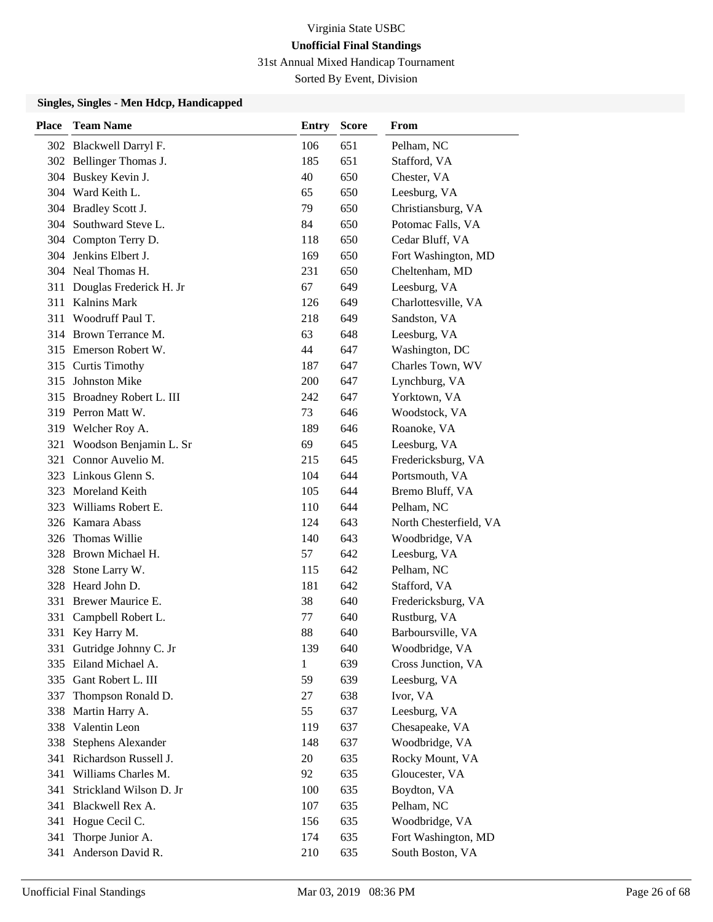31st Annual Mixed Handicap Tournament

Sorted By Event, Division

| <b>Place</b> | <b>Team Name</b>                     | Entry        | <b>Score</b> | From                          |
|--------------|--------------------------------------|--------------|--------------|-------------------------------|
|              | 302 Blackwell Darryl F.              | 106          | 651          | Pelham, NC                    |
|              | 302 Bellinger Thomas J.              | 185          | 651          | Stafford, VA                  |
|              | 304 Buskey Kevin J.                  | 40           | 650          | Chester, VA                   |
|              | 304 Ward Keith L.                    | 65           | 650          | Leesburg, VA                  |
|              | 304 Bradley Scott J.                 | 79           | 650          | Christiansburg, VA            |
| 304          | Southward Steve L.                   | 84           | 650          | Potomac Falls, VA             |
|              | 304 Compton Terry D.                 | 118          | 650          | Cedar Bluff, VA               |
|              | 304 Jenkins Elbert J.                | 169          | 650          | Fort Washington, MD           |
|              | 304 Neal Thomas H.                   | 231          | 650          | Cheltenham, MD                |
| 311          | Douglas Frederick H. Jr              | 67           | 649          | Leesburg, VA                  |
| 311          | <b>Kalnins Mark</b>                  | 126          | 649          | Charlottesville, VA           |
| 311          | Woodruff Paul T.                     | 218          | 649          | Sandston, VA                  |
|              | 314 Brown Terrance M.                | 63           | 648          | Leesburg, VA                  |
|              | 315 Emerson Robert W.                | 44           | 647          | Washington, DC                |
|              | 315 Curtis Timothy                   | 187          | 647          | Charles Town, WV              |
| 315          | Johnston Mike                        | 200          | 647          | Lynchburg, VA                 |
|              | 315 Broadney Robert L. III           | 242          | 647          | Yorktown, VA                  |
|              | 319 Perron Matt W.                   | 73           | 646          | Woodstock, VA                 |
| 319          | Welcher Roy A.                       | 189          | 646          | Roanoke, VA                   |
| 321          | Woodson Benjamin L. Sr               | 69           | 645          | Leesburg, VA                  |
| 321          | Connor Auvelio M.                    | 215          | 645          | Fredericksburg, VA            |
|              | 323 Linkous Glenn S.                 | 104          | 644<br>644   | Portsmouth, VA                |
| 323<br>323   | Moreland Keith<br>Williams Robert E. | 105<br>110   | 644          | Bremo Bluff, VA<br>Pelham, NC |
|              | 326 Kamara Abass                     | 124          | 643          | North Chesterfield, VA        |
| 326          | Thomas Willie                        | 140          | 643          | Woodbridge, VA                |
| 328          | Brown Michael H.                     | 57           | 642          | Leesburg, VA                  |
| 328          | Stone Larry W.                       | 115          | 642          | Pelham, NC                    |
| 328          | Heard John D.                        | 181          | 642          | Stafford, VA                  |
| 331          | Brewer Maurice E.                    | 38           | 640          | Fredericksburg, VA            |
| 331          | Campbell Robert L.                   | 77           | 640          | Rustburg, VA                  |
|              | 331 Key Harry M.                     | 88           | 640          | Barboursville, VA             |
| 331          | Gutridge Johnny C. Jr                | 139          | 640          | Woodbridge, VA                |
|              | 335 Eiland Michael A.                | $\mathbf{1}$ | 639          | Cross Junction, VA            |
| 335          | Gant Robert L. III                   | 59           | 639          | Leesburg, VA                  |
| 337          | Thompson Ronald D.                   | 27           | 638          | Ivor, VA                      |
| 338          | Martin Harry A.                      | 55           | 637          | Leesburg, VA                  |
| 338          | Valentin Leon                        | 119          | 637          | Chesapeake, VA                |
| 338          | Stephens Alexander                   | 148          | 637          | Woodbridge, VA                |
| 341          | Richardson Russell J.                | 20           | 635          | Rocky Mount, VA               |
| 341          | Williams Charles M.                  | 92           | 635          | Gloucester, VA                |
| 341          | Strickland Wilson D. Jr              | 100          | 635          | Boydton, VA                   |
| 341          | Blackwell Rex A.                     | 107          | 635          | Pelham, NC                    |
| 341          | Hogue Cecil C.                       | 156          | 635          | Woodbridge, VA                |
| 341          | Thorpe Junior A.                     | 174          | 635          | Fort Washington, MD           |
| 341          | Anderson David R.                    | 210          | 635          | South Boston, VA              |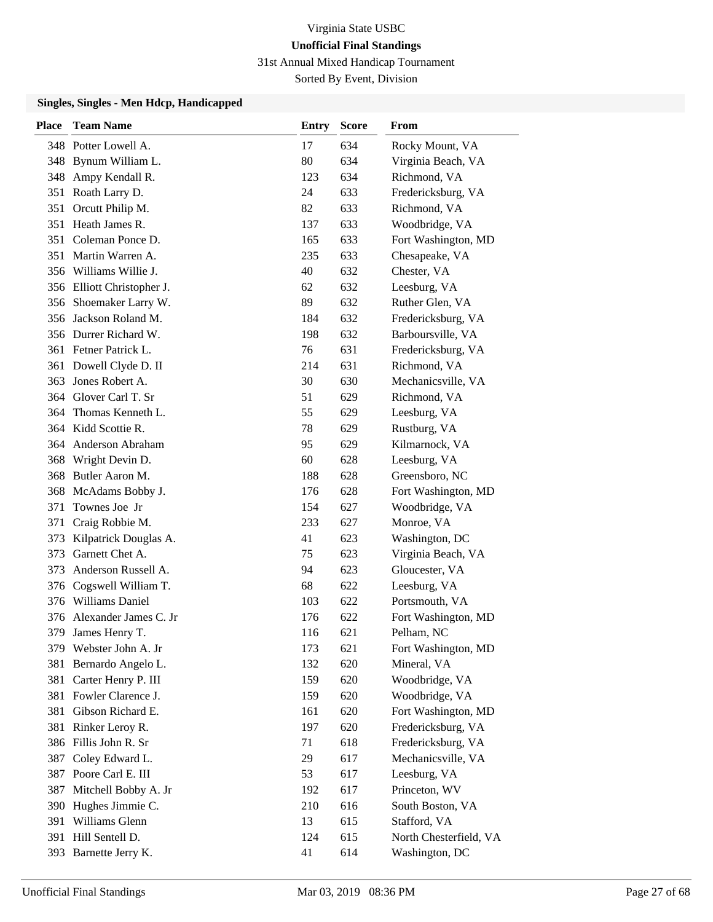31st Annual Mixed Handicap Tournament

Sorted By Event, Division

| Place | <b>Team Name</b>           | Entry | Score | From                   |
|-------|----------------------------|-------|-------|------------------------|
|       | 348 Potter Lowell A.       | 17    | 634   | Rocky Mount, VA        |
|       | 348 Bynum William L.       | 80    | 634   | Virginia Beach, VA     |
|       | 348 Ampy Kendall R.        | 123   | 634   | Richmond, VA           |
| 351   | Roath Larry D.             | 24    | 633   | Fredericksburg, VA     |
| 351   | Orcutt Philip M.           | 82    | 633   | Richmond, VA           |
| 351   | Heath James R.             | 137   | 633   | Woodbridge, VA         |
|       | 351 Coleman Ponce D.       | 165   | 633   | Fort Washington, MD    |
|       | 351 Martin Warren A.       | 235   | 633   | Chesapeake, VA         |
|       | 356 Williams Willie J.     | 40    | 632   | Chester, VA            |
|       | 356 Elliott Christopher J. | 62    | 632   | Leesburg, VA           |
|       | 356 Shoemaker Larry W.     | 89    | 632   | Ruther Glen, VA        |
|       | 356 Jackson Roland M.      | 184   | 632   | Fredericksburg, VA     |
|       | 356 Durrer Richard W.      | 198   | 632   | Barboursville, VA      |
|       | 361 Fetner Patrick L.      | 76    | 631   | Fredericksburg, VA     |
| 361   | Dowell Clyde D. II         | 214   | 631   | Richmond, VA           |
| 363   | Jones Robert A.            | 30    | 630   | Mechanicsville, VA     |
| 364   | Glover Carl T. Sr          | 51    | 629   | Richmond, VA           |
| 364   | Thomas Kenneth L.          | 55    | 629   | Leesburg, VA           |
|       | 364 Kidd Scottie R.        | 78    | 629   | Rustburg, VA           |
|       | 364 Anderson Abraham       | 95    | 629   | Kilmarnock, VA         |
| 368   | Wright Devin D.            | 60    | 628   | Leesburg, VA           |
| 368   | Butler Aaron M.            | 188   | 628   | Greensboro, NC         |
| 368   | McAdams Bobby J.           | 176   | 628   | Fort Washington, MD    |
| 371   | Townes Joe Jr              | 154   | 627   | Woodbridge, VA         |
| 371   | Craig Robbie M.            | 233   | 627   | Monroe, VA             |
| 373   | Kilpatrick Douglas A.      | 41    | 623   | Washington, DC         |
| 373   | Garnett Chet A.            | 75    | 623   | Virginia Beach, VA     |
| 373   | Anderson Russell A.        | 94    | 623   | Gloucester, VA         |
| 376   | Cogswell William T.        | 68    | 622   | Leesburg, VA           |
|       | 376 Williams Daniel        | 103   | 622   | Portsmouth, VA         |
|       | 376 Alexander James C. Jr  | 176   | 622   | Fort Washington, MD    |
| 379   | James Henry T.             | 116   | 621   | Pelham, NC             |
|       | 379 Webster John A. Jr     | 173   | 621   | Fort Washington, MD    |
| 381   | Bernardo Angelo L.         | 132   | 620   | Mineral, VA            |
| 381   | Carter Henry P. III        | 159   | 620   | Woodbridge, VA         |
| 381   | Fowler Clarence J.         | 159   | 620   | Woodbridge, VA         |
| 381   | Gibson Richard E.          | 161   | 620   | Fort Washington, MD    |
| 381   | Rinker Leroy R.            | 197   | 620   | Fredericksburg, VA     |
|       | 386 Fillis John R. Sr      | 71    | 618   | Fredericksburg, VA     |
| 387   | Coley Edward L.            | 29    | 617   | Mechanicsville, VA     |
|       | 387 Poore Carl E. III      | 53    | 617   | Leesburg, VA           |
| 387   | Mitchell Bobby A. Jr       | 192   | 617   | Princeton, WV          |
|       | 390 Hughes Jimmie C.       | 210   | 616   | South Boston, VA       |
| 391   | Williams Glenn             | 13    | 615   | Stafford, VA           |
|       | 391 Hill Sentell D.        | 124   | 615   | North Chesterfield, VA |
|       | 393 Barnette Jerry K.      | 41    | 614   | Washington, DC         |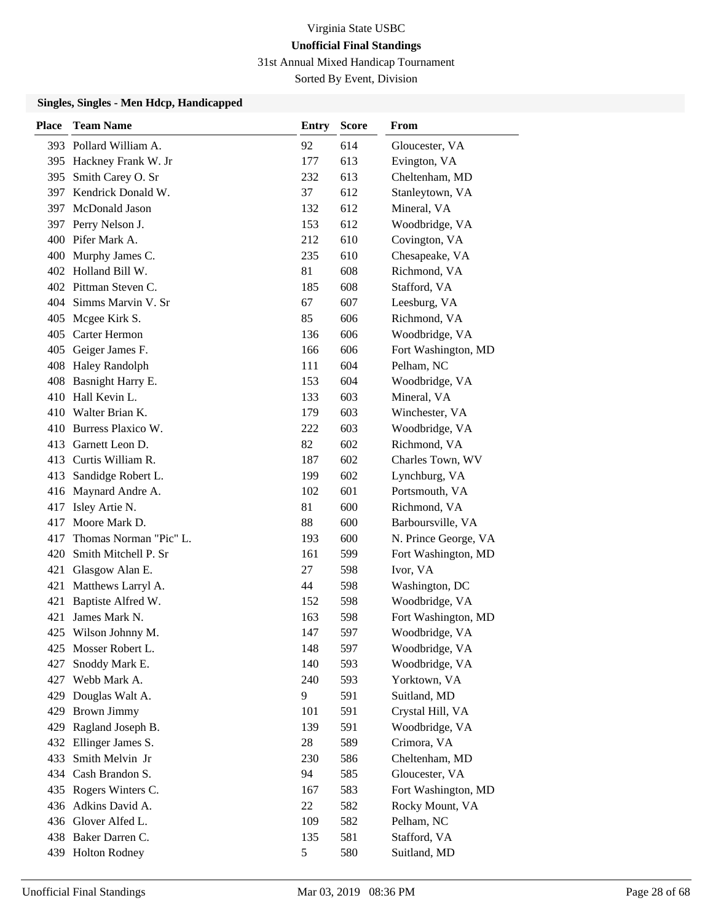31st Annual Mixed Handicap Tournament

Sorted By Event, Division

| <b>Place</b> | <b>Team Name</b>        | <b>Entry</b> | <b>Score</b> | From                 |
|--------------|-------------------------|--------------|--------------|----------------------|
|              | 393 Pollard William A.  | 92           | 614          | Gloucester, VA       |
|              | 395 Hackney Frank W. Jr | 177          | 613          | Evington, VA         |
| 395          | Smith Carey O. Sr       | 232          | 613          | Cheltenham, MD       |
|              | 397 Kendrick Donald W.  | 37           | 612          | Stanleytown, VA      |
|              | 397 McDonald Jason      | 132          | 612          | Mineral, VA          |
|              | 397 Perry Nelson J.     | 153          | 612          | Woodbridge, VA       |
|              | 400 Pifer Mark A.       | 212          | 610          | Covington, VA        |
|              | 400 Murphy James C.     | 235          | 610          | Chesapeake, VA       |
|              | 402 Holland Bill W.     | 81           | 608          | Richmond, VA         |
|              | 402 Pittman Steven C.   | 185          | 608          | Stafford, VA         |
|              | 404 Simms Marvin V. Sr  | 67           | 607          | Leesburg, VA         |
|              | 405 Mcgee Kirk S.       | 85           | 606          | Richmond, VA         |
| 405          | Carter Hermon           | 136          | 606          | Woodbridge, VA       |
| 405          | Geiger James F.         | 166          | 606          | Fort Washington, MD  |
| 408          | <b>Haley Randolph</b>   | 111          | 604          | Pelham, NC           |
|              | 408 Basnight Harry E.   | 153          | 604          | Woodbridge, VA       |
| 410          | Hall Kevin L.           | 133          | 603          | Mineral, VA          |
|              | 410 Walter Brian K.     | 179          | 603          | Winchester, VA       |
|              | 410 Burress Plaxico W.  | 222          | 603          | Woodbridge, VA       |
| 413          | Garnett Leon D.         | 82           | 602          | Richmond, VA         |
|              | 413 Curtis William R.   | 187          | 602          | Charles Town, WV     |
| 413          | Sandidge Robert L.      | 199          | 602          | Lynchburg, VA        |
|              | 416 Maynard Andre A.    | 102          | 601          | Portsmouth, VA       |
| 417          | Isley Artie N.          | 81           | 600          | Richmond, VA         |
| 417          | Moore Mark D.           | 88           | 600          | Barboursville, VA    |
| 417          | Thomas Norman "Pic" L.  | 193          | 600          | N. Prince George, VA |
| 420          | Smith Mitchell P. Sr    | 161          | 599          | Fort Washington, MD  |
| 421          | Glasgow Alan E.         | 27           | 598          | Ivor, VA             |
| 421          | Matthews Larryl A.      | 44           | 598          | Washington, DC       |
| 421          | Baptiste Alfred W.      | 152          | 598          | Woodbridge, VA       |
| 421          | James Mark N.           | 163          | 598          | Fort Washington, MD  |
|              | 425 Wilson Johnny M.    | 147          | 597          | Woodbridge, VA       |
|              | 425 Mosser Robert L.    | 148          | 597          | Woodbridge, VA       |
| 427          | Snoddy Mark E.          | 140          | 593          | Woodbridge, VA       |
| 427          | Webb Mark A.            | 240          | 593          | Yorktown, VA         |
|              | 429 Douglas Walt A.     | 9            | 591          | Suitland, MD         |
|              | 429 Brown Jimmy         | 101          | 591          | Crystal Hill, VA     |
| 429          | Ragland Joseph B.       | 139          | 591          | Woodbridge, VA       |
| 432          | Ellinger James S.       | 28           | 589          | Crimora, VA          |
| 433          | Smith Melvin Jr         | 230          | 586          | Cheltenham, MD       |
|              | 434 Cash Brandon S.     | 94           | 585          | Gloucester, VA       |
|              | 435 Rogers Winters C.   | 167          | 583          | Fort Washington, MD  |
|              | 436 Adkins David A.     | 22           | 582          | Rocky Mount, VA      |
|              | 436 Glover Alfed L.     | 109          | 582          | Pelham, NC           |
|              | 438 Baker Darren C.     | 135          | 581          | Stafford, VA         |
|              | 439 Holton Rodney       | 5            | 580          | Suitland, MD         |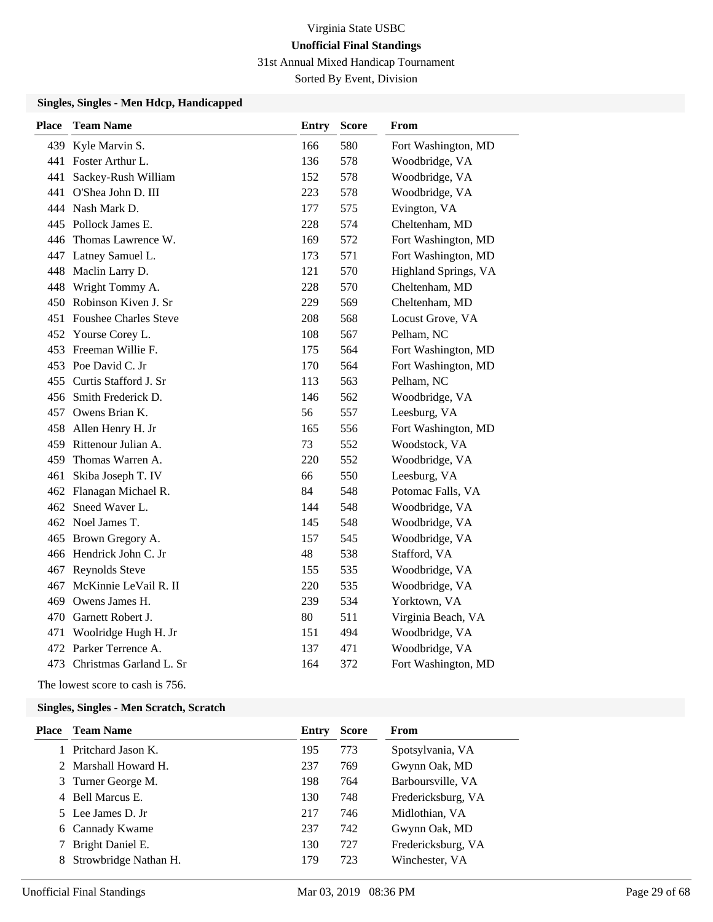31st Annual Mixed Handicap Tournament

Sorted By Event, Division

### **Singles, Singles - Men Hdcp, Handicapped**

| <b>Place</b> | <b>Team Name</b>             | <b>Entry</b> | <b>Score</b> | From                 |
|--------------|------------------------------|--------------|--------------|----------------------|
|              | 439 Kyle Marvin S.           | 166          | 580          | Fort Washington, MD  |
|              | 441 Foster Arthur L.         | 136          | 578          | Woodbridge, VA       |
| 441          | Sackey-Rush William          | 152          | 578          | Woodbridge, VA       |
| 441          | O'Shea John D. III           | 223          | 578          | Woodbridge, VA       |
|              | 444 Nash Mark D.             | 177          | 575          | Evington, VA         |
|              | 445 Pollock James E.         | 228          | 574          | Cheltenham, MD       |
|              | 446 Thomas Lawrence W.       | 169          | 572          | Fort Washington, MD  |
| 447          | Latney Samuel L.             | 173          | 571          | Fort Washington, MD  |
| 448          | Maclin Larry D.              | 121          | 570          | Highland Springs, VA |
| 448          | Wright Tommy A.              | 228          | 570          | Cheltenham, MD       |
| 450          | Robinson Kiven J. Sr         | 229          | 569          | Cheltenham, MD       |
| 451          | <b>Foushee Charles Steve</b> | 208          | 568          | Locust Grove, VA     |
| 452          | Yourse Corey L.              | 108          | 567          | Pelham, NC           |
| 453          | Freeman Willie F.            | 175          | 564          | Fort Washington, MD  |
|              | 453 Poe David C. Jr          | 170          | 564          | Fort Washington, MD  |
| 455          | Curtis Stafford J. Sr        | 113          | 563          | Pelham, NC           |
|              | 456 Smith Frederick D.       | 146          | 562          | Woodbridge, VA       |
|              | 457 Owens Brian K.           | 56           | 557          | Leesburg, VA         |
| 458          | Allen Henry H. Jr            | 165          | 556          | Fort Washington, MD  |
| 459          | Rittenour Julian A.          | 73           | 552          | Woodstock, VA        |
| 459          | Thomas Warren A.             | 220          | 552          | Woodbridge, VA       |
| 461          | Skiba Joseph T. IV           | 66           | 550          | Leesburg, VA         |
| 462          | Flanagan Michael R.          | 84           | 548          | Potomac Falls, VA    |
| 462          | Sneed Waver L.               | 144          | 548          | Woodbridge, VA       |
|              | 462 Noel James T.            | 145          | 548          | Woodbridge, VA       |
|              | 465 Brown Gregory A.         | 157          | 545          | Woodbridge, VA       |
|              | 466 Hendrick John C. Jr      | 48           | 538          | Stafford, VA         |
| 467          | Reynolds Steve               | 155          | 535          | Woodbridge, VA       |
| 467          | McKinnie LeVail R. II        | 220          | 535          | Woodbridge, VA       |
| 469          | Owens James H.               | 239          | 534          | Yorktown, VA         |
| 470          | Garnett Robert J.            | 80           | 511          | Virginia Beach, VA   |
| 471          | Woolridge Hugh H. Jr         | 151          | 494          | Woodbridge, VA       |
| 472          | Parker Terrence A.           | 137          | 471          | Woodbridge, VA       |
|              | 473 Christmas Garland L. Sr  | 164          | 372          | Fort Washington, MD  |

The lowest score to cash is 756.

#### **Singles, Singles - Men Scratch, Scratch**

| Place | <b>Team Name</b>      | Entry | <b>Score</b> | <b>From</b>        |
|-------|-----------------------|-------|--------------|--------------------|
|       | Pritchard Jason K.    | 195   | 773          | Spotsylvania, VA   |
|       | 2 Marshall Howard H.  | 237   | 769          | Gwynn Oak, MD      |
|       | 3 Turner George M.    | 198   | 764          | Barboursville, VA  |
|       | 4 Bell Marcus E.      | 130   | 748          | Fredericksburg, VA |
|       | 5 Lee James D. Jr     | 217   | 746          | Midlothian, VA     |
|       | 6 Cannady Kwame       | 237   | 742          | Gwynn Oak, MD      |
|       | Bright Daniel E.      | 130   | 727          | Fredericksburg, VA |
| 8     | Strowbridge Nathan H. | 179   | 723          | Winchester, VA     |
|       |                       |       |              |                    |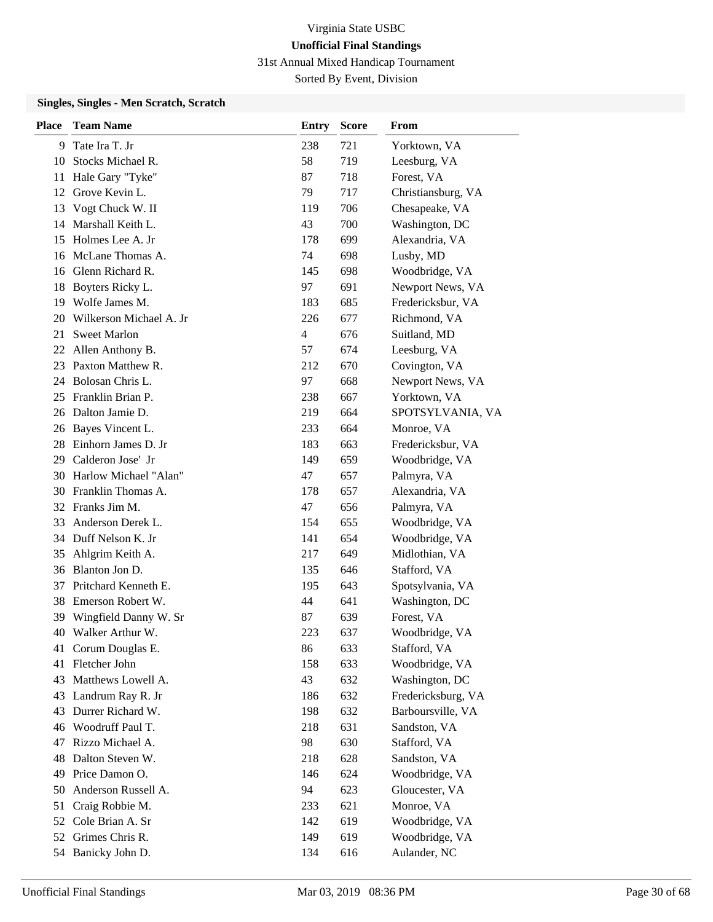31st Annual Mixed Handicap Tournament

Sorted By Event, Division

### **Singles, Singles - Men Scratch, Scratch**

| <b>Place</b> | <b>Team Name</b>         | <b>Entry</b> | <b>Score</b> | From               |
|--------------|--------------------------|--------------|--------------|--------------------|
| 9            | Tate Ira T. Jr           | 238          | 721          | Yorktown, VA       |
| 10           | Stocks Michael R.        | 58           | 719          | Leesburg, VA       |
| 11           | Hale Gary "Tyke"         | 87           | 718          | Forest, VA         |
| 12           | Grove Kevin L.           | 79           | 717          | Christiansburg, VA |
| 13           | Vogt Chuck W. II         | 119          | 706          | Chesapeake, VA     |
| 14           | Marshall Keith L.        | 43           | 700          | Washington, DC     |
| 15           | Holmes Lee A. Jr         | 178          | 699          | Alexandria, VA     |
| 16           | McLane Thomas A.         | 74           | 698          | Lusby, MD          |
|              | 16 Glenn Richard R.      | 145          | 698          | Woodbridge, VA     |
| 18           | Boyters Ricky L.         | 97           | 691          | Newport News, VA   |
| 19           | Wolfe James M.           | 183          | 685          | Fredericksbur, VA  |
| 20           | Wilkerson Michael A. Jr  | 226          | 677          | Richmond, VA       |
| 21           | <b>Sweet Marlon</b>      | 4            | 676          | Suitland, MD       |
|              | 22 Allen Anthony B.      | 57           | 674          | Leesburg, VA       |
|              | 23 Paxton Matthew R.     | 212          | 670          | Covington, VA      |
| 24           | Bolosan Chris L.         | 97           | 668          | Newport News, VA   |
| 25           | Franklin Brian P.        | 238          | 667          | Yorktown, VA       |
|              | 26 Dalton Jamie D.       | 219          | 664          | SPOTSYLVANIA, VA   |
|              | 26 Bayes Vincent L.      | 233          | 664          | Monroe, VA         |
| 28.          | Einhorn James D. Jr      | 183          | 663          | Fredericksbur, VA  |
| 29           | Calderon Jose' Jr        | 149          | 659          | Woodbridge, VA     |
|              | 30 Harlow Michael "Alan" | 47           | 657          | Palmyra, VA        |
|              | 30 Franklin Thomas A.    | 178          | 657          | Alexandria, VA     |
|              | 32 Franks Jim M.         | 47           | 656          | Palmyra, VA        |
| 33           | Anderson Derek L.        | 154          | 655          | Woodbridge, VA     |
| 34           | Duff Nelson K. Jr        | 141          | 654          | Woodbridge, VA     |
| 35           | Ahlgrim Keith A.         | 217          | 649          | Midlothian, VA     |
|              | 36 Blanton Jon D.        | 135          | 646          | Stafford, VA       |
| 37           | Pritchard Kenneth E.     | 195          | 643          | Spotsylvania, VA   |
| 38           | Emerson Robert W.        | 44           | 641          | Washington, DC     |
| 39           | Wingfield Danny W. Sr    | 87           | 639          | Forest, VA         |
|              | 40 Walker Arthur W.      | 223          | 637          | Woodbridge, VA     |
| 41           | Corum Douglas E.         | 86           | 633          | Stafford, VA       |
| 41           | Fletcher John            | 158          | 633          | Woodbridge, VA     |
| 43           | Matthews Lowell A.       | 43           | 632          | Washington, DC     |
| 43           | Landrum Ray R. Jr        | 186          | 632          | Fredericksburg, VA |
| 43           | Durrer Richard W.        | 198          | 632          | Barboursville, VA  |
| 46           | Woodruff Paul T.         | 218          | 631          | Sandston, VA       |
| 47           | Rizzo Michael A.         | 98           | 630          | Stafford, VA       |
| 48           | Dalton Steven W.         | 218          | 628          | Sandston, VA       |
| 49           | Price Damon O.           | 146          | 624          | Woodbridge, VA     |
| 50           | Anderson Russell A.      | 94           | 623          | Gloucester, VA     |
| 51           | Craig Robbie M.          | 233          | 621          | Monroe, VA         |
| 52           | Cole Brian A. Sr         | 142          | 619          | Woodbridge, VA     |
| 52           | Grimes Chris R.          | 149          | 619          | Woodbridge, VA     |
|              | 54 Banicky John D.       | 134          | 616          | Aulander, NC       |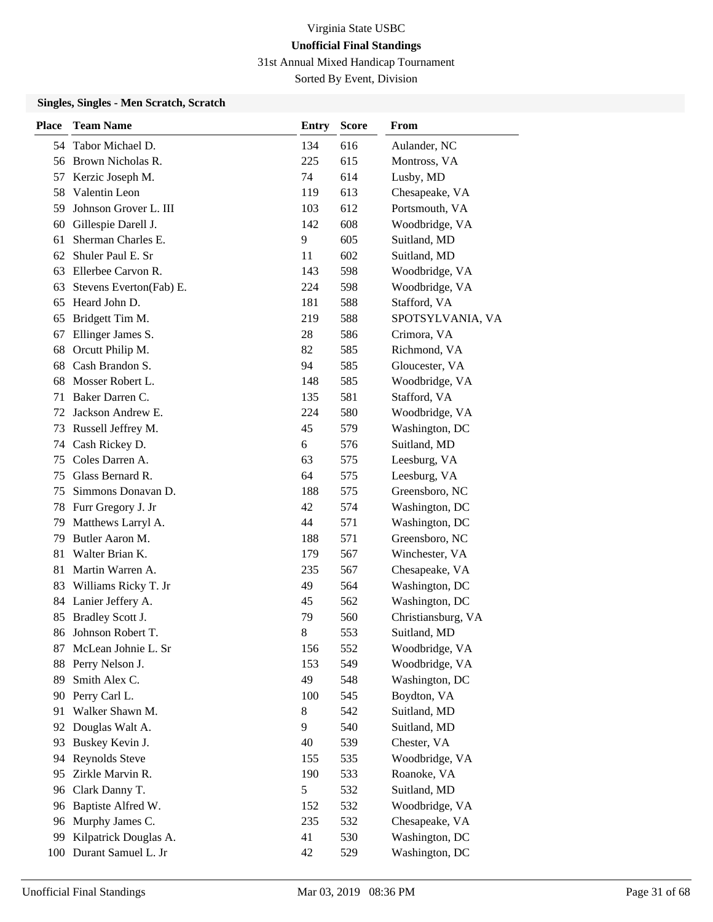31st Annual Mixed Handicap Tournament

Sorted By Event, Division

### **Singles, Singles - Men Scratch, Scratch**

| <b>Place</b> | <b>Team Name</b>        | <b>Entry</b> | <b>Score</b> | From               |
|--------------|-------------------------|--------------|--------------|--------------------|
| 54           | Tabor Michael D.        | 134          | 616          | Aulander, NC       |
| 56           | Brown Nicholas R.       | 225          | 615          | Montross, VA       |
| 57           | Kerzic Joseph M.        | 74           | 614          | Lusby, MD          |
| 58           | Valentin Leon           | 119          | 613          | Chesapeake, VA     |
| 59           | Johnson Grover L. III   | 103          | 612          | Portsmouth, VA     |
| 60           | Gillespie Darell J.     | 142          | 608          | Woodbridge, VA     |
| 61           | Sherman Charles E.      | 9            | 605          | Suitland, MD       |
| 62           | Shuler Paul E. Sr       | 11           | 602          | Suitland, MD       |
| 63           | Ellerbee Carvon R.      | 143          | 598          | Woodbridge, VA     |
| 63           | Stevens Everton(Fab) E. | 224          | 598          | Woodbridge, VA     |
| 65           | Heard John D.           | 181          | 588          | Stafford, VA       |
| 65           | Bridgett Tim M.         | 219          | 588          | SPOTSYLVANIA, VA   |
| 67           | Ellinger James S.       | 28           | 586          | Crimora, VA        |
| 68           | Orcutt Philip M.        | 82           | 585          | Richmond, VA       |
| 68           | Cash Brandon S.         | 94           | 585          | Gloucester, VA     |
| 68           | Mosser Robert L.        | 148          | 585          | Woodbridge, VA     |
| 71           | Baker Darren C.         | 135          | 581          | Stafford, VA       |
| 72           | Jackson Andrew E.       | 224          | 580          | Woodbridge, VA     |
| 73           | Russell Jeffrey M.      | 45           | 579          | Washington, DC     |
| 74           | Cash Rickey D.          | 6            | 576          | Suitland, MD       |
| 75           | Coles Darren A.         | 63           | 575          | Leesburg, VA       |
| 75           | Glass Bernard R.        | 64           | 575          | Leesburg, VA       |
| 75           | Simmons Donavan D.      | 188          | 575          | Greensboro, NC     |
| 78           | Furr Gregory J. Jr      | 42           | 574          | Washington, DC     |
| 79           | Matthews Larryl A.      | 44           | 571          | Washington, DC     |
| 79           | Butler Aaron M.         | 188          | 571          | Greensboro, NC     |
| 81           | Walter Brian K.         | 179          | 567          | Winchester, VA     |
| 81           | Martin Warren A.        | 235          | 567          | Chesapeake, VA     |
| 83           | Williams Ricky T. Jr    | 49           | 564          | Washington, DC     |
| 84           | Lanier Jeffery A.       | 45           | 562          | Washington, DC     |
| 85           | Bradley Scott J.        | 79           | 560          | Christiansburg, VA |
| 86           | Johnson Robert T.       | 8            | 553          | Suitland, MD       |
| 87           | McLean Johnie L. Sr     | 156          | 552          | Woodbridge, VA     |
| 88           | Perry Nelson J.         | 153          | 549          | Woodbridge, VA     |
| 89           | Smith Alex C.           | 49           | 548          | Washington, DC     |
| 90           | Perry Carl L.           | 100          | 545          | Boydton, VA        |
| 91           | Walker Shawn M.         | 8            | 542          | Suitland, MD       |
| 92           | Douglas Walt A.         | 9            | 540          | Suitland, MD       |
| 93           | Buskey Kevin J.         | 40           | 539          | Chester, VA        |
| 94           | Reynolds Steve          | 155          | 535          | Woodbridge, VA     |
| 95           | Zirkle Marvin R.        | 190          | 533          | Roanoke, VA        |
| 96           | Clark Danny T.          | 5            | 532          | Suitland, MD       |
| 96           | Baptiste Alfred W.      | 152          | 532          | Woodbridge, VA     |
| 96           | Murphy James C.         | 235          | 532          | Chesapeake, VA     |
| 99           | Kilpatrick Douglas A.   | 41           | 530          | Washington, DC     |
| 100          | Durant Samuel L. Jr     | 42           | 529          | Washington, DC     |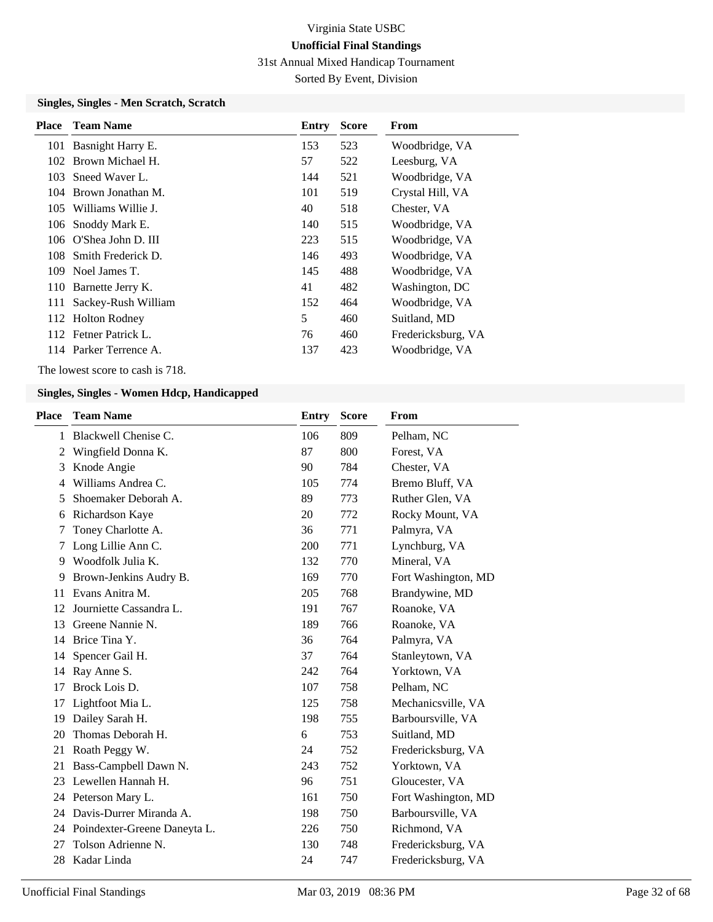31st Annual Mixed Handicap Tournament

Sorted By Event, Division

### **Singles, Singles - Men Scratch, Scratch**

| <b>Place</b> | <b>Team Name</b>       | Entry | <b>Score</b> | From               |
|--------------|------------------------|-------|--------------|--------------------|
|              | 101 Basnight Harry E.  | 153   | 523          | Woodbridge, VA     |
|              | 102 Brown Michael H.   | 57    | 522          | Leesburg, VA       |
| 103          | Sneed Waver L.         | 144   | 521          | Woodbridge, VA     |
|              | 104 Brown Jonathan M.  | 101   | 519          | Crystal Hill, VA   |
| 105          | Williams Willie J.     | 40    | 518          | Chester, VA        |
|              | 106 Snoddy Mark E.     | 140   | 515          | Woodbridge, VA     |
|              | 106 O'Shea John D. III | 223   | 515          | Woodbridge, VA     |
| 108.         | Smith Frederick D.     | 146   | 493          | Woodbridge, VA     |
|              | 109 Noel James T.      | 145   | 488          | Woodbridge, VA     |
|              | 110 Barnette Jerry K.  | 41    | 482          | Washington, DC     |
| 111          | Sackey-Rush William    | 152   | 464          | Woodbridge, VA     |
|              | 112 Holton Rodney      | 5     | 460          | Suitland, MD       |
|              | 112 Fetner Patrick L.  | 76    | 460          | Fredericksburg, VA |
|              | 114 Parker Terrence A. | 137   | 423          | Woodbridge, VA     |

The lowest score to cash is 718.

| <b>Place</b> | <b>Team Name</b>             | <b>Entry</b> | <b>Score</b> | From                |
|--------------|------------------------------|--------------|--------------|---------------------|
| 1            | Blackwell Chenise C.         | 106          | 809          | Pelham, NC          |
| 2            | Wingfield Donna K.           | 87           | 800          | Forest, VA          |
| 3            | Knode Angie                  | 90           | 784          | Chester, VA         |
| 4            | Williams Andrea C.           | 105          | 774          | Bremo Bluff, VA     |
| 5            | Shoemaker Deborah A.         | 89           | 773          | Ruther Glen, VA     |
| 6            | Richardson Kaye              | 20           | 772          | Rocky Mount, VA     |
| 7            | Toney Charlotte A.           | 36           | 771          | Palmyra, VA         |
| 7            | Long Lillie Ann C.           | 200          | 771          | Lynchburg, VA       |
| 9            | Woodfolk Julia K.            | 132          | 770          | Mineral, VA         |
| 9            | Brown-Jenkins Audry B.       | 169          | 770          | Fort Washington, MD |
| 11           | Evans Anitra M.              | 205          | 768          | Brandywine, MD      |
| 12           | Journiette Cassandra L.      | 191          | 767          | Roanoke, VA         |
| 13           | Greene Nannie N.             | 189          | 766          | Roanoke, VA         |
| 14           | Brice Tina Y.                | 36           | 764          | Palmyra, VA         |
| 14           | Spencer Gail H.              | 37           | 764          | Stanleytown, VA     |
| 14           | Ray Anne S.                  | 242          | 764          | Yorktown, VA        |
| 17           | Brock Lois D.                | 107          | 758          | Pelham, NC          |
| 17           | Lightfoot Mia L.             | 125          | 758          | Mechanicsville, VA  |
| 19           | Dailey Sarah H.              | 198          | 755          | Barboursville, VA   |
| 20           | Thomas Deborah H.            | 6            | 753          | Suitland, MD        |
| 21           | Roath Peggy W.               | 24           | 752          | Fredericksburg, VA  |
| 21           | Bass-Campbell Dawn N.        | 243          | 752          | Yorktown, VA        |
| 23           | Lewellen Hannah H.           | 96           | 751          | Gloucester, VA      |
|              | 24 Peterson Mary L.          | 161          | 750          | Fort Washington, MD |
| 24           | Davis-Durrer Miranda A.      | 198          | 750          | Barboursville, VA   |
| 24           | Poindexter-Greene Daneyta L. | 226          | 750          | Richmond, VA        |
| 27           | Tolson Adrienne N.           | 130          | 748          | Fredericksburg, VA  |
| 28           | Kadar Linda                  | 24           | 747          | Fredericksburg, VA  |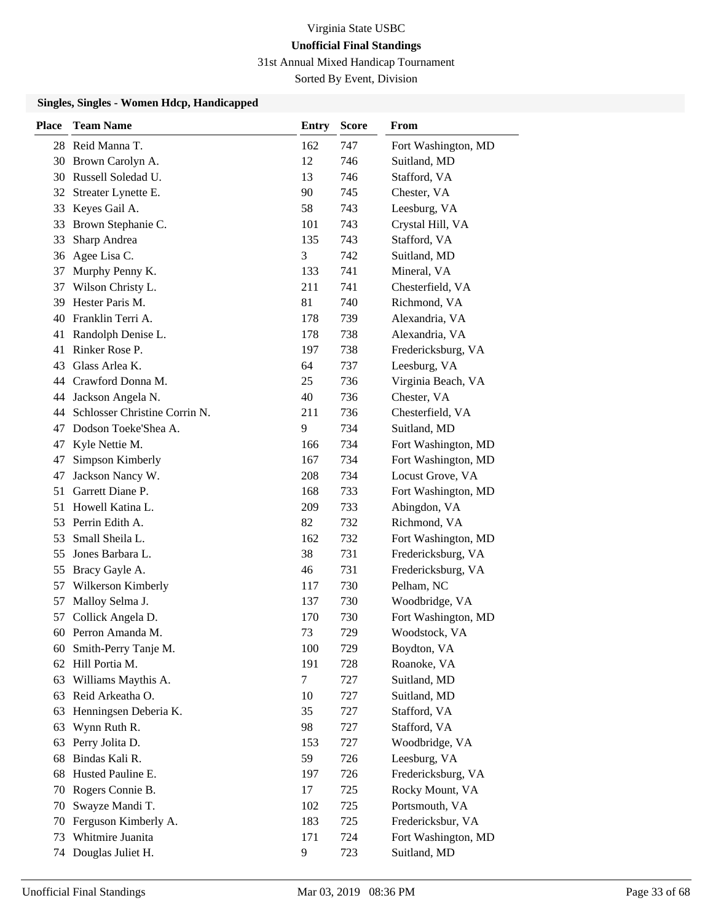31st Annual Mixed Handicap Tournament

Sorted By Event, Division

| <b>Place</b> | <b>Team Name</b>              | <b>Entry</b> | <b>Score</b> | From                |
|--------------|-------------------------------|--------------|--------------|---------------------|
|              | 28 Reid Manna T.              | 162          | 747          | Fort Washington, MD |
| 30           | Brown Carolyn A.              | 12           | 746          | Suitland, MD        |
| 30           | Russell Soledad U.            | 13           | 746          | Stafford, VA        |
| 32           | Streater Lynette E.           | 90           | 745          | Chester, VA         |
| 33           | Keyes Gail A.                 | 58           | 743          | Leesburg, VA        |
| 33           | Brown Stephanie C.            | 101          | 743          | Crystal Hill, VA    |
| 33           | Sharp Andrea                  | 135          | 743          | Stafford, VA        |
| 36           | Agee Lisa C.                  | 3            | 742          | Suitland, MD        |
| 37           | Murphy Penny K.               | 133          | 741          | Mineral, VA         |
| 37           | Wilson Christy L.             | 211          | 741          | Chesterfield, VA    |
| 39           | Hester Paris M.               | 81           | 740          | Richmond, VA        |
| 40           | Franklin Terri A.             | 178          | 739          | Alexandria, VA      |
| 41           | Randolph Denise L.            | 178          | 738          | Alexandria, VA      |
| 41           | Rinker Rose P.                | 197          | 738          | Fredericksburg, VA  |
| 43           | Glass Arlea K.                | 64           | 737          | Leesburg, VA        |
|              | 44 Crawford Donna M.          | 25           | 736          | Virginia Beach, VA  |
| 44           | Jackson Angela N.             | 40           | 736          | Chester, VA         |
| 44           | Schlosser Christine Corrin N. | 211          | 736          | Chesterfield, VA    |
| 47           | Dodson Toeke'Shea A.          | 9            | 734          | Suitland, MD        |
| 47           | Kyle Nettie M.                | 166          | 734          | Fort Washington, MD |
| 47           | Simpson Kimberly              | 167          | 734          | Fort Washington, MD |
| 47           | Jackson Nancy W.              | 208          | 734          | Locust Grove, VA    |
| 51           | Garrett Diane P.              | 168          | 733          | Fort Washington, MD |
| 51           | Howell Katina L.              | 209          | 733          | Abingdon, VA        |
| 53           | Perrin Edith A.               | 82           | 732          | Richmond, VA        |
| 53           | Small Sheila L.               | 162          | 732          | Fort Washington, MD |
| 55           | Jones Barbara L.              | 38           | 731          | Fredericksburg, VA  |
| 55           | Bracy Gayle A.                | 46           | 731          | Fredericksburg, VA  |
| 57           | Wilkerson Kimberly            | 117          | 730          | Pelham, NC          |
| 57           | Malloy Selma J.               | 137          | 730          | Woodbridge, VA      |
| 57           | Collick Angela D.             | 170          | 730          | Fort Washington, MD |
| 60           | Perron Amanda M.              | 73           | 729          | Woodstock, VA       |
| 60           | Smith-Perry Tanje M.          | 100          | 729          | Boydton, VA         |
| 62           | Hill Portia M.                | 191          | 728          | Roanoke, VA         |
| 63           | Williams Maythis A.           | $\tau$       | 727          | Suitland, MD        |
| 63           | Reid Arkeatha O.              | 10           | 727          | Suitland, MD        |
| 63           | Henningsen Deberia K.         | 35           | 727          | Stafford, VA        |
| 63           | Wynn Ruth R.                  | 98           | 727          | Stafford, VA        |
| 63           | Perry Jolita D.               | 153          | 727          | Woodbridge, VA      |
| 68           | Bindas Kali R.                | 59           | 726          | Leesburg, VA        |
| 68           | Husted Pauline E.             | 197          | 726          | Fredericksburg, VA  |
| 70           | Rogers Connie B.              | 17           | 725          | Rocky Mount, VA     |
| 70           | Swayze Mandi T.               | 102          | 725          | Portsmouth, VA      |
| 70           | Ferguson Kimberly A.          | 183          | 725          | Fredericksbur, VA   |
| 73           | Whitmire Juanita              | 171          | 724          | Fort Washington, MD |
| 74           | Douglas Juliet H.             | 9            | 723          | Suitland, MD        |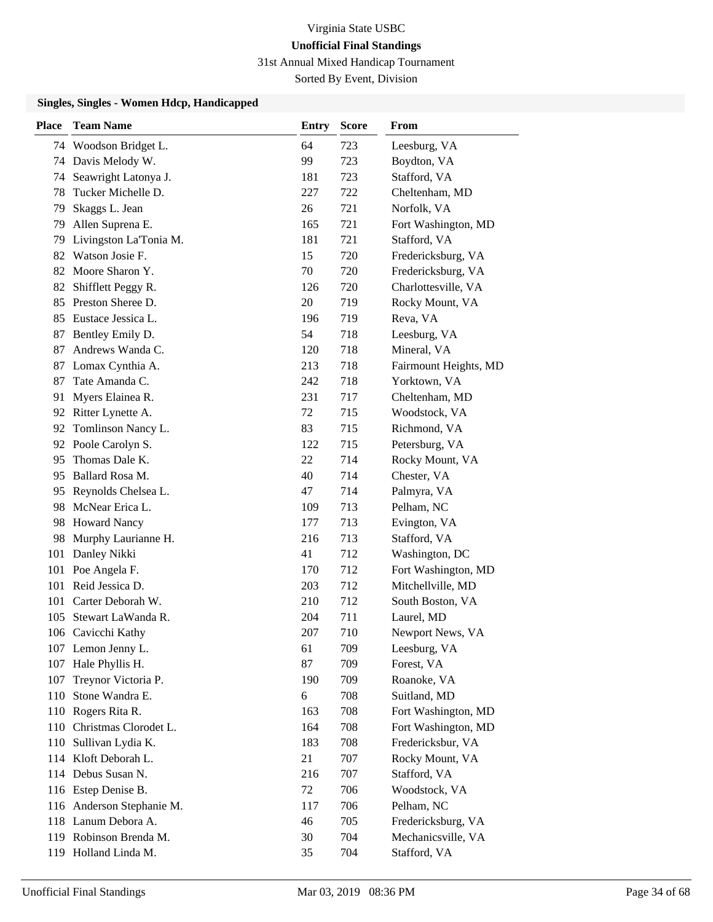31st Annual Mixed Handicap Tournament

Sorted By Event, Division

| <b>Place</b> | <b>Team Name</b>          | <b>Entry</b> | <b>Score</b> | From                  |
|--------------|---------------------------|--------------|--------------|-----------------------|
|              | 74 Woodson Bridget L.     | 64           | 723          | Leesburg, VA          |
| 74           | Davis Melody W.           | 99           | 723          | Boydton, VA           |
| 74           | Seawright Latonya J.      | 181          | 723          | Stafford, VA          |
| 78           | Tucker Michelle D.        | 227          | 722          | Cheltenham, MD        |
| 79           | Skaggs L. Jean            | 26           | 721          | Norfolk, VA           |
| 79           | Allen Suprena E.          | 165          | 721          | Fort Washington, MD   |
| 79           | Livingston La'Tonia M.    | 181          | 721          | Stafford, VA          |
|              | 82 Watson Josie F.        | 15           | 720          | Fredericksburg, VA    |
|              | 82 Moore Sharon Y.        | 70           | 720          | Fredericksburg, VA    |
| 82           | Shifflett Peggy R.        | 126          | 720          | Charlottesville, VA   |
|              | 85 Preston Sheree D.      | 20           | 719          | Rocky Mount, VA       |
| 85           | Eustace Jessica L.        | 196          | 719          | Reva, VA              |
| 87           | Bentley Emily D.          | 54           | 718          | Leesburg, VA          |
| 87           | Andrews Wanda C.          | 120          | 718          | Mineral, VA           |
| 87           | Lomax Cynthia A.          | 213          | 718          | Fairmount Heights, MD |
| 87           | Tate Amanda C.            | 242          | 718          | Yorktown, VA          |
| 91           | Myers Elainea R.          | 231          | 717          | Cheltenham, MD        |
|              | 92 Ritter Lynette A.      | 72           | 715          | Woodstock, VA         |
|              | 92 Tomlinson Nancy L.     | 83           | 715          | Richmond, VA          |
|              | 92 Poole Carolyn S.       | 122          | 715          | Petersburg, VA        |
| 95           | Thomas Dale K.            | 22           | 714          | Rocky Mount, VA       |
| 95           | Ballard Rosa M.           | 40           | 714          | Chester, VA           |
|              | 95 Reynolds Chelsea L.    | 47           | 714          | Palmyra, VA           |
| 98           | McNear Erica L.           | 109          | 713          | Pelham, NC            |
| 98           | <b>Howard Nancy</b>       | 177          | 713          | Evington, VA          |
| 98           | Murphy Laurianne H.       | 216          | 713          | Stafford, VA          |
| 101          | Danley Nikki              | 41           | 712          | Washington, DC        |
| 101          | Poe Angela F.             | 170          | 712          | Fort Washington, MD   |
| 101          | Reid Jessica D.           | 203          | 712          | Mitchellville, MD     |
| 101          | Carter Deborah W.         | 210          | 712          | South Boston, VA      |
|              | 105 Stewart LaWanda R.    | 204          | 711          | Laurel, MD            |
|              | 106 Cavicchi Kathy        | 207          | 710          | Newport News, VA      |
|              | 107 Lemon Jenny L.        | 61           | 709          | Leesburg, VA          |
|              | 107 Hale Phyllis H.       | 87           | 709          | Forest, VA            |
| 107          | Treynor Victoria P.       | 190          | 709          | Roanoke, VA           |
| 110          | Stone Wandra E.           | 6            | 708          | Suitland, MD          |
|              | 110 Rogers Rita R.        | 163          | 708          | Fort Washington, MD   |
| 110          | Christmas Clorodet L.     | 164          | 708          | Fort Washington, MD   |
| 110          | Sullivan Lydia K.         | 183          | 708          | Fredericksbur, VA     |
|              | 114 Kloft Deborah L.      | 21           | 707          | Rocky Mount, VA       |
|              | 114 Debus Susan N.        | 216          | 707          | Stafford, VA          |
|              | 116 Estep Denise B.       | 72           | 706          | Woodstock, VA         |
|              | 116 Anderson Stephanie M. | 117          | 706          | Pelham, NC            |
|              | 118 Lanum Debora A.       | 46           | 705          | Fredericksburg, VA    |
|              | 119 Robinson Brenda M.    | 30           | 704          | Mechanicsville, VA    |
|              | 119 Holland Linda M.      | 35           | 704          | Stafford, VA          |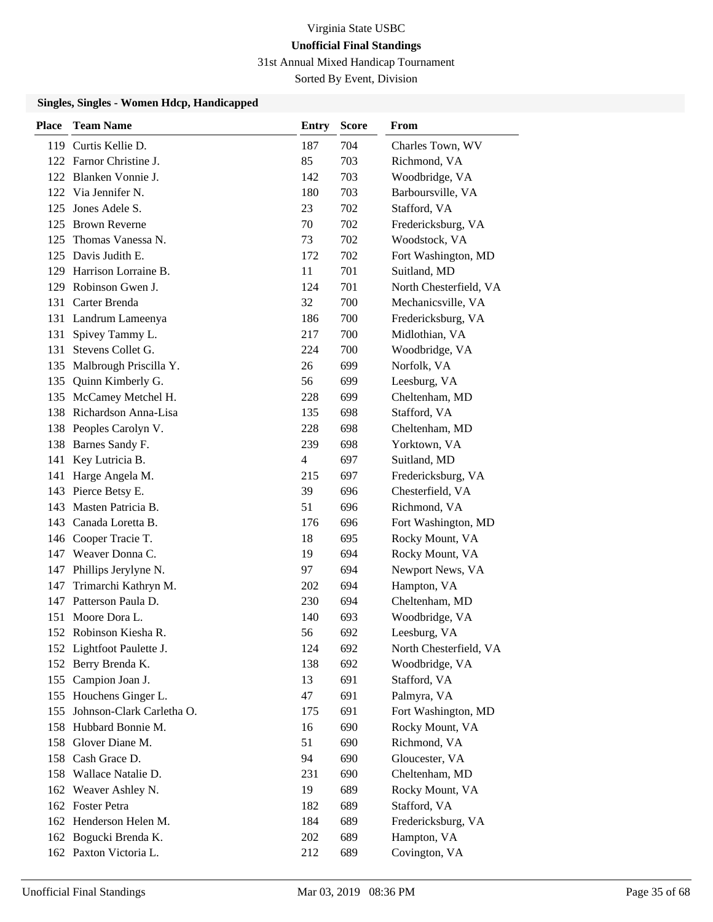31st Annual Mixed Handicap Tournament

Sorted By Event, Division

| <b>Place</b> | <b>Team Name</b>              | <b>Entry</b> | <b>Score</b> | From                   |
|--------------|-------------------------------|--------------|--------------|------------------------|
|              | 119 Curtis Kellie D.          | 187          | 704          | Charles Town, WV       |
|              | 122 Farnor Christine J.       | 85           | 703          | Richmond, VA           |
|              | 122 Blanken Vonnie J.         | 142          | 703          | Woodbridge, VA         |
|              | 122 Via Jennifer N.           | 180          | 703          | Barboursville, VA      |
|              | 125 Jones Adele S.            | 23           | 702          | Stafford, VA           |
|              | 125 Brown Reverne             | 70           | 702          | Fredericksburg, VA     |
|              | 125 Thomas Vanessa N.         | 73           | 702          | Woodstock, VA          |
|              | 125 Davis Judith E.           | 172          | 702          | Fort Washington, MD    |
|              | 129 Harrison Lorraine B.      | 11           | 701          | Suitland, MD           |
|              | 129 Robinson Gwen J.          | 124          | 701          | North Chesterfield, VA |
|              | 131 Carter Brenda             | 32           | 700          | Mechanicsville, VA     |
|              | 131 Landrum Lameenya          | 186          | 700          | Fredericksburg, VA     |
| 131          | Spivey Tammy L.               | 217          | 700          | Midlothian, VA         |
|              | 131 Stevens Collet G.         | 224          | 700          | Woodbridge, VA         |
|              | 135 Malbrough Priscilla Y.    | 26           | 699          | Norfolk, VA            |
|              | 135 Quinn Kimberly G.         | 56           | 699          | Leesburg, VA           |
|              | 135 McCamey Metchel H.        | 228          | 699          | Cheltenham, MD         |
|              | 138 Richardson Anna-Lisa      | 135          | 698          | Stafford, VA           |
|              | 138 Peoples Carolyn V.        | 228          | 698          | Cheltenham, MD         |
| 138          | Barnes Sandy F.               | 239          | 698          | Yorktown, VA           |
| 141          | Key Lutricia B.               | 4            | 697          | Suitland, MD           |
| 141          | Harge Angela M.               | 215          | 697          | Fredericksburg, VA     |
|              | 143 Pierce Betsy E.           | 39           | 696          | Chesterfield, VA       |
|              | 143 Masten Patricia B.        | 51           | 696          | Richmond, VA           |
|              | 143 Canada Loretta B.         | 176          | 696          | Fort Washington, MD    |
|              | 146 Cooper Tracie T.          | 18           | 695          | Rocky Mount, VA        |
|              | 147 Weaver Donna C.           | 19           | 694          | Rocky Mount, VA        |
|              | 147 Phillips Jerylyne N.      | 97           | 694          | Newport News, VA       |
| 147          | Trimarchi Kathryn M.          | 202          | 694          | Hampton, VA            |
|              | 147 Patterson Paula D.        | 230          | 694          | Cheltenham, MD         |
|              | 151 Moore Dora L.             | 140          | 693          | Woodbridge, VA         |
|              | 152 Robinson Kiesha R.        | 56           | 692          | Leesburg, VA           |
|              | 152 Lightfoot Paulette J.     | 124          | 692          | North Chesterfield, VA |
|              | 152 Berry Brenda K.           | 138          | 692          | Woodbridge, VA         |
|              | 155 Campion Joan J.           | 13           | 691          | Stafford, VA           |
|              | 155 Houchens Ginger L.        | 47           | 691          | Palmyra, VA            |
|              | 155 Johnson-Clark Carletha O. | 175          | 691          | Fort Washington, MD    |
|              | 158 Hubbard Bonnie M.         | 16           | 690          | Rocky Mount, VA        |
|              | 158 Glover Diane M.           | 51           | 690          | Richmond, VA           |
|              | 158 Cash Grace D.             | 94           | 690          | Gloucester, VA         |
|              | 158 Wallace Natalie D.        | 231          | 690          | Cheltenham, MD         |
|              | 162 Weaver Ashley N.          | 19           | 689          | Rocky Mount, VA        |
|              | 162 Foster Petra              | 182          | 689          | Stafford, VA           |
|              | 162 Henderson Helen M.        | 184          | 689          | Fredericksburg, VA     |
|              | 162 Bogucki Brenda K.         | 202          | 689          | Hampton, VA            |
|              | 162 Paxton Victoria L.        | 212          | 689          | Covington, VA          |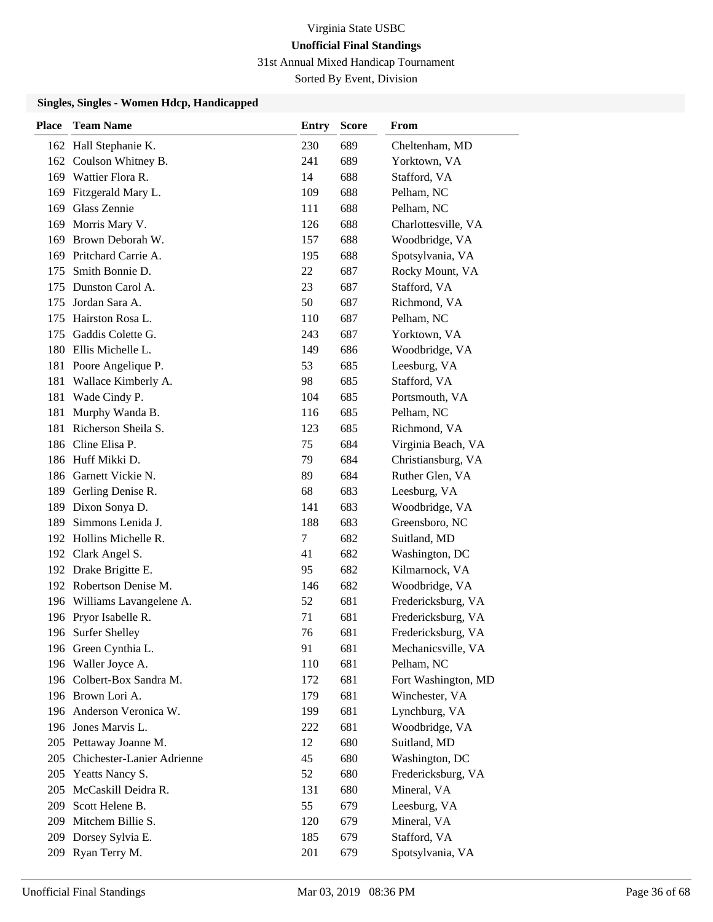31st Annual Mixed Handicap Tournament

Sorted By Event, Division

| <b>Place</b> | <b>Team Name</b>            | <b>Entry</b> | <b>Score</b> | From                |
|--------------|-----------------------------|--------------|--------------|---------------------|
|              | 162 Hall Stephanie K.       | 230          | 689          | Cheltenham, MD      |
|              | 162 Coulson Whitney B.      | 241          | 689          | Yorktown, VA        |
|              | 169 Wattier Flora R.        | 14           | 688          | Stafford, VA        |
| 169          | Fitzgerald Mary L.          | 109          | 688          | Pelham, NC          |
| 169          | Glass Zennie                | 111          | 688          | Pelham, NC          |
| 169          | Morris Mary V.              | 126          | 688          | Charlottesville, VA |
| 169          | Brown Deborah W.            | 157          | 688          | Woodbridge, VA      |
|              | 169 Pritchard Carrie A.     | 195          | 688          | Spotsylvania, VA    |
| 175          | Smith Bonnie D.             | 22           | 687          | Rocky Mount, VA     |
| 175          | Dunston Carol A.            | 23           | 687          | Stafford, VA        |
| 175          | Jordan Sara A.              | 50           | 687          | Richmond, VA        |
| 175          | Hairston Rosa L.            | 110          | 687          | Pelham, NC          |
| 175          | Gaddis Colette G.           | 243          | 687          | Yorktown, VA        |
|              | 180 Ellis Michelle L.       | 149          | 686          | Woodbridge, VA      |
|              | 181 Poore Angelique P.      | 53           | 685          | Leesburg, VA        |
| 181          | Wallace Kimberly A.         | 98           | 685          | Stafford, VA        |
| 181          | Wade Cindy P.               | 104          | 685          | Portsmouth, VA      |
| 181          | Murphy Wanda B.             | 116          | 685          | Pelham, NC          |
| 181          | Richerson Sheila S.         | 123          | 685          | Richmond, VA        |
| 186          | Cline Elisa P.              | 75           | 684          | Virginia Beach, VA  |
|              | 186 Huff Mikki D.           | 79           | 684          | Christiansburg, VA  |
|              | 186 Garnett Vickie N.       | 89           | 684          | Ruther Glen, VA     |
|              | 189 Gerling Denise R.       | 68           | 683          | Leesburg, VA        |
| 189          | Dixon Sonya D.              | 141          | 683          | Woodbridge, VA      |
| 189          | Simmons Lenida J.           | 188          | 683          | Greensboro, NC      |
|              | 192 Hollins Michelle R.     | 7            | 682          | Suitland, MD        |
|              | 192 Clark Angel S.          | 41           | 682          | Washington, DC      |
|              | 192 Drake Brigitte E.       | 95           | 682          | Kilmarnock, VA      |
|              | 192 Robertson Denise M.     | 146          | 682          | Woodbridge, VA      |
|              | 196 Williams Lavangelene A. | 52           | 681          | Fredericksburg, VA  |
|              | 196 Pryor Isabelle R.       | 71           | 681          | Fredericksburg, VA  |
| 196          | <b>Surfer Shelley</b>       | 76           | 681          | Fredericksburg, VA  |
|              | 196 Green Cynthia L.        | 91           | 681          | Mechanicsville, VA  |
|              | 196 Waller Joyce A.         | 110          | 681          | Pelham, NC          |
|              | 196 Colbert-Box Sandra M.   | 172          | 681          | Fort Washington, MD |
|              | 196 Brown Lori A.           | 179          | 681          | Winchester, VA      |
|              | 196 Anderson Veronica W.    | 199          | 681          | Lynchburg, VA       |
|              | 196 Jones Marvis L.         | 222          | 681          | Woodbridge, VA      |
|              | 205 Pettaway Joanne M.      | 12           | 680          | Suitland, MD        |
| 205          | Chichester-Lanier Adrienne  | 45           | 680          | Washington, DC      |
|              | 205 Yeatts Nancy S.         | 52           | 680          | Fredericksburg, VA  |
|              | 205 McCaskill Deidra R.     | 131          | 680          | Mineral, VA         |
|              | 209 Scott Helene B.         | 55           | 679          | Leesburg, VA        |
|              | 209 Mitchem Billie S.       | 120          | 679          | Mineral, VA         |
| 209          | Dorsey Sylvia E.            | 185          | 679          | Stafford, VA        |
| 209          | Ryan Terry M.               | 201          | 679          | Spotsylvania, VA    |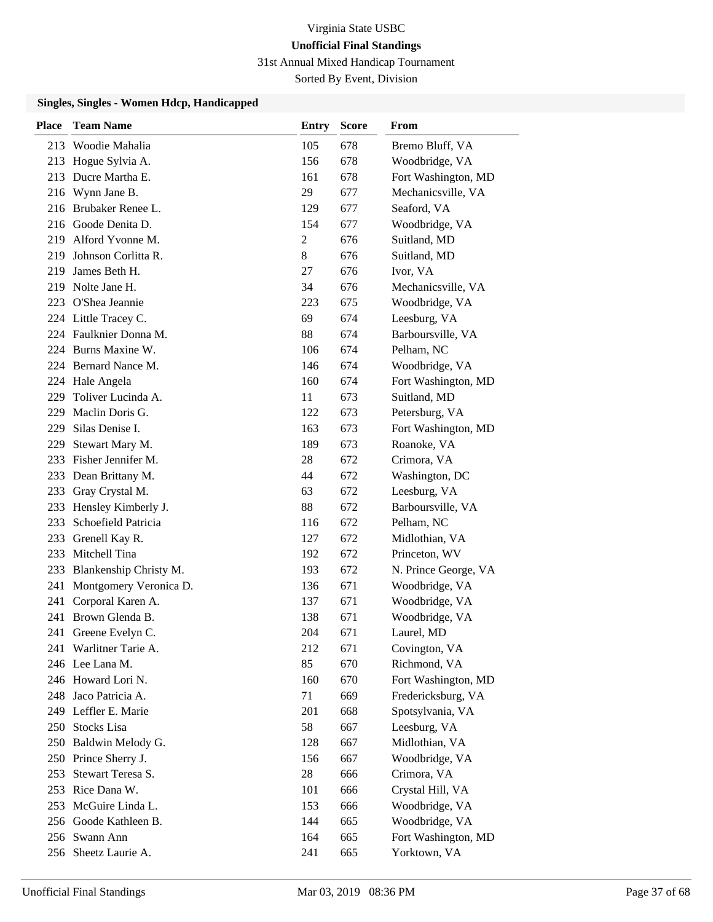31st Annual Mixed Handicap Tournament

Sorted By Event, Division

| Place | <b>Team Name</b>       | Entry          | <b>Score</b> | From                 |
|-------|------------------------|----------------|--------------|----------------------|
|       | 213 Woodie Mahalia     | 105            | 678          | Bremo Bluff, VA      |
| 213   | Hogue Sylvia A.        | 156            | 678          | Woodbridge, VA       |
|       | 213 Ducre Martha E.    | 161            | 678          | Fort Washington, MD  |
|       | 216 Wynn Jane B.       | 29             | 677          | Mechanicsville, VA   |
|       | 216 Brubaker Renee L.  | 129            | 677          | Seaford, VA          |
|       | 216 Goode Denita D.    | 154            | 677          | Woodbridge, VA       |
|       | 219 Alford Yvonne M.   | $\overline{2}$ | 676          | Suitland, MD         |
| 219   | Johnson Corlitta R.    | 8              | 676          | Suitland, MD         |
| 219   | James Beth H.          | 27             | 676          | Ivor, VA             |
| 219   | Nolte Jane H.          | 34             | 676          | Mechanicsville, VA   |
| 223   | O'Shea Jeannie         | 223            | 675          | Woodbridge, VA       |
|       | 224 Little Tracey C.   | 69             | 674          | Leesburg, VA         |
|       | 224 Faulknier Donna M. | 88             | 674          | Barboursville, VA    |
|       | 224 Burns Maxine W.    | 106            | 674          | Pelham, NC           |
|       | 224 Bernard Nance M.   | 146            | 674          | Woodbridge, VA       |
|       | 224 Hale Angela        | 160            | 674          | Fort Washington, MD  |
| 229   | Toliver Lucinda A.     | 11             | 673          | Suitland, MD         |
| 229   | Maclin Doris G.        | 122            | 673          | Petersburg, VA       |
| 229   | Silas Denise I.        | 163            | 673          | Fort Washington, MD  |
| 229   | Stewart Mary M.        | 189            | 673          | Roanoke, VA          |
|       | 233 Fisher Jennifer M. | 28             | 672          | Crimora, VA          |
| 233   | Dean Brittany M.       | 44             | 672          | Washington, DC       |
|       | 233 Gray Crystal M.    | 63             | 672          | Leesburg, VA         |
| 233   | Hensley Kimberly J.    | 88             | 672          | Barboursville, VA    |
| 233   | Schoefield Patricia    | 116            | 672          | Pelham, NC           |
| 233   | Grenell Kay R.         | 127            | 672          | Midlothian, VA       |
| 233   | Mitchell Tina          | 192            | 672          | Princeton, WV        |
| 233   | Blankenship Christy M. | 193            | 672          | N. Prince George, VA |
| 241   | Montgomery Veronica D. | 136            | 671          | Woodbridge, VA       |
| 241   | Corporal Karen A.      | 137            | 671          | Woodbridge, VA       |
|       | 241 Brown Glenda B.    | 138            | 671          | Woodbridge, VA       |
| 241   | Greene Evelyn C.       | 204            | 671          | Laurel, MD           |
|       | 241 Warlitner Tarie A. | 212            | 671          | Covington, VA        |
|       | 246 Lee Lana M.        | 85             | 670          | Richmond, VA         |
|       | 246 Howard Lori N.     | 160            | 670          | Fort Washington, MD  |
|       | 248 Jaco Patricia A.   | 71             | 669          | Fredericksburg, VA   |
|       | 249 Leffler E. Marie   | 201            | 668          | Spotsylvania, VA     |
|       | 250 Stocks Lisa        | 58             | 667          | Leesburg, VA         |
|       | 250 Baldwin Melody G.  | 128            | 667          | Midlothian, VA       |
|       | 250 Prince Sherry J.   | 156            | 667          | Woodbridge, VA       |
| 253   | Stewart Teresa S.      | 28             | 666          | Crimora, VA          |
|       | 253 Rice Dana W.       | 101            | 666          | Crystal Hill, VA     |
|       | 253 McGuire Linda L.   | 153            | 666          | Woodbridge, VA       |
|       | 256 Goode Kathleen B.  | 144            | 665          | Woodbridge, VA       |
|       | 256 Swann Ann          | 164            | 665          | Fort Washington, MD  |
|       | 256 Sheetz Laurie A.   | 241            | 665          | Yorktown, VA         |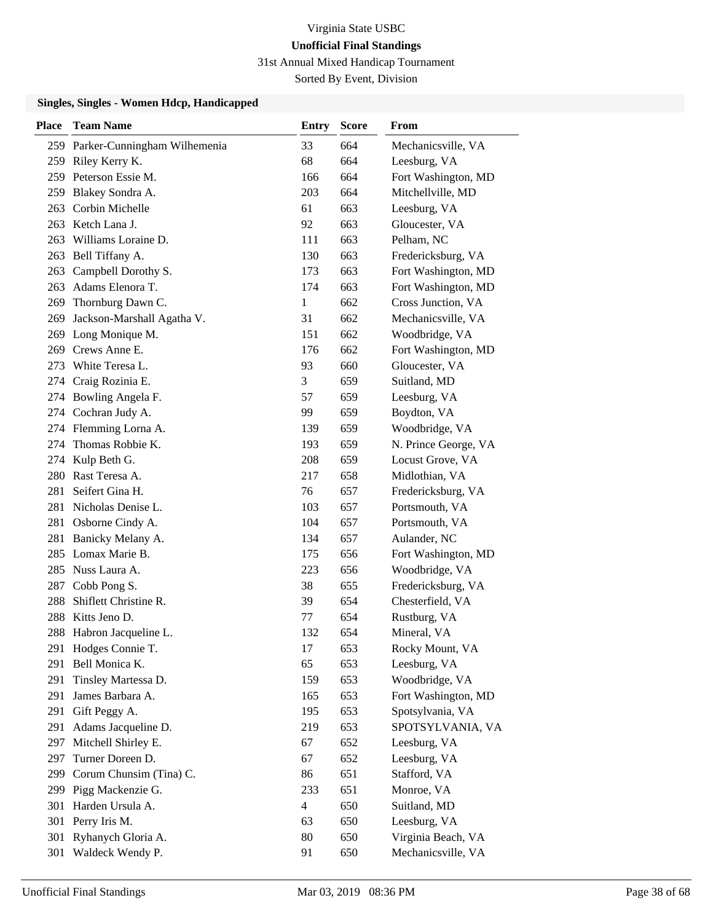31st Annual Mixed Handicap Tournament

Sorted By Event, Division

| <b>Place</b> | <b>Team Name</b>                 | <b>Entry</b>   | <b>Score</b> | From                 |
|--------------|----------------------------------|----------------|--------------|----------------------|
|              | 259 Parker-Cunningham Wilhemenia | 33             | 664          | Mechanicsville, VA   |
|              | 259 Riley Kerry K.               | 68             | 664          | Leesburg, VA         |
|              | 259 Peterson Essie M.            | 166            | 664          | Fort Washington, MD  |
| 259          | Blakey Sondra A.                 | 203            | 664          | Mitchellville, MD    |
| 263          | Corbin Michelle                  | 61             | 663          | Leesburg, VA         |
|              | 263 Ketch Lana J.                | 92             | 663          | Gloucester, VA       |
|              | 263 Williams Loraine D.          | 111            | 663          | Pelham, NC           |
| 263          | Bell Tiffany A.                  | 130            | 663          | Fredericksburg, VA   |
| 263          | Campbell Dorothy S.              | 173            | 663          | Fort Washington, MD  |
| 263          | Adams Elenora T.                 | 174            | 663          | Fort Washington, MD  |
|              | 269 Thornburg Dawn C.            | 1              | 662          | Cross Junction, VA   |
| 269          | Jackson-Marshall Agatha V.       | 31             | 662          | Mechanicsville, VA   |
| 269          | Long Monique M.                  | 151            | 662          | Woodbridge, VA       |
| 269          | Crews Anne E.                    | 176            | 662          | Fort Washington, MD  |
| 273          | White Teresa L.                  | 93             | 660          | Gloucester, VA       |
|              | 274 Craig Rozinia E.             | 3              | 659          | Suitland, MD         |
|              | 274 Bowling Angela F.            | 57             | 659          | Leesburg, VA         |
|              | 274 Cochran Judy A.              | 99             | 659          | Boydton, VA          |
|              | 274 Flemming Lorna A.            | 139            | 659          | Woodbridge, VA       |
| 274          | Thomas Robbie K.                 | 193            | 659          | N. Prince George, VA |
| 274          | Kulp Beth G.                     | 208            | 659          | Locust Grove, VA     |
| 280          | Rast Teresa A.                   | 217            | 658          | Midlothian, VA       |
| 281          | Seifert Gina H.                  | 76             | 657          | Fredericksburg, VA   |
| 281          | Nicholas Denise L.               | 103            | 657          | Portsmouth, VA       |
| 281          | Osborne Cindy A.                 | 104            | 657          | Portsmouth, VA       |
| 281          | Banicky Melany A.                | 134            | 657          | Aulander, NC         |
|              | 285 Lomax Marie B.               | 175            | 656          | Fort Washington, MD  |
| 285          | Nuss Laura A.                    | 223            | 656          | Woodbridge, VA       |
| 287          | Cobb Pong S.                     | 38             | 655          | Fredericksburg, VA   |
| 288          | Shiflett Christine R.            | 39             | 654          | Chesterfield, VA     |
|              | 288 Kitts Jeno D.                | 77             | 654          | Rustburg, VA         |
| 288          | Habron Jacqueline L.             | 132            | 654          | Mineral, VA          |
| 291          | Hodges Connie T.                 | 17             | 653          | Rocky Mount, VA      |
| 291          | Bell Monica K.                   | 65             | 653          | Leesburg, VA         |
| 291          | Tinsley Martessa D.              | 159            | 653          | Woodbridge, VA       |
| 291          | James Barbara A.                 | 165            | 653          | Fort Washington, MD  |
| 291          | Gift Peggy A.                    | 195            | 653          | Spotsylvania, VA     |
| 291          | Adams Jacqueline D.              | 219            | 653          | SPOTSYLVANIA, VA     |
|              | 297 Mitchell Shirley E.          | 67             | 652          | Leesburg, VA         |
| 297          | Turner Doreen D.                 | 67             | 652          | Leesburg, VA         |
| 299          | Corum Chunsim (Tina) C.          | 86             | 651          | Stafford, VA         |
|              | 299 Pigg Mackenzie G.            | 233            | 651          | Monroe, VA           |
| 301          | Harden Ursula A.                 | $\overline{4}$ | 650          | Suitland, MD         |
| 301          | Perry Iris M.                    | 63             | 650          | Leesburg, VA         |
| 301          | Ryhanych Gloria A.               | 80             | 650          | Virginia Beach, VA   |
| 301          | Waldeck Wendy P.                 | 91             | 650          | Mechanicsville, VA   |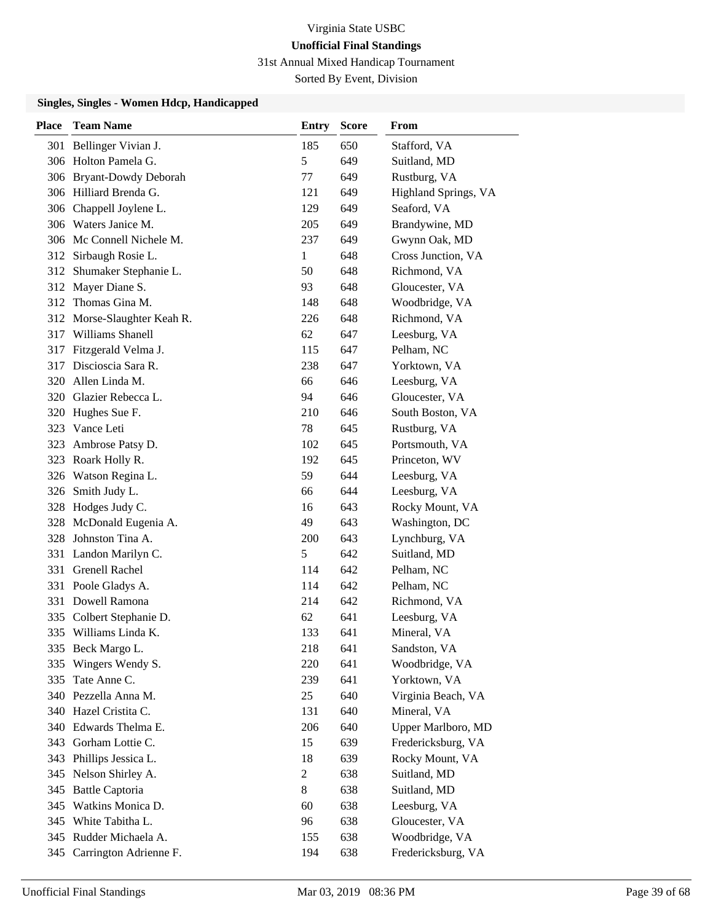31st Annual Mixed Handicap Tournament

Sorted By Event, Division

| <b>Place</b> | <b>Team Name</b>            | <b>Entry</b>   | <b>Score</b> | From                 |
|--------------|-----------------------------|----------------|--------------|----------------------|
|              | 301 Bellinger Vivian J.     | 185            | 650          | Stafford, VA         |
|              | 306 Holton Pamela G.        | 5              | 649          | Suitland, MD         |
|              | 306 Bryant-Dowdy Deborah    | 77             | 649          | Rustburg, VA         |
|              | 306 Hilliard Brenda G.      | 121            | 649          | Highland Springs, VA |
|              | 306 Chappell Joylene L.     | 129            | 649          | Seaford, VA          |
|              | 306 Waters Janice M.        | 205            | 649          | Brandywine, MD       |
|              | 306 Mc Connell Nichele M.   | 237            | 649          | Gwynn Oak, MD        |
|              | 312 Sirbaugh Rosie L.       | $\mathbf{1}$   | 648          | Cross Junction, VA   |
|              | 312 Shumaker Stephanie L.   | 50             | 648          | Richmond, VA         |
|              | 312 Mayer Diane S.          | 93             | 648          | Gloucester, VA       |
|              | 312 Thomas Gina M.          | 148            | 648          | Woodbridge, VA       |
|              | 312 Morse-Slaughter Keah R. | 226            | 648          | Richmond, VA         |
|              | 317 Williams Shanell        | 62             | 647          | Leesburg, VA         |
| 317          | Fitzgerald Velma J.         | 115            | 647          | Pelham, NC           |
|              | 317 Discioscia Sara R.      | 238            | 647          | Yorktown, VA         |
|              | 320 Allen Linda M.          | 66             | 646          | Leesburg, VA         |
|              | 320 Glazier Rebecca L.      | 94             | 646          | Gloucester, VA       |
|              | 320 Hughes Sue F.           | 210            | 646          | South Boston, VA     |
| 323          | Vance Leti                  | 78             | 645          | Rustburg, VA         |
| 323          | Ambrose Patsy D.            | 102            | 645          | Portsmouth, VA       |
|              | 323 Roark Holly R.          | 192            | 645          | Princeton, WV        |
|              | 326 Watson Regina L.        | 59             | 644          | Leesburg, VA         |
|              | 326 Smith Judy L.           | 66             | 644          | Leesburg, VA         |
|              | 328 Hodges Judy C.          | 16             | 643          | Rocky Mount, VA      |
|              | 328 McDonald Eugenia A.     | 49             | 643          | Washington, DC       |
|              | 328 Johnston Tina A.        | 200            | 643          | Lynchburg, VA        |
|              | 331 Landon Marilyn C.       | 5              | 642          | Suitland, MD         |
|              | 331 Grenell Rachel          | 114            | 642          | Pelham, NC           |
|              | 331 Poole Gladys A.         | 114            | 642          | Pelham, NC           |
|              | 331 Dowell Ramona           | 214            | 642          | Richmond, VA         |
|              | 335 Colbert Stephanie D.    | 62             | 641          | Leesburg, VA         |
|              | 335 Williams Linda K.       | 133            | 641          | Mineral, VA          |
|              | 335 Beck Margo L.           | 218            | 641          | Sandston, VA         |
| 335          | Wingers Wendy S.            | 220            | 641          | Woodbridge, VA       |
|              | 335 Tate Anne C.            | 239            | 641          | Yorktown, VA         |
|              | 340 Pezzella Anna M.        | 25             | 640          | Virginia Beach, VA   |
|              | 340 Hazel Cristita C.       | 131            | 640          | Mineral, VA          |
|              | 340 Edwards Thelma E.       | 206            | 640          | Upper Marlboro, MD   |
|              | 343 Gorham Lottie C.        | 15             | 639          | Fredericksburg, VA   |
| 343          | Phillips Jessica L.         | 18             | 639          | Rocky Mount, VA      |
| 345          | Nelson Shirley A.           | $\overline{c}$ | 638          | Suitland, MD         |
|              | 345 Battle Captoria         | 8              | 638          | Suitland, MD         |
|              | 345 Watkins Monica D.       | 60             | 638          | Leesburg, VA         |
|              | 345 White Tabitha L.        | 96             | 638          | Gloucester, VA       |
|              | 345 Rudder Michaela A.      | 155            | 638          | Woodbridge, VA       |
| 345          | Carrington Adrienne F.      | 194            | 638          | Fredericksburg, VA   |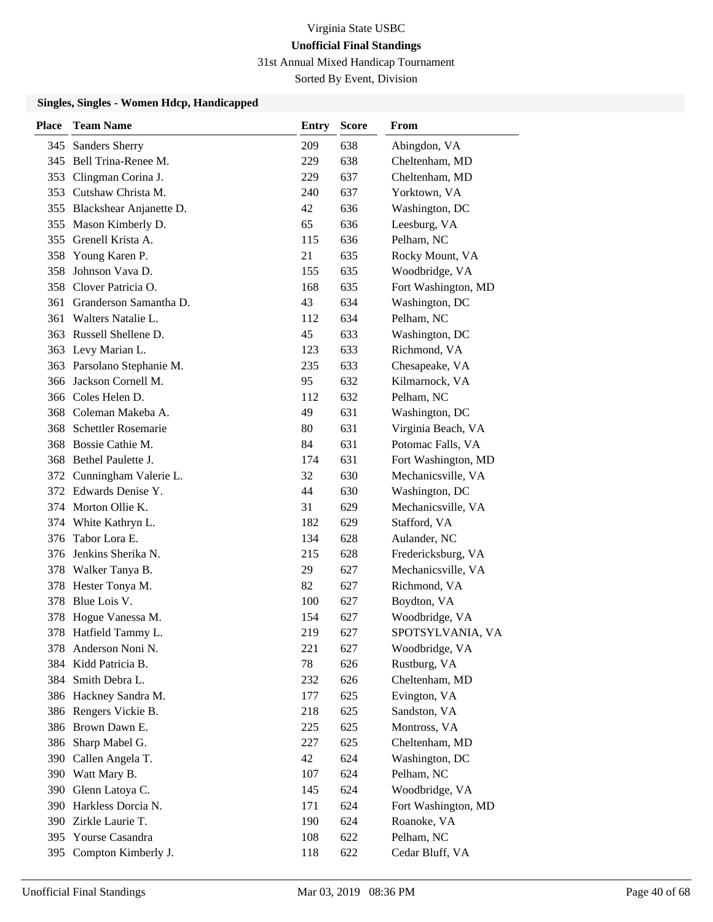31st Annual Mixed Handicap Tournament

Sorted By Event, Division

| <b>Place</b> | <b>Team Name</b>            | <b>Entry</b> | <b>Score</b> | From                |
|--------------|-----------------------------|--------------|--------------|---------------------|
| 345          | <b>Sanders Sherry</b>       | 209          | 638          | Abingdon, VA        |
|              | 345 Bell Trina-Renee M.     | 229          | 638          | Cheltenham, MD      |
| 353          | Clingman Corina J.          | 229          | 637          | Cheltenham, MD      |
| 353          | Cutshaw Christa M.          | 240          | 637          | Yorktown, VA        |
|              | 355 Blackshear Anjanette D. | 42           | 636          | Washington, DC      |
| 355          | Mason Kimberly D.           | 65           | 636          | Leesburg, VA        |
| 355          | Grenell Krista A.           | 115          | 636          | Pelham, NC          |
| 358          | Young Karen P.              | 21           | 635          | Rocky Mount, VA     |
| 358          | Johnson Vava D.             | 155          | 635          | Woodbridge, VA      |
| 358          | Clover Patricia O.          | 168          | 635          | Fort Washington, MD |
| 361          | Granderson Samantha D.      | 43           | 634          | Washington, DC      |
| 361          | Walters Natalie L.          | 112          | 634          | Pelham, NC          |
|              | 363 Russell Shellene D.     | 45           | 633          | Washington, DC      |
|              | 363 Levy Marian L.          | 123          | 633          | Richmond, VA        |
|              | 363 Parsolano Stephanie M.  | 235          | 633          | Chesapeake, VA      |
| 366          | Jackson Cornell M.          | 95           | 632          | Kilmarnock, VA      |
|              | 366 Coles Helen D.          | 112          | 632          | Pelham, NC          |
| 368          | Coleman Makeba A.           | 49           | 631          | Washington, DC      |
| 368          | Schettler Rosemarie         | 80           | 631          | Virginia Beach, VA  |
| 368          | Bossie Cathie M.            | 84           | 631          | Potomac Falls, VA   |
|              | 368 Bethel Paulette J.      | 174          | 631          | Fort Washington, MD |
| 372          | Cunningham Valerie L.       | 32           | 630          | Mechanicsville, VA  |
|              | 372 Edwards Denise Y.       | 44           | 630          | Washington, DC      |
|              | 374 Morton Ollie K.         | 31           | 629          | Mechanicsville, VA  |
|              | 374 White Kathryn L.        | 182          | 629          | Stafford, VA        |
| 376          | Tabor Lora E.               | 134          | 628          | Aulander, NC        |
| 376          | Jenkins Sherika N.          | 215          | 628          | Fredericksburg, VA  |
| 378          | Walker Tanya B.             | 29           | 627          | Mechanicsville, VA  |
| 378          | Hester Tonya M.             | 82           | 627          | Richmond, VA        |
| 378          | Blue Lois V.                | 100          | 627          | Boydton, VA         |
|              | 378 Hogue Vanessa M.        | 154          | 627          | Woodbridge, VA      |
|              | 378 Hatfield Tammy L.       | 219          | 627          | SPOTSYLVANIA, VA    |
|              | 378 Anderson Noni N.        | 221          | 627          | Woodbridge, VA      |
|              | 384 Kidd Patricia B.        | 78           | 626          | Rustburg, VA        |
| 384          | Smith Debra L.              | 232          | 626          | Cheltenham, MD      |
|              | 386 Hackney Sandra M.       | 177          | 625          | Evington, VA        |
|              | 386 Rengers Vickie B.       | 218          | 625          | Sandston, VA        |
| 386          | Brown Dawn E.               | 225          | 625          | Montross, VA        |
| 386          | Sharp Mabel G.              | 227          | 625          | Cheltenham, MD      |
| 390          | Callen Angela T.            | 42           | 624          | Washington, DC      |
|              | 390 Watt Mary B.            | 107          | 624          | Pelham, NC          |
| 390          | Glenn Latoya C.             | 145          | 624          | Woodbridge, VA      |
|              | 390 Harkless Dorcia N.      | 171          | 624          | Fort Washington, MD |
|              | 390 Zirkle Laurie T.        | 190          | 624          | Roanoke, VA         |
|              | 395 Yourse Casandra         | 108          | 622          | Pelham, NC          |
| 395          | Compton Kimberly J.         | 118          | 622          | Cedar Bluff, VA     |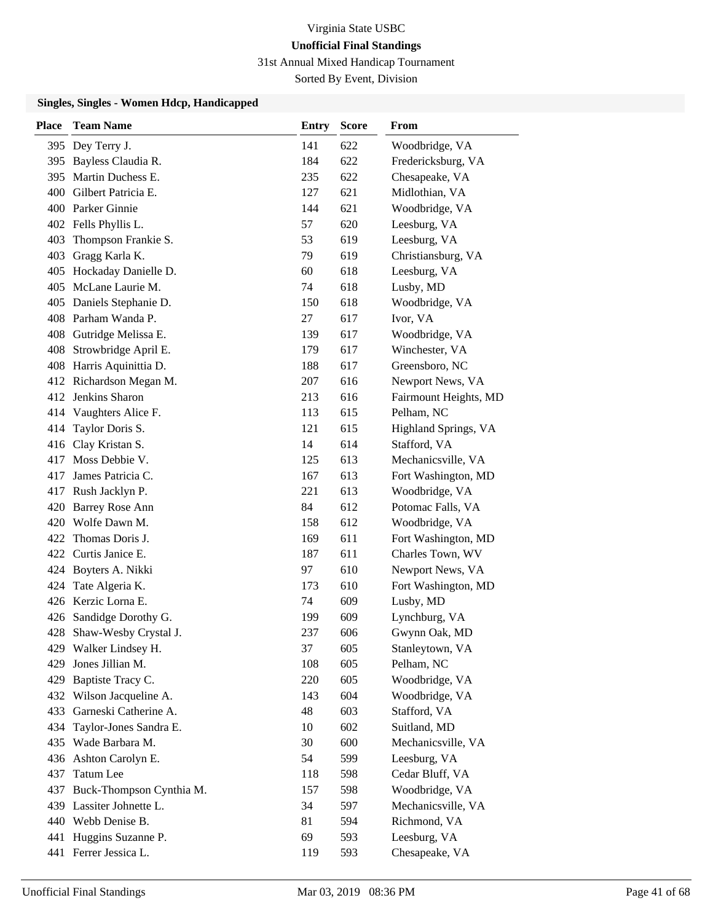31st Annual Mixed Handicap Tournament

Sorted By Event, Division

| Place | <b>Team Name</b>             | <b>Entry</b> | <b>Score</b> | From                  |
|-------|------------------------------|--------------|--------------|-----------------------|
|       | 395 Dey Terry J.             | 141          | 622          | Woodbridge, VA        |
|       | 395 Bayless Claudia R.       | 184          | 622          | Fredericksburg, VA    |
|       | 395 Martin Duchess E.        | 235          | 622          | Chesapeake, VA        |
|       | 400 Gilbert Patricia E.      | 127          | 621          | Midlothian, VA        |
|       | 400 Parker Ginnie            | 144          | 621          | Woodbridge, VA        |
|       | 402 Fells Phyllis L.         | 57           | 620          | Leesburg, VA          |
| 403   | Thompson Frankie S.          | 53           | 619          | Leesburg, VA          |
|       | 403 Gragg Karla K.           | 79           | 619          | Christiansburg, VA    |
|       | 405 Hockaday Danielle D.     | 60           | 618          | Leesburg, VA          |
|       | 405 McLane Laurie M.         | 74           | 618          | Lusby, MD             |
|       | 405 Daniels Stephanie D.     | 150          | 618          | Woodbridge, VA        |
|       | 408 Parham Wanda P.          | 27           | 617          | Ivor, VA              |
|       | 408 Gutridge Melissa E.      | 139          | 617          | Woodbridge, VA        |
|       | 408 Strowbridge April E.     | 179          | 617          | Winchester, VA        |
|       | 408 Harris Aquinittia D.     | 188          | 617          | Greensboro, NC        |
|       | 412 Richardson Megan M.      | 207          | 616          | Newport News, VA      |
|       | 412 Jenkins Sharon           | 213          | 616          | Fairmount Heights, MD |
|       | 414 Vaughters Alice F.       | 113          | 615          | Pelham, NC            |
| 414   | Taylor Doris S.              | 121          | 615          | Highland Springs, VA  |
|       | 416 Clay Kristan S.          | 14           | 614          | Stafford, VA          |
|       | 417 Moss Debbie V.           | 125          | 613          | Mechanicsville, VA    |
| 417   | James Patricia C.            | 167          | 613          | Fort Washington, MD   |
|       | 417 Rush Jacklyn P.          | 221          | 613          | Woodbridge, VA        |
|       | 420 Barrey Rose Ann          | 84           | 612          | Potomac Falls, VA     |
|       | 420 Wolfe Dawn M.            | 158          | 612          | Woodbridge, VA        |
| 422   | Thomas Doris J.              | 169          | 611          | Fort Washington, MD   |
|       | 422 Curtis Janice E.         | 187          | 611          | Charles Town, WV      |
|       | 424 Boyters A. Nikki         | 97           | 610          | Newport News, VA      |
| 424   | Tate Algeria K.              | 173          | 610          | Fort Washington, MD   |
|       | 426 Kerzic Lorna E.          | 74           | 609          | Lusby, MD             |
|       | 426 Sandidge Dorothy G.      | 199          | 609          | Lynchburg, VA         |
|       | 428 Shaw-Wesby Crystal J.    | 237          | 606          | Gwynn Oak, MD         |
|       | 429 Walker Lindsey H.        | 37           | 605          | Stanleytown, VA       |
| 429   | Jones Jillian M.             | 108          | 605          | Pelham, NC            |
|       | 429 Baptiste Tracy C.        | 220          | 605          | Woodbridge, VA        |
|       | 432 Wilson Jacqueline A.     | 143          | 604          | Woodbridge, VA        |
|       | 433 Garneski Catherine A.    | 48           | 603          | Stafford, VA          |
| 434   | Taylor-Jones Sandra E.       | 10           | 602          | Suitland, MD          |
|       | 435 Wade Barbara M.          | 30           | 600          | Mechanicsville, VA    |
| 436   | Ashton Carolyn E.            | 54           | 599          | Leesburg, VA          |
| 437   | Tatum Lee                    | 118          | 598          | Cedar Bluff, VA       |
|       | 437 Buck-Thompson Cynthia M. | 157          | 598          | Woodbridge, VA        |
|       | 439 Lassiter Johnette L.     | 34           | 597          | Mechanicsville, VA    |
|       | 440 Webb Denise B.           | 81           | 594          | Richmond, VA          |
| 441   | Huggins Suzanne P.           | 69           | 593          | Leesburg, VA          |
|       | 441 Ferrer Jessica L.        | 119          | 593          | Chesapeake, VA        |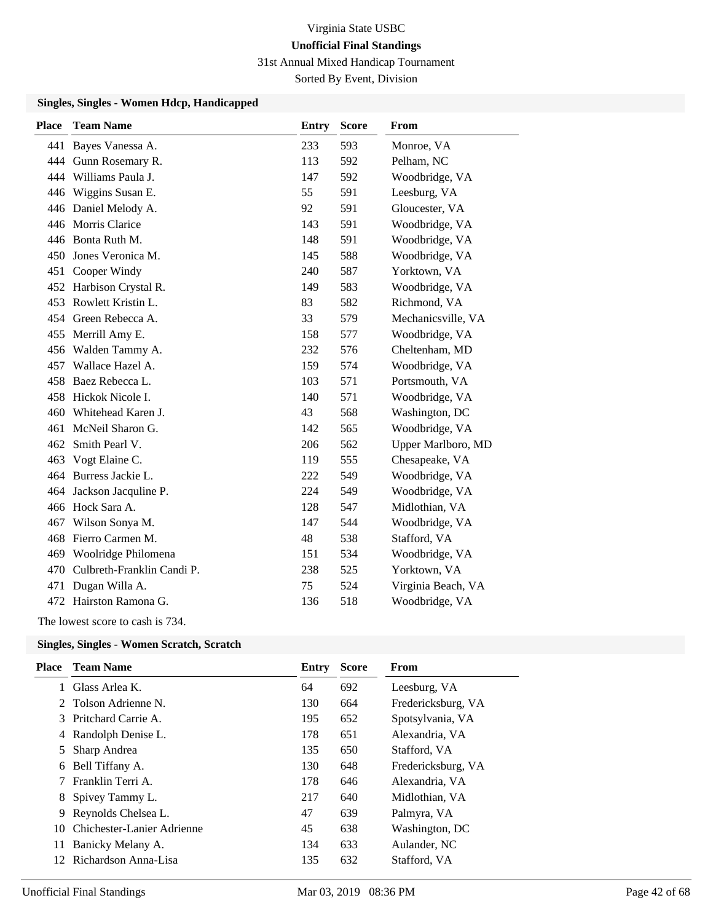31st Annual Mixed Handicap Tournament

Sorted By Event, Division

### **Singles, Singles - Women Hdcp, Handicapped**

| <b>Place</b> | <b>Team Name</b>           | <b>Entry</b> | <b>Score</b> | From               |
|--------------|----------------------------|--------------|--------------|--------------------|
| 441          | Bayes Vanessa A.           | 233          | 593          | Monroe, VA         |
| 444          | Gunn Rosemary R.           | 113          | 592          | Pelham, NC         |
| 444          | Williams Paula J.          | 147          | 592          | Woodbridge, VA     |
| 446          | Wiggins Susan E.           | 55           | 591          | Leesburg, VA       |
| 446          | Daniel Melody A.           | 92           | 591          | Gloucester, VA     |
|              | 446 Morris Clarice         | 143          | 591          | Woodbridge, VA     |
|              | 446 Bonta Ruth M.          | 148          | 591          | Woodbridge, VA     |
| 450          | Jones Veronica M.          | 145          | 588          | Woodbridge, VA     |
| 451          | Cooper Windy               | 240          | 587          | Yorktown, VA       |
| 452          | Harbison Crystal R.        | 149          | 583          | Woodbridge, VA     |
| 453          | Rowlett Kristin L.         | 83           | 582          | Richmond, VA       |
| 454          | Green Rebecca A.           | 33           | 579          | Mechanicsville, VA |
|              | 455 Merrill Amy E.         | 158          | 577          | Woodbridge, VA     |
| 456          | Walden Tammy A.            | 232          | 576          | Cheltenham, MD     |
| 457          | Wallace Hazel A.           | 159          | 574          | Woodbridge, VA     |
| 458          | Baez Rebecca L.            | 103          | 571          | Portsmouth, VA     |
| 458          | Hickok Nicole I.           | 140          | 571          | Woodbridge, VA     |
| 460          | Whitehead Karen J.         | 43           | 568          | Washington, DC     |
| 461          | McNeil Sharon G.           | 142          | 565          | Woodbridge, VA     |
| 462          | Smith Pearl V.             | 206          | 562          | Upper Marlboro, MD |
| 463          | Vogt Elaine C.             | 119          | 555          | Chesapeake, VA     |
| 464          | Burress Jackie L.          | 222          | 549          | Woodbridge, VA     |
| 464          | Jackson Jacquline P.       | 224          | 549          | Woodbridge, VA     |
|              | 466 Hock Sara A.           | 128          | 547          | Midlothian, VA     |
| 467          | Wilson Sonya M.            | 147          | 544          | Woodbridge, VA     |
| 468          | Fierro Carmen M.           | 48           | 538          | Stafford, VA       |
| 469          | Woolridge Philomena        | 151          | 534          | Woodbridge, VA     |
| 470          | Culbreth-Franklin Candi P. | 238          | 525          | Yorktown, VA       |
| 471          | Dugan Willa A.             | 75           | 524          | Virginia Beach, VA |
|              | 472 Hairston Ramona G.     | 136          | 518          | Woodbridge, VA     |

The lowest score to cash is 734.

# **Singles, Singles - Women Scratch, Scratch**

| Place | <b>Team Name</b>           | Entry | <b>Score</b> | From               |
|-------|----------------------------|-------|--------------|--------------------|
|       | Glass Arlea K.             | 64    | 692          | Leesburg, VA       |
|       | 2 Tolson Adrienne N.       | 130   | 664          | Fredericksburg, VA |
|       | 3 Pritchard Carrie A.      | 195   | 652          | Spotsylvania, VA   |
|       | 4 Randolph Denise L.       | 178   | 651          | Alexandria, VA     |
| 5     | Sharp Andrea               | 135   | 650          | Stafford, VA       |
| 6     | Bell Tiffany A.            | 130   | 648          | Fredericksburg, VA |
| 7     | Franklin Terri A.          | 178   | 646          | Alexandria, VA     |
|       | 8 Spivey Tammy L.          | 217   | 640          | Midlothian, VA     |
| 9     | Reynolds Chelsea L.        | 47    | 639          | Palmyra, VA        |
| 10    | Chichester-Lanier Adrienne | 45    | 638          | Washington, DC     |
| 11    | Banicky Melany A.          | 134   | 633          | Aulander, NC       |
| 12    | Richardson Anna-Lisa       | 135   | 632          | Stafford, VA       |
|       |                            |       |              |                    |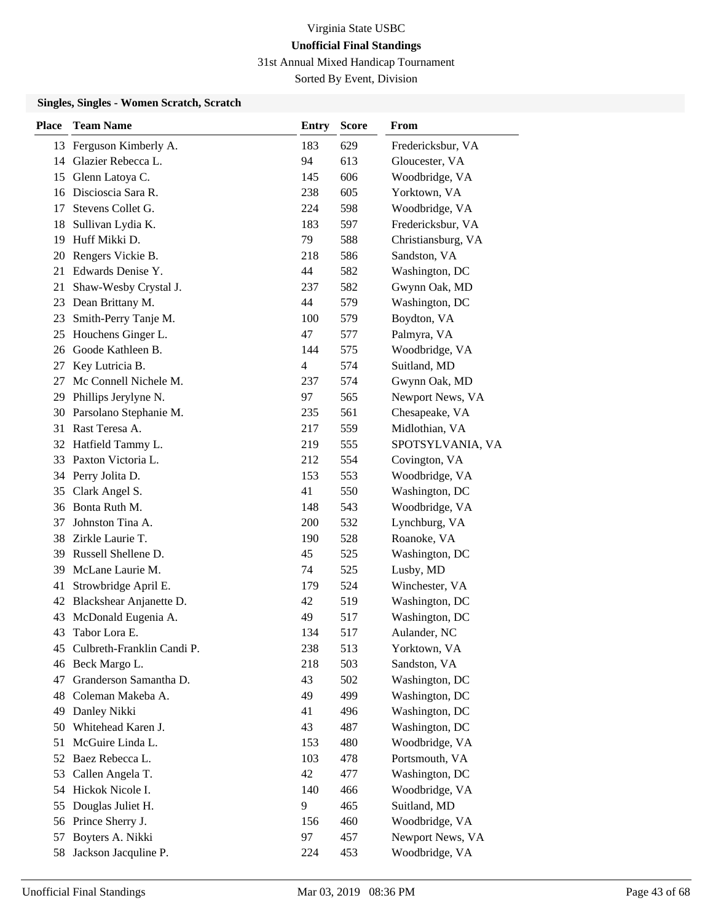31st Annual Mixed Handicap Tournament

Sorted By Event, Division

### **Singles, Singles - Women Scratch, Scratch**

| <b>Place</b> | <b>Team Name</b>           | <b>Entry</b> | <b>Score</b> | From               |
|--------------|----------------------------|--------------|--------------|--------------------|
|              | 13 Ferguson Kimberly A.    | 183          | 629          | Fredericksbur, VA  |
| 14           | Glazier Rebecca L.         | 94           | 613          | Gloucester, VA     |
| 15           | Glenn Latoya C.            | 145          | 606          | Woodbridge, VA     |
| 16           | Discioscia Sara R.         | 238          | 605          | Yorktown, VA       |
| 17           | Stevens Collet G.          | 224          | 598          | Woodbridge, VA     |
| 18           | Sullivan Lydia K.          | 183          | 597          | Fredericksbur, VA  |
| 19           | Huff Mikki D.              | 79           | 588          | Christiansburg, VA |
| 20           | Rengers Vickie B.          | 218          | 586          | Sandston, VA       |
| 21           | Edwards Denise Y.          | 44           | 582          | Washington, DC     |
| 21           | Shaw-Wesby Crystal J.      | 237          | 582          | Gwynn Oak, MD      |
| 23           | Dean Brittany M.           | 44           | 579          | Washington, DC     |
| 23           | Smith-Perry Tanje M.       | 100          | 579          | Boydton, VA        |
| 25           | Houchens Ginger L.         | 47           | 577          | Palmyra, VA        |
| 26           | Goode Kathleen B.          | 144          | 575          | Woodbridge, VA     |
| 27           | Key Lutricia B.            | 4            | 574          | Suitland, MD       |
| 27           | Mc Connell Nichele M.      | 237          | 574          | Gwynn Oak, MD      |
| 29           | Phillips Jerylyne N.       | 97           | 565          | Newport News, VA   |
| 30           | Parsolano Stephanie M.     | 235          | 561          | Chesapeake, VA     |
| 31           | Rast Teresa A.             | 217          | 559          | Midlothian, VA     |
|              | 32 Hatfield Tammy L.       | 219          | 555          | SPOTSYLVANIA, VA   |
| 33           | Paxton Victoria L.         | 212          | 554          | Covington, VA      |
|              | 34 Perry Jolita D.         | 153          | 553          | Woodbridge, VA     |
| 35           | Clark Angel S.             | 41           | 550          | Washington, DC     |
| 36           | Bonta Ruth M.              | 148          | 543          | Woodbridge, VA     |
| 37           | Johnston Tina A.           | 200          | 532          | Lynchburg, VA      |
| 38           | Zirkle Laurie T.           | 190          | 528          | Roanoke, VA        |
| 39           | Russell Shellene D.        | 45           | 525          | Washington, DC     |
| 39           | McLane Laurie M.           | 74           | 525          | Lusby, MD          |
| 41           | Strowbridge April E.       | 179          | 524          | Winchester, VA     |
| 42           | Blackshear Anjanette D.    | 42           | 519          | Washington, DC     |
| 43           | McDonald Eugenia A.        | 49           | 517          | Washington, DC     |
| 43           | Tabor Lora E.              | 134          | 517          | Aulander, NC       |
| 45           | Culbreth-Franklin Candi P. | 238          | 513          | Yorktown, VA       |
| 46           | Beck Margo L.              | 218          | 503          | Sandston, VA       |
| 47           | Granderson Samantha D.     | 43           | 502          | Washington, DC     |
| 48           | Coleman Makeba A.          | 49           | 499          | Washington, DC     |
| 49           | Danley Nikki               | 41           | 496          | Washington, DC     |
| 50           | Whitehead Karen J.         | 43           | 487          | Washington, DC     |
| 51           | McGuire Linda L.           | 153          | 480          | Woodbridge, VA     |
|              | 52 Baez Rebecca L.         | 103          | 478          | Portsmouth, VA     |
| 53           | Callen Angela T.           | 42           | 477          | Washington, DC     |
|              | 54 Hickok Nicole I.        | 140          | 466          | Woodbridge, VA     |
| 55           | Douglas Juliet H.          | 9            | 465          | Suitland, MD       |
|              | 56 Prince Sherry J.        | 156          | 460          | Woodbridge, VA     |
| 57           | Boyters A. Nikki           | 97           | 457          | Newport News, VA   |
| 58           | Jackson Jacquline P.       | 224          | 453          | Woodbridge, VA     |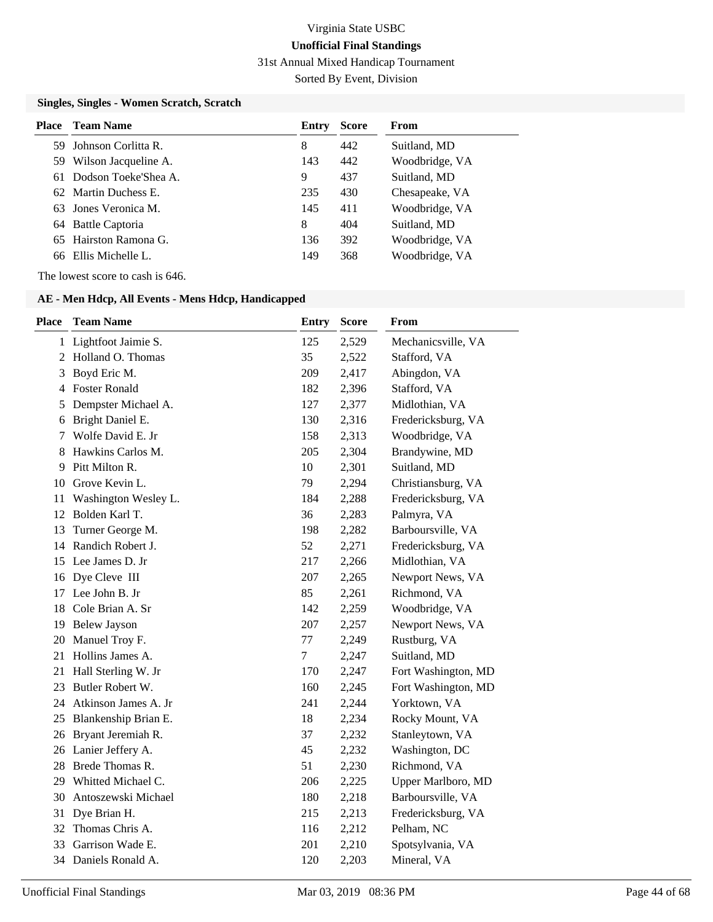31st Annual Mixed Handicap Tournament

Sorted By Event, Division

### **Singles, Singles - Women Scratch, Scratch**

| <b>Place</b> Team Name  | Entry | <b>Score</b> | <b>From</b>    |
|-------------------------|-------|--------------|----------------|
| 59 Johnson Corlitta R.  | 8     | 442          | Suitland, MD   |
| 59 Wilson Jacqueline A. | 143   | 442          | Woodbridge, VA |
| 61 Dodson Toeke'Shea A. | 9     | 437          | Suitland, MD   |
| 62 Martin Duchess E.    | 235   | 430          | Chesapeake, VA |
| 63 Jones Veronica M.    | 145   | 411          | Woodbridge, VA |
| 64 Battle Captoria      | 8     | 404          | Suitland, MD   |
| 65 Hairston Ramona G.   | 136   | 392          | Woodbridge, VA |
| 66 Ellis Michelle L.    | 149   | 368          | Woodbridge, VA |

The lowest score to cash is 646.

| <b>Place</b> | <b>Team Name</b>        | <b>Entry</b> | <b>Score</b> | From                |
|--------------|-------------------------|--------------|--------------|---------------------|
|              | 1 Lightfoot Jaimie S.   | 125          | 2,529        | Mechanicsville, VA  |
| 2            | Holland O. Thomas       | 35           | 2,522        | Stafford, VA        |
| 3            | Boyd Eric M.            | 209          | 2,417        | Abingdon, VA        |
| 4            | <b>Foster Ronald</b>    | 182          | 2,396        | Stafford, VA        |
| 5            | Dempster Michael A.     | 127          | 2,377        | Midlothian, VA      |
| 6            | Bright Daniel E.        | 130          | 2,316        | Fredericksburg, VA  |
| 7            | Wolfe David E. Jr       | 158          | 2,313        | Woodbridge, VA      |
| 8            | Hawkins Carlos M.       | 205          | 2,304        | Brandywine, MD      |
| 9            | Pitt Milton R.          | 10           | 2,301        | Suitland, MD        |
| 10           | Grove Kevin L.          | 79           | 2,294        | Christiansburg, VA  |
| 11           | Washington Wesley L.    | 184          | 2,288        | Fredericksburg, VA  |
| 12           | Bolden Karl T.          | 36           | 2,283        | Palmyra, VA         |
| 13           | Turner George M.        | 198          | 2,282        | Barboursville, VA   |
| 14           | Randich Robert J.       | 52           | 2,271        | Fredericksburg, VA  |
| 15           | Lee James D. Jr         | 217          | 2,266        | Midlothian, VA      |
| 16           | Dye Cleve III           | 207          | 2,265        | Newport News, VA    |
| 17           | Lee John B. Jr          | 85           | 2,261        | Richmond, VA        |
| 18           | Cole Brian A. Sr        | 142          | 2,259        | Woodbridge, VA      |
| 19           | <b>Belew Jayson</b>     | 207          | 2,257        | Newport News, VA    |
| 20           | Manuel Troy F.          | 77           | 2,249        | Rustburg, VA        |
| 21           | Hollins James A.        | 7            | 2,247        | Suitland, MD        |
| 21           | Hall Sterling W. Jr     | 170          | 2,247        | Fort Washington, MD |
| 23           | Butler Robert W.        | 160          | 2,245        | Fort Washington, MD |
|              | 24 Atkinson James A. Jr | 241          | 2,244        | Yorktown, VA        |
| 25           | Blankenship Brian E.    | 18           | 2,234        | Rocky Mount, VA     |
| 26           | Bryant Jeremiah R.      | 37           | 2,232        | Stanleytown, VA     |
|              | 26 Lanier Jeffery A.    | 45           | 2,232        | Washington, DC      |
| 28           | Brede Thomas R.         | 51           | 2,230        | Richmond, VA        |
| 29           | Whitted Michael C.      | 206          | 2,225        | Upper Marlboro, MD  |
| 30           | Antoszewski Michael     | 180          | 2,218        | Barboursville, VA   |
| 31           | Dye Brian H.            | 215          | 2,213        | Fredericksburg, VA  |
| 32           | Thomas Chris A.         | 116          | 2,212        | Pelham, NC          |
| 33           | Garrison Wade E.        | 201          | 2,210        | Spotsylvania, VA    |
| 34           | Daniels Ronald A.       | 120          | 2,203        | Mineral, VA         |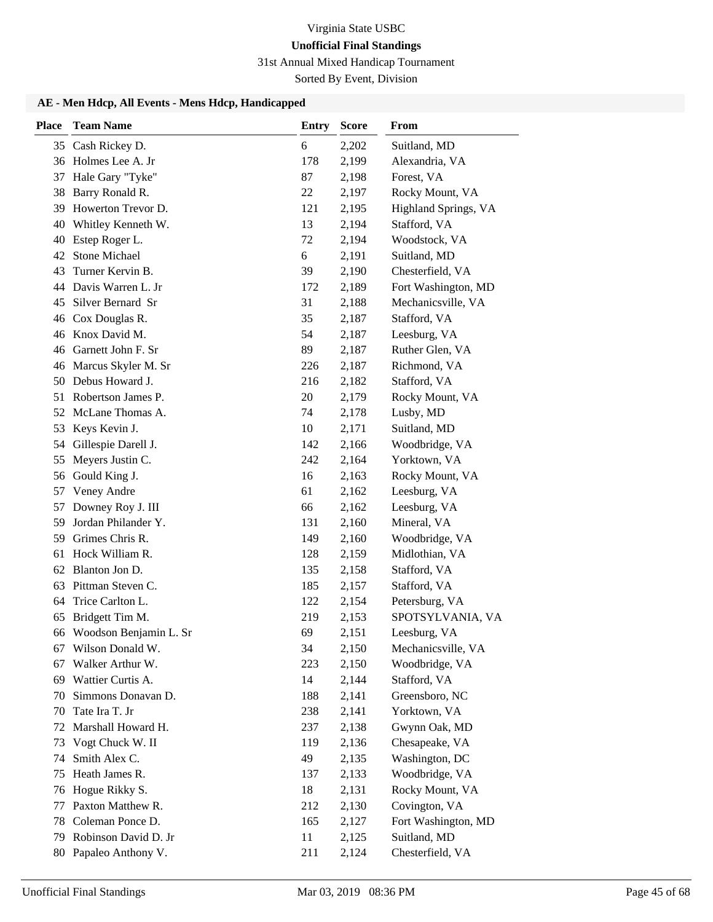31st Annual Mixed Handicap Tournament

Sorted By Event, Division

| <b>Place</b> | <b>Team Name</b>          | <b>Entry</b> | <b>Score</b> | From                 |
|--------------|---------------------------|--------------|--------------|----------------------|
|              | 35 Cash Rickey D.         | 6            | 2,202        | Suitland, MD         |
|              | 36 Holmes Lee A. Jr       | 178          | 2,199        | Alexandria, VA       |
| 37           | Hale Gary "Tyke"          | 87           | 2,198        | Forest, VA           |
| 38           | Barry Ronald R.           | 22           | 2,197        | Rocky Mount, VA      |
| 39           | Howerton Trevor D.        | 121          | 2,195        | Highland Springs, VA |
| 40           | Whitley Kenneth W.        | 13           | 2,194        | Stafford, VA         |
| 40           | Estep Roger L.            | 72           | 2,194        | Woodstock, VA        |
| 42           | <b>Stone Michael</b>      | 6            | 2,191        | Suitland, MD         |
| 43           | Turner Kervin B.          | 39           | 2,190        | Chesterfield, VA     |
| 44           | Davis Warren L. Jr        | 172          | 2,189        | Fort Washington, MD  |
| 45           | Silver Bernard Sr         | 31           | 2,188        | Mechanicsville, VA   |
| 46           | Cox Douglas R.            | 35           | 2,187        | Stafford, VA         |
|              | 46 Knox David M.          | 54           | 2,187        | Leesburg, VA         |
|              | 46 Garnett John F. Sr     | 89           | 2,187        | Ruther Glen, VA      |
|              | 46 Marcus Skyler M. Sr    | 226          | 2,187        | Richmond, VA         |
| 50           | Debus Howard J.           | 216          | 2,182        | Stafford, VA         |
| 51           | Robertson James P.        | 20           | 2,179        | Rocky Mount, VA      |
|              | 52 McLane Thomas A.       | 74           | 2,178        | Lusby, MD            |
| 53           | Keys Kevin J.             | 10           | 2,171        | Suitland, MD         |
| 54           | Gillespie Darell J.       | 142          | 2,166        | Woodbridge, VA       |
| 55           | Meyers Justin C.          | 242          | 2,164        | Yorktown, VA         |
| 56           | Gould King J.             | 16           | 2,163        | Rocky Mount, VA      |
| 57           | Veney Andre               | 61           | 2,162        | Leesburg, VA         |
| 57           | Downey Roy J. III         | 66           | 2,162        | Leesburg, VA         |
| 59           | Jordan Philander Y.       | 131          | 2,160        | Mineral, VA          |
| 59           | Grimes Chris R.           | 149          | 2,160        | Woodbridge, VA       |
| 61           | Hock William R.           | 128          | 2,159        | Midlothian, VA       |
| 62           | Blanton Jon D.            | 135          | 2,158        | Stafford, VA         |
| 63           | Pittman Steven C.         | 185          | 2,157        | Stafford, VA         |
| 64           | Trice Carlton L.          | 122          | 2,154        | Petersburg, VA       |
| 65           | Bridgett Tim M.           | 219          | 2,153        | SPOTSYLVANIA, VA     |
|              | 66 Woodson Benjamin L. Sr | 69           | 2,151        | Leesburg, VA         |
| 67           | Wilson Donald W.          | 34           | 2,150        | Mechanicsville, VA   |
| 67           | Walker Arthur W.          | 223          | 2,150        | Woodbridge, VA       |
| 69           | Wattier Curtis A.         | 14           | 2,144        | Stafford, VA         |
| 70           | Simmons Donavan D.        | 188          | 2,141        | Greensboro, NC       |
| 70           | Tate Ira T. Jr            | 238          | 2,141        | Yorktown, VA         |
| 72           | Marshall Howard H.        | 237          | 2,138        | Gwynn Oak, MD        |
| 73           | Vogt Chuck W. II          | 119          | 2,136        | Chesapeake, VA       |
| 74           | Smith Alex C.             | 49           | 2,135        | Washington, DC       |
| 75           | Heath James R.            | 137          | 2,133        | Woodbridge, VA       |
| 76           | Hogue Rikky S.            | 18           | 2,131        | Rocky Mount, VA      |
| 77           | Paxton Matthew R.         | 212          | 2,130        | Covington, VA        |
| 78           | Coleman Ponce D.          | 165          | 2,127        | Fort Washington, MD  |
| 79           | Robinson David D. Jr      | 11           | 2,125        | Suitland, MD         |
| 80           | Papaleo Anthony V.        | 211          | 2,124        | Chesterfield, VA     |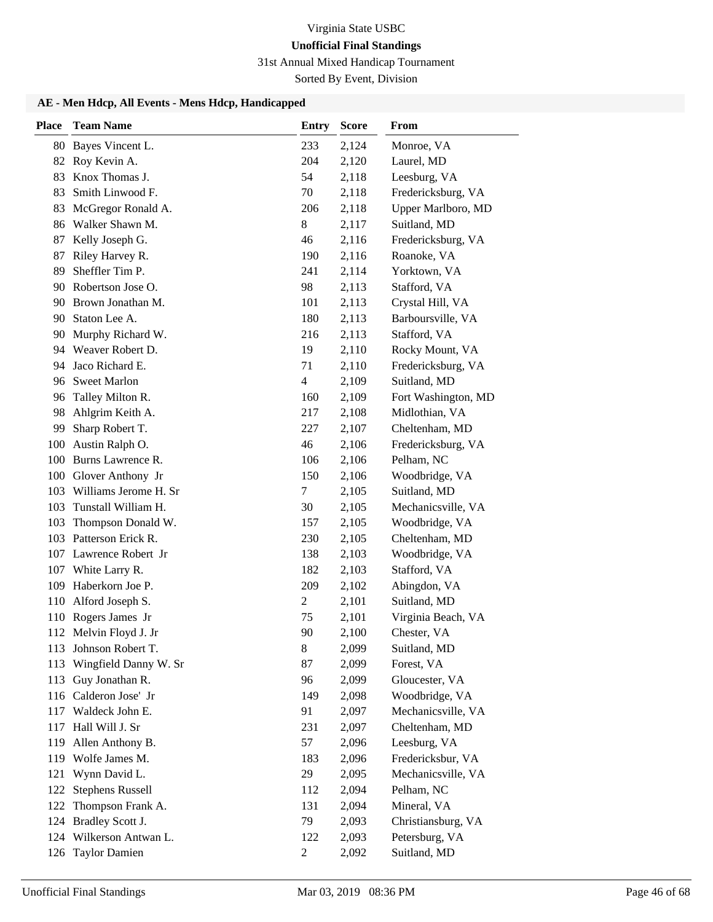31st Annual Mixed Handicap Tournament

Sorted By Event, Division

| <b>Place</b> | <b>Team Name</b>        | <b>Entry</b>   | <b>Score</b> | From                |
|--------------|-------------------------|----------------|--------------|---------------------|
|              | 80 Bayes Vincent L.     | 233            | 2,124        | Monroe, VA          |
|              | 82 Roy Kevin A.         | 204            | 2,120        | Laurel, MD          |
| 83           | Knox Thomas J.          | 54             | 2,118        | Leesburg, VA        |
| 83           | Smith Linwood F.        | 70             | 2,118        | Fredericksburg, VA  |
| 83           | McGregor Ronald A.      | 206            | 2,118        | Upper Marlboro, MD  |
| 86           | Walker Shawn M.         | 8              | 2,117        | Suitland, MD        |
| 87           | Kelly Joseph G.         | 46             | 2,116        | Fredericksburg, VA  |
| 87           | Riley Harvey R.         | 190            | 2,116        | Roanoke, VA         |
| 89           | Sheffler Tim P.         | 241            | 2,114        | Yorktown, VA        |
| 90           | Robertson Jose O.       | 98             | 2,113        | Stafford, VA        |
|              | 90 Brown Jonathan M.    | 101            | 2,113        | Crystal Hill, VA    |
|              | 90 Staton Lee A.        | 180            | 2,113        | Barboursville, VA   |
| 90           | Murphy Richard W.       | 216            | 2,113        | Stafford, VA        |
|              | 94 Weaver Robert D.     | 19             | 2,110        | Rocky Mount, VA     |
| 94           | Jaco Richard E.         | 71             | 2,110        | Fredericksburg, VA  |
| 96           | <b>Sweet Marlon</b>     | 4              | 2,109        | Suitland, MD        |
| 96           | Talley Milton R.        | 160            | 2,109        | Fort Washington, MD |
| 98           | Ahlgrim Keith A.        | 217            | 2,108        | Midlothian, VA      |
| 99           | Sharp Robert T.         | 227            | 2,107        | Cheltenham, MD      |
| 100          | Austin Ralph O.         | 46             | 2,106        | Fredericksburg, VA  |
|              | 100 Burns Lawrence R.   | 106            | 2,106        | Pelham, NC          |
|              | 100 Glover Anthony Jr   | 150            | 2,106        | Woodbridge, VA      |
| 103          | Williams Jerome H. Sr   | 7              | 2,105        | Suitland, MD        |
| 103          | Tunstall William H.     | 30             | 2,105        | Mechanicsville, VA  |
| 103          | Thompson Donald W.      | 157            | 2,105        | Woodbridge, VA      |
| 103          | Patterson Erick R.      | 230            | 2,105        | Cheltenham, MD      |
|              | 107 Lawrence Robert Jr  | 138            | 2,103        | Woodbridge, VA      |
| 107          | White Larry R.          | 182            | 2,103        | Stafford, VA        |
|              | 109 Haberkorn Joe P.    | 209            | 2,102        | Abingdon, VA        |
|              | 110 Alford Joseph S.    | $\overline{c}$ | 2,101        | Suitland, MD        |
|              | 110 Rogers James Jr     | 75             | 2,101        | Virginia Beach, VA  |
|              | 112 Melvin Floyd J. Jr  | 90             | 2,100        | Chester, VA         |
|              | 113 Johnson Robert T.   | 8              | 2,099        | Suitland, MD        |
| 113          | Wingfield Danny W. Sr   | 87             | 2,099        | Forest, VA          |
| 113          | Guy Jonathan R.         | 96             | 2,099        | Gloucester, VA      |
|              | 116 Calderon Jose' Jr   | 149            | 2,098        | Woodbridge, VA      |
|              | 117 Waldeck John E.     | 91             | 2,097        | Mechanicsville, VA  |
| 117          | Hall Will J. Sr         | 231            | 2,097        | Cheltenham, MD      |
| 119          | Allen Anthony B.        | 57             | 2,096        | Leesburg, VA        |
|              | 119 Wolfe James M.      | 183            | 2,096        | Fredericksbur, VA   |
| 121          | Wynn David L.           | 29             | 2,095        | Mechanicsville, VA  |
| 122          | <b>Stephens Russell</b> | 112            | 2,094        | Pelham, NC          |
| 122          | Thompson Frank A.       | 131            | 2,094        | Mineral, VA         |
| 124          | Bradley Scott J.        | 79             | 2,093        | Christiansburg, VA  |
|              | 124 Wilkerson Antwan L. | 122            | 2,093        | Petersburg, VA      |
|              | 126 Taylor Damien       | 2              | 2,092        | Suitland, MD        |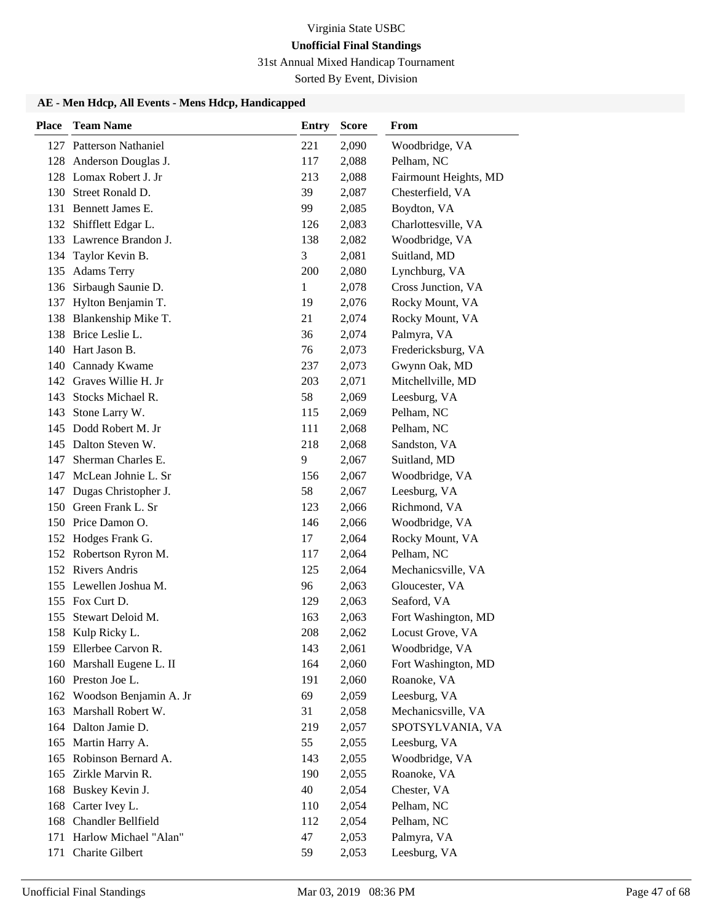31st Annual Mixed Handicap Tournament

Sorted By Event, Division

| <b>Place</b> | <b>Team Name</b>           | <b>Entry</b> | <b>Score</b> | From                  |
|--------------|----------------------------|--------------|--------------|-----------------------|
|              | 127 Patterson Nathaniel    | 221          | 2,090        | Woodbridge, VA        |
|              | 128 Anderson Douglas J.    | 117          | 2,088        | Pelham, NC            |
|              | 128 Lomax Robert J. Jr     | 213          | 2,088        | Fairmount Heights, MD |
|              | 130 Street Ronald D.       | 39           | 2,087        | Chesterfield, VA      |
| 131          | Bennett James E.           | 99           | 2,085        | Boydton, VA           |
|              | 132 Shifflett Edgar L.     | 126          | 2,083        | Charlottesville, VA   |
|              | 133 Lawrence Brandon J.    | 138          | 2,082        | Woodbridge, VA        |
| 134          | Taylor Kevin B.            | 3            | 2,081        | Suitland, MD          |
| 135          | <b>Adams Terry</b>         | 200          | 2,080        | Lynchburg, VA         |
| 136          | Sirbaugh Saunie D.         | 1            | 2,078        | Cross Junction, VA    |
|              | 137 Hylton Benjamin T.     | 19           | 2,076        | Rocky Mount, VA       |
| 138          | Blankenship Mike T.        | 21           | 2,074        | Rocky Mount, VA       |
|              | 138 Brice Leslie L.        | 36           | 2,074        | Palmyra, VA           |
|              | 140 Hart Jason B.          | 76           | 2,073        | Fredericksburg, VA    |
|              | 140 Cannady Kwame          | 237          | 2,073        | Gwynn Oak, MD         |
|              | 142 Graves Willie H. Jr    | 203          | 2,071        | Mitchellville, MD     |
| 143          | Stocks Michael R.          | 58           | 2,069        | Leesburg, VA          |
| 143          | Stone Larry W.             | 115          | 2,069        | Pelham, NC            |
|              | 145 Dodd Robert M. Jr      | 111          | 2,068        | Pelham, NC            |
|              | 145 Dalton Steven W.       | 218          | 2,068        | Sandston, VA          |
| 147          | Sherman Charles E.         | 9            | 2,067        | Suitland, MD          |
| 147          | McLean Johnie L. Sr        | 156          | 2,067        | Woodbridge, VA        |
|              | 147 Dugas Christopher J.   | 58           | 2,067        | Leesburg, VA          |
| 150          | Green Frank L. Sr          | 123          | 2,066        | Richmond, VA          |
|              | 150 Price Damon O.         | 146          | 2,066        | Woodbridge, VA        |
|              | 152 Hodges Frank G.        | 17           | 2,064        | Rocky Mount, VA       |
|              | 152 Robertson Ryron M.     | 117          | 2,064        | Pelham, NC            |
|              | 152 Rivers Andris          | 125          | 2,064        | Mechanicsville, VA    |
|              | 155 Lewellen Joshua M.     | 96           | 2,063        | Gloucester, VA        |
|              | 155 Fox Curt D.            | 129          | 2,063        | Seaford, VA           |
|              | 155 Stewart Deloid M.      | 163          | 2,063        | Fort Washington, MD   |
|              | 158 Kulp Ricky L.          | 208          | 2,062        | Locust Grove, VA      |
|              | 159 Ellerbee Carvon R.     | 143          | 2,061        | Woodbridge, VA        |
| 160          | Marshall Eugene L. II      | 164          | 2,060        | Fort Washington, MD   |
|              | 160 Preston Joe L.         | 191          | 2,060        | Roanoke, VA           |
|              | 162 Woodson Benjamin A. Jr | 69           | 2,059        | Leesburg, VA          |
|              | 163 Marshall Robert W.     | 31           | 2,058        | Mechanicsville, VA    |
|              | 164 Dalton Jamie D.        | 219          | 2,057        | SPOTSYLVANIA, VA      |
|              | 165 Martin Harry A.        | 55           | 2,055        | Leesburg, VA          |
| 165          | Robinson Bernard A.        | 143          | 2,055        | Woodbridge, VA        |
| 165          | Zirkle Marvin R.           | 190          | 2,055        | Roanoke, VA           |
| 168          | Buskey Kevin J.            | 40           | 2,054        | Chester, VA           |
| 168          | Carter Ivey L.             | 110          | 2,054        | Pelham, NC            |
| 168          | Chandler Bellfield         | 112          | 2,054        | Pelham, NC            |
| 171          | Harlow Michael "Alan"      | 47           | 2,053        | Palmyra, VA           |
| 171          | Charite Gilbert            | 59           | 2,053        | Leesburg, VA          |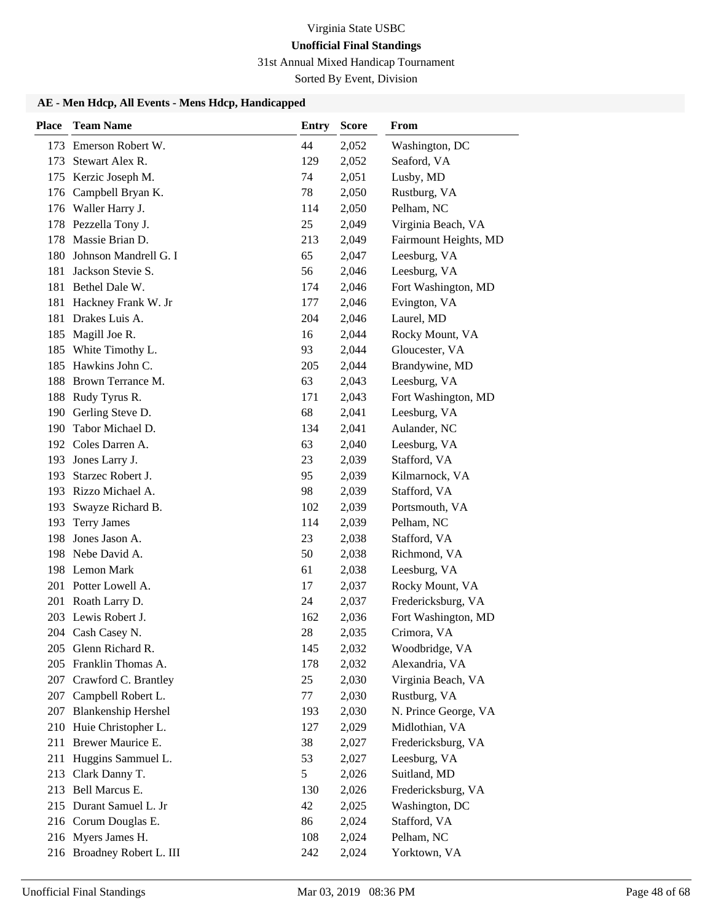31st Annual Mixed Handicap Tournament

Sorted By Event, Division

| <b>Place</b> | <b>Team Name</b>           | <b>Entry</b> | <b>Score</b> | From                  |
|--------------|----------------------------|--------------|--------------|-----------------------|
|              | 173 Emerson Robert W.      | 44           | 2,052        | Washington, DC        |
| 173          | Stewart Alex R.            | 129          | 2,052        | Seaford, VA           |
| 175          | Kerzic Joseph M.           | 74           | 2,051        | Lusby, MD             |
| 176          | Campbell Bryan K.          | 78           | 2,050        | Rustburg, VA          |
|              | 176 Waller Harry J.        | 114          | 2,050        | Pelham, NC            |
| 178          | Pezzella Tony J.           | 25           | 2,049        | Virginia Beach, VA    |
| 178          | Massie Brian D.            | 213          | 2,049        | Fairmount Heights, MD |
| 180          | Johnson Mandrell G. I      | 65           | 2,047        | Leesburg, VA          |
| 181          | Jackson Stevie S.          | 56           | 2,046        | Leesburg, VA          |
| 181          | Bethel Dale W.             | 174          | 2,046        | Fort Washington, MD   |
| 181          | Hackney Frank W. Jr        | 177          | 2,046        | Evington, VA          |
| 181          | Drakes Luis A.             | 204          | 2,046        | Laurel, MD            |
| 185          | Magill Joe R.              | 16           | 2,044        | Rocky Mount, VA       |
| 185          | White Timothy L.           | 93           | 2,044        | Gloucester, VA        |
| 185          | Hawkins John C.            | 205          | 2,044        | Brandywine, MD        |
| 188          | Brown Terrance M.          | 63           | 2,043        | Leesburg, VA          |
| 188          | Rudy Tyrus R.              | 171          | 2,043        | Fort Washington, MD   |
| 190          | Gerling Steve D.           | 68           | 2,041        | Leesburg, VA          |
| 190          | Tabor Michael D.           | 134          | 2,041        | Aulander, NC          |
|              | 192 Coles Darren A.        | 63           | 2,040        | Leesburg, VA          |
| 193          | Jones Larry J.             | 23           | 2,039        | Stafford, VA          |
| 193          | Starzec Robert J.          | 95           | 2,039        | Kilmarnock, VA        |
|              | 193 Rizzo Michael A.       | 98           | 2,039        | Stafford, VA          |
| 193          | Swayze Richard B.          | 102          | 2,039        | Portsmouth, VA        |
| 193          | <b>Terry James</b>         | 114          | 2,039        | Pelham, NC            |
| 198          | Jones Jason A.             | 23           | 2,038        | Stafford, VA          |
| 198          | Nebe David A.              | 50           | 2,038        | Richmond, VA          |
| 198          | Lemon Mark                 | 61           | 2,038        | Leesburg, VA          |
|              | 201 Potter Lowell A.       | 17           | 2,037        | Rocky Mount, VA       |
| 201          | Roath Larry D.             | 24           | 2,037        | Fredericksburg, VA    |
|              | 203 Lewis Robert J.        | 162          | 2,036        | Fort Washington, MD   |
|              | 204 Cash Casey N.          | 28           | 2,035        | Crimora, VA           |
|              | 205 Glenn Richard R.       | 145          | 2,032        | Woodbridge, VA        |
| 205          | Franklin Thomas A.         | 178          | 2,032        | Alexandria, VA        |
| 207          | Crawford C. Brantley       | 25           | 2,030        | Virginia Beach, VA    |
| 207          | Campbell Robert L.         | 77           | 2,030        | Rustburg, VA          |
| 207          | <b>Blankenship Hershel</b> | 193          | 2,030        | N. Prince George, VA  |
| 210          | Huie Christopher L.        | 127          | 2,029        | Midlothian, VA        |
| 211          | Brewer Maurice E.          | 38           | 2,027        | Fredericksburg, VA    |
| 211          | Huggins Sammuel L.         | 53           | 2,027        | Leesburg, VA          |
| 213          | Clark Danny T.             | 5            | 2,026        | Suitland, MD          |
| 213          | Bell Marcus E.             | 130          | 2,026        | Fredericksburg, VA    |
|              | 215 Durant Samuel L. Jr    | 42           | 2,025        | Washington, DC        |
|              | 216 Corum Douglas E.       | 86           | 2,024        | Stafford, VA          |
|              | 216 Myers James H.         | 108          | 2,024        | Pelham, NC            |
|              | 216 Broadney Robert L. III | 242          | 2,024        | Yorktown, VA          |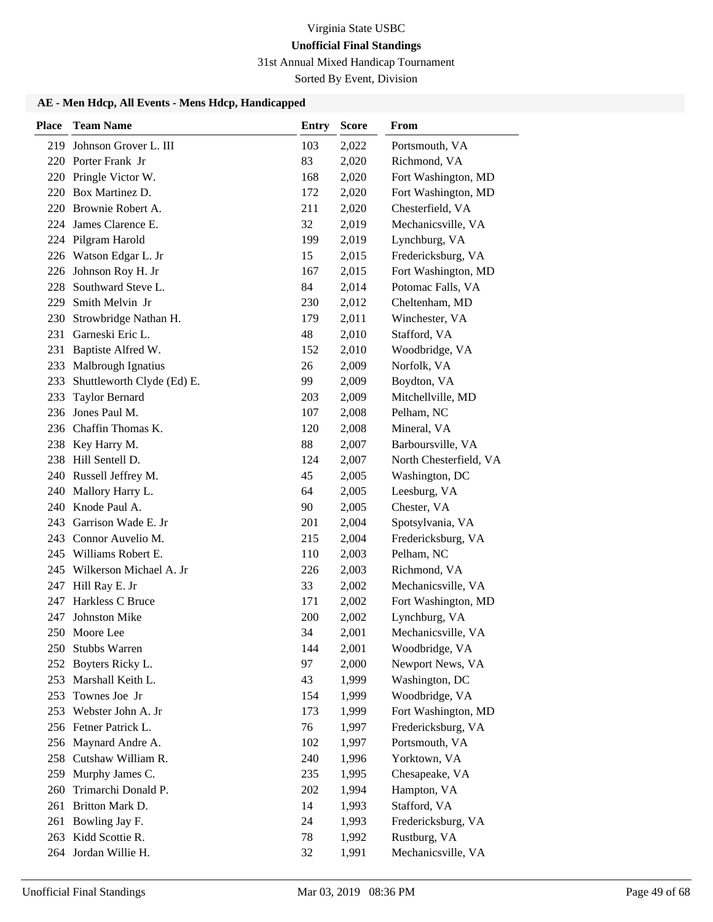31st Annual Mixed Handicap Tournament

Sorted By Event, Division

| <b>Place</b> | <b>Team Name</b>           | <b>Entry</b> | <b>Score</b> | From                   |
|--------------|----------------------------|--------------|--------------|------------------------|
| 219          | Johnson Grover L. III      | 103          | 2,022        | Portsmouth, VA         |
| 220          | Porter Frank Jr            | 83           | 2,020        | Richmond, VA           |
|              | 220 Pringle Victor W.      | 168          | 2,020        | Fort Washington, MD    |
| 220          | Box Martinez D.            | 172          | 2,020        | Fort Washington, MD    |
| 220          | Brownie Robert A.          | 211          | 2,020        | Chesterfield, VA       |
| 224          | James Clarence E.          | 32           | 2,019        | Mechanicsville, VA     |
|              | 224 Pilgram Harold         | 199          | 2,019        | Lynchburg, VA          |
|              | 226 Watson Edgar L. Jr     | 15           | 2,015        | Fredericksburg, VA     |
| 226          | Johnson Roy H. Jr          | 167          | 2,015        | Fort Washington, MD    |
| 228          | Southward Steve L.         | 84           | 2,014        | Potomac Falls, VA      |
| 229          | Smith Melvin Jr            | 230          | 2,012        | Cheltenham, MD         |
| 230          | Strowbridge Nathan H.      | 179          | 2,011        | Winchester, VA         |
| 231          | Garneski Eric L.           | 48           | 2,010        | Stafford, VA           |
| 231          | Baptiste Alfred W.         | 152          | 2,010        | Woodbridge, VA         |
| 233          | <b>Malbrough Ignatius</b>  | 26           | 2,009        | Norfolk, VA            |
| 233          | Shuttleworth Clyde (Ed) E. | 99           | 2,009        | Boydton, VA            |
| 233          | <b>Taylor Bernard</b>      | 203          | 2,009        | Mitchellville, MD      |
| 236          | Jones Paul M.              | 107          | 2,008        | Pelham, NC             |
|              | 236 Chaffin Thomas K.      | 120          | 2,008        | Mineral, VA            |
| 238          | Key Harry M.               | 88           | 2,007        | Barboursville, VA      |
| 238          | Hill Sentell D.            | 124          | 2,007        | North Chesterfield, VA |
| 240          | Russell Jeffrey M.         | 45           | 2,005        | Washington, DC         |
| 240          | Mallory Harry L.           | 64           | 2,005        | Leesburg, VA           |
| 240          | Knode Paul A.              | 90           | 2,005        | Chester, VA            |
| 243          | Garrison Wade E. Jr        | 201          | 2,004        | Spotsylvania, VA       |
|              | 243 Connor Auvelio M.      | 215          | 2,004        | Fredericksburg, VA     |
| 245          | Williams Robert E.         | 110          | 2,003        | Pelham, NC             |
| 245          | Wilkerson Michael A. Jr    | 226          | 2,003        | Richmond, VA           |
| 247          | Hill Ray E. Jr             | 33           | 2,002        | Mechanicsville, VA     |
| 247          | Harkless C Bruce           | 171          | 2,002        | Fort Washington, MD    |
| 247          | <b>Johnston Mike</b>       | 200          | 2,002        | Lynchburg, VA          |
|              | 250 Moore Lee              | 34           | 2,001        | Mechanicsville, VA     |
|              | 250 Stubbs Warren          | 144          | 2,001        | Woodbridge, VA         |
| 252          | Boyters Ricky L.           | 97           | 2,000        | Newport News, VA       |
| 253          | Marshall Keith L.          | 43           | 1,999        | Washington, DC         |
| 253          | Townes Joe Jr              | 154          | 1,999        | Woodbridge, VA         |
| 253          | Webster John A. Jr         | 173          | 1,999        | Fort Washington, MD    |
|              | 256 Fetner Patrick L.      | 76           | 1,997        | Fredericksburg, VA     |
|              | 256 Maynard Andre A.       | 102          | 1,997        | Portsmouth, VA         |
| 258          | Cutshaw William R.         | 240          | 1,996        | Yorktown, VA           |
| 259          | Murphy James C.            | 235          | 1,995        | Chesapeake, VA         |
| 260          | Trimarchi Donald P.        | 202          | 1,994        | Hampton, VA            |
| 261          | Britton Mark D.            | 14           | 1,993        | Stafford, VA           |
| 261          | Bowling Jay F.             | 24           | 1,993        | Fredericksburg, VA     |
|              | 263 Kidd Scottie R.        | 78           | 1,992        | Rustburg, VA           |
|              | 264 Jordan Willie H.       | 32           | 1,991        | Mechanicsville, VA     |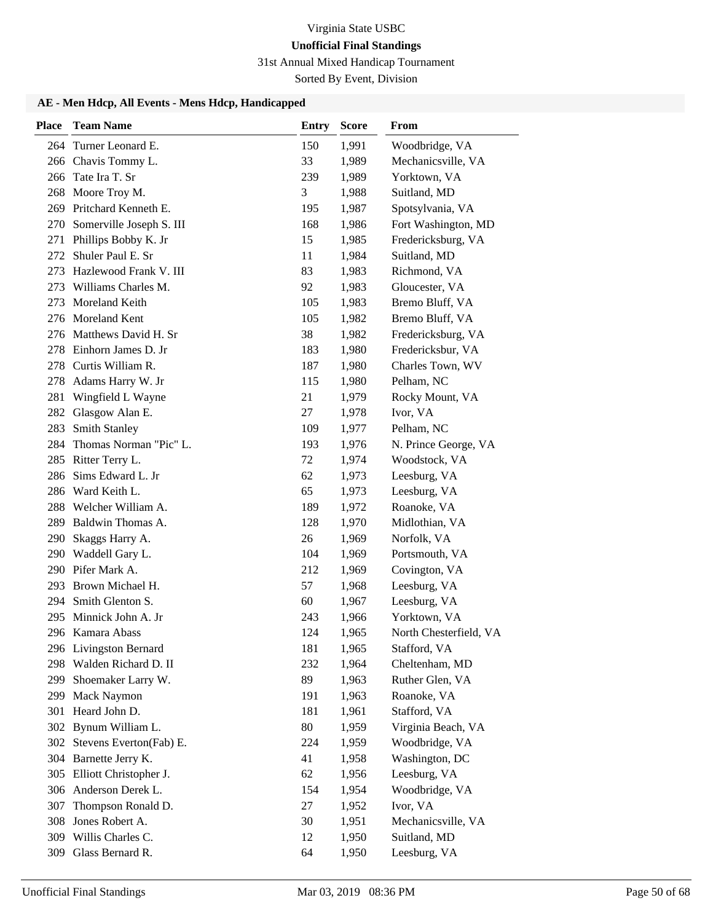31st Annual Mixed Handicap Tournament

Sorted By Event, Division

| <b>Place</b> | <b>Team Name</b>             | <b>Entry</b> | <b>Score</b> | <b>From</b>            |
|--------------|------------------------------|--------------|--------------|------------------------|
|              | 264 Turner Leonard E.        | 150          | 1,991        | Woodbridge, VA         |
|              | 266 Chavis Tommy L.          | 33           | 1,989        | Mechanicsville, VA     |
|              | 266 Tate Ira T. Sr           | 239          | 1,989        | Yorktown, VA           |
|              | 268 Moore Troy M.            | 3            | 1,988        | Suitland, MD           |
|              | 269 Pritchard Kenneth E.     | 195          | 1,987        | Spotsylvania, VA       |
|              | 270 Somerville Joseph S. III | 168          | 1,986        | Fort Washington, MD    |
| 271          | Phillips Bobby K. Jr         | 15           | 1,985        | Fredericksburg, VA     |
|              | 272 Shuler Paul E. Sr        | 11           | 1,984        | Suitland, MD           |
| 273          | Hazlewood Frank V. III       | 83           | 1,983        | Richmond, VA           |
| 273          | Williams Charles M.          | 92           | 1,983        | Gloucester, VA         |
| 273          | Moreland Keith               | 105          | 1,983        | Bremo Bluff, VA        |
| 276          | Moreland Kent                | 105          | 1,982        | Bremo Bluff, VA        |
|              | 276 Matthews David H. Sr     | 38           | 1,982        | Fredericksburg, VA     |
|              | 278 Einhorn James D. Jr      | 183          | 1,980        | Fredericksbur, VA      |
| 278          | Curtis William R.            | 187          | 1,980        | Charles Town, WV       |
| 278          | Adams Harry W. Jr            | 115          | 1,980        | Pelham, NC             |
| 281          | Wingfield L Wayne            | 21           | 1,979        | Rocky Mount, VA        |
| 282          | Glasgow Alan E.              | 27           | 1,978        | Ivor, VA               |
| 283          | <b>Smith Stanley</b>         | 109          | 1,977        | Pelham, NC             |
| 284          | Thomas Norman "Pic" L.       | 193          | 1,976        | N. Prince George, VA   |
|              | 285 Ritter Terry L.          | 72           | 1,974        | Woodstock, VA          |
| 286          | Sims Edward L. Jr            | 62           | 1,973        | Leesburg, VA           |
|              | 286 Ward Keith L.            | 65           | 1,973        | Leesburg, VA           |
| 288          | Welcher William A.           | 189          | 1,972        | Roanoke, VA            |
| 289          | Baldwin Thomas A.            | 128          | 1,970        | Midlothian, VA         |
| 290          | Skaggs Harry A.              | 26           | 1,969        | Norfolk, VA            |
|              | 290 Waddell Gary L.          | 104          | 1,969        | Portsmouth, VA         |
|              | 290 Pifer Mark A.            | 212          | 1,969        | Covington, VA          |
|              | 293 Brown Michael H.         | 57           | 1,968        | Leesburg, VA           |
|              | 294 Smith Glenton S.         | 60           | 1,967        | Leesburg, VA           |
|              | 295 Minnick John A. Jr       | 243          | 1,966        | Yorktown, VA           |
|              | 296 Kamara Abass             | 124          | 1,965        | North Chesterfield, VA |
|              | 296 Livingston Bernard       | 181          | 1,965        | Stafford, VA           |
| 298          | Walden Richard D. II         | 232          | 1,964        | Cheltenham, MD         |
| 299          | Shoemaker Larry W.           | 89           | 1,963        | Ruther Glen, VA        |
| 299          | <b>Mack Naymon</b>           | 191          | 1,963        | Roanoke, VA            |
| 301          | Heard John D.                | 181          | 1,961        | Stafford, VA           |
|              | 302 Bynum William L.         | 80           | 1,959        | Virginia Beach, VA     |
| 302          | Stevens Everton(Fab) E.      | 224          | 1,959        | Woodbridge, VA         |
|              | 304 Barnette Jerry K.        | 41           | 1,958        | Washington, DC         |
|              | 305 Elliott Christopher J.   | 62           | 1,956        | Leesburg, VA           |
|              | 306 Anderson Derek L.        | 154          | 1,954        | Woodbridge, VA         |
| 307          | Thompson Ronald D.           | 27           | 1,952        | Ivor, VA               |
| 308          | Jones Robert A.              | 30           | 1,951        | Mechanicsville, VA     |
| 309          | Willis Charles C.            | 12           | 1,950        | Suitland, MD           |
| 309          | Glass Bernard R.             | 64           | 1,950        | Leesburg, VA           |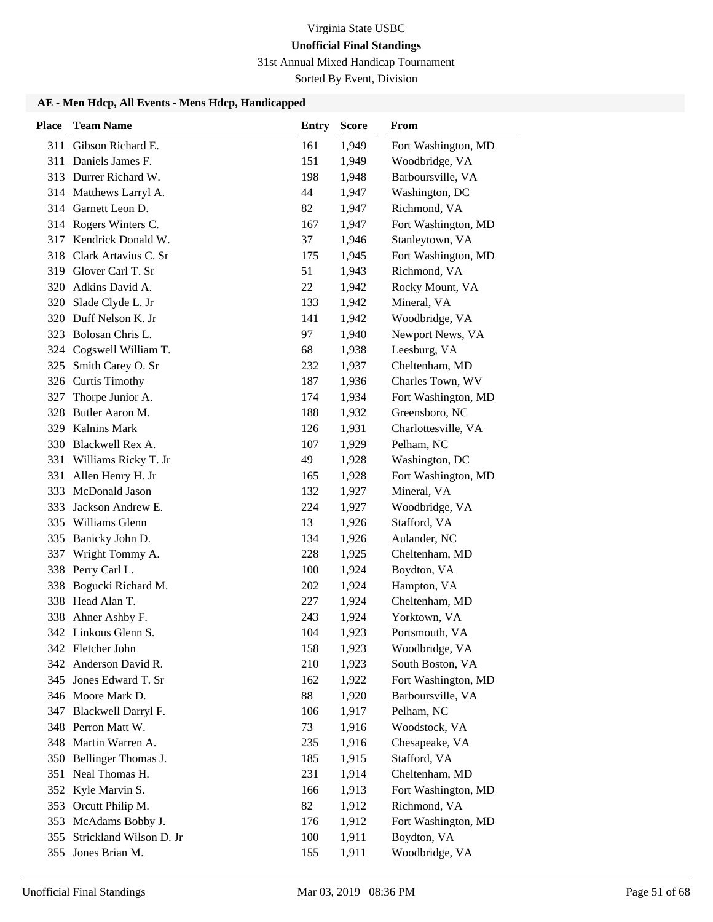31st Annual Mixed Handicap Tournament

Sorted By Event, Division

| <b>Place</b> | <b>Team Name</b>        | <b>Entry</b> | <b>Score</b> | From                |
|--------------|-------------------------|--------------|--------------|---------------------|
| 311          | Gibson Richard E.       | 161          | 1,949        | Fort Washington, MD |
| 311          | Daniels James F.        | 151          | 1,949        | Woodbridge, VA      |
|              | 313 Durrer Richard W.   | 198          | 1,948        | Barboursville, VA   |
|              | 314 Matthews Larryl A.  | 44           | 1,947        | Washington, DC      |
|              | 314 Garnett Leon D.     | 82           | 1,947        | Richmond, VA        |
|              | 314 Rogers Winters C.   | 167          | 1,947        | Fort Washington, MD |
|              | 317 Kendrick Donald W.  | 37           | 1,946        | Stanleytown, VA     |
| 318          | Clark Artavius C. Sr    | 175          | 1,945        | Fort Washington, MD |
| 319          | Glover Carl T. Sr       | 51           | 1,943        | Richmond, VA        |
|              | 320 Adkins David A.     | 22           | 1,942        | Rocky Mount, VA     |
| 320          | Slade Clyde L. Jr       | 133          | 1,942        | Mineral, VA         |
|              | 320 Duff Nelson K. Jr   | 141          | 1,942        | Woodbridge, VA      |
| 323          | Bolosan Chris L.        | 97           | 1,940        | Newport News, VA    |
| 324          | Cogswell William T.     | 68           | 1,938        | Leesburg, VA        |
| 325          | Smith Carey O. Sr       | 232          | 1,937        | Cheltenham, MD      |
|              | 326 Curtis Timothy      | 187          | 1,936        | Charles Town, WV    |
| 327          | Thorpe Junior A.        | 174          | 1,934        | Fort Washington, MD |
| 328          | Butler Aaron M.         | 188          | 1,932        | Greensboro, NC      |
|              | 329 Kalnins Mark        | 126          | 1,931        | Charlottesville, VA |
|              | 330 Blackwell Rex A.    | 107          | 1,929        | Pelham, NC          |
| 331          | Williams Ricky T. Jr    | 49           | 1,928        | Washington, DC      |
| 331          | Allen Henry H. Jr       | 165          | 1,928        | Fort Washington, MD |
|              | 333 McDonald Jason      | 132          | 1,927        | Mineral, VA         |
| 333          | Jackson Andrew E.       | 224          | 1,927        | Woodbridge, VA      |
| 335          | Williams Glenn          | 13           | 1,926        | Stafford, VA        |
| 335          | Banicky John D.         | 134          | 1,926        | Aulander, NC        |
| 337          | Wright Tommy A.         | 228          | 1,925        | Cheltenham, MD      |
| 338          | Perry Carl L.           | 100          | 1,924        | Boydton, VA         |
| 338          | Bogucki Richard M.      | 202          | 1,924        | Hampton, VA         |
|              | 338 Head Alan T.        | 227          | 1,924        | Cheltenham, MD      |
|              | 338 Ahner Ashby F.      | 243          | 1,924        | Yorktown, VA        |
|              | 342 Linkous Glenn S.    | 104          | 1,923        | Portsmouth, VA      |
|              | 342 Fletcher John       | 158          | 1,923        | Woodbridge, VA      |
|              | 342 Anderson David R.   | 210          | 1,923        | South Boston, VA    |
|              | 345 Jones Edward T. Sr  | 162          | 1,922        | Fort Washington, MD |
|              | 346 Moore Mark D.       | 88           | 1,920        | Barboursville, VA   |
|              | 347 Blackwell Darryl F. | 106          | 1,917        | Pelham, NC          |
|              | 348 Perron Matt W.      | 73           | 1,916        | Woodstock, VA       |
|              | 348 Martin Warren A.    | 235          | 1,916        | Chesapeake, VA      |
|              | 350 Bellinger Thomas J. | 185          | 1,915        | Stafford, VA        |
| 351          | Neal Thomas H.          | 231          | 1,914        | Cheltenham, MD      |
|              | 352 Kyle Marvin S.      | 166          | 1,913        | Fort Washington, MD |
| 353          | Orcutt Philip M.        | 82           | 1,912        | Richmond, VA        |
| 353          | McAdams Bobby J.        | 176          | 1,912        | Fort Washington, MD |
| 355          | Strickland Wilson D. Jr | 100          | 1,911        | Boydton, VA         |
| 355          | Jones Brian M.          | 155          | 1,911        | Woodbridge, VA      |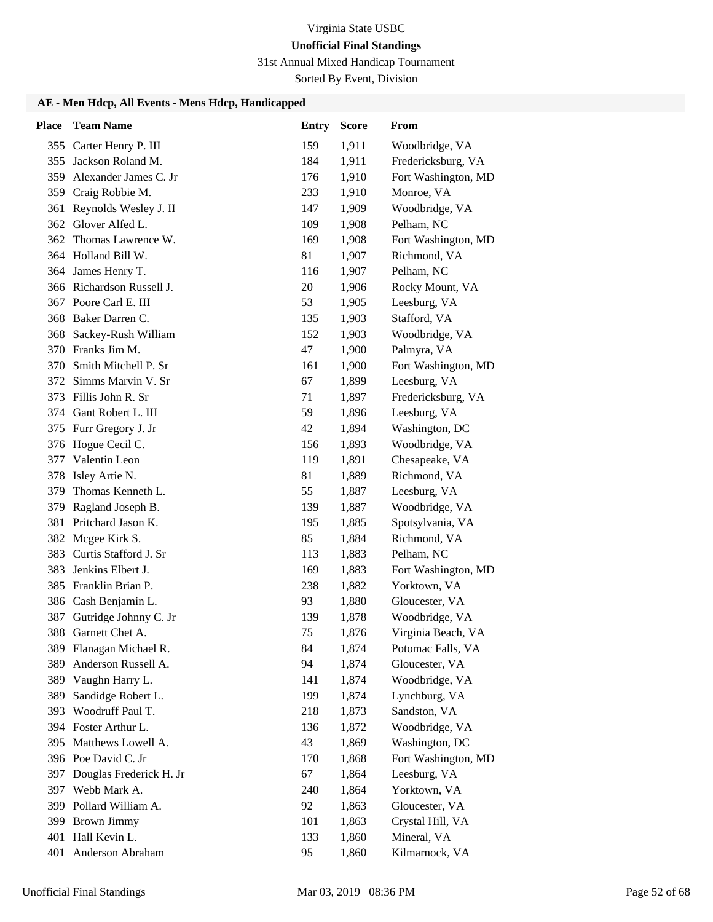31st Annual Mixed Handicap Tournament

Sorted By Event, Division

| <b>Place</b> | <b>Team Name</b>          | <b>Entry</b> | <b>Score</b> | <b>From</b>         |
|--------------|---------------------------|--------------|--------------|---------------------|
| 355          | Carter Henry P. III       | 159          | 1,911        | Woodbridge, VA      |
| 355          | Jackson Roland M.         | 184          | 1,911        | Fredericksburg, VA  |
|              | 359 Alexander James C. Jr | 176          | 1,910        | Fort Washington, MD |
|              | 359 Craig Robbie M.       | 233          | 1,910        | Monroe, VA          |
| 361          | Reynolds Wesley J. II     | 147          | 1,909        | Woodbridge, VA      |
|              | 362 Glover Alfed L.       | 109          | 1,908        | Pelham, NC          |
|              | 362 Thomas Lawrence W.    | 169          | 1,908        | Fort Washington, MD |
|              | 364 Holland Bill W.       | 81           | 1,907        | Richmond, VA        |
|              | 364 James Henry T.        | 116          | 1,907        | Pelham, NC          |
|              | 366 Richardson Russell J. | 20           | 1,906        | Rocky Mount, VA     |
|              | 367 Poore Carl E. III     | 53           | 1,905        | Leesburg, VA        |
|              | 368 Baker Darren C.       | 135          | 1,903        | Stafford, VA        |
| 368          | Sackey-Rush William       | 152          | 1,903        | Woodbridge, VA      |
|              | 370 Franks Jim M.         | 47           | 1,900        | Palmyra, VA         |
|              | 370 Smith Mitchell P. Sr  | 161          | 1,900        | Fort Washington, MD |
|              | 372 Simms Marvin V. Sr    | 67           | 1,899        | Leesburg, VA        |
|              | 373 Fillis John R. Sr     | 71           | 1,897        | Fredericksburg, VA  |
|              | 374 Gant Robert L. III    | 59           | 1,896        | Leesburg, VA        |
|              | 375 Furr Gregory J. Jr    | 42           | 1,894        | Washington, DC      |
|              | 376 Hogue Cecil C.        | 156          | 1,893        | Woodbridge, VA      |
|              | 377 Valentin Leon         | 119          | 1,891        | Chesapeake, VA      |
|              | 378 Isley Artie N.        | 81           | 1,889        | Richmond, VA        |
|              | 379 Thomas Kenneth L.     | 55           | 1,887        | Leesburg, VA        |
| 379          | Ragland Joseph B.         | 139          | 1,887        | Woodbridge, VA      |
|              | 381 Pritchard Jason K.    | 195          | 1,885        | Spotsylvania, VA    |
|              | 382 Mcgee Kirk S.         | 85           | 1,884        | Richmond, VA        |
| 383          | Curtis Stafford J. Sr     | 113          | 1,883        | Pelham, NC          |
| 383          | Jenkins Elbert J.         | 169          | 1,883        | Fort Washington, MD |
|              | 385 Franklin Brian P.     | 238          | 1,882        | Yorktown, VA        |
|              | 386 Cash Benjamin L.      | 93           | 1,880        | Gloucester, VA      |
| 387          | Gutridge Johnny C. Jr     | 139          | 1,878        | Woodbridge, VA      |
| 388          | Garnett Chet A.           | 75           | 1,876        | Virginia Beach, VA  |
|              | 389 Flanagan Michael R.   | 84           | 1,874        | Potomac Falls, VA   |
| 389          | Anderson Russell A.       | 94           | 1,874        | Gloucester, VA      |
|              | 389 Vaughn Harry L.       | 141          | 1,874        | Woodbridge, VA      |
| 389          | Sandidge Robert L.        | 199          | 1,874        | Lynchburg, VA       |
| 393          | Woodruff Paul T.          | 218          | 1,873        | Sandston, VA        |
|              | 394 Foster Arthur L.      | 136          | 1,872        | Woodbridge, VA      |
|              | 395 Matthews Lowell A.    | 43           | 1,869        | Washington, DC      |
|              | 396 Poe David C. Jr       | 170          | 1,868        | Fort Washington, MD |
| 397          | Douglas Frederick H. Jr   | 67           | 1,864        | Leesburg, VA        |
| 397          | Webb Mark A.              | 240          | 1,864        | Yorktown, VA        |
|              | 399 Pollard William A.    | 92           | 1,863        | Gloucester, VA      |
|              | 399 Brown Jimmy           | 101          | 1,863        | Crystal Hill, VA    |
|              | 401 Hall Kevin L.         | 133          | 1,860        | Mineral, VA         |
|              | 401 Anderson Abraham      | 95           | 1,860        | Kilmarnock, VA      |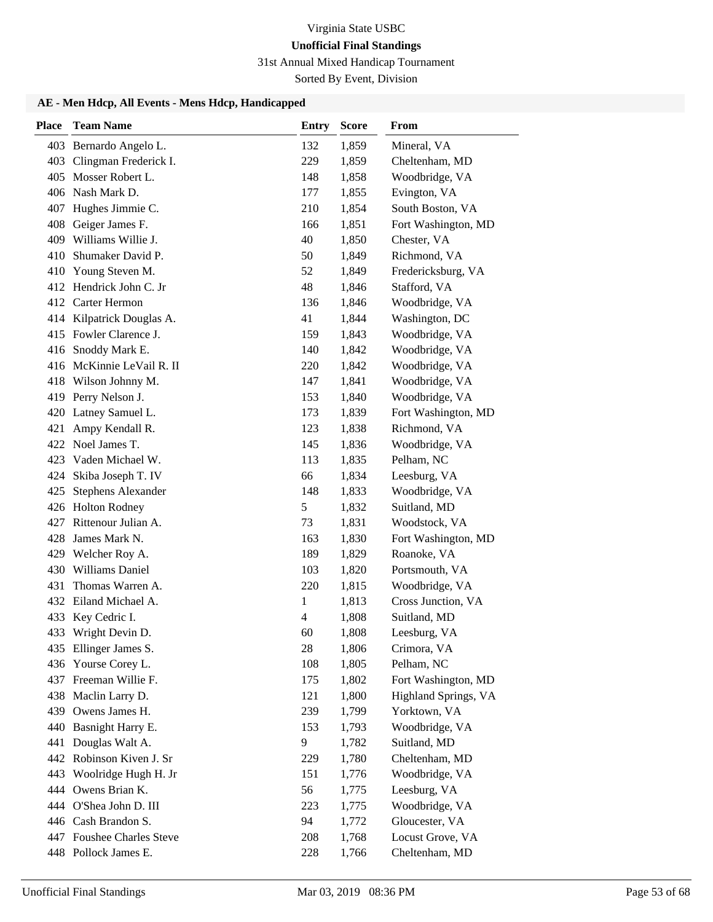31st Annual Mixed Handicap Tournament

Sorted By Event, Division

| <b>Place</b> | <b>Team Name</b>                      | <b>Entry</b> | <b>Score</b>   | From                                 |
|--------------|---------------------------------------|--------------|----------------|--------------------------------------|
|              | 403 Bernardo Angelo L.                | 132          | 1,859          | Mineral, VA                          |
|              | 403 Clingman Frederick I.             | 229          | 1,859          | Cheltenham, MD                       |
|              | 405 Mosser Robert L.                  | 148          | 1,858          | Woodbridge, VA                       |
|              | 406 Nash Mark D.                      | 177          | 1,855          | Evington, VA                         |
| 407          | Hughes Jimmie C.                      | 210          | 1,854          | South Boston, VA                     |
| 408          | Geiger James F.                       | 166          | 1,851          | Fort Washington, MD                  |
|              | 409 Williams Willie J.                | 40           | 1,850          | Chester, VA                          |
| 410          | Shumaker David P.                     | 50           | 1,849          | Richmond, VA                         |
| 410          | Young Steven M.                       | 52           | 1,849          | Fredericksburg, VA                   |
|              | 412 Hendrick John C. Jr               | 48           | 1,846          | Stafford, VA                         |
|              | 412 Carter Hermon                     | 136          | 1,846          | Woodbridge, VA                       |
|              | 414 Kilpatrick Douglas A.             | 41           | 1,844          | Washington, DC                       |
|              | 415 Fowler Clarence J.                | 159          | 1,843          | Woodbridge, VA                       |
|              | 416 Snoddy Mark E.                    | 140          | 1,842          | Woodbridge, VA                       |
|              | 416 McKinnie LeVail R. II             | 220          | 1,842          | Woodbridge, VA                       |
|              | 418 Wilson Johnny M.                  | 147          | 1,841          | Woodbridge, VA                       |
|              | 419 Perry Nelson J.                   | 153          | 1,840          | Woodbridge, VA                       |
|              | 420 Latney Samuel L.                  | 173          | 1,839          | Fort Washington, MD                  |
| 421          | Ampy Kendall R.                       | 123          | 1,838          | Richmond, VA                         |
|              | 422 Noel James T.                     | 145          | 1,836          | Woodbridge, VA                       |
| 423          | Vaden Michael W.                      | 113          | 1,835          | Pelham, NC                           |
|              | 424 Skiba Joseph T. IV                | 66           | 1,834          | Leesburg, VA                         |
|              | 425 Stephens Alexander                | 148          | 1,833          | Woodbridge, VA                       |
|              | 426 Holton Rodney                     | 5            | 1,832          | Suitland, MD                         |
| 427          | Rittenour Julian A.                   | 73           | 1,831          | Woodstock, VA                        |
| 428          | James Mark N.                         | 163          | 1,830          | Fort Washington, MD                  |
|              | 429 Welcher Roy A.                    | 189          | 1,829          | Roanoke, VA                          |
| 430          | <b>Williams Daniel</b>                | 103          | 1,820          | Portsmouth, VA                       |
| 431          | Thomas Warren A.                      | 220          | 1,815          | Woodbridge, VA                       |
|              | 432 Eiland Michael A.                 | 1            | 1,813          | Cross Junction, VA                   |
|              | 433 Key Cedric I.                     | 4            | 1,808          | Suitland, MD                         |
| 433          | Wright Devin D.                       | 60           | 1,808          | Leesburg, VA                         |
|              | 435 Ellinger James S.                 | 28           | 1,806          | Crimora, VA                          |
|              | 436 Yourse Corey L.                   | 108          | 1,805          | Pelham, NC                           |
|              | 437 Freeman Willie F.                 | 175          | 1,802          | Fort Washington, MD                  |
| 438          | Maclin Larry D.<br>439 Owens James H. | 121<br>239   | 1,800          | Highland Springs, VA<br>Yorktown, VA |
| 440          | Basnight Harry E.                     | 153          | 1,799          | Woodbridge, VA                       |
| 441          | Douglas Walt A.                       | 9            | 1,793<br>1,782 | Suitland, MD                         |
| 442          | Robinson Kiven J. Sr                  | 229          | 1,780          | Cheltenham, MD                       |
| 443          | Woolridge Hugh H. Jr                  | 151          | 1,776          | Woodbridge, VA                       |
|              | 444 Owens Brian K.                    | 56           | 1,775          | Leesburg, VA                         |
|              | 444 O'Shea John D. III                | 223          | 1,775          | Woodbridge, VA                       |
|              | 446 Cash Brandon S.                   | 94           | 1,772          | Gloucester, VA                       |
|              | 447 Foushee Charles Steve             | 208          | 1,768          | Locust Grove, VA                     |
|              | 448 Pollock James E.                  | 228          | 1,766          | Cheltenham, MD                       |
|              |                                       |              |                |                                      |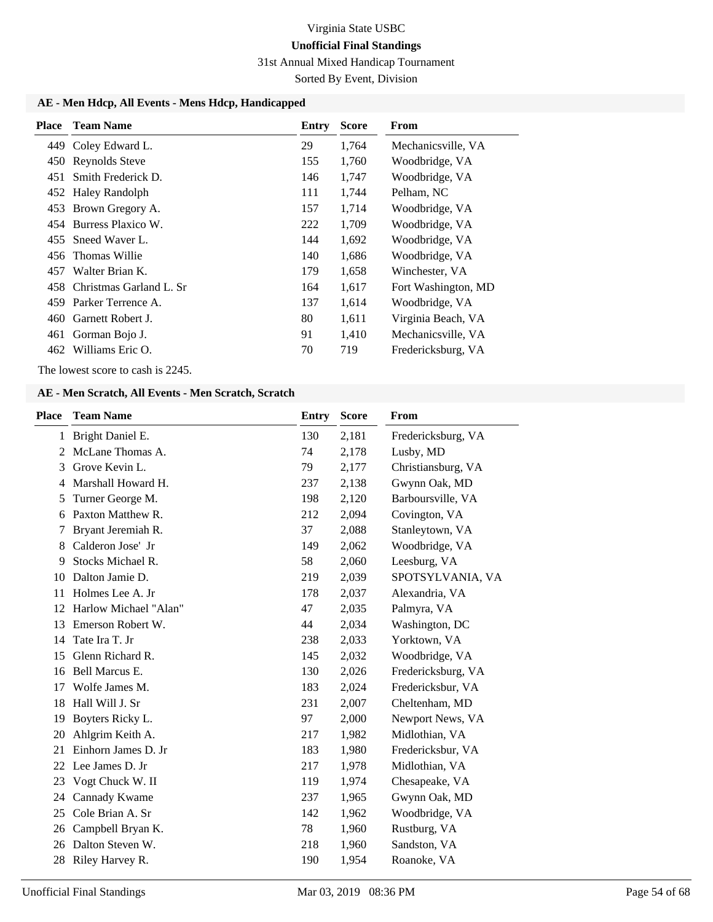31st Annual Mixed Handicap Tournament

Sorted By Event, Division

### **AE - Men Hdcp, All Events - Mens Hdcp, Handicapped**

| <b>Place</b> | <b>Team Name</b>            | Entry | <b>Score</b> | From                |
|--------------|-----------------------------|-------|--------------|---------------------|
|              | 449 Coley Edward L.         | 29    | 1,764        | Mechanicsville, VA  |
| 450          | Reynolds Steve              | 155   | 1,760        | Woodbridge, VA      |
| 451          | Smith Frederick D.          | 146   | 1,747        | Woodbridge, VA      |
|              | 452 Haley Randolph          | 111   | 1,744        | Pelham, NC          |
|              | 453 Brown Gregory A.        | 157   | 1,714        | Woodbridge, VA      |
|              | 454 Burress Plaxico W.      | 222   | 1,709        | Woodbridge, VA      |
|              | 455 Sneed Waver L.          | 144   | 1,692        | Woodbridge, VA      |
| 456          | Thomas Willie               | 140   | 1,686        | Woodbridge, VA      |
| 457          | Walter Brian K.             | 179   | 1,658        | Winchester, VA      |
|              | 458 Christmas Garland L. Sr | 164   | 1,617        | Fort Washington, MD |
| 459.         | Parker Terrence A.          | 137   | 1,614        | Woodbridge, VA      |
| 460.         | Garnett Robert J.           | 80    | 1,611        | Virginia Beach, VA  |
|              | 461 Gorman Bojo J.          | 91    | 1,410        | Mechanicsville, VA  |
| 462          | Williams Eric O.            | 70    | 719          | Fredericksburg, VA  |

The lowest score to cash is 2245.

#### **AE - Men Scratch, All Events - Men Scratch, Scratch**

| <b>Team Name</b>      | <b>Entry</b> | <b>Score</b> | From               |
|-----------------------|--------------|--------------|--------------------|
| 1 Bright Daniel E.    | 130          | 2,181        | Fredericksburg, VA |
| McLane Thomas A.      | 74           | 2,178        | Lusby, MD          |
| Grove Kevin L.        | 79           | 2,177        | Christiansburg, VA |
| Marshall Howard H.    | 237          | 2,138        | Gwynn Oak, MD      |
| Turner George M.      | 198          | 2,120        | Barboursville, VA  |
| Paxton Matthew R.     | 212          | 2,094        | Covington, VA      |
| Bryant Jeremiah R.    | 37           | 2,088        | Stanleytown, VA    |
| Calderon Jose' Jr     | 149          | 2,062        | Woodbridge, VA     |
| Stocks Michael R.     | 58           | 2,060        | Leesburg, VA       |
| Dalton Jamie D.       | 219          | 2,039        | SPOTSYLVANIA, VA   |
| Holmes Lee A. Jr      | 178          | 2,037        | Alexandria, VA     |
| Harlow Michael "Alan" | 47           | 2,035        | Palmyra, VA        |
| Emerson Robert W.     | 44           | 2,034        | Washington, DC     |
| Tate Ira T. Jr        | 238          | 2,033        | Yorktown, VA       |
| Glenn Richard R.      | 145          | 2,032        | Woodbridge, VA     |
| <b>Bell Marcus E.</b> | 130          | 2,026        | Fredericksburg, VA |
| Wolfe James M.        | 183          | 2,024        | Fredericksbur, VA  |
| Hall Will J. Sr       | 231          | 2,007        | Cheltenham, MD     |
| Boyters Ricky L.      | 97           | 2,000        | Newport News, VA   |
| Ahlgrim Keith A.      | 217          | 1,982        | Midlothian, VA     |
| Einhorn James D. Jr   | 183          | 1,980        | Fredericksbur, VA  |
| Lee James D. Jr       | 217          | 1,978        | Midlothian, VA     |
| Vogt Chuck W. II      | 119          | 1,974        | Chesapeake, VA     |
| Cannady Kwame         | 237          | 1,965        | Gwynn Oak, MD      |
| Cole Brian A. Sr      | 142          | 1,962        | Woodbridge, VA     |
| Campbell Bryan K.     | 78           | 1,960        | Rustburg, VA       |
| Dalton Steven W.      | 218          | 1,960        | Sandston, VA       |
| Riley Harvey R.       | 190          | 1,954        | Roanoke, VA        |
|                       |              |              |                    |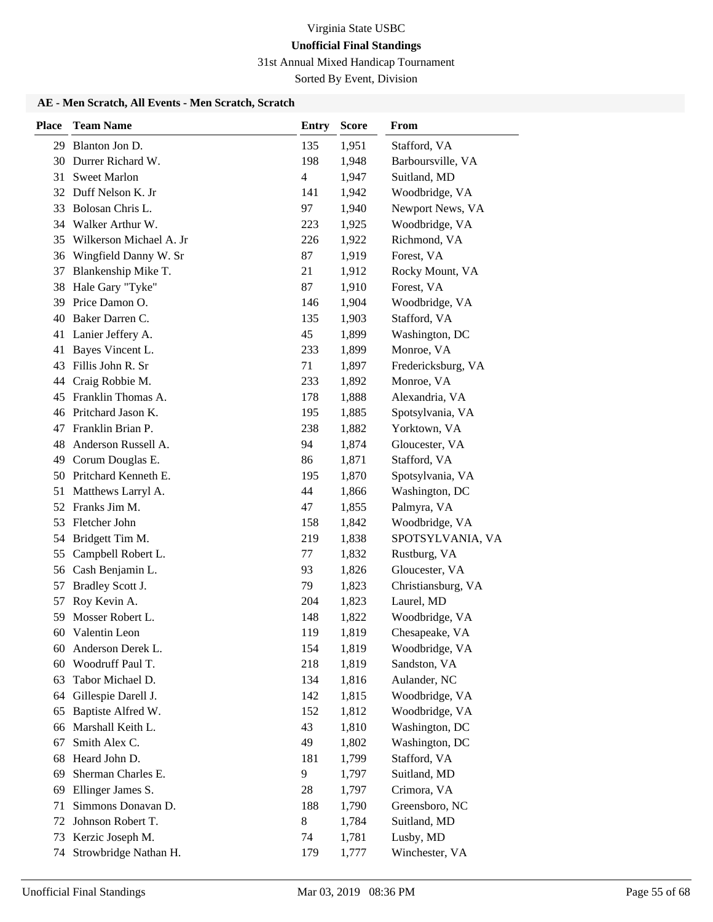31st Annual Mixed Handicap Tournament

Sorted By Event, Division

### **AE - Men Scratch, All Events - Men Scratch, Scratch**

| <b>Place</b> | <b>Team Name</b>                      | <b>Entry</b>             | <b>Score</b>   | From                           |
|--------------|---------------------------------------|--------------------------|----------------|--------------------------------|
| 29           | Blanton Jon D.                        | 135                      | 1,951          | Stafford, VA                   |
| 30           | Durrer Richard W.                     | 198                      | 1,948          | Barboursville, VA              |
|              | 31 Sweet Marlon                       | $\overline{\mathcal{L}}$ | 1,947          | Suitland, MD                   |
| 32           | Duff Nelson K. Jr                     | 141                      | 1,942          | Woodbridge, VA                 |
| 33           | Bolosan Chris L.                      | 97                       | 1,940          | Newport News, VA               |
|              | 34 Walker Arthur W.                   | 223                      | 1,925          | Woodbridge, VA                 |
| 35           | Wilkerson Michael A. Jr               | 226                      | 1,922          | Richmond, VA                   |
| 36           | Wingfield Danny W. Sr                 | 87                       | 1,919          | Forest, VA                     |
| 37           | Blankenship Mike T.                   | 21                       | 1,912          | Rocky Mount, VA                |
| 38           | Hale Gary "Tyke"                      | 87                       | 1,910          | Forest, VA                     |
| 39           | Price Damon O.                        | 146                      | 1,904          | Woodbridge, VA                 |
| 40           | Baker Darren C.                       | 135                      | 1,903          | Stafford, VA                   |
|              | 41 Lanier Jeffery A.                  | 45                       | 1,899          | Washington, DC                 |
| 41           | Bayes Vincent L.                      | 233                      | 1,899          | Monroe, VA                     |
| 43           | Fillis John R. Sr                     | 71                       | 1,897          | Fredericksburg, VA             |
| 44           | Craig Robbie M.                       | 233                      | 1,892          | Monroe, VA                     |
| 45           | Franklin Thomas A.                    | 178                      | 1,888          | Alexandria, VA                 |
|              | 46 Pritchard Jason K.                 | 195                      | 1,885          | Spotsylvania, VA               |
| 47           | Franklin Brian P.                     | 238                      | 1,882          | Yorktown, VA                   |
| 48           | Anderson Russell A.                   | 94                       | 1,874          | Gloucester, VA                 |
| 49           | Corum Douglas E.                      | 86                       | 1,871          | Stafford, VA                   |
|              | 50 Pritchard Kenneth E.               | 195                      | 1,870          | Spotsylvania, VA               |
| 51           | Matthews Larryl A.                    | 44                       | 1,866          | Washington, DC                 |
| 52           | Franks Jim M.                         | 47                       | 1,855          | Palmyra, VA                    |
| 53           | Fletcher John                         | 158                      | 1,842          | Woodbridge, VA                 |
| 54           | Bridgett Tim M.                       | 219                      | 1,838          | SPOTSYLVANIA, VA               |
| 55           | Campbell Robert L.                    | 77                       | 1,832          | Rustburg, VA                   |
| 56           | Cash Benjamin L.                      | 93                       | 1,826          | Gloucester, VA                 |
| 57           | Bradley Scott J.                      | 79                       | 1,823          | Christiansburg, VA             |
| 57           | Roy Kevin A.                          | 204                      | 1,823          | Laurel, MD                     |
| 59           | Mosser Robert L.                      | 148                      | 1,822          | Woodbridge, VA                 |
| 60           | Valentin Leon                         | 119                      | 1,819          | Chesapeake, VA                 |
| 60<br>60     | Anderson Derek L.<br>Woodruff Paul T. | 154<br>218               | 1,819<br>1,819 | Woodbridge, VA<br>Sandston, VA |
| 63           | Tabor Michael D.                      | 134                      | 1,816          | Aulander, NC                   |
| 64           | Gillespie Darell J.                   | 142                      | 1,815          | Woodbridge, VA                 |
| 65           | Baptiste Alfred W.                    | 152                      | 1,812          | Woodbridge, VA                 |
| 66           | Marshall Keith L.                     | 43                       | 1,810          | Washington, DC                 |
| 67           | Smith Alex C.                         | 49                       | 1,802          | Washington, DC                 |
| 68           | Heard John D.                         | 181                      | 1,799          | Stafford, VA                   |
| 69           | Sherman Charles E.                    | 9                        | 1,797          | Suitland, MD                   |
| 69           | Ellinger James S.                     | 28                       | 1,797          | Crimora, VA                    |
| 71           | Simmons Donavan D.                    | 188                      | 1,790          | Greensboro, NC                 |
| 72           | Johnson Robert T.                     | 8                        | 1,784          | Suitland, MD                   |
| 73           | Kerzic Joseph M.                      | 74                       | 1,781          | Lusby, MD                      |
| 74           | Strowbridge Nathan H.                 | 179                      | 1,777          | Winchester, VA                 |
|              |                                       |                          |                |                                |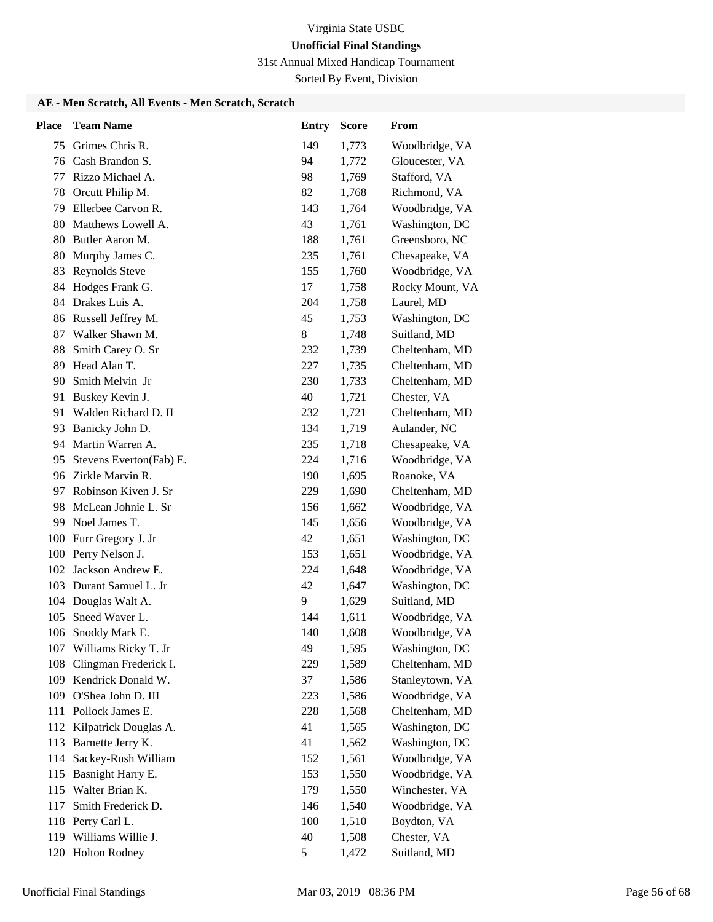31st Annual Mixed Handicap Tournament

Sorted By Event, Division

### **AE - Men Scratch, All Events - Men Scratch, Scratch**

| <b>Place</b> | <b>Team Name</b>                               | <b>Entry</b> | <b>Score</b>   | From                             |
|--------------|------------------------------------------------|--------------|----------------|----------------------------------|
| 75           | Grimes Chris R.                                | 149          | 1,773          | Woodbridge, VA                   |
| 76           | Cash Brandon S.                                | 94           | 1,772          | Gloucester, VA                   |
| 77           | Rizzo Michael A.                               | 98           | 1,769          | Stafford, VA                     |
| 78           | Orcutt Philip M.                               | 82           | 1,768          | Richmond, VA                     |
| 79           | Ellerbee Carvon R.                             | 143          | 1,764          | Woodbridge, VA                   |
| 80           | Matthews Lowell A.                             | 43           | 1,761          | Washington, DC                   |
| 80           | Butler Aaron M.                                | 188          | 1,761          | Greensboro, NC                   |
| 80           | Murphy James C.                                | 235          | 1,761          | Chesapeake, VA                   |
| 83           | Reynolds Steve                                 | 155          | 1,760          | Woodbridge, VA                   |
| 84           | Hodges Frank G.                                | 17           | 1,758          | Rocky Mount, VA                  |
| 84           | Drakes Luis A.                                 | 204          | 1,758          | Laurel, MD                       |
| 86           | Russell Jeffrey M.                             | 45           | 1,753          | Washington, DC                   |
| 87           | Walker Shawn M.                                | 8            | 1,748          | Suitland, MD                     |
| 88           | Smith Carey O. Sr                              | 232          | 1,739          | Cheltenham, MD                   |
| 89           | Head Alan T.                                   | 227          | 1,735          | Cheltenham, MD                   |
| 90           | Smith Melvin Jr                                | 230          | 1,733          | Cheltenham, MD                   |
| 91           | Buskey Kevin J.                                | 40           | 1,721          | Chester, VA                      |
| 91           | Walden Richard D. II                           | 232          | 1,721          | Cheltenham, MD                   |
| 93           | Banicky John D.                                | 134          | 1,719          | Aulander, NC                     |
| 94           | Martin Warren A.                               | 235          | 1,718          | Chesapeake, VA                   |
| 95           | Stevens Everton(Fab) E.<br>96 Zirkle Marvin R. | 224          | 1,716          | Woodbridge, VA                   |
|              | Robinson Kiven J. Sr                           | 190          | 1,695          | Roanoke, VA                      |
| 97<br>98     | McLean Johnie L. Sr                            | 229<br>156   | 1,690<br>1,662 | Cheltenham, MD<br>Woodbridge, VA |
| 99           | Noel James T.                                  | 145          | 1,656          | Woodbridge, VA                   |
| 100          | Furr Gregory J. Jr                             | 42           | 1,651          | Washington, DC                   |
| 100          | Perry Nelson J.                                | 153          | 1,651          | Woodbridge, VA                   |
| 102          | Jackson Andrew E.                              | 224          | 1,648          | Woodbridge, VA                   |
| 103          | Durant Samuel L. Jr                            | 42           | 1,647          | Washington, DC                   |
| 104          | Douglas Walt A.                                | 9            | 1,629          | Suitland, MD                     |
| 105          | Sneed Waver L.                                 | 144          | 1,611          | Woodbridge, VA                   |
| 106          | Snoddy Mark E.                                 | 140          | 1,608          | Woodbridge, VA                   |
|              | 107 Williams Ricky T. Jr                       | 49           | 1,595          | Washington, DC                   |
| 108          | Clingman Frederick I.                          | 229          | 1,589          | Cheltenham, MD                   |
|              | 109 Kendrick Donald W.                         | 37           | 1,586          | Stanleytown, VA                  |
| 109          | O'Shea John D. III                             | 223          | 1,586          | Woodbridge, VA                   |
| 111          | Pollock James E.                               | 228          | 1,568          | Cheltenham, MD                   |
| 112          | Kilpatrick Douglas A.                          | 41           | 1,565          | Washington, DC                   |
| 113          | Barnette Jerry K.                              | 41           | 1,562          | Washington, DC                   |
| 114          | Sackey-Rush William                            | 152          | 1,561          | Woodbridge, VA                   |
| 115          | Basnight Harry E.                              | 153          | 1,550          | Woodbridge, VA                   |
| 115          | Walter Brian K.                                | 179          | 1,550          | Winchester, VA                   |
| 117          | Smith Frederick D.                             | 146          | 1,540          | Woodbridge, VA                   |
| 118          | Perry Carl L.                                  | 100          | 1,510          | Boydton, VA                      |
|              | 119 Williams Willie J.                         | 40           | 1,508          | Chester, VA                      |
|              | 120 Holton Rodney                              | 5            | 1,472          | Suitland, MD                     |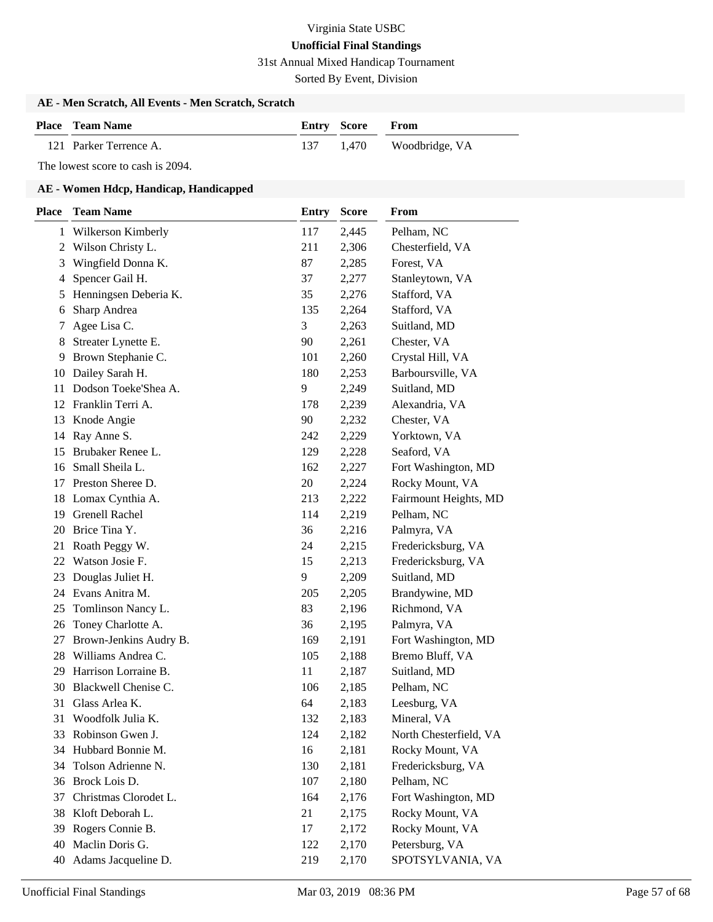31st Annual Mixed Handicap Tournament

Sorted By Event, Division

### **AE - Men Scratch, All Events - Men Scratch, Scratch**

| <b>Place</b> Team Name | <b>Entry Score From</b> |                          |
|------------------------|-------------------------|--------------------------|
| 121 Parker Terrence A. |                         | 137 1,470 Woodbridge, VA |

The lowest score to cash is 2094.

| <b>Place</b> | <b>Team Name</b>       | <b>Entry</b> | <b>Score</b> | From                   |
|--------------|------------------------|--------------|--------------|------------------------|
|              | 1 Wilkerson Kimberly   | 117          | 2,445        | Pelham, NC             |
| 2            | Wilson Christy L.      | 211          | 2,306        | Chesterfield, VA       |
| 3            | Wingfield Donna K.     | 87           | 2,285        | Forest, VA             |
| 4            | Spencer Gail H.        | 37           | 2,277        | Stanleytown, VA        |
| 5            | Henningsen Deberia K.  | 35           | 2,276        | Stafford, VA           |
| 6            | Sharp Andrea           | 135          | 2,264        | Stafford, VA           |
| 7            | Agee Lisa C.           | 3            | 2,263        | Suitland, MD           |
| 8            | Streater Lynette E.    | 90           | 2,261        | Chester, VA            |
| 9            | Brown Stephanie C.     | 101          | 2,260        | Crystal Hill, VA       |
| 10           | Dailey Sarah H.        | 180          | 2,253        | Barboursville, VA      |
| 11           | Dodson Toeke'Shea A.   | 9            | 2,249        | Suitland, MD           |
| 12           | Franklin Terri A.      | 178          | 2,239        | Alexandria, VA         |
| 13           | Knode Angie            | 90           | 2,232        | Chester, VA            |
| 14           | Ray Anne S.            | 242          | 2,229        | Yorktown, VA           |
| 15           | Brubaker Renee L.      | 129          | 2,228        | Seaford, VA            |
| 16           | Small Sheila L.        | 162          | 2,227        | Fort Washington, MD    |
| 17           | Preston Sheree D.      | 20           | 2,224        | Rocky Mount, VA        |
| 18           | Lomax Cynthia A.       | 213          | 2,222        | Fairmount Heights, MD  |
| 19           | <b>Grenell Rachel</b>  | 114          | 2,219        | Pelham, NC             |
| 20           | Brice Tina Y.          | 36           | 2,216        | Palmyra, VA            |
| 21           | Roath Peggy W.         | 24           | 2,215        | Fredericksburg, VA     |
| 22           | Watson Josie F.        | 15           | 2,213        | Fredericksburg, VA     |
| 23           | Douglas Juliet H.      | 9            | 2,209        | Suitland, MD           |
| 24           | Evans Anitra M.        | 205          | 2,205        | Brandywine, MD         |
| 25           | Tomlinson Nancy L.     | 83           | 2,196        | Richmond, VA           |
| 26           | Toney Charlotte A.     | 36           | 2,195        | Palmyra, VA            |
| 27           | Brown-Jenkins Audry B. | 169          | 2,191        | Fort Washington, MD    |
| 28           | Williams Andrea C.     | 105          | 2,188        | Bremo Bluff, VA        |
| 29           | Harrison Lorraine B.   | 11           | 2,187        | Suitland, MD           |
| 30           | Blackwell Chenise C.   | 106          | 2,185        | Pelham, NC             |
| 31           | Glass Arlea K.         | 64           | 2,183        | Leesburg, VA           |
| 31           | Woodfolk Julia K.      | 132          | 2,183        | Mineral, VA            |
| 33           | Robinson Gwen J.       | 124          | 2,182        | North Chesterfield, VA |
| 34           | Hubbard Bonnie M.      | 16           | 2,181        | Rocky Mount, VA        |
| 34           | Tolson Adrienne N.     | 130          | 2,181        | Fredericksburg, VA     |
| 36           | Brock Lois D.          | 107          | 2,180        | Pelham, NC             |
| 37           | Christmas Clorodet L.  | 164          | 2,176        | Fort Washington, MD    |
| 38           | Kloft Deborah L.       | 21           | 2,175        | Rocky Mount, VA        |
| 39           | Rogers Connie B.       | 17           | 2,172        | Rocky Mount, VA        |
| 40           | Maclin Doris G.        | 122          | 2,170        | Petersburg, VA         |
| 40           | Adams Jacqueline D.    | 219          | 2,170        | SPOTSYLVANIA, VA       |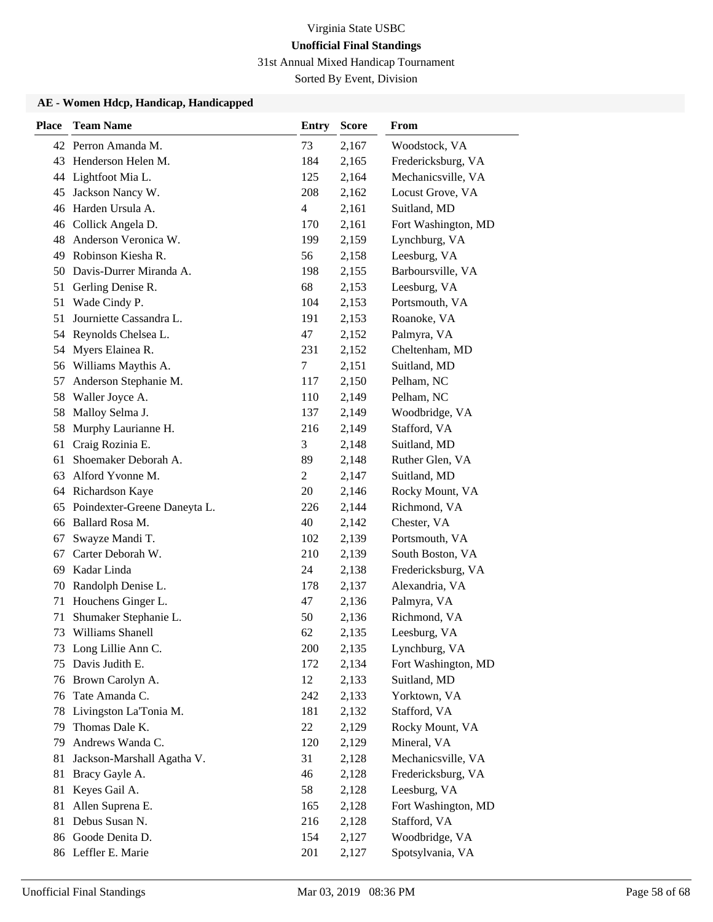31st Annual Mixed Handicap Tournament

Sorted By Event, Division

| <b>Place</b> | <b>Team Name</b>             | <b>Entry</b> | <b>Score</b> | From                |
|--------------|------------------------------|--------------|--------------|---------------------|
|              | 42 Perron Amanda M.          | 73           | 2,167        | Woodstock, VA       |
| 43           | Henderson Helen M.           | 184          | 2,165        | Fredericksburg, VA  |
|              | 44 Lightfoot Mia L.          | 125          | 2,164        | Mechanicsville, VA  |
| 45           | Jackson Nancy W.             | 208          | 2,162        | Locust Grove, VA    |
| 46           | Harden Ursula A.             | 4            | 2,161        | Suitland, MD        |
|              | 46 Collick Angela D.         | 170          | 2,161        | Fort Washington, MD |
| 48           | Anderson Veronica W.         | 199          | 2,159        | Lynchburg, VA       |
| 49           | Robinson Kiesha R.           | 56           | 2,158        | Leesburg, VA        |
| 50           | Davis-Durrer Miranda A.      | 198          | 2,155        | Barboursville, VA   |
| 51           | Gerling Denise R.            | 68           | 2,153        | Leesburg, VA        |
| 51           | Wade Cindy P.                | 104          | 2,153        | Portsmouth, VA      |
| 51           | Journiette Cassandra L.      | 191          | 2,153        | Roanoke, VA         |
| 54           | Reynolds Chelsea L.          | 47           | 2,152        | Palmyra, VA         |
| 54           | Myers Elainea R.             | 231          | 2,152        | Cheltenham, MD      |
|              | 56 Williams Maythis A.       | 7            | 2,151        | Suitland, MD        |
| 57           | Anderson Stephanie M.        | 117          | 2,150        | Pelham, NC          |
| 58           | Waller Joyce A.              | 110          | 2,149        | Pelham, NC          |
| 58           | Malloy Selma J.              | 137          | 2,149        | Woodbridge, VA      |
| 58           | Murphy Laurianne H.          | 216          | 2,149        | Stafford, VA        |
| 61           | Craig Rozinia E.             | 3            | 2,148        | Suitland, MD        |
| 61           | Shoemaker Deborah A.         | 89           | 2,148        | Ruther Glen, VA     |
| 63           | Alford Yvonne M.             | 2            | 2,147        | Suitland, MD        |
|              | 64 Richardson Kaye           | 20           | 2,146        | Rocky Mount, VA     |
| 65           | Poindexter-Greene Daneyta L. | 226          | 2,144        | Richmond, VA        |
| 66           | Ballard Rosa M.              | 40           | 2,142        | Chester, VA         |
| 67           | Swayze Mandi T.              | 102          | 2,139        | Portsmouth, VA      |
| 67           | Carter Deborah W.            | 210          | 2,139        | South Boston, VA    |
| 69           | Kadar Linda                  | 24           | 2,138        | Fredericksburg, VA  |
| 70           | Randolph Denise L.           | 178          | 2,137        | Alexandria, VA      |
| 71           | Houchens Ginger L.           | 47           | 2,136        | Palmyra, VA         |
| 71           | Shumaker Stephanie L.        | 50           | 2,136        | Richmond, VA        |
| 73           | Williams Shanell             | 62           | 2,135        | Leesburg, VA        |
|              | 73 Long Lillie Ann C.        | 200          | 2,135        | Lynchburg, VA       |
| 75           | Davis Judith E.              | 172          | 2,134        | Fort Washington, MD |
| 76           | Brown Carolyn A.             | 12           | 2,133        | Suitland, MD        |
| 76           | Tate Amanda C.               | 242          | 2,133        | Yorktown, VA        |
| 78           | Livingston La'Tonia M.       | 181          | 2,132        | Stafford, VA        |
| 79           | Thomas Dale K.               | 22           | 2,129        | Rocky Mount, VA     |
| 79           | Andrews Wanda C.             | 120          | 2,129        | Mineral, VA         |
| 81           | Jackson-Marshall Agatha V.   | 31           | 2,128        | Mechanicsville, VA  |
| 81           | Bracy Gayle A.               | 46           | 2,128        | Fredericksburg, VA  |
| 81           | Keyes Gail A.                | 58           | 2,128        | Leesburg, VA        |
| 81           | Allen Suprena E.             | 165          | 2,128        | Fort Washington, MD |
| 81           | Debus Susan N.               | 216          | 2,128        | Stafford, VA        |
|              | 86 Goode Denita D.           | 154          | 2,127        | Woodbridge, VA      |
|              | 86 Leffler E. Marie          | 201          | 2,127        | Spotsylvania, VA    |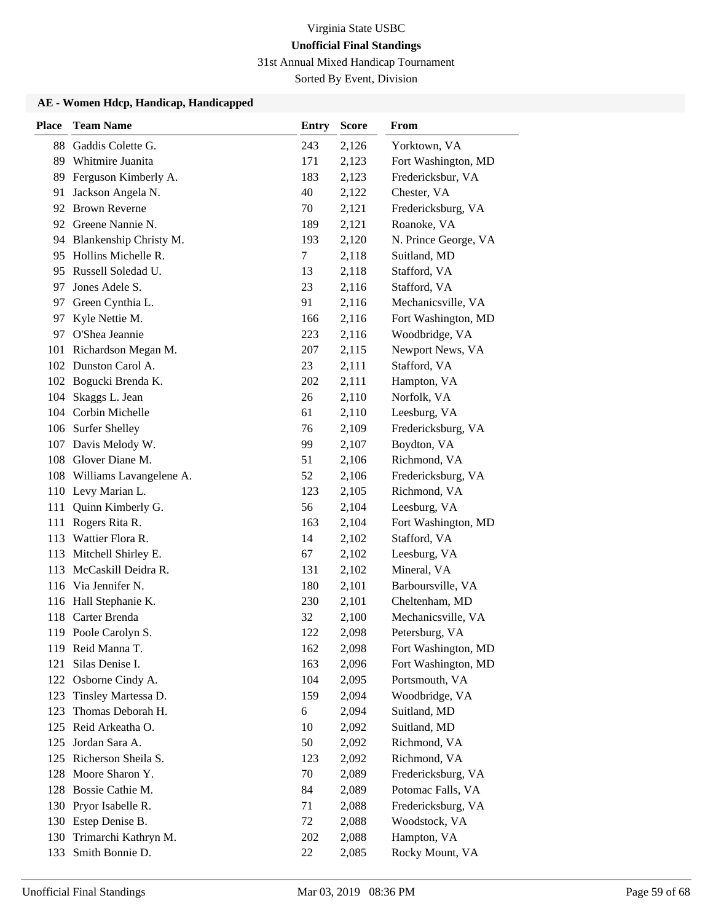31st Annual Mixed Handicap Tournament

Sorted By Event, Division

| <b>Place</b> | <b>Team Name</b>            | Entry | <b>Score</b> | From                 |
|--------------|-----------------------------|-------|--------------|----------------------|
| 88           | Gaddis Colette G.           | 243   | 2,126        | Yorktown, VA         |
| 89           | Whitmire Juanita            | 171   | 2,123        | Fort Washington, MD  |
| 89           | Ferguson Kimberly A.        | 183   | 2,123        | Fredericksbur, VA    |
| 91           | Jackson Angela N.           | 40    | 2,122        | Chester, VA          |
| 92           | <b>Brown Reverne</b>        | 70    | 2,121        | Fredericksburg, VA   |
|              | 92 Greene Nannie N.         | 189   | 2,121        | Roanoke, VA          |
|              | 94 Blankenship Christy M.   | 193   | 2,120        | N. Prince George, VA |
| 95           | Hollins Michelle R.         | 7     | 2,118        | Suitland, MD         |
| 95           | Russell Soledad U.          | 13    | 2,118        | Stafford, VA         |
| 97           | Jones Adele S.              | 23    | 2,116        | Stafford, VA         |
| 97           | Green Cynthia L.            | 91    | 2,116        | Mechanicsville, VA   |
| 97           | Kyle Nettie M.              | 166   | 2,116        | Fort Washington, MD  |
| 97           | O'Shea Jeannie              | 223   | 2,116        | Woodbridge, VA       |
|              | 101 Richardson Megan M.     | 207   | 2,115        | Newport News, VA     |
|              | 102 Dunston Carol A.        | 23    | 2,111        | Stafford, VA         |
|              | 102 Bogucki Brenda K.       | 202   | 2,111        | Hampton, VA          |
| 104          | Skaggs L. Jean              | 26    | 2,110        | Norfolk, VA          |
|              | 104 Corbin Michelle         | 61    | 2,110        | Leesburg, VA         |
|              | 106 Surfer Shelley          | 76    | 2,109        | Fredericksburg, VA   |
|              | 107 Davis Melody W.         | 99    | 2,107        | Boydton, VA          |
|              | 108 Glover Diane M.         | 51    | 2,106        | Richmond, VA         |
|              | 108 Williams Lavangelene A. | 52    | 2,106        | Fredericksburg, VA   |
|              | 110 Levy Marian L.          | 123   | 2,105        | Richmond, VA         |
| 111          | Quinn Kimberly G.           | 56    | 2,104        | Leesburg, VA         |
| 111          | Rogers Rita R.              | 163   | 2,104        | Fort Washington, MD  |
| 113          | Wattier Flora R.            | 14    | 2,102        | Stafford, VA         |
|              | 113 Mitchell Shirley E.     | 67    | 2,102        | Leesburg, VA         |
| 113          | McCaskill Deidra R.         | 131   | 2,102        | Mineral, VA          |
|              | 116 Via Jennifer N.         | 180   | 2,101        | Barboursville, VA    |
|              | 116 Hall Stephanie K.       | 230   | 2,101        | Cheltenham, MD       |
|              | 118 Carter Brenda           | 32    | 2,100        | Mechanicsville, VA   |
|              | 119 Poole Carolyn S.        | 122   | 2,098        | Petersburg, VA       |
|              | 119 Reid Manna T.           | 162   | 2,098        | Fort Washington, MD  |
| 121          | Silas Denise I.             | 163   | 2,096        | Fort Washington, MD  |
| 122          | Osborne Cindy A.            | 104   | 2,095        | Portsmouth, VA       |
| 123          | Tinsley Martessa D.         | 159   | 2,094        | Woodbridge, VA       |
| 123          | Thomas Deborah H.           | 6     | 2,094        | Suitland, MD         |
| 125          | Reid Arkeatha O.            | 10    | 2,092        | Suitland, MD         |
| 125          | Jordan Sara A.              | 50    | 2,092        | Richmond, VA         |
| 125          | Richerson Sheila S.         | 123   | 2,092        | Richmond, VA         |
| 128          | Moore Sharon Y.             | 70    | 2,089        | Fredericksburg, VA   |
| 128          | Bossie Cathie M.            | 84    | 2,089        | Potomac Falls, VA    |
| 130          | Pryor Isabelle R.           | 71    | 2,088        | Fredericksburg, VA   |
|              | 130 Estep Denise B.         | 72    | 2,088        | Woodstock, VA        |
| 130          | Trimarchi Kathryn M.        | 202   | 2,088        | Hampton, VA          |
| 133          | Smith Bonnie D.             | 22    | 2,085        | Rocky Mount, VA      |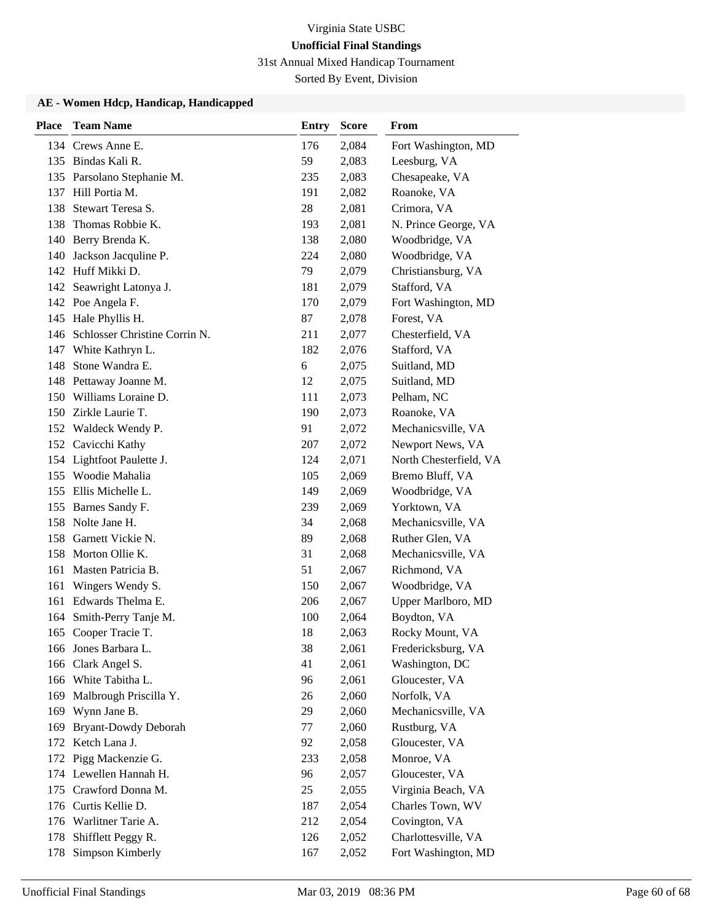31st Annual Mixed Handicap Tournament

Sorted By Event, Division

| <b>Place</b> | <b>Team Name</b>              | <b>Entry</b> | <b>Score</b> | From                   |
|--------------|-------------------------------|--------------|--------------|------------------------|
|              | 134 Crews Anne E.             | 176          | 2,084        | Fort Washington, MD    |
|              | 135 Bindas Kali R.            | 59           | 2,083        | Leesburg, VA           |
|              | 135 Parsolano Stephanie M.    | 235          | 2,083        | Chesapeake, VA         |
|              | 137 Hill Portia M.            | 191          | 2,082        | Roanoke, VA            |
| 138          | Stewart Teresa S.             | 28           | 2,081        | Crimora, VA            |
| 138          | Thomas Robbie K.              | 193          | 2,081        | N. Prince George, VA   |
|              | 140 Berry Brenda K.           | 138          | 2,080        | Woodbridge, VA         |
| 140          | Jackson Jacquline P.          | 224          | 2,080        | Woodbridge, VA         |
|              | 142 Huff Mikki D.             | 79           | 2,079        | Christiansburg, VA     |
|              | 142 Seawright Latonya J.      | 181          | 2,079        | Stafford, VA           |
|              | 142 Poe Angela F.             | 170          | 2,079        | Fort Washington, MD    |
|              | 145 Hale Phyllis H.           | 87           | 2,078        | Forest, VA             |
| 146          | Schlosser Christine Corrin N. | 211          | 2,077        | Chesterfield, VA       |
|              | 147 White Kathryn L.          | 182          | 2,076        | Stafford, VA           |
| 148          | Stone Wandra E.               | 6            | 2,075        | Suitland, MD           |
|              | 148 Pettaway Joanne M.        | 12           | 2,075        | Suitland, MD           |
|              | 150 Williams Loraine D.       | 111          | 2,073        | Pelham, NC             |
|              | 150 Zirkle Laurie T.          | 190          | 2,073        | Roanoke, VA            |
|              | 152 Waldeck Wendy P.          | 91           | 2,072        | Mechanicsville, VA     |
|              | 152 Cavicchi Kathy            | 207          | 2,072        | Newport News, VA       |
|              | 154 Lightfoot Paulette J.     | 124          | 2,071        | North Chesterfield, VA |
|              | 155 Woodie Mahalia            | 105          | 2,069        | Bremo Bluff, VA        |
|              | 155 Ellis Michelle L.         | 149          | 2,069        | Woodbridge, VA         |
|              | 155 Barnes Sandy F.           | 239          | 2,069        | Yorktown, VA           |
|              | 158 Nolte Jane H.             | 34           | 2,068        | Mechanicsville, VA     |
| 158          | Garnett Vickie N.             | 89           | 2,068        | Ruther Glen, VA        |
| 158          | Morton Ollie K.               | 31           | 2,068        | Mechanicsville, VA     |
| 161          | Masten Patricia B.            | 51           | 2,067        | Richmond, VA           |
| 161          | Wingers Wendy S.              | 150          | 2,067        | Woodbridge, VA         |
| 161          | Edwards Thelma E.             | 206          | 2,067        | Upper Marlboro, MD     |
| 164          | Smith-Perry Tanje M.          | 100          | 2,064        | Boydton, VA            |
|              | 165 Cooper Tracie T.          | 18           | 2,063        | Rocky Mount, VA        |
|              | 166 Jones Barbara L.          | 38           | 2,061        | Fredericksburg, VA     |
| 166          | Clark Angel S.                | 41           | 2,061        | Washington, DC         |
|              | 166 White Tabitha L.          | 96           | 2,061        | Gloucester, VA         |
| 169          | Malbrough Priscilla Y.        | 26           | 2,060        | Norfolk, VA            |
|              | 169 Wynn Jane B.              | 29           | 2,060        | Mechanicsville, VA     |
| 169          | <b>Bryant-Dowdy Deborah</b>   | 77           | 2,060        | Rustburg, VA           |
| 172          | Ketch Lana J.                 | 92           | 2,058        | Gloucester, VA         |
|              | 172 Pigg Mackenzie G.         | 233          | 2,058        | Monroe, VA             |
| 174          | Lewellen Hannah H.            | 96           | 2,057        | Gloucester, VA         |
| 175          | Crawford Donna M.             | 25           | 2,055        | Virginia Beach, VA     |
|              | 176 Curtis Kellie D.          | 187          | 2,054        | Charles Town, WV       |
|              | 176 Warlitner Tarie A.        | 212          | 2,054        | Covington, VA          |
| 178          | Shifflett Peggy R.            | 126          | 2,052        | Charlottesville, VA    |
| 178          | Simpson Kimberly              | 167          | 2,052        | Fort Washington, MD    |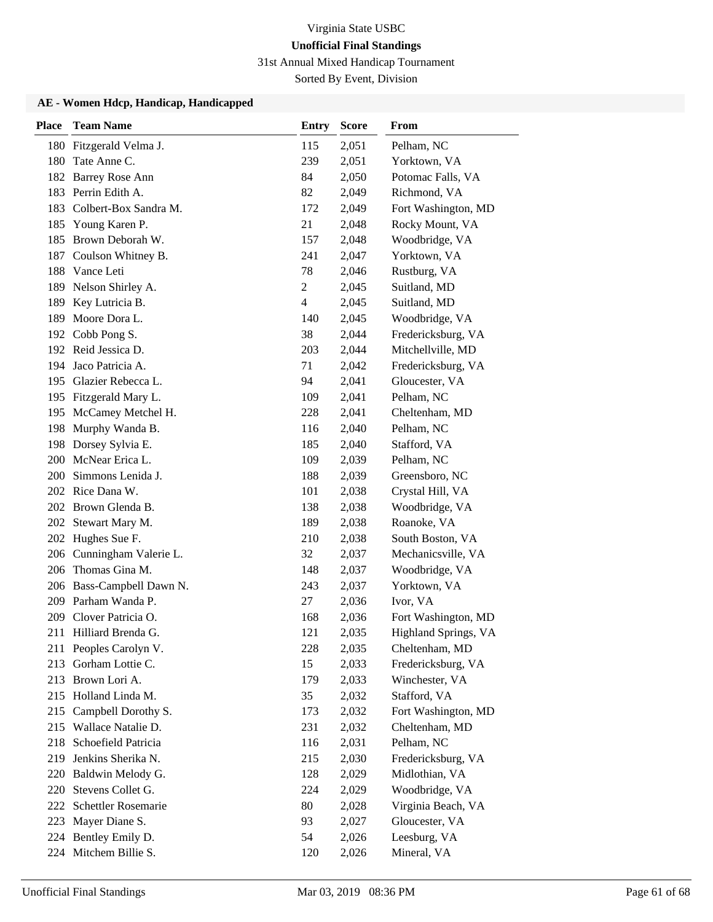31st Annual Mixed Handicap Tournament

Sorted By Event, Division

| <b>Place</b> | <b>Team Name</b>          | Entry          | <b>Score</b> | From                 |
|--------------|---------------------------|----------------|--------------|----------------------|
|              | 180 Fitzgerald Velma J.   | 115            | 2,051        | Pelham, NC           |
| 180          | Tate Anne C.              | 239            | 2,051        | Yorktown, VA         |
|              | 182 Barrey Rose Ann       | 84             | 2,050        | Potomac Falls, VA    |
| 183          | Perrin Edith A.           | 82             | 2,049        | Richmond, VA         |
| 183          | Colbert-Box Sandra M.     | 172            | 2,049        | Fort Washington, MD  |
| 185          | Young Karen P.            | 21             | 2,048        | Rocky Mount, VA      |
| 185          | Brown Deborah W.          | 157            | 2,048        | Woodbridge, VA       |
| 187          | Coulson Whitney B.        | 241            | 2,047        | Yorktown, VA         |
| 188          | Vance Leti                | 78             | 2,046        | Rustburg, VA         |
| 189          | Nelson Shirley A.         | $\overline{c}$ | 2,045        | Suitland, MD         |
|              | 189 Key Lutricia B.       | $\overline{4}$ | 2,045        | Suitland, MD         |
| 189          | Moore Dora L.             | 140            | 2,045        | Woodbridge, VA       |
|              | 192 Cobb Pong S.          | 38             | 2,044        | Fredericksburg, VA   |
|              | 192 Reid Jessica D.       | 203            | 2,044        | Mitchellville, MD    |
|              | 194 Jaco Patricia A.      | 71             | 2,042        | Fredericksburg, VA   |
|              | 195 Glazier Rebecca L.    | 94             | 2,041        | Gloucester, VA       |
|              | 195 Fitzgerald Mary L.    | 109            | 2,041        | Pelham, NC           |
|              | 195 McCamey Metchel H.    | 228            | 2,041        | Cheltenham, MD       |
|              | 198 Murphy Wanda B.       | 116            | 2,040        | Pelham, NC           |
|              | 198 Dorsey Sylvia E.      | 185            | 2,040        | Stafford, VA         |
|              | 200 McNear Erica L.       | 109            | 2,039        | Pelham, NC           |
| 200          | Simmons Lenida J.         | 188            | 2,039        | Greensboro, NC       |
|              | 202 Rice Dana W.          | 101            | 2,038        | Crystal Hill, VA     |
|              | 202 Brown Glenda B.       | 138            | 2,038        | Woodbridge, VA       |
|              | 202 Stewart Mary M.       | 189            | 2,038        | Roanoke, VA          |
|              | 202 Hughes Sue F.         | 210            | 2,038        | South Boston, VA     |
|              | 206 Cunningham Valerie L. | 32             | 2,037        | Mechanicsville, VA   |
| 206          | Thomas Gina M.            | 148            | 2,037        | Woodbridge, VA       |
|              | 206 Bass-Campbell Dawn N. | 243            | 2,037        | Yorktown, VA         |
|              | 209 Parham Wanda P.       | 27             | 2,036        | Ivor, VA             |
| 209          | Clover Patricia O.        | 168            | 2,036        | Fort Washington, MD  |
| 211          | Hilliard Brenda G.        | 121            | 2,035        | Highland Springs, VA |
|              | 211 Peoples Carolyn V.    | 228            | 2,035        | Cheltenham, MD       |
| 213          | Gorham Lottie C.          | 15             | 2,033        | Fredericksburg, VA   |
| 213          | Brown Lori A.             | 179            | 2,033        | Winchester, VA       |
|              | 215 Holland Linda M.      | 35             | 2,032        | Stafford, VA         |
| 215          | Campbell Dorothy S.       | 173            | 2,032        | Fort Washington, MD  |
| 215          | Wallace Natalie D.        | 231            | 2,032        | Cheltenham, MD       |
| 218          | Schoefield Patricia       | 116            | 2,031        | Pelham, NC           |
| 219          | Jenkins Sherika N.        | 215            | 2,030        | Fredericksburg, VA   |
|              | 220 Baldwin Melody G.     | 128            | 2,029        | Midlothian, VA       |
| 220          | Stevens Collet G.         | 224            | 2,029        | Woodbridge, VA       |
| 222          | Schettler Rosemarie       | 80             | 2,028        | Virginia Beach, VA   |
| 223          | Mayer Diane S.            | 93             | 2,027        | Gloucester, VA       |
|              | 224 Bentley Emily D.      | 54             | 2,026        | Leesburg, VA         |
|              | 224 Mitchem Billie S.     | 120            | 2,026        | Mineral, VA          |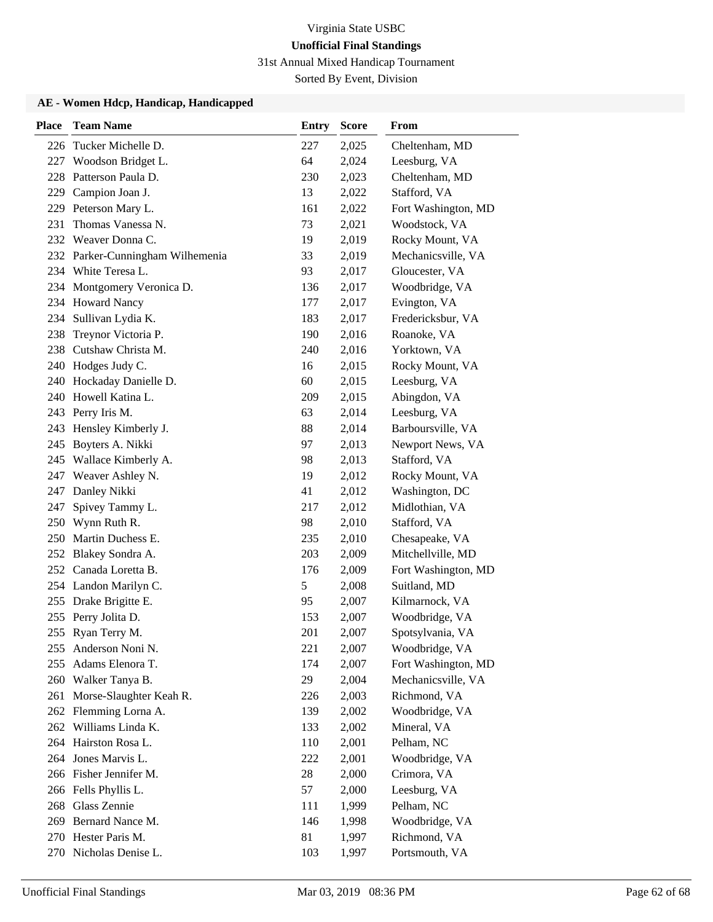31st Annual Mixed Handicap Tournament

Sorted By Event, Division

| <b>Place</b> | <b>Team Name</b>                 | <b>Entry</b> | <b>Score</b> | From                |
|--------------|----------------------------------|--------------|--------------|---------------------|
|              | 226 Tucker Michelle D.           | 227          | 2,025        | Cheltenham, MD      |
| 227          | Woodson Bridget L.               | 64           | 2,024        | Leesburg, VA        |
| 228          | Patterson Paula D.               | 230          | 2,023        | Cheltenham, MD      |
| 229          | Campion Joan J.                  | 13           | 2,022        | Stafford, VA        |
|              | 229 Peterson Mary L.             | 161          | 2,022        | Fort Washington, MD |
| 231          | Thomas Vanessa N.                | 73           | 2,021        | Woodstock, VA       |
|              | 232 Weaver Donna C.              | 19           | 2,019        | Rocky Mount, VA     |
|              | 232 Parker-Cunningham Wilhemenia | 33           | 2,019        | Mechanicsville, VA  |
|              | 234 White Teresa L.              | 93           | 2,017        | Gloucester, VA      |
| 234          | Montgomery Veronica D.           | 136          | 2,017        | Woodbridge, VA      |
| 234          | <b>Howard Nancy</b>              | 177          | 2,017        | Evington, VA        |
| 234          | Sullivan Lydia K.                | 183          | 2,017        | Fredericksbur, VA   |
| 238          | Treynor Victoria P.              | 190          | 2,016        | Roanoke, VA         |
| 238          | Cutshaw Christa M.               | 240          | 2,016        | Yorktown, VA        |
|              | 240 Hodges Judy C.               | 16           | 2,015        | Rocky Mount, VA     |
|              | 240 Hockaday Danielle D.         | 60           | 2,015        | Leesburg, VA        |
| 240          | Howell Katina L.                 | 209          | 2,015        | Abingdon, VA        |
| 243          | Perry Iris M.                    | 63           | 2,014        | Leesburg, VA        |
| 243          | Hensley Kimberly J.              | 88           | 2,014        | Barboursville, VA   |
| 245          | Boyters A. Nikki                 | 97           | 2,013        | Newport News, VA    |
| 245          | Wallace Kimberly A.              | 98           | 2,013        | Stafford, VA        |
| 247          | Weaver Ashley N.                 | 19           | 2,012        | Rocky Mount, VA     |
| 247          | Danley Nikki                     | 41           | 2,012        | Washington, DC      |
| 247          | Spivey Tammy L.                  | 217          | 2,012        | Midlothian, VA      |
| 250          | Wynn Ruth R.                     | 98           | 2,010        | Stafford, VA        |
|              | 250 Martin Duchess E.            | 235          | 2,010        | Chesapeake, VA      |
|              | 252 Blakey Sondra A.             | 203          | 2,009        | Mitchellville, MD   |
|              | 252 Canada Loretta B.            | 176          | 2,009        | Fort Washington, MD |
|              | 254 Landon Marilyn C.            | 5            | 2,008        | Suitland, MD        |
|              | 255 Drake Brigitte E.            | 95           | 2,007        | Kilmarnock, VA      |
| 255          | Perry Jolita D.                  | 153          | 2,007        | Woodbridge, VA      |
|              | 255 Ryan Terry M.                | 201          | 2,007        | Spotsylvania, VA    |
| 255          | Anderson Noni N.                 | 221          | 2,007        | Woodbridge, VA      |
| 255          | Adams Elenora T.                 | 174          | 2,007        | Fort Washington, MD |
| 260          | Walker Tanya B.                  | 29           | 2,004        | Mechanicsville, VA  |
| 261          | Morse-Slaughter Keah R.          | 226          | 2,003        | Richmond, VA        |
|              | 262 Flemming Lorna A.            | 139          | 2,002        | Woodbridge, VA      |
| 262          | Williams Linda K.                | 133          | 2,002        | Mineral, VA         |
|              | 264 Hairston Rosa L.             | 110          | 2,001        | Pelham, NC          |
|              | 264 Jones Marvis L.              | 222          | 2,001        | Woodbridge, VA      |
|              | 266 Fisher Jennifer M.           | 28           | 2,000        | Crimora, VA         |
|              | 266 Fells Phyllis L.             | 57           | 2,000        | Leesburg, VA        |
| 268          | Glass Zennie                     | 111          | 1,999        | Pelham, NC          |
|              | 269 Bernard Nance M.             | 146          | 1,998        | Woodbridge, VA      |
|              | 270 Hester Paris M.              | 81           | 1,997        | Richmond, VA        |
|              | 270 Nicholas Denise L.           | 103          | 1,997        | Portsmouth, VA      |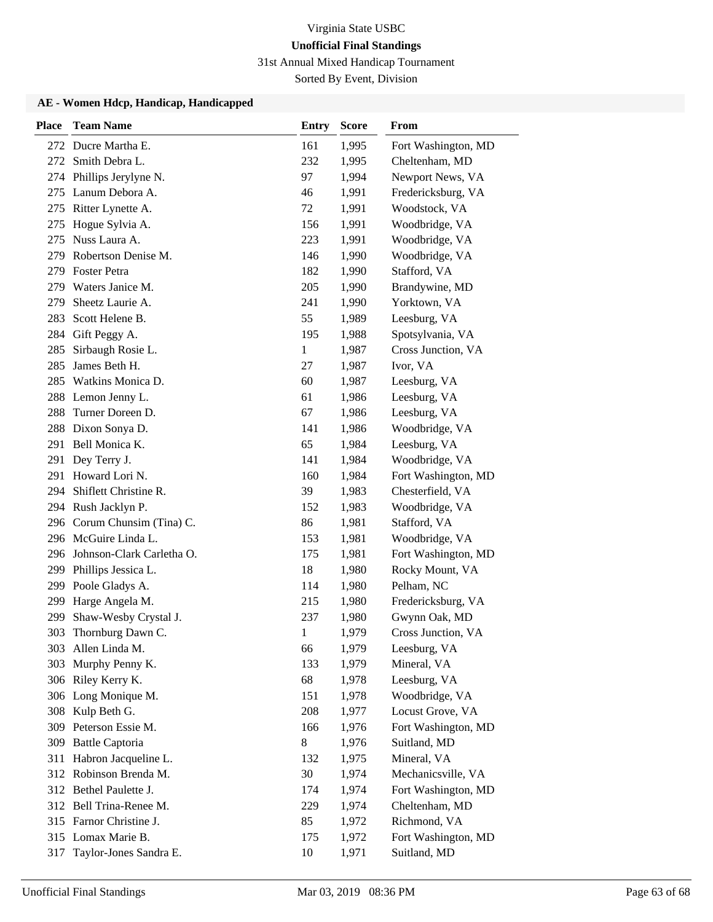31st Annual Mixed Handicap Tournament

Sorted By Event, Division

| <b>Place</b> | <b>Team Name</b>              | <b>Entry</b> | <b>Score</b> | <b>From</b>         |
|--------------|-------------------------------|--------------|--------------|---------------------|
|              | 272 Ducre Martha E.           | 161          | 1,995        | Fort Washington, MD |
| 272          | Smith Debra L.                | 232          | 1,995        | Cheltenham, MD      |
| 274          | Phillips Jerylyne N.          | 97           | 1,994        | Newport News, VA    |
| 275          | Lanum Debora A.               | 46           | 1,991        | Fredericksburg, VA  |
| 275          | Ritter Lynette A.             | 72           | 1,991        | Woodstock, VA       |
| 275          | Hogue Sylvia A.               | 156          | 1,991        | Woodbridge, VA      |
| 275          | Nuss Laura A.                 | 223          | 1,991        | Woodbridge, VA      |
| 279          | Robertson Denise M.           | 146          | 1,990        | Woodbridge, VA      |
| 279          | <b>Foster Petra</b>           | 182          | 1,990        | Stafford, VA        |
| 279          | Waters Janice M.              | 205          | 1,990        | Brandywine, MD      |
| 279          | Sheetz Laurie A.              | 241          | 1,990        | Yorktown, VA        |
| 283          | Scott Helene B.               | 55           | 1,989        | Leesburg, VA        |
| 284          | Gift Peggy A.                 | 195          | 1,988        | Spotsylvania, VA    |
| 285          | Sirbaugh Rosie L.             | 1            | 1,987        | Cross Junction, VA  |
| 285          | James Beth H.                 | 27           | 1,987        | Ivor, VA            |
| 285          | Watkins Monica D.             | 60           | 1,987        | Leesburg, VA        |
| 288          | Lemon Jenny L.                | 61           | 1,986        | Leesburg, VA        |
| 288          | Turner Doreen D.              | 67           | 1,986        | Leesburg, VA        |
| 288          | Dixon Sonya D.                | 141          | 1,986        | Woodbridge, VA      |
| 291          | Bell Monica K.                | 65           | 1,984        | Leesburg, VA        |
| 291          | Dey Terry J.                  | 141          | 1,984        | Woodbridge, VA      |
| 291          | Howard Lori N.                | 160          | 1,984        | Fort Washington, MD |
| 294          | Shiflett Christine R.         | 39           | 1,983        | Chesterfield, VA    |
|              | 294 Rush Jacklyn P.           | 152          | 1,983        | Woodbridge, VA      |
|              | 296 Corum Chunsim (Tina) C.   | 86           | 1,981        | Stafford, VA        |
|              | 296 McGuire Linda L.          | 153          | 1,981        | Woodbridge, VA      |
|              | 296 Johnson-Clark Carletha O. | 175          | 1,981        | Fort Washington, MD |
|              | 299 Phillips Jessica L.       | 18           | 1,980        | Rocky Mount, VA     |
| 299          | Poole Gladys A.               | 114          | 1,980        | Pelham, NC          |
| 299          | Harge Angela M.               | 215          | 1,980        | Fredericksburg, VA  |
| 299          | Shaw-Wesby Crystal J.         | 237          | 1,980        | Gwynn Oak, MD       |
| 303          | Thornburg Dawn C.             | 1            | 1,979        | Cross Junction, VA  |
|              | 303 Allen Linda M.            | 66           | 1,979        | Leesburg, VA        |
| 303          | Murphy Penny K.               | 133          | 1,979        | Mineral, VA         |
|              | 306 Riley Kerry K.            | 68           | 1,978        | Leesburg, VA        |
|              | 306 Long Monique M.           | 151          | 1,978        | Woodbridge, VA      |
|              | 308 Kulp Beth G.              | 208          | 1,977        | Locust Grove, VA    |
| 309          | Peterson Essie M.             | 166          | 1,976        | Fort Washington, MD |
| 309          | <b>Battle Captoria</b>        | 8            | 1,976        | Suitland, MD        |
| 311          | Habron Jacqueline L.          | 132          | 1,975        | Mineral, VA         |
|              | 312 Robinson Brenda M.        | 30           | 1,974        | Mechanicsville, VA  |
|              | 312 Bethel Paulette J.        | 174          | 1,974        | Fort Washington, MD |
|              | 312 Bell Trina-Renee M.       | 229          | 1,974        | Cheltenham, MD      |
|              | 315 Farnor Christine J.       | 85           | 1,972        | Richmond, VA        |
|              | 315 Lomax Marie B.            | 175          | 1,972        | Fort Washington, MD |
| 317          | Taylor-Jones Sandra E.        | 10           | 1,971        | Suitland, MD        |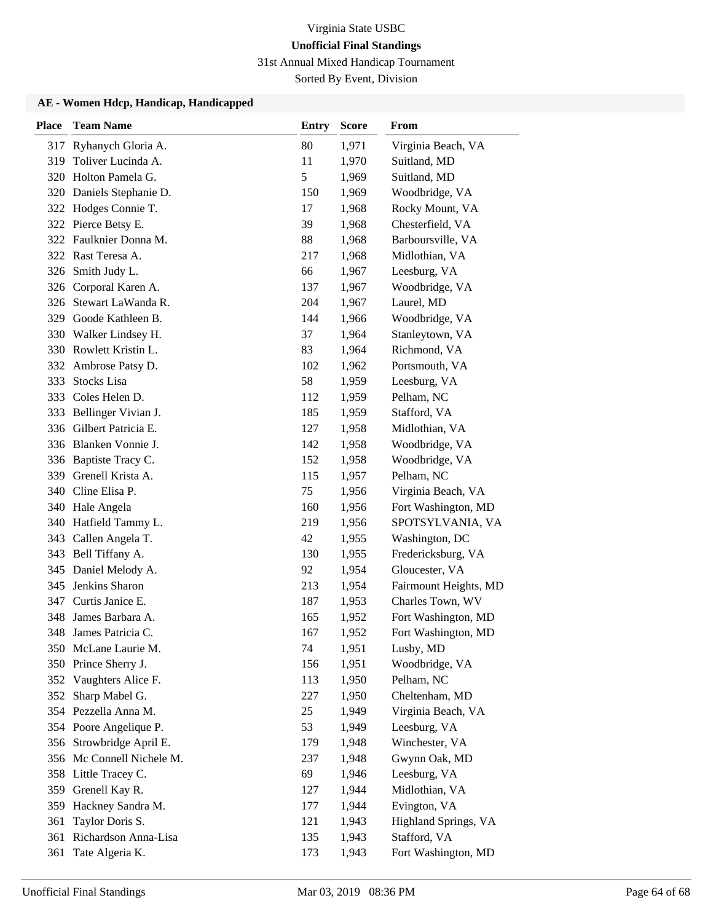31st Annual Mixed Handicap Tournament

Sorted By Event, Division

| <b>Place</b> | <b>Team Name</b>          | Entry | <b>Score</b> | From                  |
|--------------|---------------------------|-------|--------------|-----------------------|
| 317          | Ryhanych Gloria A.        | 80    | 1,971        | Virginia Beach, VA    |
| 319          | Toliver Lucinda A.        | 11    | 1,970        | Suitland, MD          |
|              | 320 Holton Pamela G.      | 5     | 1,969        | Suitland, MD          |
| 320          | Daniels Stephanie D.      | 150   | 1,969        | Woodbridge, VA        |
| 322          | Hodges Connie T.          | 17    | 1,968        | Rocky Mount, VA       |
|              | 322 Pierce Betsy E.       | 39    | 1,968        | Chesterfield, VA      |
|              | 322 Faulknier Donna M.    | 88    | 1,968        | Barboursville, VA     |
|              | 322 Rast Teresa A.        | 217   | 1,968        | Midlothian, VA        |
| 326          | Smith Judy L.             | 66    | 1,967        | Leesburg, VA          |
| 326          | Corporal Karen A.         | 137   | 1,967        | Woodbridge, VA        |
| 326          | Stewart LaWanda R.        | 204   | 1,967        | Laurel, MD            |
| 329          | Goode Kathleen B.         | 144   | 1,966        | Woodbridge, VA        |
|              | 330 Walker Lindsey H.     | 37    | 1,964        | Stanleytown, VA       |
|              | 330 Rowlett Kristin L.    | 83    | 1,964        | Richmond, VA          |
|              | 332 Ambrose Patsy D.      | 102   | 1,962        | Portsmouth, VA        |
| 333          | Stocks Lisa               | 58    | 1,959        | Leesburg, VA          |
| 333          | Coles Helen D.            | 112   | 1,959        | Pelham, NC            |
| 333          | Bellinger Vivian J.       | 185   | 1,959        | Stafford, VA          |
| 336          | Gilbert Patricia E.       | 127   | 1,958        | Midlothian, VA        |
|              | 336 Blanken Vonnie J.     | 142   | 1,958        | Woodbridge, VA        |
|              | 336 Baptiste Tracy C.     | 152   | 1,958        | Woodbridge, VA        |
| 339          | Grenell Krista A.         | 115   | 1,957        | Pelham, NC            |
|              | 340 Cline Elisa P.        | 75    | 1,956        | Virginia Beach, VA    |
|              | 340 Hale Angela           | 160   | 1,956        | Fort Washington, MD   |
|              | 340 Hatfield Tammy L.     | 219   | 1,956        | SPOTSYLVANIA, VA      |
| 343          | Callen Angela T.          | 42    | 1,955        | Washington, DC        |
| 343          | Bell Tiffany A.           | 130   | 1,955        | Fredericksburg, VA    |
| 345          | Daniel Melody A.          | 92    | 1,954        | Gloucester, VA        |
| 345          | Jenkins Sharon            | 213   | 1,954        | Fairmount Heights, MD |
| 347          | Curtis Janice E.          | 187   | 1,953        | Charles Town, WV      |
| 348          | James Barbara A.          | 165   | 1,952        | Fort Washington, MD   |
| 348          | James Patricia C.         | 167   | 1,952        | Fort Washington, MD   |
|              | 350 McLane Laurie M.      | 74    | 1,951        | Lusby, MD             |
|              | 350 Prince Sherry J.      | 156   | 1,951        | Woodbridge, VA        |
|              | 352 Vaughters Alice F.    | 113   | 1,950        | Pelham, NC            |
| 352          | Sharp Mabel G.            | 227   | 1,950        | Cheltenham, MD        |
|              | 354 Pezzella Anna M.      | 25    | 1,949        | Virginia Beach, VA    |
|              | 354 Poore Angelique P.    | 53    | 1,949        | Leesburg, VA          |
|              | 356 Strowbridge April E.  | 179   | 1,948        | Winchester, VA        |
|              | 356 Mc Connell Nichele M. | 237   | 1,948        | Gwynn Oak, MD         |
|              | 358 Little Tracey C.      | 69    | 1,946        | Leesburg, VA          |
| 359          | Grenell Kay R.            | 127   | 1,944        | Midlothian, VA        |
|              | 359 Hackney Sandra M.     | 177   | 1,944        | Evington, VA          |
| 361          | Taylor Doris S.           | 121   | 1,943        | Highland Springs, VA  |
| 361          | Richardson Anna-Lisa      | 135   | 1,943        | Stafford, VA          |
| 361          | Tate Algeria K.           | 173   | 1,943        | Fort Washington, MD   |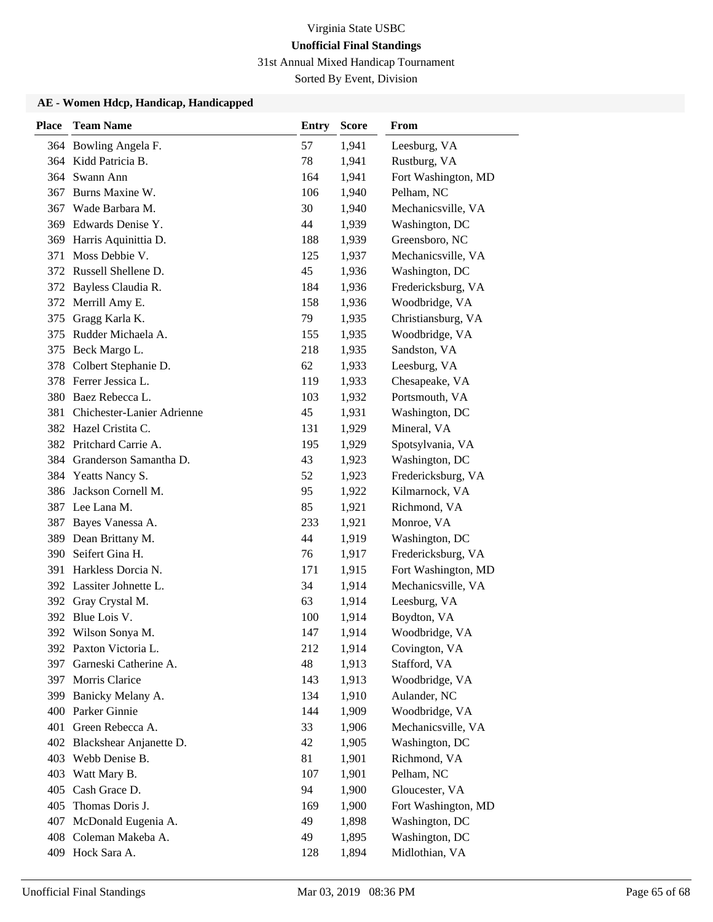31st Annual Mixed Handicap Tournament

Sorted By Event, Division

| <b>Place</b> | <b>Team Name</b>           | <b>Entry</b> | <b>Score</b> | From                |
|--------------|----------------------------|--------------|--------------|---------------------|
|              | 364 Bowling Angela F.      | 57           | 1,941        | Leesburg, VA        |
|              | 364 Kidd Patricia B.       | 78           | 1,941        | Rustburg, VA        |
|              | 364 Swann Ann              | 164          | 1,941        | Fort Washington, MD |
|              | 367 Burns Maxine W.        | 106          | 1,940        | Pelham, NC          |
| 367          | Wade Barbara M.            | 30           | 1,940        | Mechanicsville, VA  |
| 369          | Edwards Denise Y.          | 44           | 1,939        | Washington, DC      |
| 369          | Harris Aquinittia D.       | 188          | 1,939        | Greensboro, NC      |
| 371          | Moss Debbie V.             | 125          | 1,937        | Mechanicsville, VA  |
|              | 372 Russell Shellene D.    | 45           | 1,936        | Washington, DC      |
| 372          | Bayless Claudia R.         | 184          | 1,936        | Fredericksburg, VA  |
| 372          | Merrill Amy E.             | 158          | 1,936        | Woodbridge, VA      |
| 375          | Gragg Karla K.             | 79           | 1,935        | Christiansburg, VA  |
| 375          | Rudder Michaela A.         | 155          | 1,935        | Woodbridge, VA      |
|              | 375 Beck Margo L.          | 218          | 1,935        | Sandston, VA        |
| 378          | Colbert Stephanie D.       | 62           | 1,933        | Leesburg, VA        |
|              | 378 Ferrer Jessica L.      | 119          | 1,933        | Chesapeake, VA      |
| 380          | Baez Rebecca L.            | 103          | 1,932        | Portsmouth, VA      |
| 381          | Chichester-Lanier Adrienne | 45           | 1,931        | Washington, DC      |
|              | 382 Hazel Cristita C.      | 131          | 1,929        | Mineral, VA         |
|              | 382 Pritchard Carrie A.    | 195          | 1,929        | Spotsylvania, VA    |
|              | 384 Granderson Samantha D. | 43           | 1,923        | Washington, DC      |
|              | 384 Yeatts Nancy S.        | 52           | 1,923        | Fredericksburg, VA  |
| 386          | Jackson Cornell M.         | 95           | 1,922        | Kilmarnock, VA      |
|              | 387 Lee Lana M.            | 85           | 1,921        | Richmond, VA        |
| 387          | Bayes Vanessa A.           | 233          | 1,921        | Monroe, VA          |
| 389          | Dean Brittany M.           | 44           | 1,919        | Washington, DC      |
| 390          | Seifert Gina H.            | 76           | 1,917        | Fredericksburg, VA  |
|              | 391 Harkless Dorcia N.     | 171          | 1,915        | Fort Washington, MD |
|              | 392 Lassiter Johnette L.   | 34           | 1,914        | Mechanicsville, VA  |
| 392          | Gray Crystal M.            | 63           | 1,914        | Leesburg, VA        |
|              | 392 Blue Lois V.           | 100          | 1,914        | Boydton, VA         |
|              | 392 Wilson Sonya M.        | 147          | 1,914        | Woodbridge, VA      |
|              | 392 Paxton Victoria L.     | 212          | 1,914        | Covington, VA       |
| 397          | Garneski Catherine A.      | 48           | 1,913        | Stafford, VA        |
| 397          | Morris Clarice             | 143          | 1,913        | Woodbridge, VA      |
|              | 399 Banicky Melany A.      | 134          | 1,910        | Aulander, NC        |
| 400          | Parker Ginnie              | 144          | 1,909        | Woodbridge, VA      |
| 401          | Green Rebecca A.           | 33           | 1,906        | Mechanicsville, VA  |
| 402          | Blackshear Anjanette D.    | 42           | 1,905        | Washington, DC      |
| 403          | Webb Denise B.             | 81           | 1,901        | Richmond, VA        |
| 403          | Watt Mary B.               | 107          | 1,901        | Pelham, NC          |
| 405          | Cash Grace D.              | 94           | 1,900        | Gloucester, VA      |
| 405          | Thomas Doris J.            | 169          | 1,900        | Fort Washington, MD |
|              | 407 McDonald Eugenia A.    | 49           | 1,898        | Washington, DC      |
|              | 408 Coleman Makeba A.      | 49           | 1,895        | Washington, DC      |
|              | 409 Hock Sara A.           | 128          | 1,894        | Midlothian, VA      |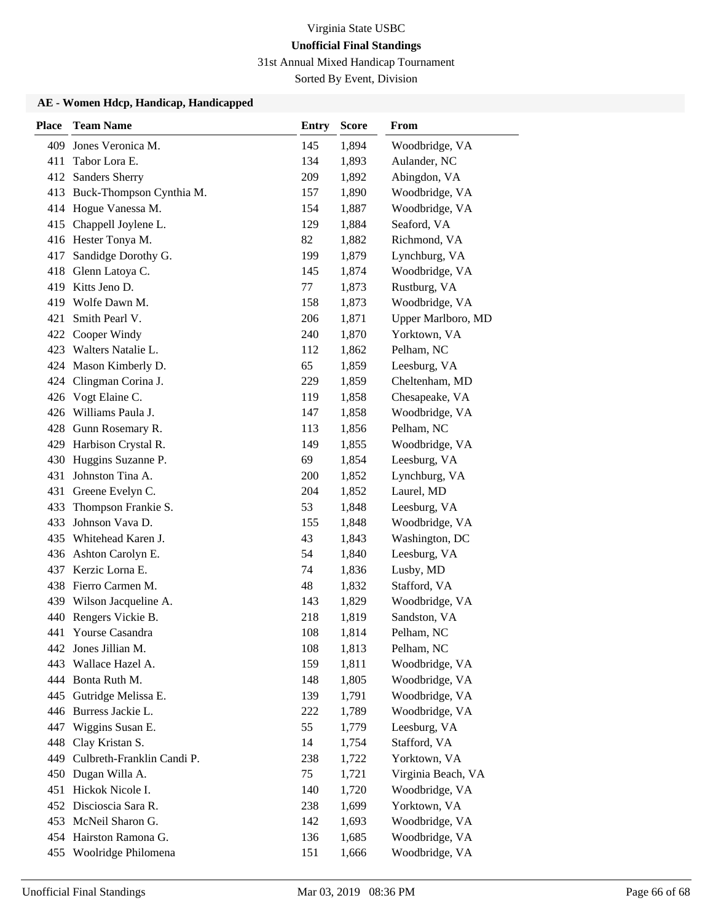31st Annual Mixed Handicap Tournament

Sorted By Event, Division

| <b>Place</b> | <b>Team Name</b>           | <b>Entry</b> | <b>Score</b> | <b>From</b>        |
|--------------|----------------------------|--------------|--------------|--------------------|
| 409          | Jones Veronica M.          | 145          | 1,894        | Woodbridge, VA     |
| 411          | Tabor Lora E.              | 134          | 1,893        | Aulander, NC       |
|              | 412 Sanders Sherry         | 209          | 1,892        | Abingdon, VA       |
| 413          | Buck-Thompson Cynthia M.   | 157          | 1,890        | Woodbridge, VA     |
|              | 414 Hogue Vanessa M.       | 154          | 1,887        | Woodbridge, VA     |
| 415          | Chappell Joylene L.        | 129          | 1,884        | Seaford, VA        |
|              | 416 Hester Tonya M.        | 82           | 1,882        | Richmond, VA       |
| 417          | Sandidge Dorothy G.        | 199          | 1,879        | Lynchburg, VA      |
| 418          | Glenn Latoya C.            | 145          | 1,874        | Woodbridge, VA     |
| 419          | Kitts Jeno D.              | 77           | 1,873        | Rustburg, VA       |
| 419          | Wolfe Dawn M.              | 158          | 1,873        | Woodbridge, VA     |
| 421          | Smith Pearl V.             | 206          | 1,871        | Upper Marlboro, MD |
| 422          | Cooper Windy               | 240          | 1,870        | Yorktown, VA       |
| 423          | Walters Natalie L.         | 112          | 1,862        | Pelham, NC         |
|              | 424 Mason Kimberly D.      | 65           | 1,859        | Leesburg, VA       |
|              | 424 Clingman Corina J.     | 229          | 1,859        | Cheltenham, MD     |
| 426          | Vogt Elaine C.             | 119          | 1,858        | Chesapeake, VA     |
| 426          | Williams Paula J.          | 147          | 1,858        | Woodbridge, VA     |
| 428          | Gunn Rosemary R.           | 113          | 1,856        | Pelham, NC         |
|              | 429 Harbison Crystal R.    | 149          | 1,855        | Woodbridge, VA     |
| 430          | Huggins Suzanne P.         | 69           | 1,854        | Leesburg, VA       |
| 431          | Johnston Tina A.           | 200          | 1,852        | Lynchburg, VA      |
| 431          | Greene Evelyn C.           | 204          | 1,852        | Laurel, MD         |
| 433          | Thompson Frankie S.        | 53           | 1,848        | Leesburg, VA       |
| 433          | Johnson Vava D.            | 155          | 1,848        | Woodbridge, VA     |
| 435          | Whitehead Karen J.         | 43           | 1,843        | Washington, DC     |
| 436          | Ashton Carolyn E.          | 54           | 1,840        | Leesburg, VA       |
|              | 437 Kerzic Lorna E.        | 74           | 1,836        | Lusby, MD          |
| 438          | Fierro Carmen M.           | 48           | 1,832        | Stafford, VA       |
| 439          | Wilson Jacqueline A.       | 143          | 1,829        | Woodbridge, VA     |
| 440          | Rengers Vickie B.          | 218          | 1,819        | Sandston, VA       |
| 441          | Yourse Casandra            | 108          | 1,814        | Pelham, NC         |
|              | 442 Jones Jillian M.       | 108          | 1,813        | Pelham, NC         |
| 443          | Wallace Hazel A.           | 159          | 1,811        | Woodbridge, VA     |
|              | 444 Bonta Ruth M.          | 148          | 1,805        | Woodbridge, VA     |
|              | 445 Gutridge Melissa E.    | 139          | 1,791        | Woodbridge, VA     |
| 446          | Burress Jackie L.          | 222          | 1,789        | Woodbridge, VA     |
| 447          | Wiggins Susan E.           | 55           | 1,779        | Leesburg, VA       |
| 448          | Clay Kristan S.            | 14           | 1,754        | Stafford, VA       |
| 449          | Culbreth-Franklin Candi P. | 238          | 1,722        | Yorktown, VA       |
| 450          | Dugan Willa A.             | 75           | 1,721        | Virginia Beach, VA |
| 451          | Hickok Nicole I.           | 140          | 1,720        | Woodbridge, VA     |
|              | 452 Discioscia Sara R.     | 238          | 1,699        | Yorktown, VA       |
|              | 453 McNeil Sharon G.       | 142          | 1,693        | Woodbridge, VA     |
|              | 454 Hairston Ramona G.     | 136          | 1,685        | Woodbridge, VA     |
|              | 455 Woolridge Philomena    | 151          | 1,666        | Woodbridge, VA     |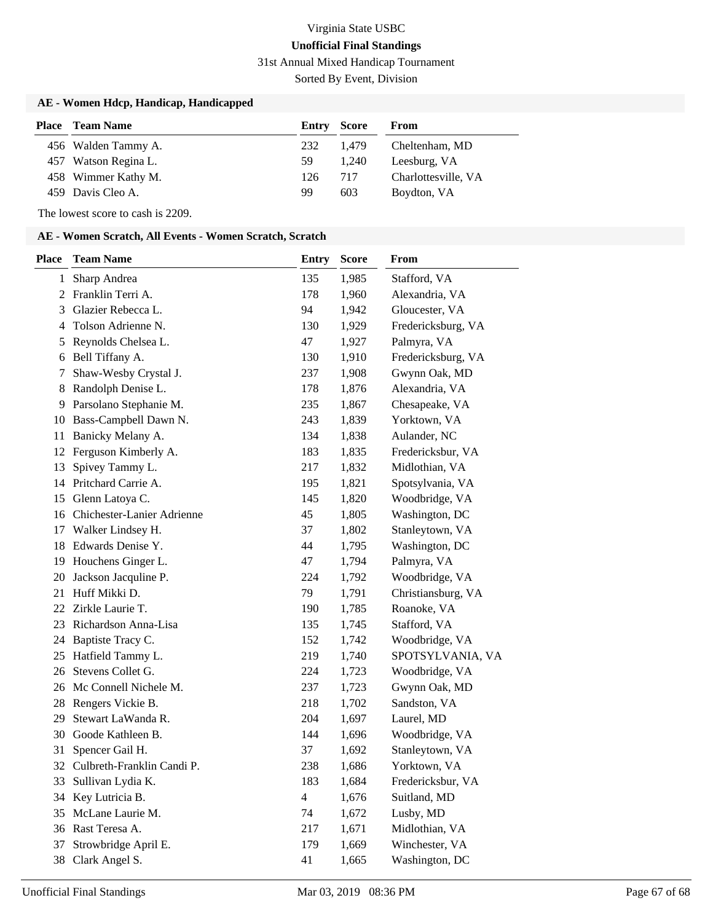31st Annual Mixed Handicap Tournament

Sorted By Event, Division

### **AE - Women Hdcp, Handicap, Handicapped**

| Place | <b>Team Name</b>     | Entry | Score | From                |
|-------|----------------------|-------|-------|---------------------|
|       | 456 Walden Tammy A.  | 232   | 1.479 | Cheltenham, MD      |
|       | 457 Watson Regina L. | 59.   | 1.240 | Leesburg, VA        |
|       | 458 Wimmer Kathy M.  | 126   | 717   | Charlottesville, VA |
|       | 459 Davis Cleo A.    | 99    | 603   | Boydton, VA         |

The lowest score to cash is 2209.

#### **AE - Women Scratch, All Events - Women Scratch, Scratch**

| Place        | <b>Team Name</b>              | <b>Entry</b>   | <b>Score</b> | From               |
|--------------|-------------------------------|----------------|--------------|--------------------|
| $\mathbf{1}$ | Sharp Andrea                  | 135            | 1,985        | Stafford, VA       |
| 2            | Franklin Terri A.             | 178            | 1,960        | Alexandria, VA     |
| 3            | Glazier Rebecca L.            | 94             | 1,942        | Gloucester, VA     |
| 4            | Tolson Adrienne N.            | 130            | 1,929        | Fredericksburg, VA |
| 5            | Reynolds Chelsea L.           | 47             | 1,927        | Palmyra, VA        |
| 6            | Bell Tiffany A.               | 130            | 1,910        | Fredericksburg, VA |
| 7            | Shaw-Wesby Crystal J.         | 237            | 1,908        | Gwynn Oak, MD      |
| 8            | Randolph Denise L.            | 178            | 1,876        | Alexandria, VA     |
| 9.           | Parsolano Stephanie M.        | 235            | 1,867        | Chesapeake, VA     |
|              | 10 Bass-Campbell Dawn N.      | 243            | 1,839        | Yorktown, VA       |
| 11           | Banicky Melany A.             | 134            | 1,838        | Aulander, NC       |
| 12           | Ferguson Kimberly A.          | 183            | 1,835        | Fredericksbur, VA  |
| 13           | Spivey Tammy L.               | 217            | 1,832        | Midlothian, VA     |
| 14           | Pritchard Carrie A.           | 195            | 1,821        | Spotsylvania, VA   |
| 15           | Glenn Latoya C.               | 145            | 1,820        | Woodbridge, VA     |
|              | 16 Chichester-Lanier Adrienne | 45             | 1,805        | Washington, DC     |
| 17           | Walker Lindsey H.             | 37             | 1,802        | Stanleytown, VA    |
| 18           | Edwards Denise Y.             | 44             | 1,795        | Washington, DC     |
| 19           | Houchens Ginger L.            | 47             | 1,794        | Palmyra, VA        |
| 20           | Jackson Jacquline P.          | 224            | 1,792        | Woodbridge, VA     |
| 21           | Huff Mikki D.                 | 79             | 1,791        | Christiansburg, VA |
| 22           | Zirkle Laurie T.              | 190            | 1,785        | Roanoke, VA        |
| 23           | Richardson Anna-Lisa          | 135            | 1,745        | Stafford, VA       |
|              | 24 Baptiste Tracy C.          | 152            | 1,742        | Woodbridge, VA     |
| 25           | Hatfield Tammy L.             | 219            | 1,740        | SPOTSYLVANIA, VA   |
| 26           | Stevens Collet G.             | 224            | 1,723        | Woodbridge, VA     |
| 26           | McConnell Nichele M.          | 237            | 1,723        | Gwynn Oak, MD      |
|              | 28 Rengers Vickie B.          | 218            | 1,702        | Sandston, VA       |
| 29           | Stewart LaWanda R.            | 204            | 1,697        | Laurel, MD         |
| 30           | Goode Kathleen B.             | 144            | 1,696        | Woodbridge, VA     |
| 31           | Spencer Gail H.               | 37             | 1,692        | Stanleytown, VA    |
| 32           | Culbreth-Franklin Candi P.    | 238            | 1,686        | Yorktown, VA       |
| 33           | Sullivan Lydia K.             | 183            | 1,684        | Fredericksbur, VA  |
| 34           | Key Lutricia B.               | $\overline{4}$ | 1,676        | Suitland, MD       |
| 35           | McLane Laurie M.              | 74             | 1,672        | Lusby, MD          |
| 36           | Rast Teresa A.                | 217            | 1,671        | Midlothian, VA     |
| 37           | Strowbridge April E.          | 179            | 1,669        | Winchester, VA     |
| 38           | Clark Angel S.                | 41             | 1,665        | Washington, DC     |